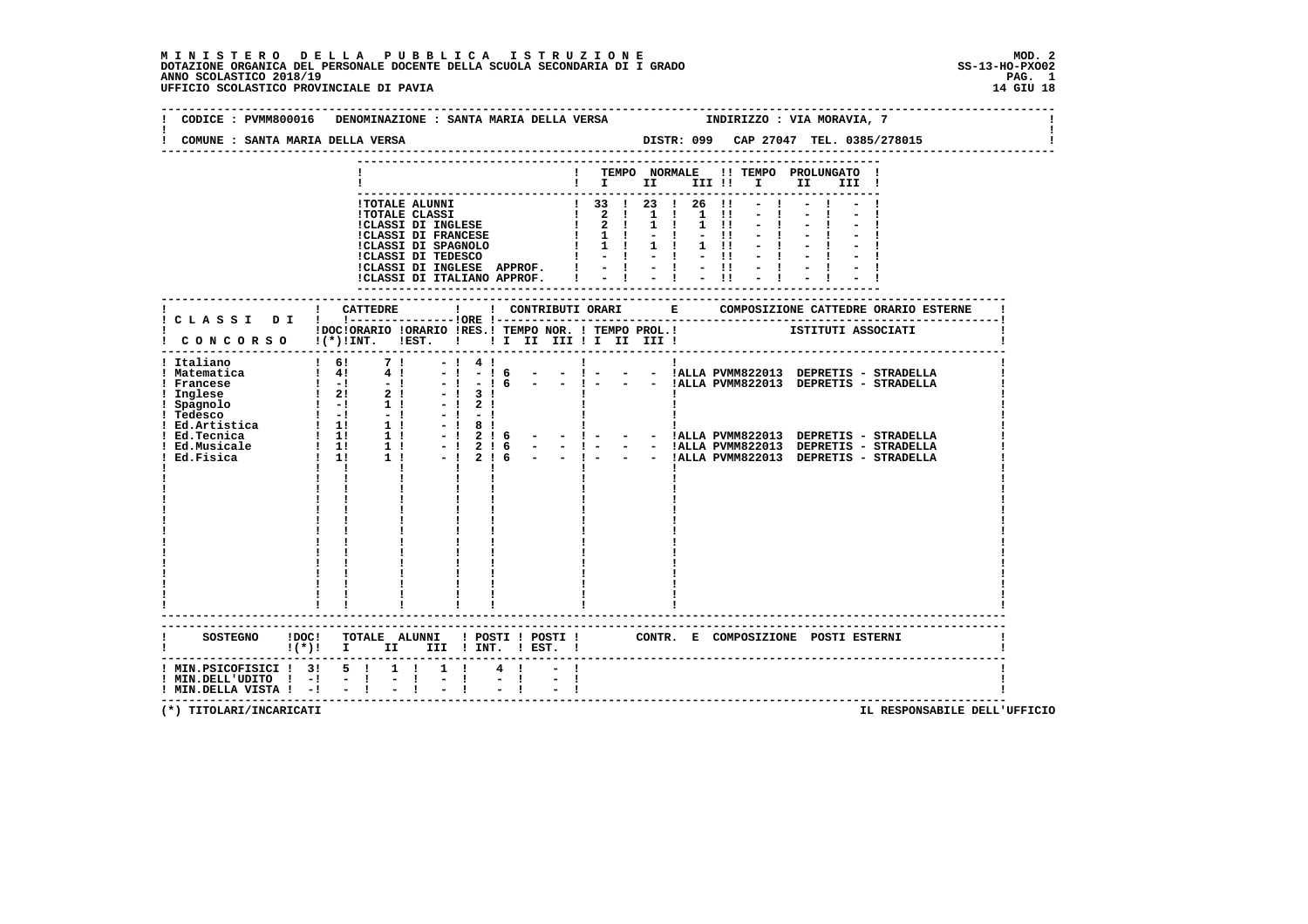MINISTERO DELLA PUBBLICA ISTRUZIONE<br>DOTAZIONE ORGANICA DEL PERSONALE DOCENTE DELLA SCUOLA SECONDARIA DI IGRADO<br>ANNO SCOLASTICO 2018/19<br>UFFICIO SCOLASTICO PROVINCIALE DI PAVIA

|                                                | CODICE : PVMM800016 DENOMINAZIONE : SANTA MARIA DELLA VERSA                                                                                     |                                                                       | INDIRIZZO : VIA MORAVIA, 7                                                                                                                                       |  |
|------------------------------------------------|-------------------------------------------------------------------------------------------------------------------------------------------------|-----------------------------------------------------------------------|------------------------------------------------------------------------------------------------------------------------------------------------------------------|--|
| COMUNE : SANTA MARIA DELLA VERSA               |                                                                                                                                                 |                                                                       | DISTR: 099 CAP 27047 TEL. 0385/278015                                                                                                                            |  |
|                                                |                                                                                                                                                 |                                                                       | ! TEMPO NORMALE !! TEMPO PROLUNGATO !<br>$\mathbf{I}$ is the set of $\mathbf{I}$<br>III!!! I II<br>III !                                                         |  |
|                                                | !TOTALE ALUNNI<br><b>!TOTALE CLASSI</b><br>!CLASSI DI INGLESE<br><b>!CLASSI DI FRANCESE</b><br>!CLASSI DI SPAGNOLO<br><b>!CLASSI DI TEDESCO</b> | !CLASSI DI INGLESE APPROF. ! - ! - !<br>!CLASSI DI ITALIANO APPROF. I | $\frac{1}{2}$ 33 1 23 1 26 11<br>1 2 1 1 1 1 1 1<br>$1 \t2 \t1 \t1$<br>$1 \quad 11$<br>$1 \t1 \t1 \t-1 \t-11$<br>$-11$<br>$-11$                                  |  |
|                                                |                                                                                                                                                 |                                                                       |                                                                                                                                                                  |  |
|                                                | !DOC!ORARIO !ORARIO !RES.! TEMPO NOR. ! TEMPO PROL.!<br>! CONCORSO !(*)!INT. !EST. ! ! I II III ! I III III !                                   |                                                                       | ISTITUTI ASSOCIATI                                                                                                                                               |  |
| ! Italiano<br>! Matematica<br>! Francese       | $\begin{array}{cccc} 1 & 61 & 7 & 1 \\ 1 & 41 & 4 & 1 \\ 1 & -1 & - & 1 \end{array}$                                                            | $-!4!$<br>$-16$<br>$-1$<br>$  1 -$<br>$-! - 16$                       | $\mathbf{I}$ and $\mathbf{I}$ and $\mathbf{I}$<br>$\mathbf{I}$<br>- - ! - - - !ALLA PVMM822013 DEPRETIS - STRADELLA<br>- - !ALLA PVMM822013 DEPRETIS - STRADELLA |  |
|                                                | $1 \quad 1$<br>$\mathbf{I}$                                                                                                                     | $\mathbf{I}$<br>$\mathbf{I}$                                          |                                                                                                                                                                  |  |
|                                                |                                                                                                                                                 |                                                                       |                                                                                                                                                                  |  |
|                                                |                                                                                                                                                 |                                                                       |                                                                                                                                                                  |  |
| <b>SOSTEGNO</b>                                | $\mathbf{I}(\star)$ i $\mathbf{I}$                                                                                                              | II III ! INT. ! EST. !                                                | !DOC! TOTALE ALUNNI ! POSTI ! POSTI ! CONTR. E COMPOSIZIONE POSTI ESTERNI                                                                                        |  |
| ----------------<br>! MIN.PSICOFISICI ! 3! 5 ! | $1 \quad 1$                                                                                                                                     | $1 \quad 1$<br>$4 \quad 1$<br>$-1$                                    |                                                                                                                                                                  |  |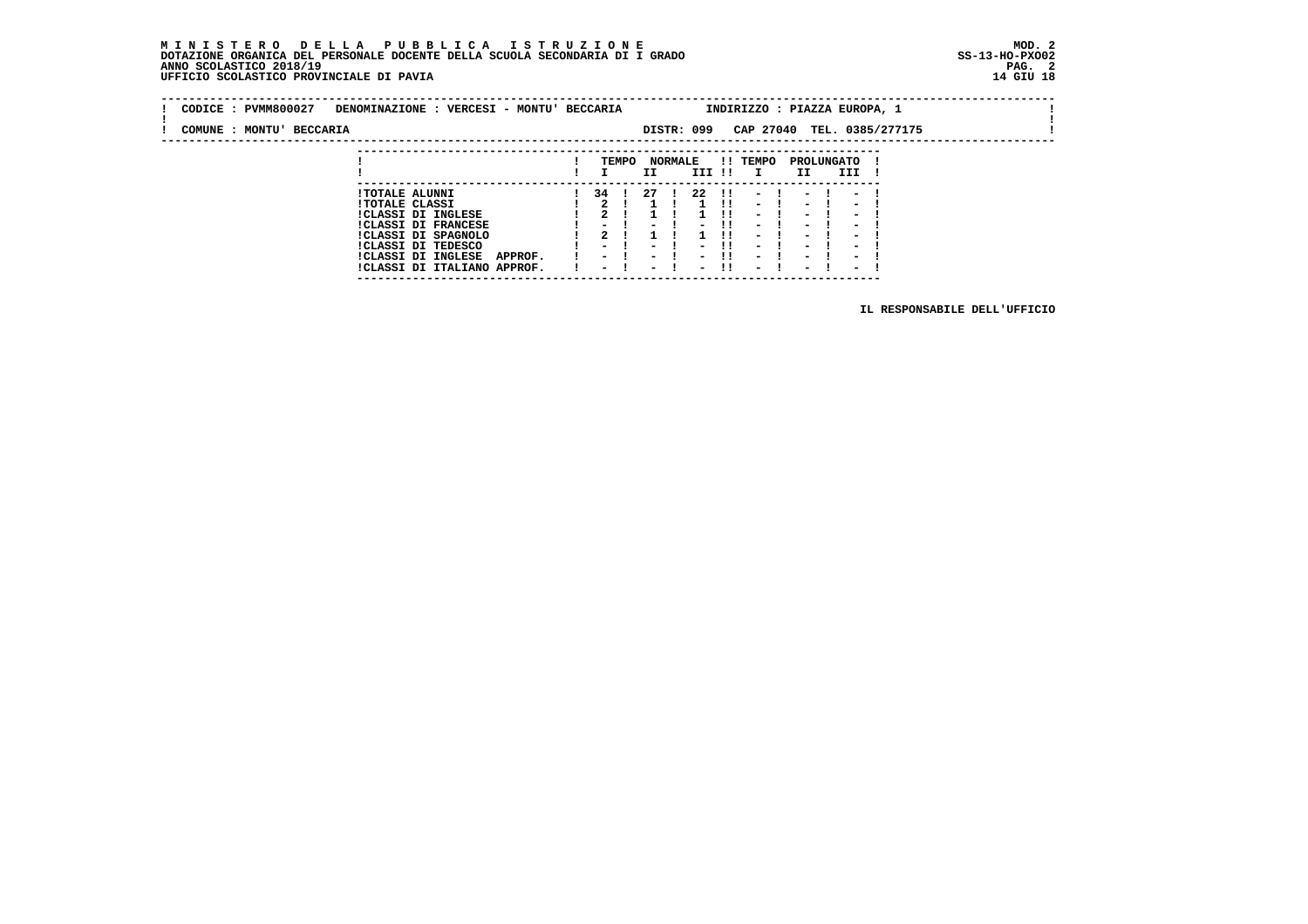### **M I N I S T E R O D E L L A P U B B L I C A I S T R U Z I O N E MOD. 2 DOTAZIONE ORGANICA DEL PERSONALE DOCENTE DELLA SCUOLA SECONDARIA DI I GRADO ANNO SCOLASTICO 2018/19 UFFICIO SCOLASTICO PROVINCIALE DI PAVIA 14 GIU 18**

 **---------------------------------------------------------------------------**

| CODICE: PVMM800027       | DENOMINAZIONE : VERCESI - MONTU' BECCARIA |        |       |        |                |            |              |                          |                          |                          | INDIRIZZO : PIAZZA EUROPA, 1 |  |
|--------------------------|-------------------------------------------|--------|-------|--------|----------------|------------|--------------|--------------------------|--------------------------|--------------------------|------------------------------|--|
| COMUNE : MONTU' BECCARIA |                                           |        |       |        |                | DISTR: 099 |              |                          |                          |                          | CAP 27040 TEL. 0385/277175   |  |
|                          |                                           |        |       |        |                |            |              |                          |                          |                          |                              |  |
|                          |                                           |        | TEMPO |        | <b>NORMALE</b> |            |              | !! TEMPO                 | PROLUNGATO               |                          |                              |  |
|                          |                                           |        |       | II     |                | III !!     |              | I.                       | II.                      | III                      |                              |  |
|                          | <b>!TOTALE ALUNNI</b>                     |        | 34 I  | 27     |                | -22        | $\mathbf{H}$ | $-1$                     | $-1$                     | $\sim$                   |                              |  |
|                          | <b>!TOTALE CLASSI</b>                     |        |       |        |                |            |              | $\overline{\phantom{0}}$ | $\overline{\phantom{0}}$ | $\overline{\phantom{0}}$ |                              |  |
|                          | <b>!CLASSI DI INGLESE</b>                 |        |       |        |                |            |              | $\overline{\phantom{0}}$ | $\sim$                   | $\overline{\phantom{0}}$ |                              |  |
|                          | <b>!CLASSI DI FRANCESE</b>                | $\sim$ |       | $\sim$ |                | $ -$       |              | $\sim$                   | $\sim$                   | $\sim$                   |                              |  |

 **!CLASSI DI FRANCESE ! - ! - ! - !! - ! - ! - ! !CLASSI DI SPAGNOLO ! 2 ! 1 ! 1 !! - ! - ! - ! !CLASSI DI TEDESCO ! - ! - ! - !! - ! - ! - ! !CLASSI DI INGLESE APPROF. ! - ! - ! - !! - ! - ! - ! !CLASSI DI ITALIANO APPROF. ! - ! - ! - !! - ! - ! - !**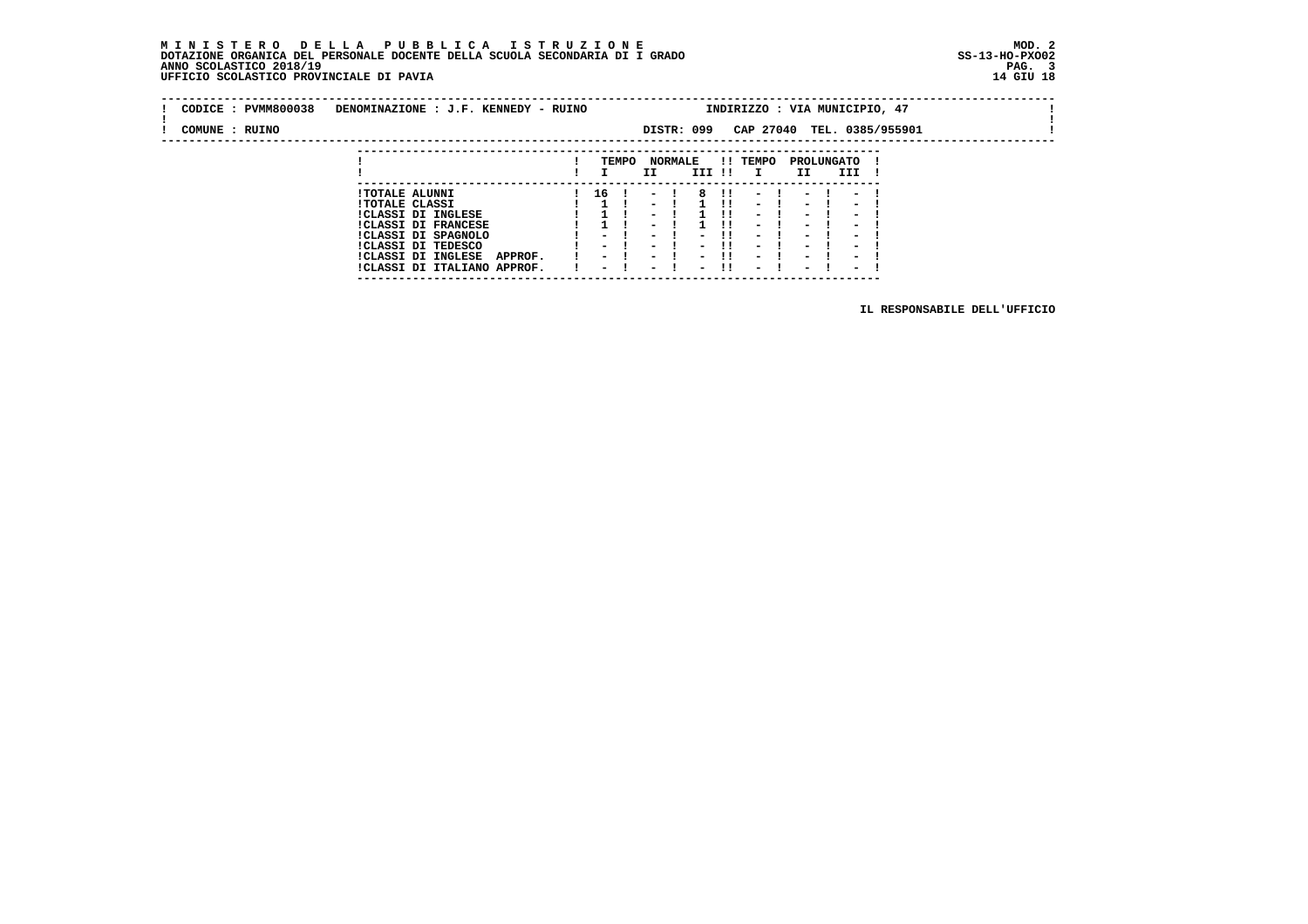### **M I N I S T E R O D E L L A P U B B L I C A I S T R U Z I O N E MOD. 2 DOTAZIONE ORGANICA DEL PERSONALE DOCENTE DELLA SCUOLA SECONDARIA DI I GRADO ANNO SCOLASTICO 2018/19 UFFICIO SCOLASTICO PROVINCIALE DI PAVIA 14 GIU 18**

 **---------------------------------------------------------------------------**

| CODICE: PVMM800038 | DENOMINAZIONE : J.F. KENNEDY - RUINO |                          |       |                          |                          |        |                          |                          |                          | INDIRIZZO : VIA MUNICIPIO, 47 |  |
|--------------------|--------------------------------------|--------------------------|-------|--------------------------|--------------------------|--------|--------------------------|--------------------------|--------------------------|-------------------------------|--|
| COMUNE : RUINO     |                                      |                          |       |                          | DISTR: 099               |        |                          |                          |                          | CAP 27040 TEL. 0385/955901    |  |
|                    |                                      |                          |       |                          |                          |        |                          |                          |                          |                               |  |
|                    |                                      |                          | TEMPO |                          | <b>NORMALE</b>           |        | !! TEMPO                 |                          | PROLUNGATO               |                               |  |
|                    |                                      |                          |       | II                       |                          | III !! | $\mathbf{I}$             | II.                      | III                      |                               |  |
|                    |                                      |                          |       |                          |                          |        |                          |                          |                          |                               |  |
|                    | <b>!TOTALE ALUNNI</b>                | 16                       |       | $\sim$ $\sim$            | 8                        | -11    | $\overline{\phantom{0}}$ |                          |                          |                               |  |
|                    | <b>!TOTALE CLASSI</b>                |                          |       | $\overline{\phantom{0}}$ |                          |        | $-1$                     | $\sim$                   | $\overline{\phantom{0}}$ |                               |  |
|                    | !CLASSI DI INGLESE                   |                          |       |                          |                          |        | $\overline{\phantom{0}}$ | $\overline{\phantom{0}}$ | $\overline{\phantom{0}}$ |                               |  |
|                    | <b>!CLASSI DI FRANCESE</b>           |                          |       |                          |                          |        | $\overline{\phantom{0}}$ | $\overline{\phantom{0}}$ | -                        |                               |  |
|                    | !CLASSI DI SPAGNOLO                  |                          |       |                          |                          |        | $\blacksquare$           | $\overline{\phantom{0}}$ |                          |                               |  |
|                    | CLASSI DI TEDESCO                    | $\overline{\phantom{0}}$ |       | $\overline{\phantom{a}}$ | $\overline{\phantom{a}}$ | .      | $\overline{\phantom{0}}$ | $\overline{\phantom{0}}$ | $\sim$                   |                               |  |
|                    | <b>!CLASSI DI INGLESE</b><br>APPROF. | $\overline{\phantom{a}}$ |       |                          |                          |        | $\overline{\phantom{0}}$ | $\overline{\phantom{0}}$ | $\overline{\phantom{0}}$ |                               |  |
|                    | !CLASSI DI ITALIANO APPROF.          | $\overline{\phantom{0}}$ |       | $\overline{\phantom{0}}$ | $\overline{\phantom{0}}$ | -11    | $\overline{\phantom{a}}$ | $\overline{\phantom{0}}$ | $\overline{\phantom{0}}$ |                               |  |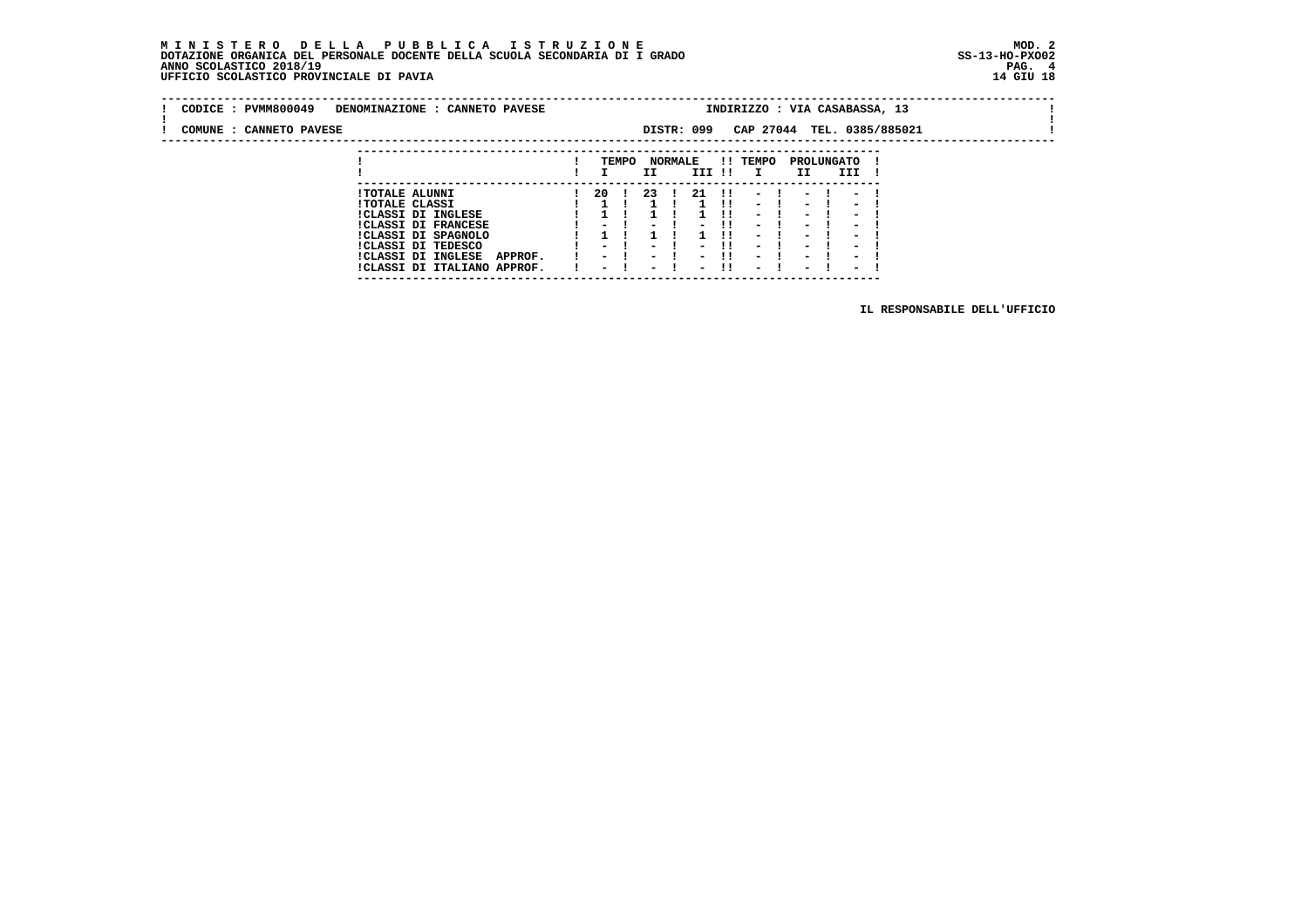| CODICE: PVMM800049      | DENOMINAZIONE : CANNETO PAVESE                 |     |       |     |                |            |              | INDIRIZZO : VIA CASABASSA, 13 |           |                   |                            |  |
|-------------------------|------------------------------------------------|-----|-------|-----|----------------|------------|--------------|-------------------------------|-----------|-------------------|----------------------------|--|
| COMUNE : CANNETO PAVESE |                                                |     |       |     |                | DISTR: 099 |              |                               |           |                   | CAP 27044 TEL. 0385/885021 |  |
|                         |                                                |     |       |     |                |            |              |                               |           |                   |                            |  |
|                         |                                                |     | TEMPO | II  | <b>NORMALE</b> | III !!     |              | !! TEMPO                      | II.       | PROLUNGATO<br>III |                            |  |
|                         |                                                |     |       |     |                |            |              |                               |           |                   |                            |  |
|                         | <b>!TOTALE ALUNNI</b><br><b>!TOTALE CLASSI</b> | -20 |       | -23 | $\mathbf{I}$   | - 21       | $3.11 - 3.1$ | $11 - 1 - 1 - 1$              | $-1$ $-1$ |                   |                            |  |
|                         | $IAT A GAT = DT = TMAT B GB$                   |     |       |     |                |            |              |                               |           |                   |                            |  |

 **---------------------------------------------------------------------------**

|  | !CLASSI DI INGLESE                   |  |  |  | 1 1 1 1 1 1 1 1 - 1 - 1 - 1  |  |  |  |
|--|--------------------------------------|--|--|--|------------------------------|--|--|--|
|  | <b>!CLASSI DI FRANCESE</b>           |  |  |  | $1 - 1 - 1 - 11 - 1 - 1 - 1$ |  |  |  |
|  | !CLASSI DI SPAGNOLO                  |  |  |  | 1 1 1 1 1 1 1 1 - 1 - 1 - 1  |  |  |  |
|  | !CLASSI DI TEDESCO                   |  |  |  | 1 - 1 - 1 - 11 - 1 - 1 - 1   |  |  |  |
|  | !CLASSI DI INGLESE<br><b>APPROF.</b> |  |  |  | 1 - 1 - 1 - 11 - 1 - 1 - 1   |  |  |  |
|  | !CLASSI DI ITALIANO APPROF.          |  |  |  | ! – ! – ! – !! – ! – ! – !   |  |  |  |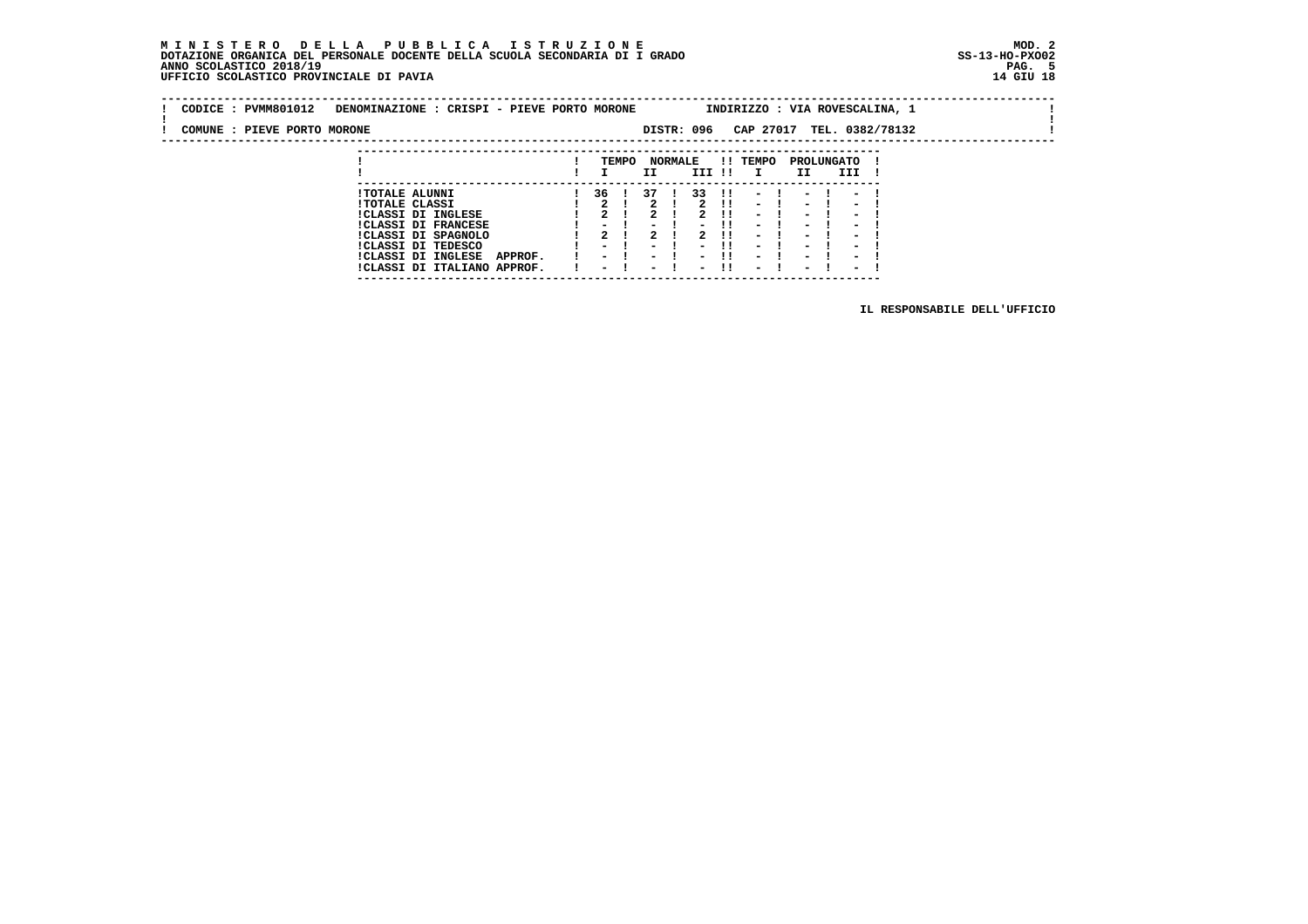### **M I N I S T E R O D E L L A P U B B L I C A I S T R U Z I O N E MOD. 2DOTAZIONE ORGANICA DEL PERSONALE DOCENTE DELLA SCUOLA SECONDARIA DI I GRADO ANNO SCOLASTICO 2018/19** UFFICIO SCOLASTICO PROVINCIALE DI PAVIA

| CODICE: PVMM801012          |                       | DENOMINAZIONE : CRISPI - PIEVE PORTO MORONE |  |     |       |    |                |            |                    |                 | INDIRIZZO : VIA ROVESCALINA, 1 |          |                          |  |  |  |
|-----------------------------|-----------------------|---------------------------------------------|--|-----|-------|----|----------------|------------|--------------------|-----------------|--------------------------------|----------|--------------------------|--|--|--|
| COMUNE : PIEVE PORTO MORONE |                       |                                             |  |     |       |    |                | DISTR: 096 |                    |                 | CAP 27017 TEL. 0382/78132      |          |                          |  |  |  |
|                             |                       |                                             |  |     | TEMPO |    | <b>NORMALE</b> |            |                    | <b>!! TEMPO</b> | PROLUNGATO                     |          |                          |  |  |  |
|                             |                       |                                             |  |     |       | II |                | III !!     |                    | $\mathbf{I}$    | II.                            |          | III                      |  |  |  |
|                             | <b>!TOTALE ALUNNI</b> |                                             |  | 36. |       | 37 |                | 33         | - 11               | $\sim$          |                                | $-1$ $-$ |                          |  |  |  |
|                             | <b>!TOTALE CLASSI</b> | $1/17.001$ DT THAT ROD                      |  | ົ   |       | ີ  |                |            | .<br>$\sim$ $\sim$ | $-1$            |                                | $-1$     | $\overline{\phantom{a}}$ |  |  |  |

1 70TALE CLASSI<br>
1 2 1 2 1 2 1 - 1 - 1 - 1<br>
1 CLASSI DI FRANCESE<br>
1 2 1 2 1 - 1 - 1 - 1 - 1<br>
1 CLASSI DI SPAGNOLO<br>
1 2 1 2 1 2 11 - 1 - 1 - 1 - 1<br>
1 CLASSI DI TEDESCO<br>
1 - 1 - 1 - 1 - 1 - 1 - 1 - 1<br>
1 CLASSI DI TRUEASE AP  **---------------------------------------------------------------------------**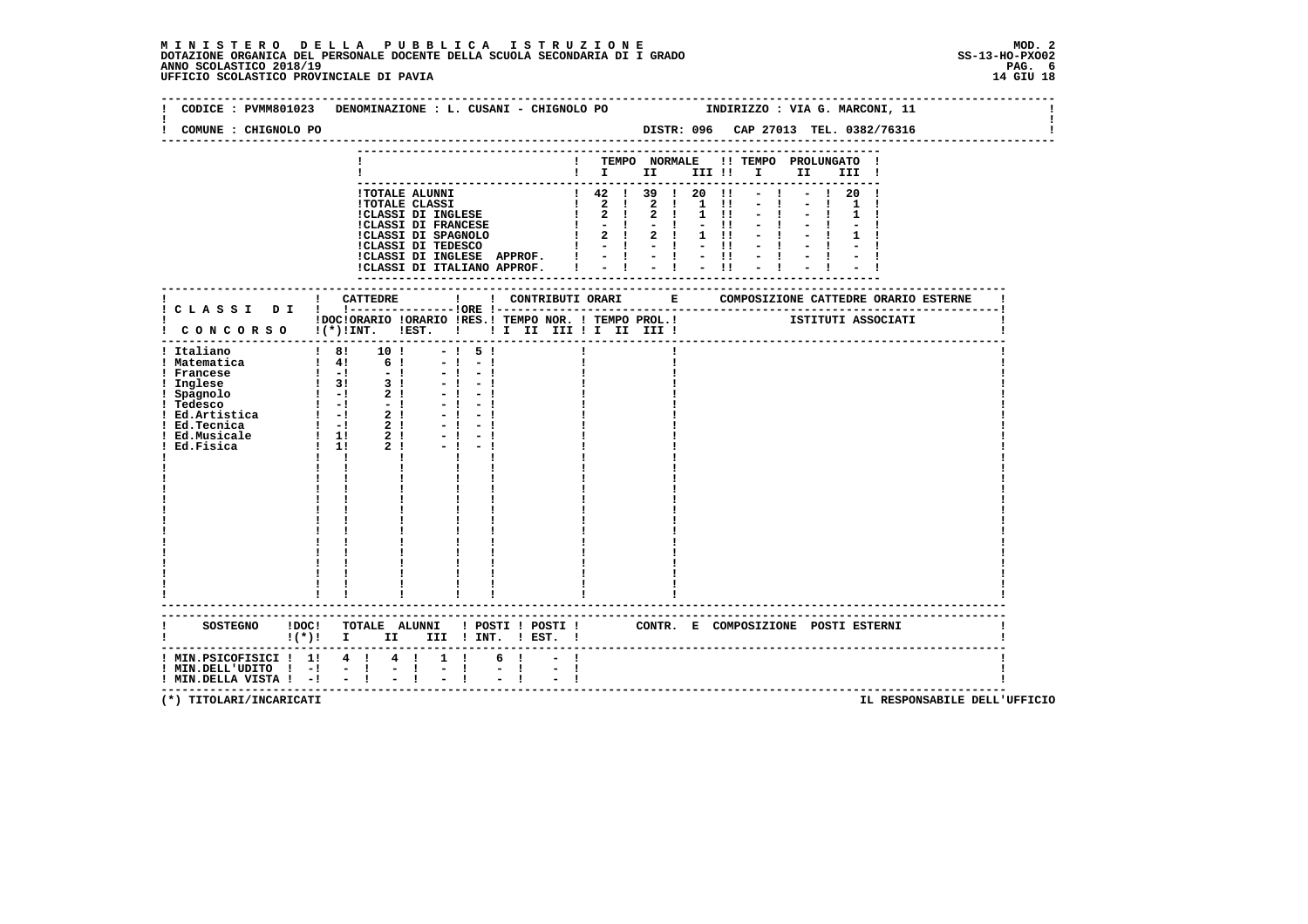### **M I N I S T E R O D E L L A P U B B L I C A I S T R U Z I O N E MOD. 2**DOTAZIONE ORGANICA DEL PERSONALE DOCENTE DELLA SCUOLA SECONDARIA DI I GRADO **SCOLA SS-13-HO-PXOO2**<br>PAG ANNO SCOLASTICO 2018/19<br>14 GIU 18 PERSONASTICO PROVINCIALE DI PAVIA

| COMUNE : CHIGNOLO PO                                                                                                            |                                                                                                                     |                                                                       |        |                                                                                                   |  |          |      |       |  |
|---------------------------------------------------------------------------------------------------------------------------------|---------------------------------------------------------------------------------------------------------------------|-----------------------------------------------------------------------|--------|---------------------------------------------------------------------------------------------------|--|----------|------|-------|--|
|                                                                                                                                 |                                                                                                                     |                                                                       |        | -------------<br>! TEMPO NORMALE !! TEMPO PROLUNGATO !<br>$\mathbf{I}$ is the set of $\mathbf{I}$ |  | III !! I | II D | III ! |  |
|                                                                                                                                 |                                                                                                                     |                                                                       |        |                                                                                                   |  |          |      |       |  |
| IDOCIORARIO IORARIO IRES.I TEMPO NOR. I TEMPO PROL.I ISTITUTI ASSOCIATI I CONCORSO I(*)IINT. IEST. I II II III II III III IIIII |                                                                                                                     |                                                                       |        |                                                                                                   |  |          |      |       |  |
| ! Italiano                                                                                                                      | $18!$ 10 ! - ! 5 !<br>$-1$<br>$-1$<br>$\mathbf{I}$                                                                  | $-1 - 1$<br>$-1 - 1$<br>$-1 - 1$<br>$-1$<br>$-1$<br>$-1$<br>$-1$      |        |                                                                                                   |  |          |      |       |  |
|                                                                                                                                 | SOSTEGNO IDOC! TOTALE ALUNNI ! POSTI ! POSTI ! CONTR. E COMPOSIZIONE POSTI ESTERNI ! (*)! I III III ! INT. ! EST. ! |                                                                       |        |                                                                                                   |  |          |      |       |  |
| $!$ MIN.PSICOFISICI $!$ 1! 4 ! 4 !<br>$!$ MIN.DELL'UDITO $!$ -! - !<br>! MIN.DELLA VISTA ! -! - !                               | $= 1 -$                                                                                                             | $1 \quad 1$<br>6 !<br>$\mathbb{Z} \times \mathbb{R}$<br>$\frac{1}{2}$ | $\sim$ |                                                                                                   |  |          |      |       |  |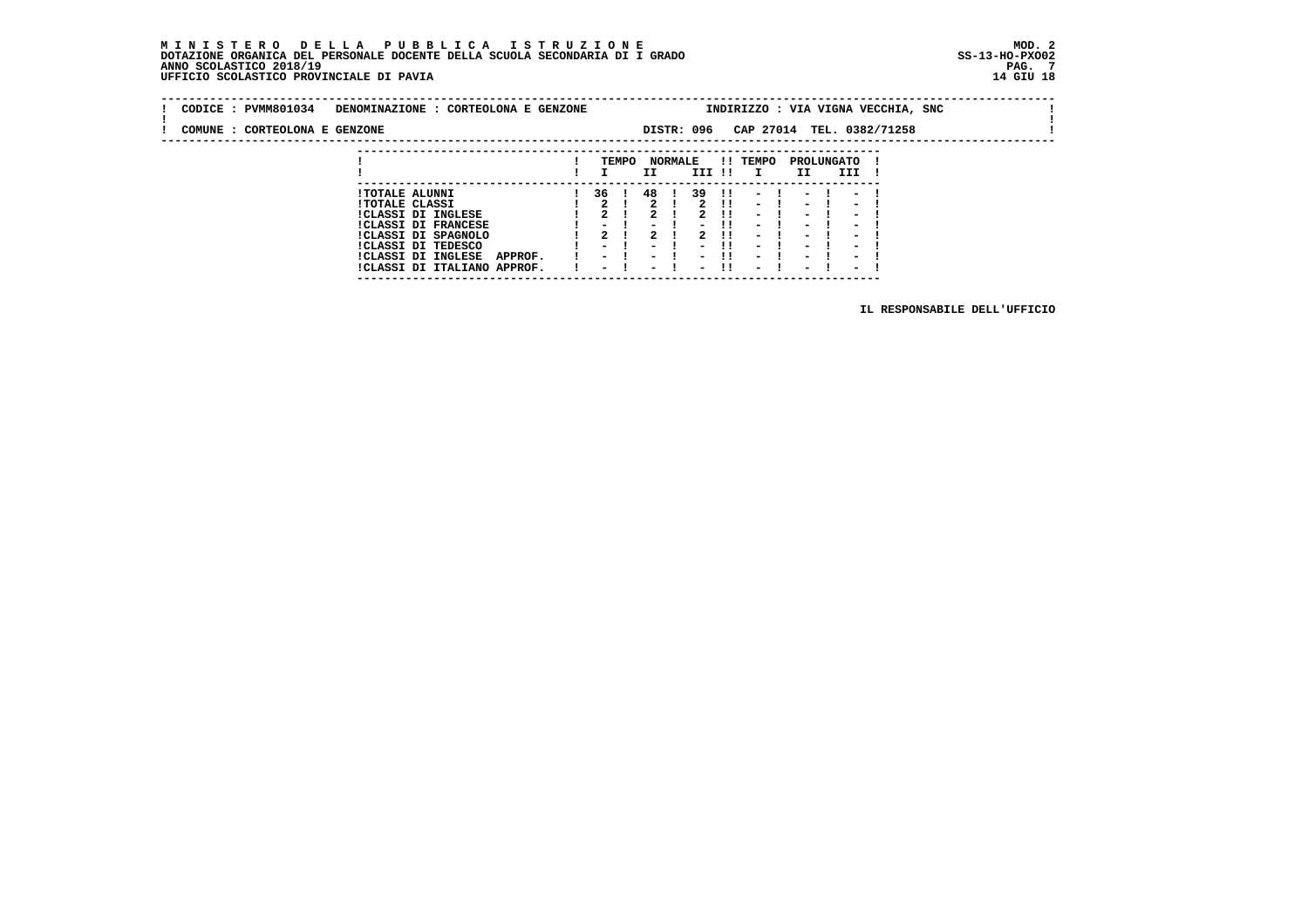# **M I N I S T E R O D E L L A P U B B L I C A I S T R U Z I O N E MOD. 2**DOTAZIONE ORGANICA DEL PERSONALE DOCENTE DELLA SCUOLA SECONDARIA DI I GRADO **SCOLA SS-13-HO-PXOO2**<br>PAG ANNO SCOLASTICO 2018/19<br>14 GIU 18 PERSONASTICO PROVINCIALE DI PAVIA

|  | CODICE: PVMM801034            | DENOMINAZIONE : CORTEOLONA E GENZONE           |    |       |                      |            |        |          |      | INDIRIZZO : VIA VIGNA VECCHIA, SNC                             |  |  |
|--|-------------------------------|------------------------------------------------|----|-------|----------------------|------------|--------|----------|------|----------------------------------------------------------------|--|--|
|  | COMUNE : CORTEOLONA E GENZONE |                                                |    |       |                      | DISTR: 096 |        |          |      | CAP 27014 TEL. 0382/71258                                      |  |  |
|  |                               |                                                |    | TEMPO | <b>NORMALE</b><br>II |            | III !! | !! TEMPO | II   | PROLUNGATO<br>III                                              |  |  |
|  |                               | <b>!TOTALE ALUNNI</b><br><b>!TOTALE CLASSI</b> | 36 |       | 48                   | 39         | -11    | $-1$     | $-1$ | $1! \t - \t 1 \t - \t 1 \t - \t 1$<br>$\overline{\phantom{0}}$ |  |  |

 **---------------------------------------------------------------------------**

| !TOTALE CLASSI |                               |  |  |  | 1 2 1 2 1 2 1 1 - 1 - 1 - 1  |  |  |                |  |
|----------------|-------------------------------|--|--|--|------------------------------|--|--|----------------|--|
|                | <b>!CLASSI DI INGLESE</b>     |  |  |  | 1 2 1 2 1 2 11               |  |  | $-1$ $-1$ $-1$ |  |
|                | <b>!CLASSI DI FRANCESE</b>    |  |  |  | $1 - 1 - 1 - 11 - 1 - 1 - 1$ |  |  |                |  |
|                | !CLASSI DI SPAGNOLO           |  |  |  | 1 2 1 2 1 2 1 1 - 1 - 1 - 1  |  |  |                |  |
|                | CLASSI DI TEDESCO             |  |  |  | 1 - 1 - 1 - 11 - 1 - 1 - 1   |  |  |                |  |
|                | ICLASSI DI INGLESE<br>APPROF. |  |  |  | 1 - 1 - 1 - 11 - 1 - 1 - 1   |  |  |                |  |
|                | !CLASSI DI ITALIANO APPROF.   |  |  |  | $-1$ $-1$ $-11$              |  |  | - 1 - 1 - 1    |  |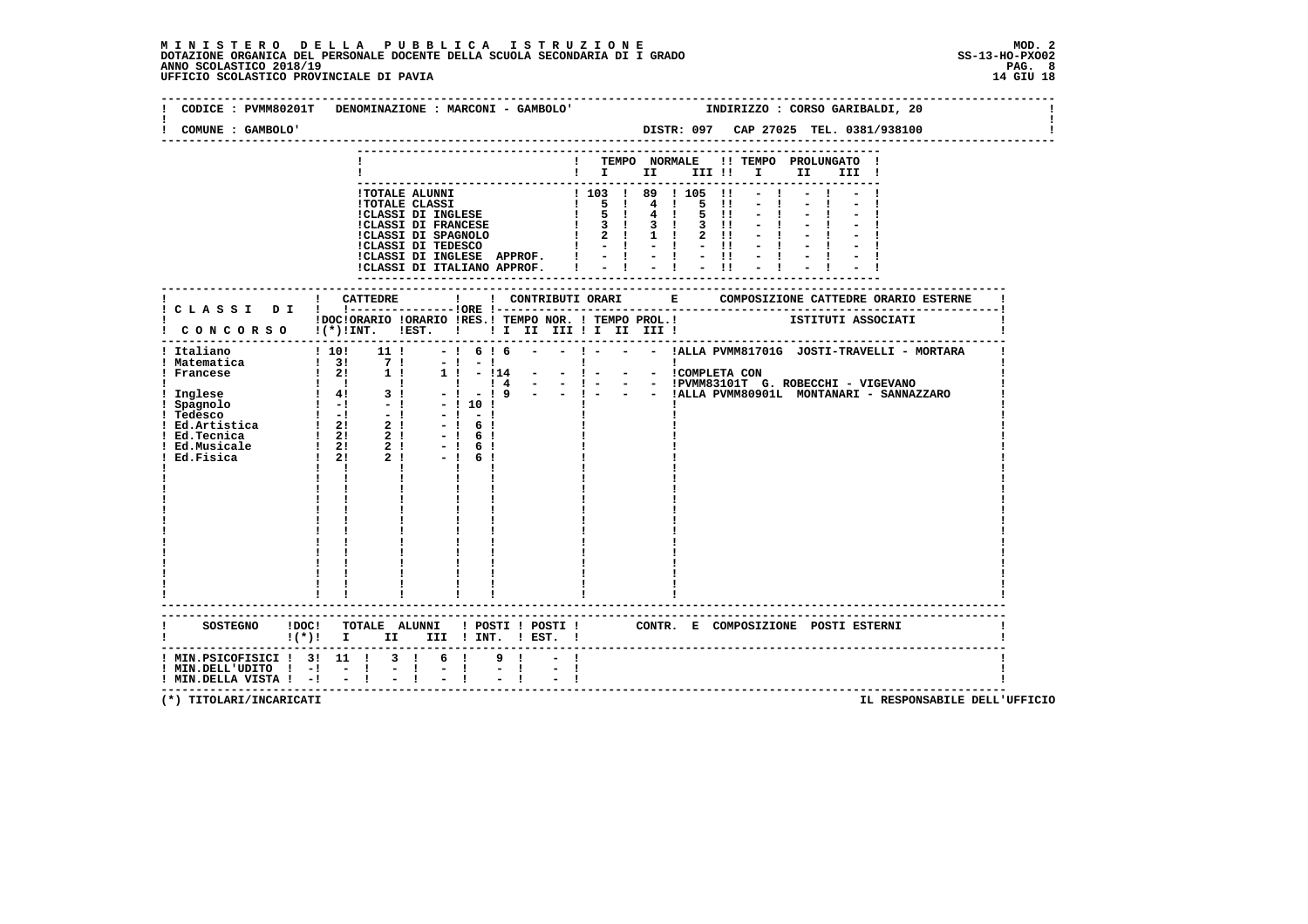### **M I N I S T E R O D E L L A P U B B L I C A I S T R U Z I O N E MOD. 2**DOTAZIONE ORGANICA DEL PERSONALE DOCENTE DELLA SCUOLA SECONDARIA DI I GRADO **SCOLA SS-13-HO-PXOO2**<br>PAG ANNO SCOLASTICO 2018/19<br>14 GIU 18 PERSONASTICO PROVINCIALE DI PAVIA

| COMUNE : GAMBOLO'                                                    | CODICE : PVMM80201T DENOMINAZIONE : MARCONI - GAMBOLO' |                             | INDIRIZZO : CORSO GARIBALDI, 20<br>DISTR: 097 CAP 27025 TEL. 0381/938100                                                     |
|----------------------------------------------------------------------|--------------------------------------------------------|-----------------------------|------------------------------------------------------------------------------------------------------------------------------|
|                                                                      |                                                        |                             | ! TEMPO NORMALE !! TEMPO PROLUNGATO !<br>$\blacksquare$                                                                      |
|                                                                      |                                                        |                             |                                                                                                                              |
|                                                                      |                                                        |                             | IDOCIORARIO IORARIO IRES.ITEMPO NOR. ITEMPO PROL.I ISTITUTI ASSOCIATI I CONCORSO I(*)IINT. IEST. I II II III II III III IIII |
|                                                                      | $\mathbf{I}$ $\mathbf{I}$                              |                             |                                                                                                                              |
|                                                                      |                                                        |                             |                                                                                                                              |
| SOSTEGNO ! DOC!                                                      | !(*)! I II III !INT. !EST. !                           |                             | TOTALE ALUNNI ! POSTI ! POSTI ! CONTR. E COMPOSIZIONE POSTI ESTERNI                                                          |
| $!$ MIN.DELL'UDITO $!$ -! - !<br>$!$ MIN.DELLA VISTA $!$ - $!$ - $!$ | ! MIN.PSICOFISICI ! 3! 11 ! 3 ! 6 !<br>$-1$            | 9!<br>$\frac{1}{2}$<br>$-1$ |                                                                                                                              |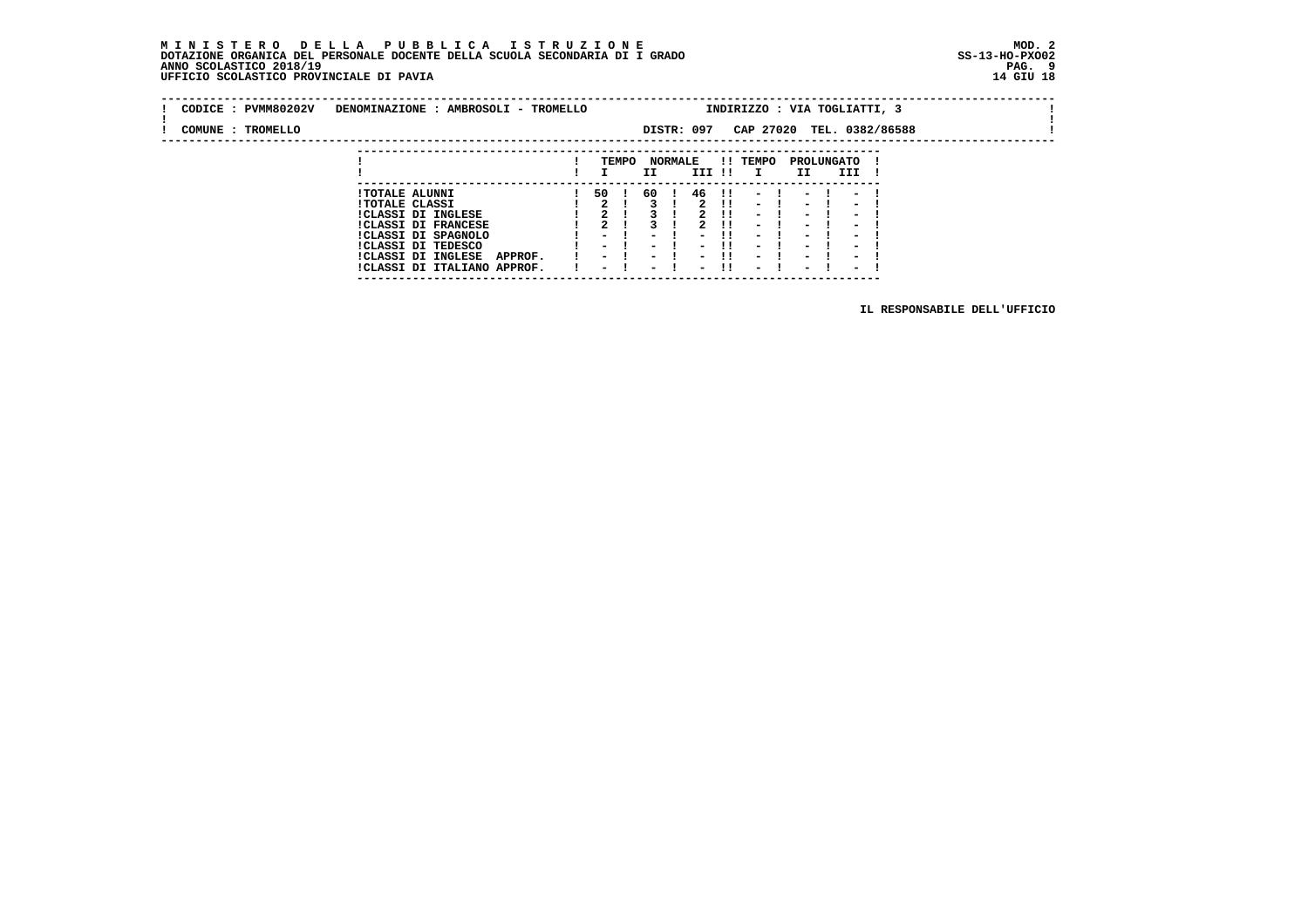### **M I N I S T E R O D E L L A P U B B L I C A I S T R U Z I O N E MOD. 2 DOTAZIONE ORGANICA DEL PERSONALE DOCENTE DELLA SCUOLA SECONDARIA DI I GRADO ANNO SCOLASTICO 2018/19 UFFICIO SCOLASTICO PROVINCIALE DI PAVIA 14 GIU 18**

 **---------------------------------------------------------------------------**

| CODICE : PVMM80202V | DENOMINAZIONE : AMBROSOLI - TROMELLO                         |                                                      |       |                                  |                                                      |            |                                                      |                                                      |                                                      | INDIRIZZO : VIA TOGLIATTI, 3 |  |  |
|---------------------|--------------------------------------------------------------|------------------------------------------------------|-------|----------------------------------|------------------------------------------------------|------------|------------------------------------------------------|------------------------------------------------------|------------------------------------------------------|------------------------------|--|--|
| COMUNE : TROMELLO   |                                                              |                                                      |       |                                  | DISTR: 097                                           |            |                                                      |                                                      |                                                      | CAP 27020 TEL. 0382/86588    |  |  |
|                     |                                                              |                                                      |       |                                  |                                                      |            |                                                      |                                                      |                                                      |                              |  |  |
|                     |                                                              |                                                      | TEMPO | II.                              | <b>NORMALE</b><br>III !!                             |            | !! TEMPO<br>$\mathbf{I}$                             | II.                                                  | PROLUNGATO<br>III                                    |                              |  |  |
|                     | <b>!TOTALE ALUNNI</b>                                        | 50                                                   |       | 60                               | 46                                                   | -11        | -                                                    |                                                      | $\sim$                                               |                              |  |  |
|                     | <b>!TOTALE CLASSI</b><br><b>!CLASSI DI INGLESE</b>           |                                                      |       |                                  |                                                      | -11<br>. . | $\sim$<br>$\overline{\phantom{0}}$                   | $\sim$<br>$\overline{\phantom{0}}$                   | $\sim$<br>$\overline{\phantom{0}}$                   |                              |  |  |
|                     | <b>!CLASSI DI FRANCESE</b>                                   |                                                      |       |                                  |                                                      | -11        | $\overline{\phantom{0}}$                             | $\overline{\phantom{0}}$                             | $\overline{\phantom{0}}$                             |                              |  |  |
|                     | !CLASSI DI SPAGNOLO<br>ICLASSI DI TEDESCO                    | $\overline{\phantom{0}}$<br>$\overline{\phantom{0}}$ |       | $\,$<br>$\overline{\phantom{0}}$ | $\overline{\phantom{0}}$<br>$\overline{\phantom{0}}$ | <br>       | $\overline{\phantom{0}}$<br>$\overline{\phantom{0}}$ | $\overline{\phantom{0}}$<br>$\overline{\phantom{0}}$ | $\overline{\phantom{0}}$<br>$\overline{\phantom{0}}$ |                              |  |  |
|                     | !CLASSI DI INGLESE<br>APPROF.<br>!CLASSI DI ITALIANO APPROF. | $\sim$<br>$\overline{\phantom{0}}$                   |       | $\overline{\phantom{0}}$         | $\overline{\phantom{0}}$                             | . .<br>-11 | $\overline{\phantom{0}}$<br>$\overline{\phantom{0}}$ | $\overline{\phantom{0}}$<br>$\overline{\phantom{0}}$ | $\overline{\phantom{0}}$<br>$\overline{\phantom{0}}$ |                              |  |  |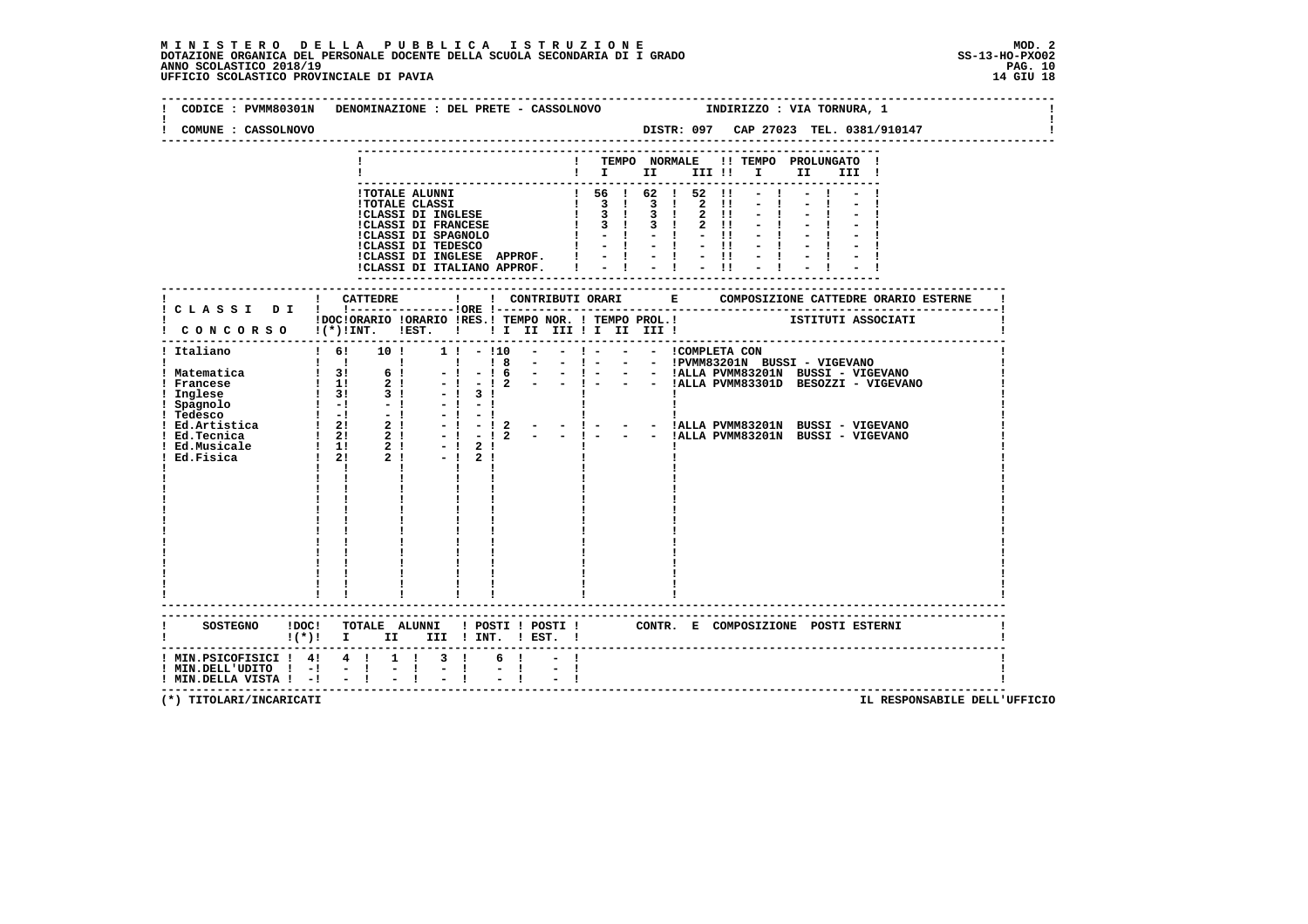### **M I N I S T E R O D E L L A P U B B L I C A I S T R U Z I O N E MOD. 2**DOTAZIONE ORGANICA DEL PERSONALE DOCENTE DELLA SCUOLA SECONDARIA DI I GRADO **SCOLASTICO SS-13-HO-PXO02**<br>PAGO SCOLASTICO 2018/19<br>UFFICIO SCOLASTICO PROVINCIALE DI PAVIA

| CODICE : PVMM80301N DENOMINAZIONE : DEL PRETE - CASSOLNOVO                                                               |                           |      |                                                                                                                                                                                                                                                                                                           |                             |               |  |  |  |  | INDIRIZZO : VIA TORNURA, 1                                                                                                                                           |           |       |  |  |
|--------------------------------------------------------------------------------------------------------------------------|---------------------------|------|-----------------------------------------------------------------------------------------------------------------------------------------------------------------------------------------------------------------------------------------------------------------------------------------------------------|-----------------------------|---------------|--|--|--|--|----------------------------------------------------------------------------------------------------------------------------------------------------------------------|-----------|-------|--|--|
| COMUNE : CASSOLNOVO                                                                                                      |                           |      |                                                                                                                                                                                                                                                                                                           |                             |               |  |  |  |  |                                                                                                                                                                      |           |       |  |  |
|                                                                                                                          |                           |      |                                                                                                                                                                                                                                                                                                           |                             |               |  |  |  |  | ! TEMPO NORMALE !! TEMPO PROLUNGATO !                                                                                                                                |           |       |  |  |
|                                                                                                                          |                           |      |                                                                                                                                                                                                                                                                                                           |                             |               |  |  |  |  | $\blacksquare$ $\blacksquare$ $\blacksquare$ $\blacksquare$ $\blacksquare$ $\blacksquare$ $\blacksquare$ $\blacksquare$ $\blacksquare$ $\blacksquare$ $\blacksquare$ |           | III ! |  |  |
|                                                                                                                          |                           |      |                                                                                                                                                                                                                                                                                                           |                             |               |  |  |  |  |                                                                                                                                                                      | $-1$ $-1$ |       |  |  |
|                                                                                                                          |                           |      | - ITOTALE ALUNNI<br>ITOTALE ALUNNI<br>ITOTALE CLASSI DI FRANCESE $\begin{bmatrix} 1 & 3 & 1 & 3 & 1 & 2 & 11 & -1 \\ 1 & 3 & 1 & 3 & 1 & 2 & 11 & -1 \\ 1 & 3 & 1 & 3 & 1 & 2 & 11 & -1 \\ 1 & 3 & 1 & 3 & 1 & 2 & 11 & -1 \\ 1 & 3 & 1 & 3 & 1 & 2 & 11 & -1 \\ 1 & 3 & 1 & 3 & 1 & 2 & 11 & -1 \\ 1 & $ |                             |               |  |  |  |  |                                                                                                                                                                      |           |       |  |  |
|                                                                                                                          |                           |      |                                                                                                                                                                                                                                                                                                           |                             |               |  |  |  |  |                                                                                                                                                                      |           |       |  |  |
|                                                                                                                          |                           |      |                                                                                                                                                                                                                                                                                                           |                             |               |  |  |  |  |                                                                                                                                                                      |           |       |  |  |
|                                                                                                                          |                           |      |                                                                                                                                                                                                                                                                                                           |                             |               |  |  |  |  |                                                                                                                                                                      |           |       |  |  |
|                                                                                                                          |                           |      |                                                                                                                                                                                                                                                                                                           |                             |               |  |  |  |  |                                                                                                                                                                      |           |       |  |  |
|                                                                                                                          |                           |      |                                                                                                                                                                                                                                                                                                           |                             |               |  |  |  |  |                                                                                                                                                                      |           |       |  |  |
|                                                                                                                          |                           |      |                                                                                                                                                                                                                                                                                                           |                             |               |  |  |  |  |                                                                                                                                                                      |           |       |  |  |
|                                                                                                                          |                           |      |                                                                                                                                                                                                                                                                                                           |                             |               |  |  |  |  |                                                                                                                                                                      |           |       |  |  |
|                                                                                                                          |                           |      |                                                                                                                                                                                                                                                                                                           |                             |               |  |  |  |  |                                                                                                                                                                      |           |       |  |  |
|                                                                                                                          |                           |      | IDOCIORARIO IORARIO IRES.I TEMPO NOR. I TEMPO PROL.I SITITUTI ASSOCIATI                                                                                                                                                                                                                                   |                             |               |  |  |  |  |                                                                                                                                                                      |           |       |  |  |
| ! CONCORSO !(*)!INT. !EST. !!! II III !I III III !                                                                       |                           |      |                                                                                                                                                                                                                                                                                                           |                             |               |  |  |  |  |                                                                                                                                                                      |           |       |  |  |
|                                                                                                                          |                           |      |                                                                                                                                                                                                                                                                                                           |                             |               |  |  |  |  |                                                                                                                                                                      |           |       |  |  |
| ! Italiano                                                                                                               |                           |      | $1 \t6!$ 10 ! 1 ! - !10 - - ! - - - ICOMPLETA CON                                                                                                                                                                                                                                                         |                             |               |  |  |  |  |                                                                                                                                                                      |           |       |  |  |
|                                                                                                                          |                           |      |                                                                                                                                                                                                                                                                                                           |                             |               |  |  |  |  |                                                                                                                                                                      |           |       |  |  |
|                                                                                                                          |                           |      |                                                                                                                                                                                                                                                                                                           |                             |               |  |  |  |  |                                                                                                                                                                      |           |       |  |  |
|                                                                                                                          |                           |      |                                                                                                                                                                                                                                                                                                           |                             |               |  |  |  |  |                                                                                                                                                                      |           |       |  |  |
|                                                                                                                          |                           |      |                                                                                                                                                                                                                                                                                                           |                             |               |  |  |  |  |                                                                                                                                                                      |           |       |  |  |
|                                                                                                                          |                           |      |                                                                                                                                                                                                                                                                                                           |                             |               |  |  |  |  |                                                                                                                                                                      |           |       |  |  |
|                                                                                                                          |                           |      |                                                                                                                                                                                                                                                                                                           |                             |               |  |  |  |  |                                                                                                                                                                      |           |       |  |  |
|                                                                                                                          |                           |      |                                                                                                                                                                                                                                                                                                           |                             |               |  |  |  |  |                                                                                                                                                                      |           |       |  |  |
|                                                                                                                          |                           |      |                                                                                                                                                                                                                                                                                                           |                             |               |  |  |  |  |                                                                                                                                                                      |           |       |  |  |
|                                                                                                                          | $\mathbf{I}$ $\mathbf{I}$ |      | Τ.                                                                                                                                                                                                                                                                                                        |                             |               |  |  |  |  |                                                                                                                                                                      |           |       |  |  |
|                                                                                                                          |                           |      |                                                                                                                                                                                                                                                                                                           |                             |               |  |  |  |  |                                                                                                                                                                      |           |       |  |  |
|                                                                                                                          |                           |      |                                                                                                                                                                                                                                                                                                           |                             |               |  |  |  |  |                                                                                                                                                                      |           |       |  |  |
|                                                                                                                          |                           |      |                                                                                                                                                                                                                                                                                                           |                             |               |  |  |  |  |                                                                                                                                                                      |           |       |  |  |
|                                                                                                                          |                           |      |                                                                                                                                                                                                                                                                                                           |                             |               |  |  |  |  |                                                                                                                                                                      |           |       |  |  |
|                                                                                                                          |                           |      |                                                                                                                                                                                                                                                                                                           |                             |               |  |  |  |  |                                                                                                                                                                      |           |       |  |  |
|                                                                                                                          |                           |      |                                                                                                                                                                                                                                                                                                           |                             |               |  |  |  |  |                                                                                                                                                                      |           |       |  |  |
|                                                                                                                          |                           |      |                                                                                                                                                                                                                                                                                                           |                             |               |  |  |  |  |                                                                                                                                                                      |           |       |  |  |
|                                                                                                                          |                           |      |                                                                                                                                                                                                                                                                                                           |                             |               |  |  |  |  |                                                                                                                                                                      |           |       |  |  |
|                                                                                                                          |                           |      |                                                                                                                                                                                                                                                                                                           |                             |               |  |  |  |  |                                                                                                                                                                      |           |       |  |  |
|                                                                                                                          |                           |      |                                                                                                                                                                                                                                                                                                           |                             |               |  |  |  |  |                                                                                                                                                                      |           |       |  |  |
|                                                                                                                          |                           |      |                                                                                                                                                                                                                                                                                                           |                             |               |  |  |  |  |                                                                                                                                                                      |           |       |  |  |
|                                                                                                                          |                           |      |                                                                                                                                                                                                                                                                                                           |                             |               |  |  |  |  |                                                                                                                                                                      |           |       |  |  |
| SOSTEGNO !DOC! TOTALE ALUNNI ! POSTI ! POSTI ! CONTR. E COMPOSIZIONE POSTI ESTERNI<br>$\mathbf{I}(\star)$ i $\mathbf{I}$ |                           |      | II III ! INT. ! EST. !                                                                                                                                                                                                                                                                                    |                             |               |  |  |  |  |                                                                                                                                                                      |           |       |  |  |
| ! MIN.PSICOFISICI ! 4! 4 !                                                                                               |                           |      | 1 ! 3 !                                                                                                                                                                                                                                                                                                   |                             | 6 !           |  |  |  |  |                                                                                                                                                                      |           |       |  |  |
| ! MIN.DELL'UDITO ! -!                                                                                                    |                           | $-1$ | $=$ $\frac{1}{1}$                                                                                                                                                                                                                                                                                         | $\frac{1}{2}$ $\frac{1}{2}$ | $\frac{1}{2}$ |  |  |  |  |                                                                                                                                                                      |           |       |  |  |
| ! MIN.DELLA VISTA ! -!                                                                                                   |                           | $-1$ |                                                                                                                                                                                                                                                                                                           |                             |               |  |  |  |  |                                                                                                                                                                      |           |       |  |  |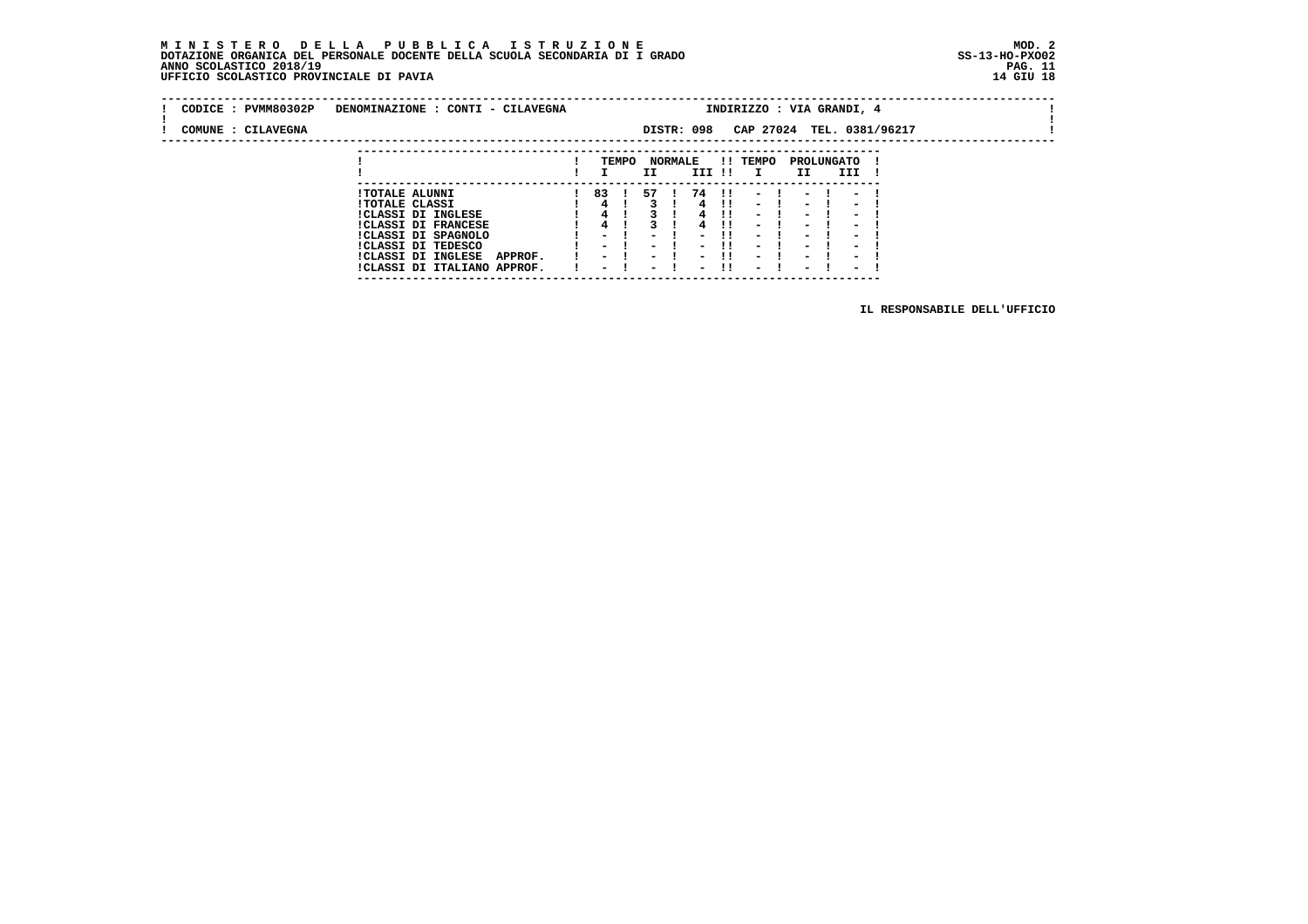### **M I N I S T E R O D E L L A P U B B L I C A I S T R U Z I O N E MOD. 2 DOTAZIONE ORGANICA DEL PERSONALE DOCENTE DELLA SCUOLA SECONDARIA DI I GRADO ANNO SCOLASTICO 2018/19 PAG. 11 UFFICIO SCOLASTICO PROVINCIALE DI PAVIA 14 GIU 18**

 **---------------------------------------------------------------------------**

|  | CODICE : PVMM80302P | DENOMINAZIONE : CONTI - CILAVEGNA                                   |                                           |       |                         |                          |              | INDIRIZZO : VIA GRANDI, 4                            |                                                      |                                                      |                           |  |  |
|--|---------------------|---------------------------------------------------------------------|-------------------------------------------|-------|-------------------------|--------------------------|--------------|------------------------------------------------------|------------------------------------------------------|------------------------------------------------------|---------------------------|--|--|
|  | COMUNE : CILAVEGNA  |                                                                     |                                           |       |                         | DISTR: 098               |              |                                                      |                                                      |                                                      | CAP 27024 TEL. 0381/96217 |  |  |
|  |                     |                                                                     |                                           | TEMPO | <b>NORMALE</b>          |                          |              | !! TEMPO                                             |                                                      | PROLUNGATO                                           |                           |  |  |
|  |                     |                                                                     |                                           |       | II.                     | III !!                   |              | $\mathbf{I}$                                         | II                                                   | III                                                  |                           |  |  |
|  |                     | <b>!TOTALE ALUNNI</b>                                               | 83 !                                      |       | 57                      | -74                      | - 11         | $\overline{\phantom{0}}$                             |                                                      |                                                      |                           |  |  |
|  |                     | <b>!TOTALE CLASSI</b><br>!CLASSI DI INGLESE                         | 4                                         |       |                         |                          | - 11<br>- 11 | $\sim$<br>$\sim$                                     | $\overline{\phantom{0}}$<br>$\blacksquare$           | $\overline{\phantom{0}}$<br>$\blacksquare$           |                           |  |  |
|  |                     | <b>!CLASSI DI FRANCESE</b><br>!CLASSI DI SPAGNOLO                   |                                           |       |                         |                          | -11          | $\sim$<br>$\sim$                                     | $\overline{\phantom{0}}$<br>$\overline{\phantom{0}}$ | $\overline{\phantom{0}}$<br>$\overline{\phantom{0}}$ |                           |  |  |
|  |                     | ICLASSI DI TEDESCO                                                  | - 1                                       |       | $\sim$                  |                          | - 11         | $\sim$                                               | $\overline{\phantom{0}}$                             | $\overline{\phantom{0}}$                             |                           |  |  |
|  |                     | <b>!CLASSI DI INGLESE</b><br>APPROF.<br>!CLASSI DI ITALIANO APPROF. | $\sim$ $\sim$<br>$\overline{\phantom{0}}$ |       | $\sim$ $\sim$<br>$\sim$ | $\overline{\phantom{0}}$ |              | $\overline{\phantom{0}}$<br>$\overline{\phantom{0}}$ | $\overline{\phantom{0}}$<br>$\overline{\phantom{0}}$ | $\overline{\phantom{0}}$<br>$\overline{\phantom{0}}$ |                           |  |  |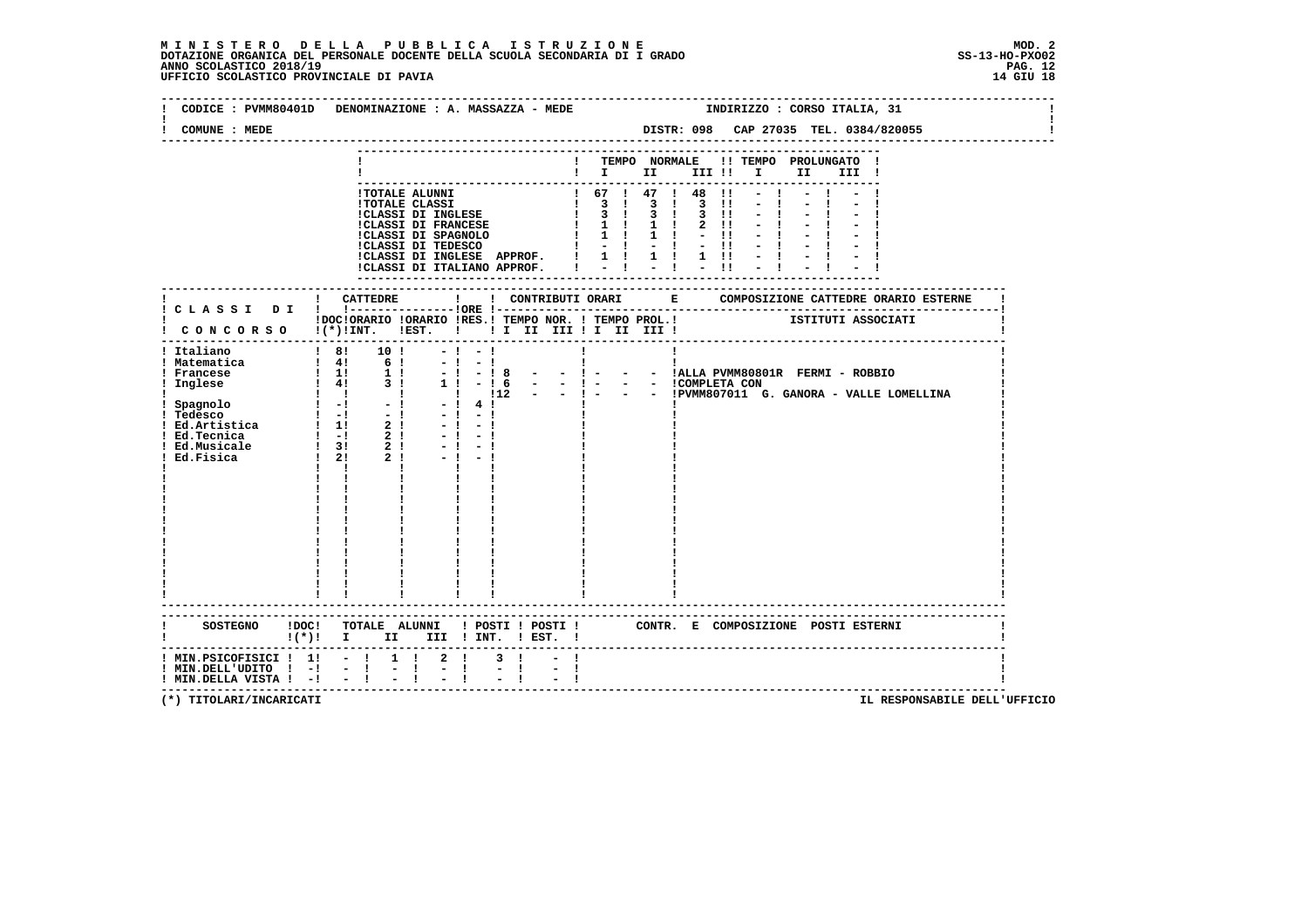### **M I N I S T E R O D E L L A P U B B L I C A I S T R U Z I O N E MOD. 2**DOTAZIONE ORGANICA DEL PERSONALE DOCENTE DELLA SCUOLA SECONDARIA DI I GRADO **SCOLASTICO SS-13-HO-PXO02**<br>PAGO SCOLASTICO 2018/19<br>UFFICIO SCOLASTICO PROVINCIALE DI PAVIA

| COMUNE : MEDE                                                | CODICE : PVMM80401D DENOMINAZIONE : A. MASSAZZA - MEDE                                                        |                                            |                              | INDIRIZZO : CORSO ITALIA, 31<br>DISTR: 098 CAP 27035 TEL. 0384/820055                                                                                                                                   |
|--------------------------------------------------------------|---------------------------------------------------------------------------------------------------------------|--------------------------------------------|------------------------------|---------------------------------------------------------------------------------------------------------------------------------------------------------------------------------------------------------|
|                                                              |                                                                                                               |                                            |                              | ! TEMPO NORMALE !! TEMPO PROLUNGATO !<br>$\blacksquare$ $\blacksquare$ $\blacksquare$ $\blacksquare$ $\blacksquare$ $\blacksquare$ $\blacksquare$ $\blacksquare$ $\blacksquare$ $\blacksquare$<br>III ! |
|                                                              |                                                                                                               |                                            |                              |                                                                                                                                                                                                         |
|                                                              |                                                                                                               |                                            |                              |                                                                                                                                                                                                         |
|                                                              | $-1 - 1$<br>$\blacksquare$<br>$-1$<br>$-1$<br>$-1$<br>$-1$<br>$-1 - 1$<br>$\mathbf{I}$ $\mathbf{I}$           | $-1 - 1$<br>4 <sub>1</sub><br>$-1$<br>$-1$ | $\mathbf{I}$<br>$\mathbf{I}$ | IDOCIORARIO IORARIO IRES.I TEMPO NOR. I TEMPO PROL.I ISTITUTI ASSOCIATI I CONCORSO I(*)IINT. IEST. I II II III II III III IIII<br>Ţ.<br>п.<br>- ! - ! 8 - - ! - - - ! ALLA PVMM80801R FERMI - ROBBIO    |
|                                                              |                                                                                                               |                                            |                              |                                                                                                                                                                                                         |
| ! MIN.DELL'UDITO ! -!<br>$!$ MIN.DELLA VISTA $!$ - $!$ - $!$ | $!(*)!$ I II III ! INT. ! EST. !<br>! MIN.PSICOFISICI ! 1! - ! 1 ! 2 !<br>$\frac{1}{2}$ $\frac{1}{2}$<br>$-1$ | $3 \quad 1$<br>$-1$                        |                              | SOSTEGNO !DOC! TOTALE ALUNNI ! POSTI ! POSTI ! CONTR. E COMPOSIZIONE POSTI ESTERNI                                                                                                                      |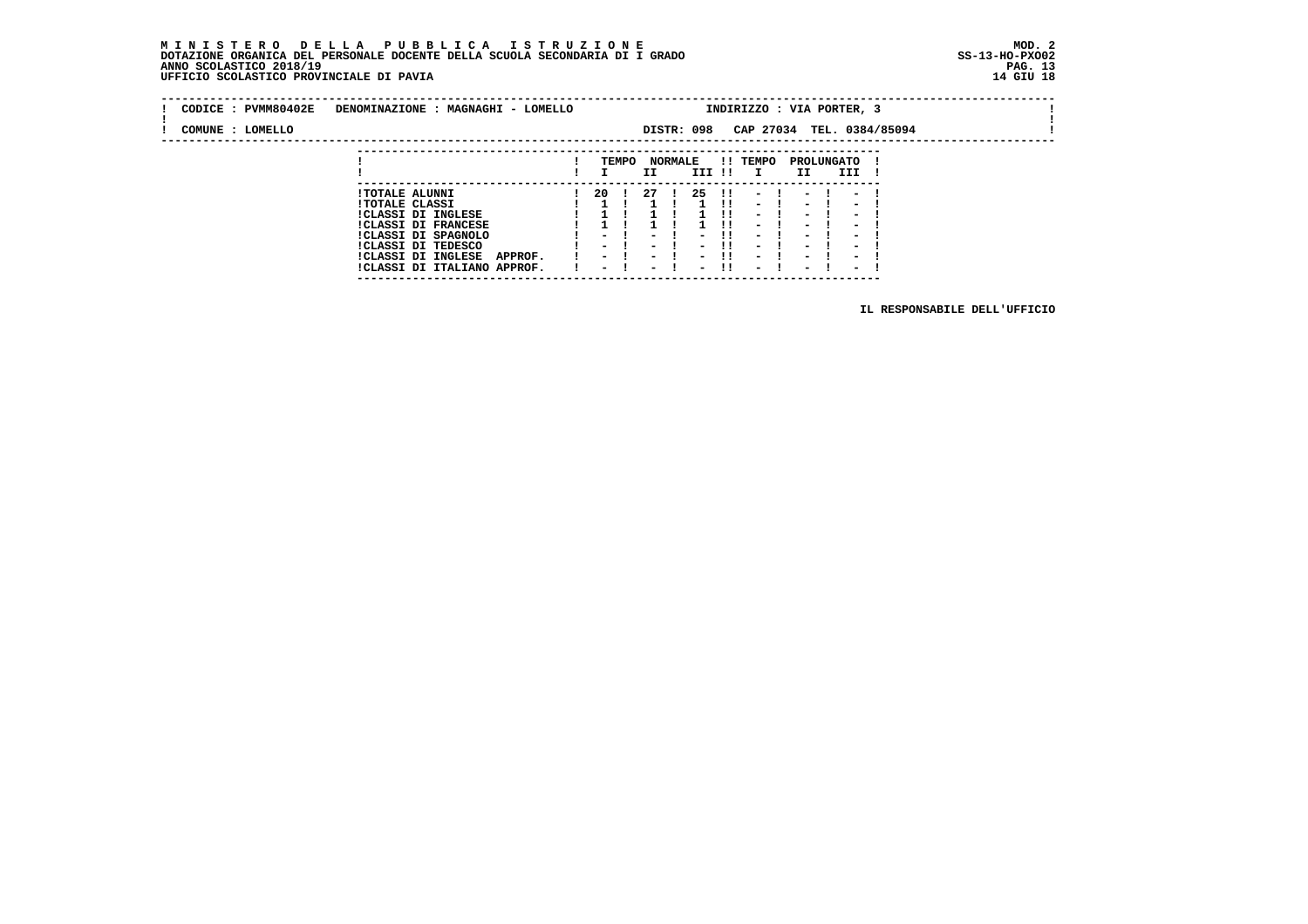### **M I N I S T E R O D E L L A P U B B L I C A I S T R U Z I O N E MOD. 2 DOTAZIONE ORGANICA DEL PERSONALE DOCENTE DELLA SCUOLA SECONDARIA DI I GRADO ANNO SCOLASTICO 2018/19 UFFICIO SCOLASTICO PROVINCIALE DI PAVIA 14 GIU 18**

 **---------------------------------------------------------------------------**

| CODICE : PVMM80402E | DENOMINAZIONE : MAGNAGHI - LOMELLO                           |                                           |       |                       |                                                      |      | INDIRIZZO : VIA PORTER, 3                            |                                                      |     |                                                      |  |  |
|---------------------|--------------------------------------------------------------|-------------------------------------------|-------|-----------------------|------------------------------------------------------|------|------------------------------------------------------|------------------------------------------------------|-----|------------------------------------------------------|--|--|
| COMUNE : LOMELLO    |                                                              |                                           |       |                       | DISTR: 098                                           |      |                                                      |                                                      |     | CAP 27034 TEL. 0384/85094                            |  |  |
|                     |                                                              |                                           |       |                       |                                                      |      |                                                      |                                                      |     |                                                      |  |  |
|                     |                                                              |                                           | TEMPO | <b>NORMALE</b><br>II  | III !!                                               |      | !! TEMPO                                             | PROLUNGATO<br>II                                     | III |                                                      |  |  |
|                     | <b>!TOTALE ALUNNI</b>                                        | 20 I                                      |       | - 27                  | 25                                                   | - 11 | $\overline{\phantom{a}}$                             | $\overline{\phantom{a}}$                             |     | $\overline{\phantom{a}}$                             |  |  |
|                     | <b>!TOTALE CLASSI</b><br>!CLASSI DI INGLESE                  |                                           |       |                       |                                                      | - 11 | $-1$<br>$\overline{\phantom{0}}$                     | $\blacksquare$<br>$\overline{\phantom{0}}$           |     | $\overline{\phantom{a}}$<br>$\overline{\phantom{0}}$ |  |  |
|                     | <b>!CLASSI DI FRANCESE</b>                                   |                                           |       |                       |                                                      |      | $\blacksquare$                                       | $\overline{\phantom{0}}$                             |     | $\overline{\phantom{0}}$                             |  |  |
|                     | !CLASSI DI SPAGNOLO<br>CLASSI DI TEDESCO                     | $\overline{\phantom{0}}$<br>$\sim$ $\sim$ |       | $\sim$<br>$ -$        | $\overline{\phantom{0}}$<br>$\overline{\phantom{0}}$ | -11  | $\overline{\phantom{a}}$<br>$\blacksquare$           | $\overline{\phantom{a}}$<br>$\blacksquare$           |     | $\overline{\phantom{0}}$<br>$\overline{\phantom{0}}$ |  |  |
|                     | !CLASSI DI INGLESE<br>APPROF.<br>!CLASSI DI ITALIANO APPROF. | $\sim$<br>$\overline{\phantom{0}}$        |       | $ -$<br>$\sim$ $\sim$ | $\overline{\phantom{0}}$<br>$\overline{\phantom{0}}$ | -11  | $\overline{\phantom{0}}$<br>$\overline{\phantom{0}}$ | $\overline{\phantom{0}}$<br>$\overline{\phantom{0}}$ |     | $\overline{\phantom{0}}$<br>$\overline{\phantom{0}}$ |  |  |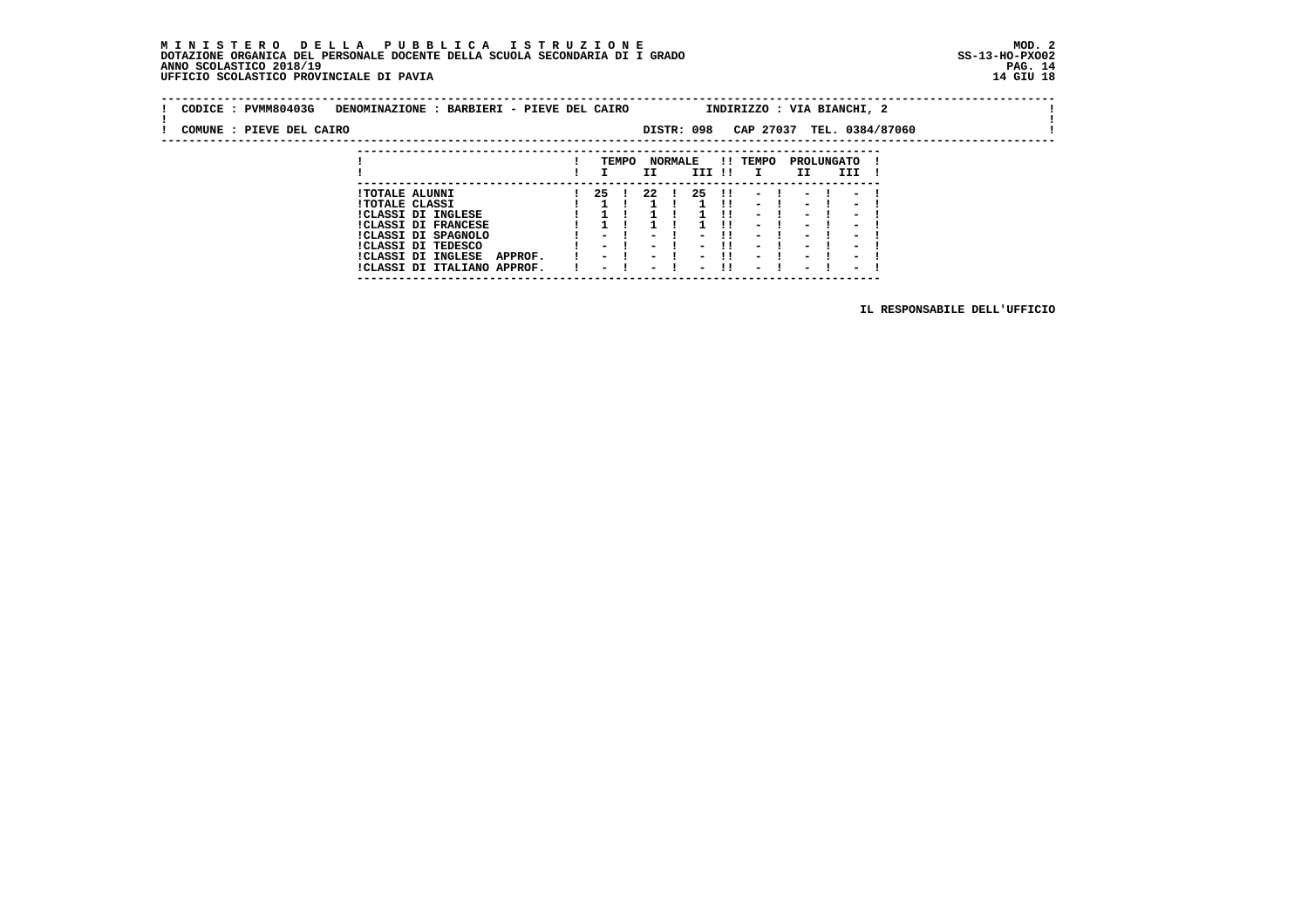# **M I N I S T E R O D E L L A P U B B L I C A I S T R U Z I O N E MOD. 2**DOTAZIONE ORGANICA DEL PERSONALE DOCENTE DELLA SCUOLA SECONDARIA DI I GRADO **SCOLASTICO SS-13-HO-PXOO2**<br>PAGO SCOLASTICO 2018/19<br>14 GIU 18 PERSONASTICO PROVINCIALE DI PAVIA

| CODICE: PVMM80403G       | DENOMINAZIONE : BARBIERI - PIEVE DEL CAIRO                           |     |       |     |                |            |            | INDIRIZZO : VIA BIANCHI, 2                                                                                                                                                |                  |      |                  |  |  |
|--------------------------|----------------------------------------------------------------------|-----|-------|-----|----------------|------------|------------|---------------------------------------------------------------------------------------------------------------------------------------------------------------------------|------------------|------|------------------|--|--|
| COMUNE : PIEVE DEL CAIRO |                                                                      |     |       |     |                | DISTR: 098 |            | CAP 27037 TEL. 0384/87060                                                                                                                                                 |                  |      |                  |  |  |
|                          |                                                                      |     | TEMPO | II  | <b>NORMALE</b> | III !!     |            | !! TEMPO                                                                                                                                                                  | PROLUNGATO<br>II |      | III              |  |  |
|                          | <b>!TOTALE ALUNNI</b><br><b>!TOTALE CLASSI</b><br>!CLASSI DI INGLESE | -25 |       | -22 |                | -25        | -11<br>-11 | $\frac{1}{2}$ $\frac{1}{2}$ $\frac{1}{2}$ $\frac{1}{2}$ $\frac{1}{2}$ $\frac{1}{2}$ $\frac{1}{2}$ $\frac{1}{2}$ $\frac{1}{2}$ $\frac{1}{2}$ $\frac{1}{2}$<br>$-1$<br>$-1$ | - 1              | $-1$ | $\sim$<br>$\sim$ |  |  |

 **---------------------------------------------------------------------------**

|  | <b>!CLASSI DI FRANCESE</b>          |  |  |  | 1 1 1 1 1 1 1 1 - 1 - 1 - 1  |  |  |  |
|--|-------------------------------------|--|--|--|------------------------------|--|--|--|
|  | !CLASSI DI SPAGNOLO                 |  |  |  | 1 - 1 - 1 - 11 - 1 - 1 - 1   |  |  |  |
|  | ICLASSI DI TEDESCO                  |  |  |  | 1 - 1 - 1 - 11 - 1 - 1 - 1   |  |  |  |
|  | !CLASSI DI INGLESE<br><b>APPROF</b> |  |  |  | $1 - 1 - 1 - 11 - 1 - 1 - 1$ |  |  |  |
|  | !CLASSI DI ITALIANO APPROF.         |  |  |  | ! – ! – ! – !! – ! – ! – !   |  |  |  |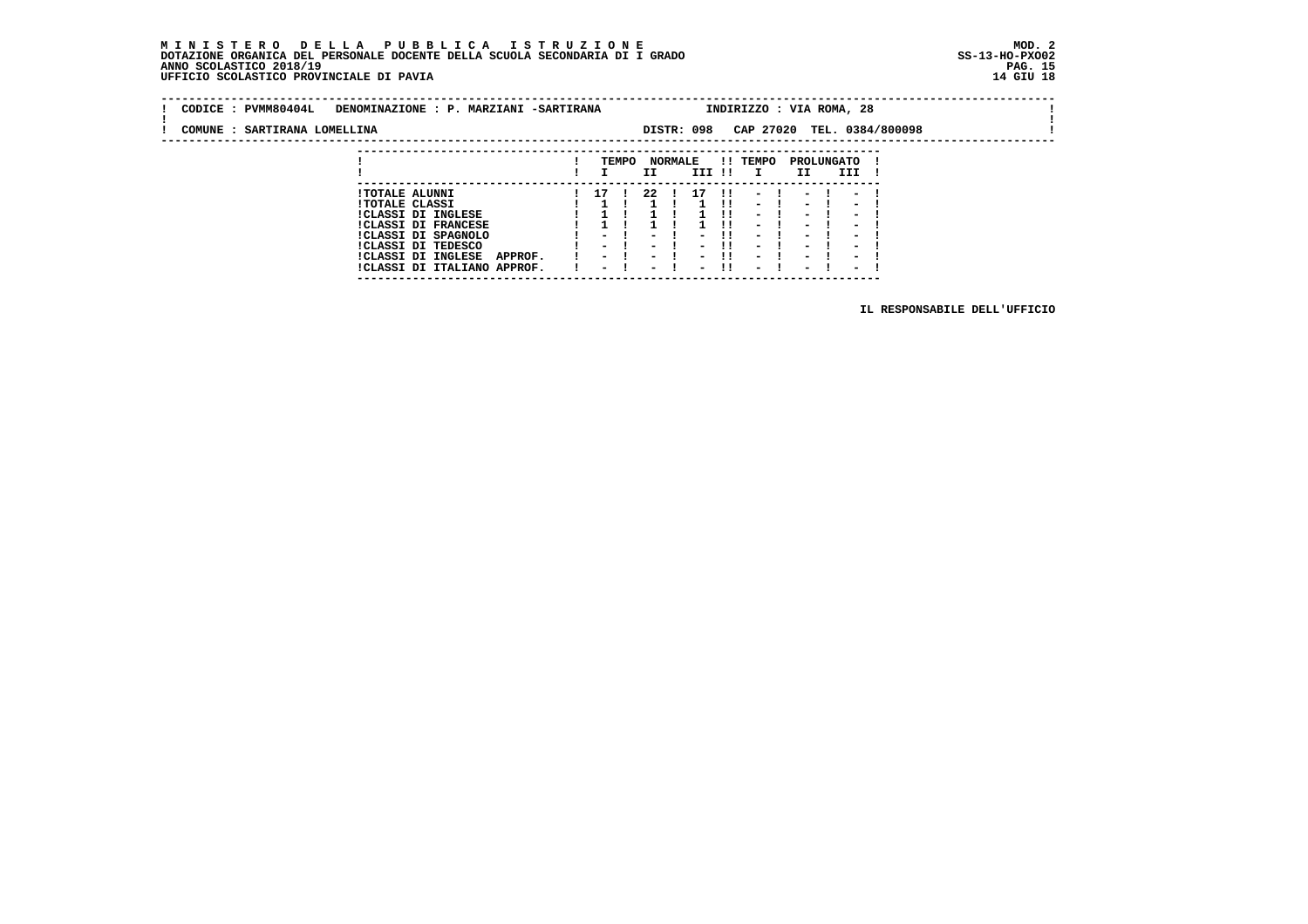### **M I N I S T E R O D E L L A P U B B L I C A I S T R U Z I O N E MOD. 2DOTAZIONE ORGANICA DEL PERSONALE DOCENTE DELLA SCUOLA SECONDARIA DI I GRADO ANNO SCOLASTICO 2018/19** UFFICIO SCOLASTICO PROVINCIALE DI PAVIA

 **---------------------------------------------------------------------------**

| CODICE: PVMM80404L           | DENOMINAZIONE : P. MARZIANI -SARTIRANA      |       |      |                |            | INDIRIZZO : VIA ROMA, 28 |                  |          |                            |  |
|------------------------------|---------------------------------------------|-------|------|----------------|------------|--------------------------|------------------|----------|----------------------------|--|
| COMUNE : SARTIRANA LOMELLINA |                                             |       |      |                | DISTR: 098 |                          |                  |          | CAP 27020 TEL. 0384/800098 |  |
|                              |                                             |       |      |                |            |                          |                  |          |                            |  |
|                              |                                             | TEMPO | II   | <b>NORMALE</b> | III !!     | !! TEMPO<br>$\mathbf{I}$ | PROLUNGATO<br>II | III !    |                            |  |
|                              | <b>!TOTALE ALUNNI</b>                       | 17 !  | - 22 |                | 17         | $1! - 1 - 1 - 1$         |                  |          |                            |  |
|                              | <b>!TOTALE CLASSI</b><br>ICLASST DT INGLESE |       |      |                |            | $-1$<br>$\sim$           | $\sim$ $\sim$    | $-1$ $-$ | $\sim$                     |  |

 **!CLASSI DI INGLESE ! 1 ! 1 ! 1 !! - ! - ! - ! !CLASSI DI FRANCESE ! 1 ! 1 ! 1 !! - ! - ! - ! !CLASSI DI SPAGNOLO ! - ! - ! - !! - ! - ! - ! !CLASSI DI TEDESCO ! - ! - ! - !! - ! - ! - ! !CLASSI DI INGLESE APPROF. ! - ! - ! - !! - ! - ! - ! !CLASSI DI ITALIANO APPROF. ! - ! - ! - !! - ! - ! - !**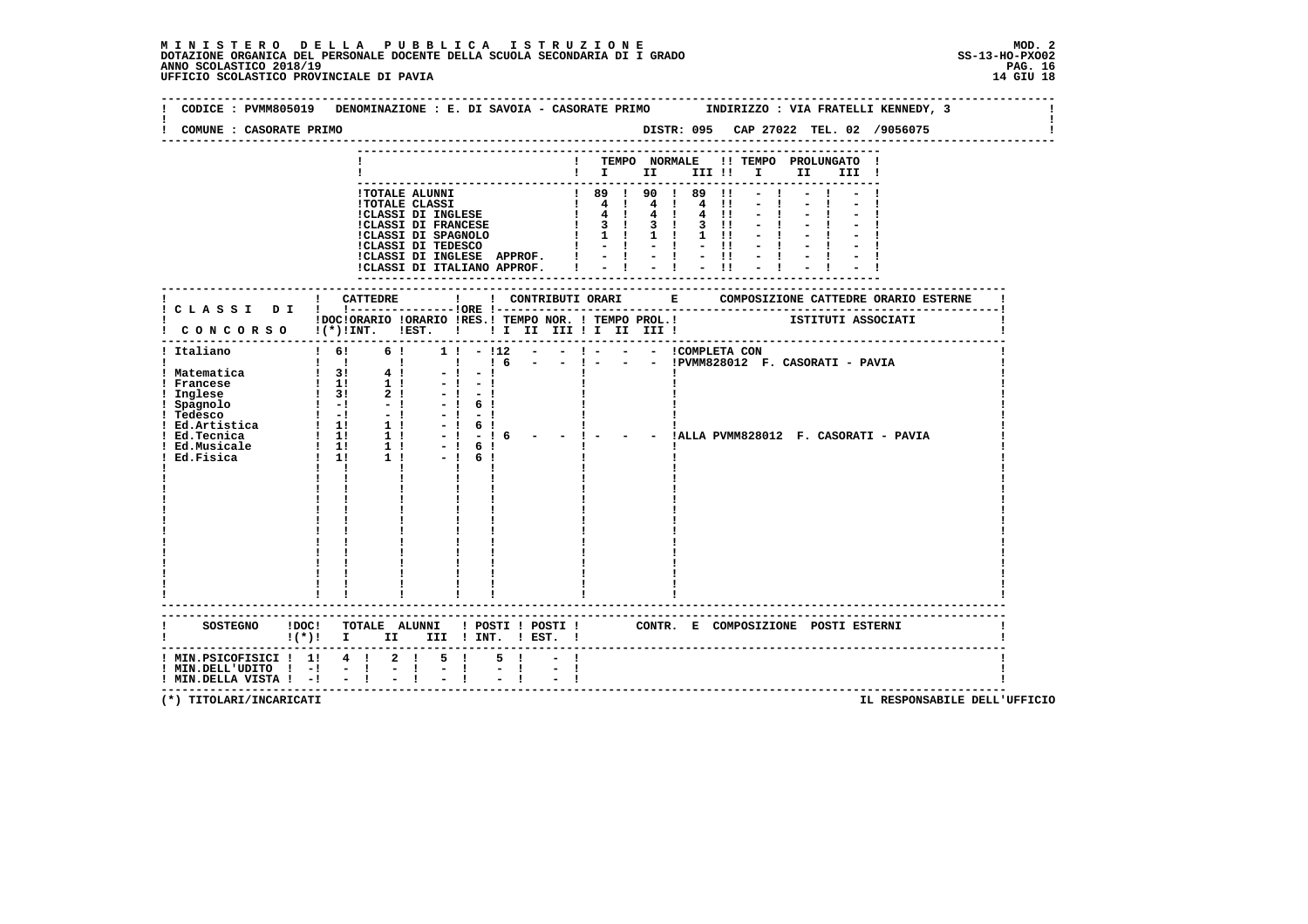| COMUNE : CASORATE PRIMO                                                            |                           |           |              |                                                                         |                                       |               |                           |  |  |  |                                  |                                                                                                                                                                                                                                                                |  |                                          |                                        |  |
|------------------------------------------------------------------------------------|---------------------------|-----------|--------------|-------------------------------------------------------------------------|---------------------------------------|---------------|---------------------------|--|--|--|----------------------------------|----------------------------------------------------------------------------------------------------------------------------------------------------------------------------------------------------------------------------------------------------------------|--|------------------------------------------|----------------------------------------|--|
|                                                                                    |                           |           |              |                                                                         |                                       |               |                           |  |  |  |                                  | ! TEMPO NORMALE !! TEMPO PROLUNGATO !                                                                                                                                                                                                                          |  |                                          |                                        |  |
|                                                                                    |                           |           |              |                                                                         |                                       |               |                           |  |  |  |                                  | $\blacksquare$ $\blacksquare$ $\blacksquare$ $\blacksquare$ $\blacksquare$ $\blacksquare$ $\blacksquare$ $\blacksquare$ $\blacksquare$ $\blacksquare$ $\blacksquare$ $\blacksquare$ $\blacksquare$ $\blacksquare$ $\blacksquare$ $\blacksquare$ $\blacksquare$ |  |                                          |                                        |  |
|                                                                                    |                           |           |              |                                                                         |                                       |               |                           |  |  |  |                                  |                                                                                                                                                                                                                                                                |  |                                          |                                        |  |
|                                                                                    |                           |           |              |                                                                         |                                       |               |                           |  |  |  | $-1$                             |                                                                                                                                                                                                                                                                |  |                                          |                                        |  |
|                                                                                    |                           |           |              |                                                                         |                                       |               |                           |  |  |  |                                  |                                                                                                                                                                                                                                                                |  |                                          |                                        |  |
|                                                                                    |                           |           |              |                                                                         |                                       |               |                           |  |  |  | $1 \t3 \t1 \t3 \t1 \t3 \t1 \t-1$ |                                                                                                                                                                                                                                                                |  |                                          |                                        |  |
|                                                                                    |                           |           |              |                                                                         |                                       |               |                           |  |  |  |                                  |                                                                                                                                                                                                                                                                |  |                                          |                                        |  |
|                                                                                    |                           |           |              |                                                                         |                                       |               |                           |  |  |  |                                  |                                                                                                                                                                                                                                                                |  |                                          |                                        |  |
|                                                                                    |                           |           |              |                                                                         |                                       |               |                           |  |  |  |                                  |                                                                                                                                                                                                                                                                |  |                                          |                                        |  |
|                                                                                    |                           |           |              |                                                                         |                                       |               |                           |  |  |  |                                  |                                                                                                                                                                                                                                                                |  |                                          |                                        |  |
|                                                                                    |                           |           |              |                                                                         |                                       |               | ------------------------- |  |  |  |                                  |                                                                                                                                                                                                                                                                |  |                                          |                                        |  |
|                                                                                    |                           |           |              |                                                                         |                                       |               |                           |  |  |  |                                  |                                                                                                                                                                                                                                                                |  |                                          |                                        |  |
|                                                                                    |                           |           |              | !DOC!ORARIO !ORARIO !RES.! TEMPO NOR. ! TEMPO PROL.! [STITUTI ASSOCIATI |                                       |               |                           |  |  |  |                                  |                                                                                                                                                                                                                                                                |  |                                          |                                        |  |
| ! CONCORSO !(*)!INT. !EST. ! ! I II III ! II III !                                 |                           |           |              |                                                                         |                                       |               |                           |  |  |  |                                  |                                                                                                                                                                                                                                                                |  |                                          |                                        |  |
|                                                                                    |                           |           |              |                                                                         |                                       |               |                           |  |  |  |                                  |                                                                                                                                                                                                                                                                |  |                                          |                                        |  |
| ! Italiano                                                                         |                           | $1 \t 6!$ |              | 6!                                                                      | $1! - 112 - - 1 - - - 1$ COMPLETA CON |               |                           |  |  |  |                                  |                                                                                                                                                                                                                                                                |  |                                          |                                        |  |
|                                                                                    |                           |           |              |                                                                         |                                       |               |                           |  |  |  |                                  |                                                                                                                                                                                                                                                                |  |                                          |                                        |  |
|                                                                                    |                           |           |              |                                                                         |                                       |               |                           |  |  |  |                                  |                                                                                                                                                                                                                                                                |  |                                          |                                        |  |
|                                                                                    |                           |           |              |                                                                         |                                       |               |                           |  |  |  |                                  |                                                                                                                                                                                                                                                                |  |                                          |                                        |  |
|                                                                                    |                           |           |              |                                                                         |                                       |               |                           |  |  |  |                                  |                                                                                                                                                                                                                                                                |  |                                          |                                        |  |
|                                                                                    |                           |           |              | $-1$                                                                    | $-1$                                  |               |                           |  |  |  |                                  |                                                                                                                                                                                                                                                                |  |                                          |                                        |  |
|                                                                                    |                           |           |              |                                                                         | 6!<br>$-1$                            |               |                           |  |  |  |                                  |                                                                                                                                                                                                                                                                |  |                                          |                                        |  |
|                                                                                    |                           |           |              | $-1$                                                                    |                                       | $-16$         |                           |  |  |  |                                  |                                                                                                                                                                                                                                                                |  | - - !ALLA PVMM828012 F. CASORATI - PAVIA |                                        |  |
|                                                                                    |                           |           |              | $-1$                                                                    | 61<br>6!                              |               |                           |  |  |  |                                  |                                                                                                                                                                                                                                                                |  |                                          |                                        |  |
|                                                                                    | $\mathbf{I}$ $\mathbf{I}$ |           | $\mathbf{I}$ |                                                                         | $-1$                                  |               |                           |  |  |  |                                  |                                                                                                                                                                                                                                                                |  |                                          |                                        |  |
|                                                                                    |                           |           |              |                                                                         |                                       |               |                           |  |  |  |                                  |                                                                                                                                                                                                                                                                |  |                                          |                                        |  |
|                                                                                    |                           |           |              |                                                                         |                                       |               |                           |  |  |  |                                  |                                                                                                                                                                                                                                                                |  |                                          |                                        |  |
|                                                                                    |                           |           |              |                                                                         |                                       |               |                           |  |  |  |                                  |                                                                                                                                                                                                                                                                |  |                                          |                                        |  |
|                                                                                    |                           |           |              |                                                                         |                                       |               |                           |  |  |  |                                  |                                                                                                                                                                                                                                                                |  |                                          |                                        |  |
|                                                                                    |                           |           |              |                                                                         |                                       |               |                           |  |  |  |                                  |                                                                                                                                                                                                                                                                |  |                                          |                                        |  |
|                                                                                    |                           |           |              |                                                                         |                                       |               |                           |  |  |  |                                  |                                                                                                                                                                                                                                                                |  |                                          |                                        |  |
|                                                                                    |                           |           |              |                                                                         |                                       |               |                           |  |  |  |                                  |                                                                                                                                                                                                                                                                |  |                                          |                                        |  |
|                                                                                    |                           |           |              |                                                                         |                                       |               |                           |  |  |  |                                  |                                                                                                                                                                                                                                                                |  |                                          |                                        |  |
|                                                                                    |                           |           |              |                                                                         |                                       |               |                           |  |  |  |                                  |                                                                                                                                                                                                                                                                |  |                                          |                                        |  |
|                                                                                    |                           |           |              |                                                                         |                                       |               |                           |  |  |  |                                  |                                                                                                                                                                                                                                                                |  |                                          |                                        |  |
|                                                                                    |                           |           |              |                                                                         |                                       |               |                           |  |  |  |                                  |                                                                                                                                                                                                                                                                |  |                                          |                                        |  |
|                                                                                    |                           |           |              |                                                                         |                                       |               |                           |  |  |  |                                  |                                                                                                                                                                                                                                                                |  |                                          |                                        |  |
| SOSTEGNO IDOC! TOTALE ALUNNI ! POSTI ! POSTI ! CONTR. E COMPOSIZIONE POSTI ESTERNI |                           |           |              |                                                                         |                                       |               |                           |  |  |  |                                  |                                                                                                                                                                                                                                                                |  |                                          |                                        |  |
| $!(*)!$ I II III ! INT. ! EST. !                                                   |                           |           |              |                                                                         |                                       |               |                           |  |  |  |                                  |                                                                                                                                                                                                                                                                |  |                                          |                                        |  |
|                                                                                    |                           |           |              |                                                                         |                                       |               |                           |  |  |  |                                  |                                                                                                                                                                                                                                                                |  |                                          |                                        |  |
| ! MIN.PSICOFISICI ! 1! 4 ! 2 !                                                     |                           |           |              |                                                                         | $5 \quad 1$                           | $5 \quad 1$   |                           |  |  |  |                                  |                                                                                                                                                                                                                                                                |  |                                          |                                        |  |
| $!$ MIN.DELL'UDITO $!$ -! - !                                                      |                           |           |              | $-1$                                                                    | $\frac{1}{2}$ $\frac{1}{1}$           | $\frac{1}{2}$ |                           |  |  |  |                                  |                                                                                                                                                                                                                                                                |  |                                          |                                        |  |
| ! MIN.DELLA VISTA ! -!                                                             |                           | $-1$      |              |                                                                         |                                       |               |                           |  |  |  |                                  |                                                                                                                                                                                                                                                                |  |                                          | -------------------------------------- |  |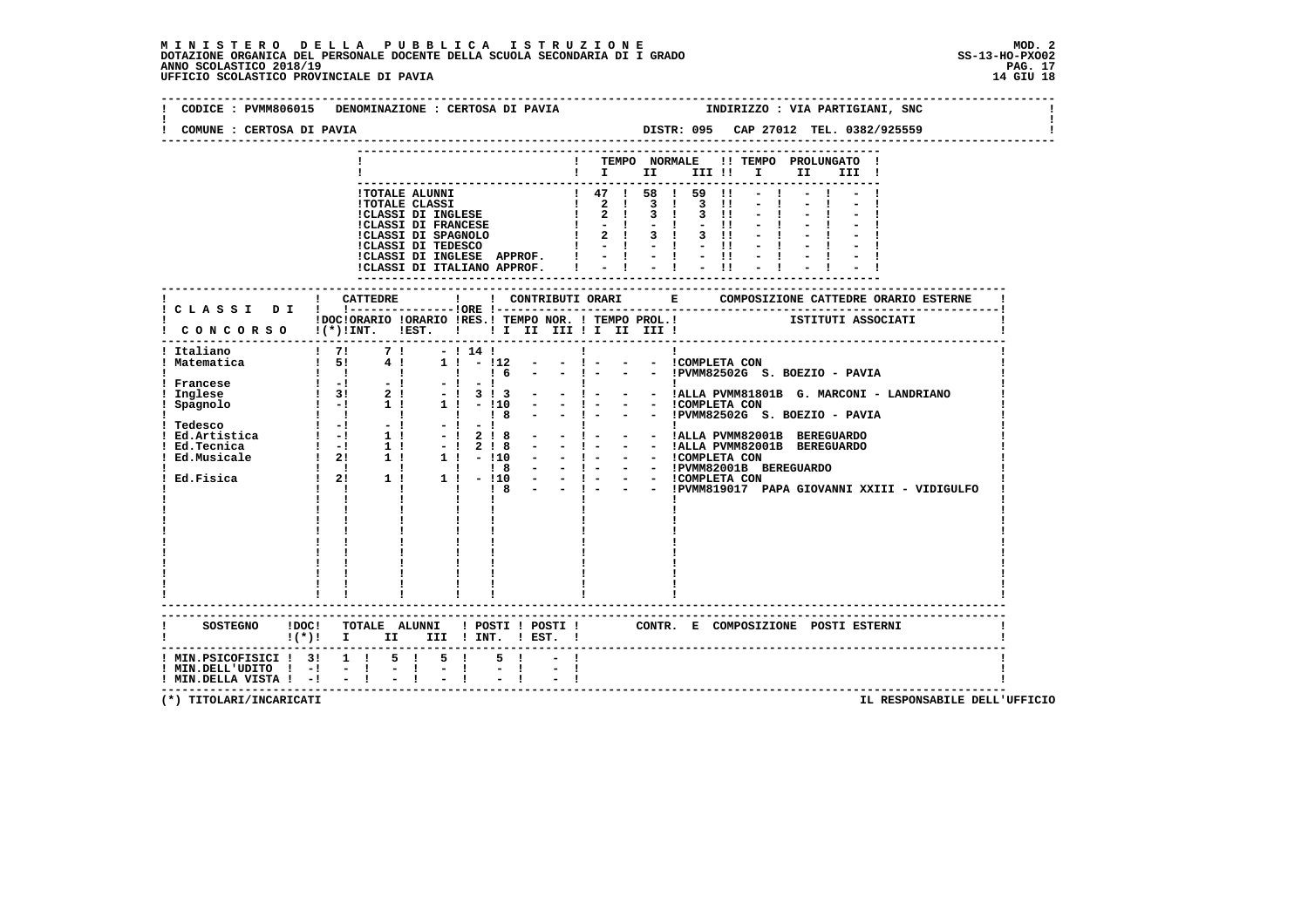| COMUNE : CERTOSA DI PAVIA                                                         | CODICE : PVMM806015 DENOMINAZIONE : CERTOSA DI PAVIA                                                                                                                                                                                          |                                                                | INDIRIZZO : VIA PARTIGIANI, SNC<br>DISTR: 095 CAP 27012 TEL. 0382/925559                                                                                                                                                                                                                                                                                        |
|-----------------------------------------------------------------------------------|-----------------------------------------------------------------------------------------------------------------------------------------------------------------------------------------------------------------------------------------------|----------------------------------------------------------------|-----------------------------------------------------------------------------------------------------------------------------------------------------------------------------------------------------------------------------------------------------------------------------------------------------------------------------------------------------------------|
|                                                                                   |                                                                                                                                                                                                                                               |                                                                | ! TEMPO NORMALE !! TEMPO PROLUNGATO !<br>$\blacksquare$ $\blacksquare$ $\blacksquare$ $\blacksquare$ $\blacksquare$ $\blacksquare$ $\blacksquare$ $\blacksquare$ $\blacksquare$<br>III !                                                                                                                                                                        |
|                                                                                   |                                                                                                                                                                                                                                               |                                                                | 1 TOTALE ALUNNI<br>1 TOTALE CLASSI 1 47 1 58 1 59 11 - 1<br>1 47 1 58 1 59 11 - 1<br>1 2 1 3 1 3 11 - 1<br>1 2 1 3 1 3 11 - 1<br>1 CLASSI DI FRANCESE<br>1 2 1 3 1 3 11 - 1<br>1 2 1 3 1 3 11 - 1<br>1 2 1 3 1 3 11 - 1<br>1 2 1 3 1 3 11 - 1<br>1<br>ICLASSI DI INGLESE APPROF. $! \t-1 \t-1 \t-1 \t-1$<br>ICLASSI DI ITALIANO APPROF. $! \t-1 \t-1 \t-1 \t-1$ |
|                                                                                   |                                                                                                                                                                                                                                               |                                                                | DOCIORARIO IORARIO IRES.I TEMPO NOR. I TEMPO PROL.I TEMPO IN ISTITUTI ASSOCIATI                                                                                                                                                                                                                                                                                 |
| ! Francese<br>! Inglese                                                           | -----------------------------------<br>$\frac{1}{2}$ , $\frac{1}{2}$ , $\frac{1}{2}$ , $\frac{1}{2}$<br>$\blacksquare$<br>$\frac{1}{1}$ $\frac{-1}{31}$<br>$-1$<br>$-1$<br>$\begin{bmatrix} 1 & 3i \\ 1 & -1 \end{bmatrix}$<br>2 <sub>1</sub> | - 1141<br>$1! - 112$<br>$\frac{1}{1}$ 16<br>$-1$<br>$-1$ 3 1 3 | $\frac{1}{2}$ CONCORSO $\frac{1}{2}$ (*)!INT. IEST. ! ! I II III II II III I<br>$\mathbf{I}$<br>$\mathbf{I}$<br>$  1 -$<br>- - ICOMPLETA CON<br>$  1 -$<br>- - !PVMM82502G S. BOEZIO - PAVIA<br>- $\frac{1}{1}$ - - $\frac{1}{1}$ - - $\frac{1}{1}$ PVMM81801B G. MARCONI - LANDRIANO<br>- - COMPLETA CON<br>- - ! - - - : PVMM82502G S. BOEZIO - PAVIA         |
|                                                                                   | $!(*)!$ I II III ! INT. ! EST. !                                                                                                                                                                                                              |                                                                | SOSTEGNO !DOC! TOTALE ALUNNI ! POSTI ! POSTI ! CONTR. E COMPOSIZIONE POSTI ESTERNI                                                                                                                                                                                                                                                                              |
| ! MIN.PSICOFISICI ! 3! 1 !<br>! MIN.DELL'UDITO ! -!<br>! MIN.DELLA VISTA ! -! - ! | 5 ! 5 !<br>$-1$<br>$-1$                                                                                                                                                                                                                       |                                                                |                                                                                                                                                                                                                                                                                                                                                                 |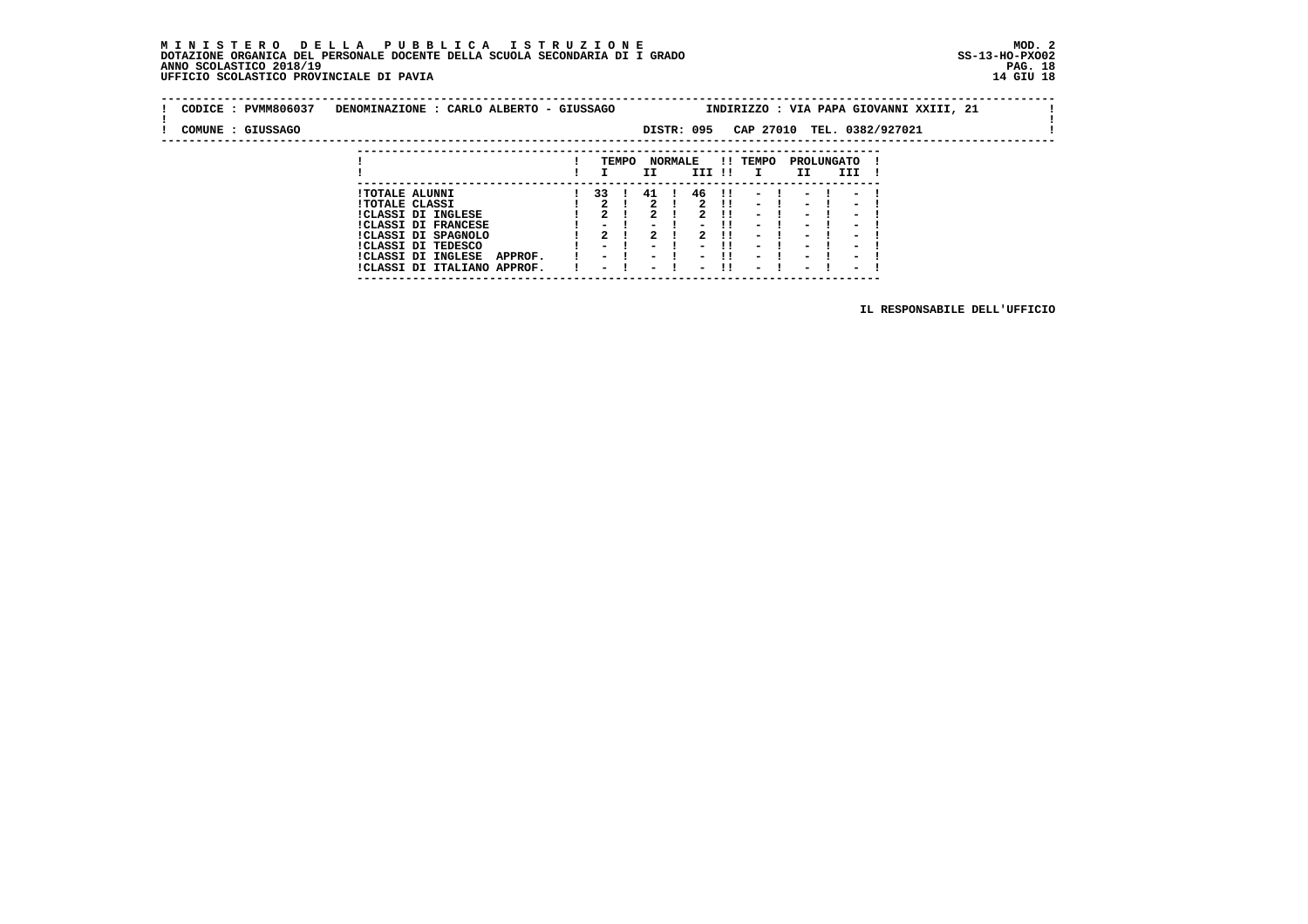### **M I N I S T E R O D E L L A P U B B L I C A I S T R U Z I O N E MOD. 2 DOTAZIONE ORGANICA DEL PERSONALE DOCENTE DELLA SCUOLA SECONDARIA DI I GRADO ANNO SCOLASTICO 2018/19 PAG. 18 UFFICIO SCOLASTICO PROVINCIALE DI PAVIA 14 GIU 18**

 **---------------------------------------------------------------------------**

| CODICE: PVMM806037 | DENOMINAZIONE : CARLO ALBERTO - GIUSSAGO |                          |       |                          |                |                          |     |                          |                          |                            | INDIRIZZO : VIA PAPA GIOVANNI XXIII, 21 |  |
|--------------------|------------------------------------------|--------------------------|-------|--------------------------|----------------|--------------------------|-----|--------------------------|--------------------------|----------------------------|-----------------------------------------|--|
| COMUNE : GIUSSAGO  |                                          |                          |       |                          |                | DISTR: 095               |     |                          |                          | CAP 27010 TEL. 0382/927021 |                                         |  |
|                    |                                          |                          |       |                          |                |                          |     |                          |                          |                            |                                         |  |
|                    |                                          |                          | TEMPO |                          | <b>NORMALE</b> |                          |     | !! TEMPO                 |                          | PROLUNGATO                 |                                         |  |
|                    |                                          |                          |       | II.                      |                | III !!                   |     | $\mathbf{I}$             | II.                      | III                        |                                         |  |
|                    |                                          |                          |       |                          |                |                          |     |                          |                          |                            |                                         |  |
|                    | <b>!TOTALE ALUNNI</b>                    | 33                       |       | 41                       |                | 46                       | -11 | $\overline{\phantom{0}}$ |                          | $\sim$                     |                                         |  |
|                    | <b>!TOTALE CLASSI</b>                    |                          |       |                          |                | 2                        | -11 | $-1$                     | $\sim$                   | $\sim$                     |                                         |  |
|                    | <b>!CLASSI DI INGLESE</b>                |                          |       |                          |                |                          |     | $\overline{\phantom{0}}$ | -                        | $\overline{\phantom{0}}$   |                                         |  |
|                    | <b>!CLASSI DI FRANCESE</b>               |                          |       |                          |                | -                        | -11 | $\sim$                   | $\overline{\phantom{0}}$ | $\overline{\phantom{0}}$   |                                         |  |
|                    | !CLASSI DI SPAGNOLO                      |                          |       |                          |                |                          | .   | $\overline{\phantom{0}}$ | $\overline{\phantom{0}}$ | $\overline{\phantom{0}}$   |                                         |  |
|                    | ICLASSI DI TEDESCO                       | $\overline{\phantom{0}}$ |       | $\overline{\phantom{0}}$ |                | $\overline{\phantom{0}}$ |     | $\overline{\phantom{0}}$ | $\overline{\phantom{0}}$ | $\overline{\phantom{0}}$   |                                         |  |
|                    | <b>!CLASSI DI INGLESE</b><br>APPROF.     | $\sim$ $\sim$            |       |                          |                |                          | -11 | $\overline{\phantom{0}}$ | $\overline{\phantom{0}}$ | $\overline{\phantom{0}}$   |                                         |  |
|                    | !CLASSI DI ITALIANO APPROF.              | $\overline{\phantom{0}}$ |       | $\overline{\phantom{0}}$ |                | $\overline{\phantom{0}}$ | -11 | $\sim$                   | $\overline{\phantom{0}}$ | $\overline{\phantom{0}}$   |                                         |  |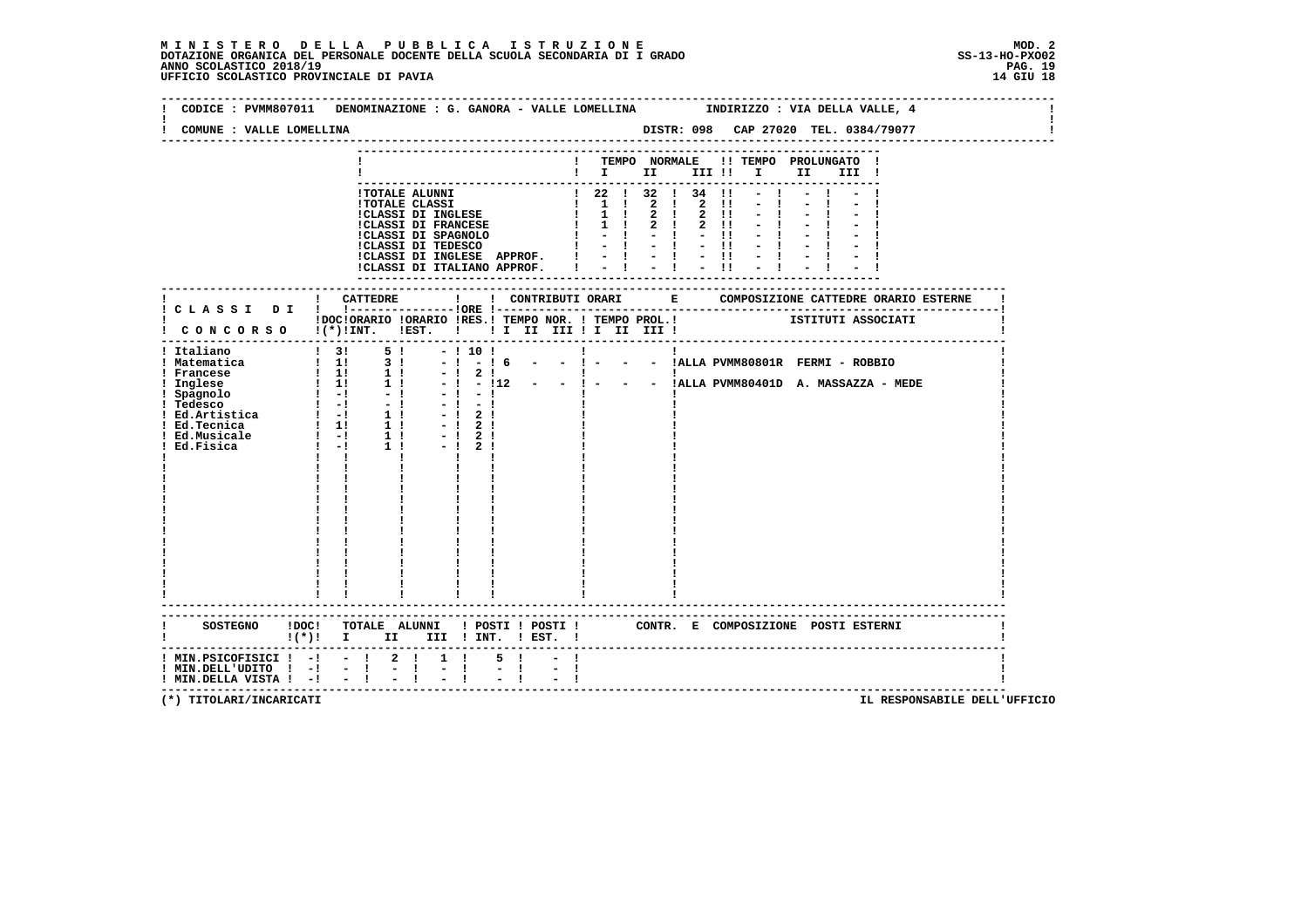# MINISTERO DELLA PUBBLICA ISTRUZIONE<br>DOTAZIONE ORGANICA DEL PERSONALE DOCENTE DELLA SCUOLA SECONDARIA DI IGRADO<br>ANNO SCOLASTICO 2018/19<br>UFFICIO SCOLASTICO PROVINCIALE DI PAVIA

| COMUNE : VALLE LOMELLINA                                                                                                          |                                                                                                                    |                     |                                                                |           |           |                                                      |  |
|-----------------------------------------------------------------------------------------------------------------------------------|--------------------------------------------------------------------------------------------------------------------|---------------------|----------------------------------------------------------------|-----------|-----------|------------------------------------------------------|--|
|                                                                                                                                   |                                                                                                                    |                     | $\mathbf{I}$<br>$\mathbf{i} \quad \mathbf{i} \quad \mathbf{m}$ |           | III !!!!! | TEMPO NORMALE !! TEMPO PROLUNGATO !<br>II a<br>III ! |  |
|                                                                                                                                   | !CLASSI DI ITALIANO APPROF.                                                                                        |                     | $-1$                                                           | $-1$ $-1$ | $-11$     |                                                      |  |
|                                                                                                                                   |                                                                                                                    |                     |                                                                |           |           |                                                      |  |
|                                                                                                                                   |                                                                                                                    |                     |                                                                |           |           |                                                      |  |
|                                                                                                                                   | SOSTEGNO !DOC! TOTALE ALUNNI ! POSTI ! POSTI ! CONTR. E COMPOSIZIONE POSTI ESTERNI<br>!(*)! I II III !INT. !EST. ! |                     |                                                                |           |           |                                                      |  |
| $!$ MIN.PSICOFISICI ! -! - ! 2 !<br>! MIN.DELL'UDITO ! -! - ! - !<br>! MIN.DELLA VISTA ! -! - ! - !<br>! MIN.DELLA VISTA ! -! - ! | $1 \quad 1 \quad$<br>$-1$                                                                                          | 5 !<br>$-1$<br>$-1$ |                                                                |           |           |                                                      |  |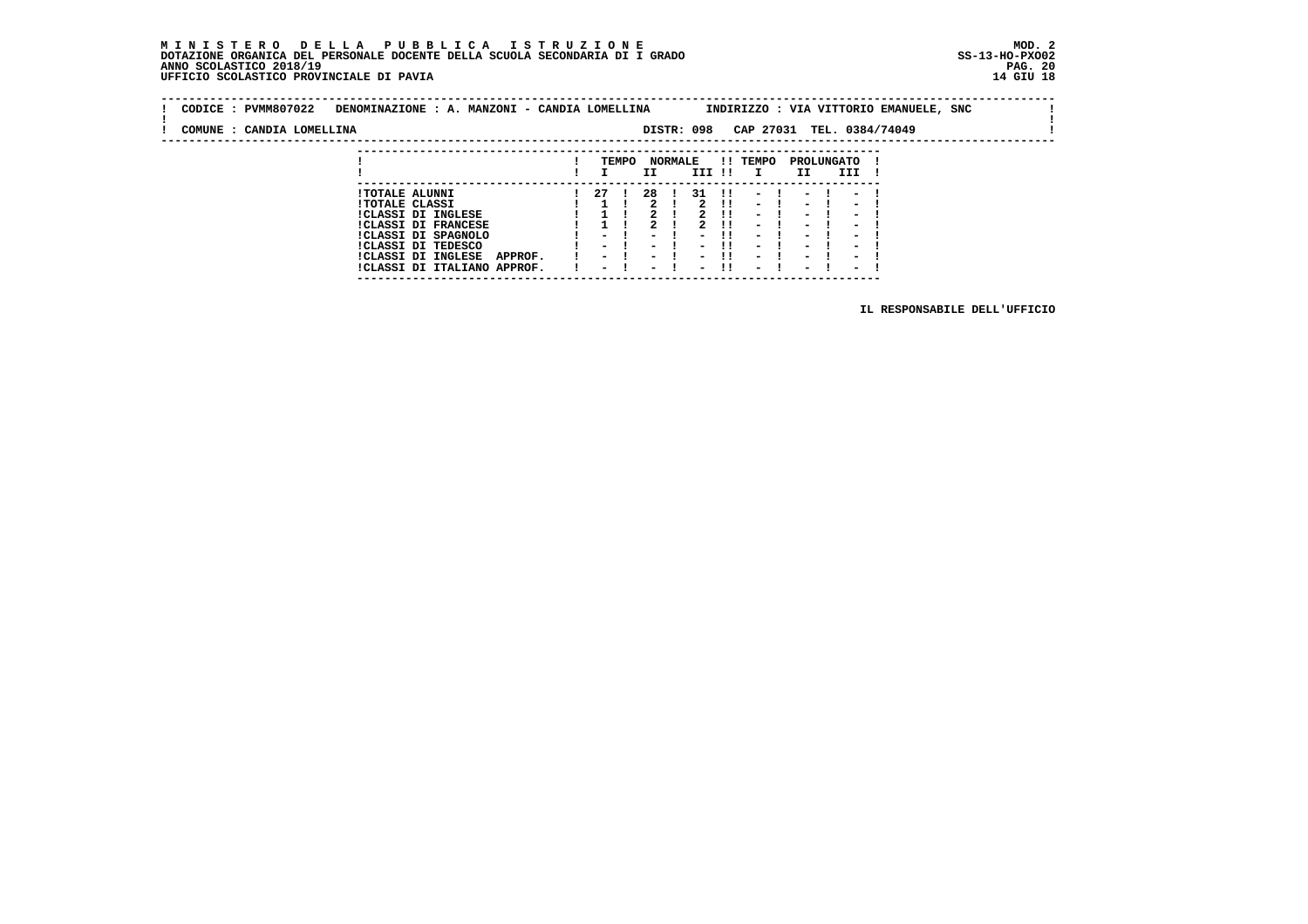### **M I N I S T E R O D E L L A P U B B L I C A I S T R U Z I O N E MOD. 2DOTAZIONE ORGANICA DEL PERSONALE DOCENTE DELLA SCUOLA SECONDARIA DI I GRADO ANNO SCOLASTICO 2018/19** UFFICIO SCOLASTICO PROVINCIALE DI PAVIA

 **---------------------------------------------------------------------------**

| CODICE: PVMM807022        | DENOMINAZIONE : A. MANZONI - CANDIA LOMELLINA |      |       |      |                |            |              |                          |                          |                          | INDIRIZZO : VIA VITTORIO EMANUELE, SNC |  |
|---------------------------|-----------------------------------------------|------|-------|------|----------------|------------|--------------|--------------------------|--------------------------|--------------------------|----------------------------------------|--|
| COMUNE : CANDIA LOMELLINA |                                               |      |       |      |                | DISTR: 098 |              |                          |                          |                          | CAP 27031 TEL. 0384/74049              |  |
|                           |                                               |      |       |      |                |            |              |                          |                          |                          |                                        |  |
|                           |                                               |      | TEMPO |      | <b>NORMALE</b> |            |              | !! TEMPO                 | PROLUNGATO               |                          |                                        |  |
|                           |                                               |      |       | II   |                | III !!     |              | $\mathbf{I}$             | II                       | III                      |                                        |  |
|                           | <b>!TOTALE ALUNNI</b>                         | 27 ! |       | 28 I |                | 31 !!      |              | $-1$                     | $-1$                     | $\sim$ $-$               |                                        |  |
|                           | <b>!TOTALE CLASSI</b>                         |      |       |      |                |            | $2 \quad 11$ | $-1$                     | $\sim$                   | $\blacksquare$           |                                        |  |
|                           | !CLASSI DI INGLESE                            |      |       |      |                |            |              | $\overline{\phantom{0}}$ | $\overline{\phantom{0}}$ | $\overline{\phantom{0}}$ |                                        |  |
|                           | $IAT A GAT = D.$                              |      |       | ົ    |                | ີ          | .            |                          |                          |                          |                                        |  |

! CLASSI DI INGLESE  $\begin{array}{cccccccccccc} \texttt{ICLASSI} & \texttt{DI} & \texttt{INGLESE} & & & & 1 & 1 & 2 & 1 & 2 & 11 & - & 1 & - & 1 & - & 1\\ \texttt{ICLASSI} & \texttt{DI} & \texttt{FRANCSES} & & & & 1 & 1 & 2 & 1 & 2 & 11 & - & 1 & - & 1 & - & 1\\ \texttt{ICLASSI} & \texttt{DI} & \texttt{TEDESCO} & & & & & 1 & - & 1 & - & 1 & - & 1 & - & 1 & - & 1\\ \texttt{ICLASS$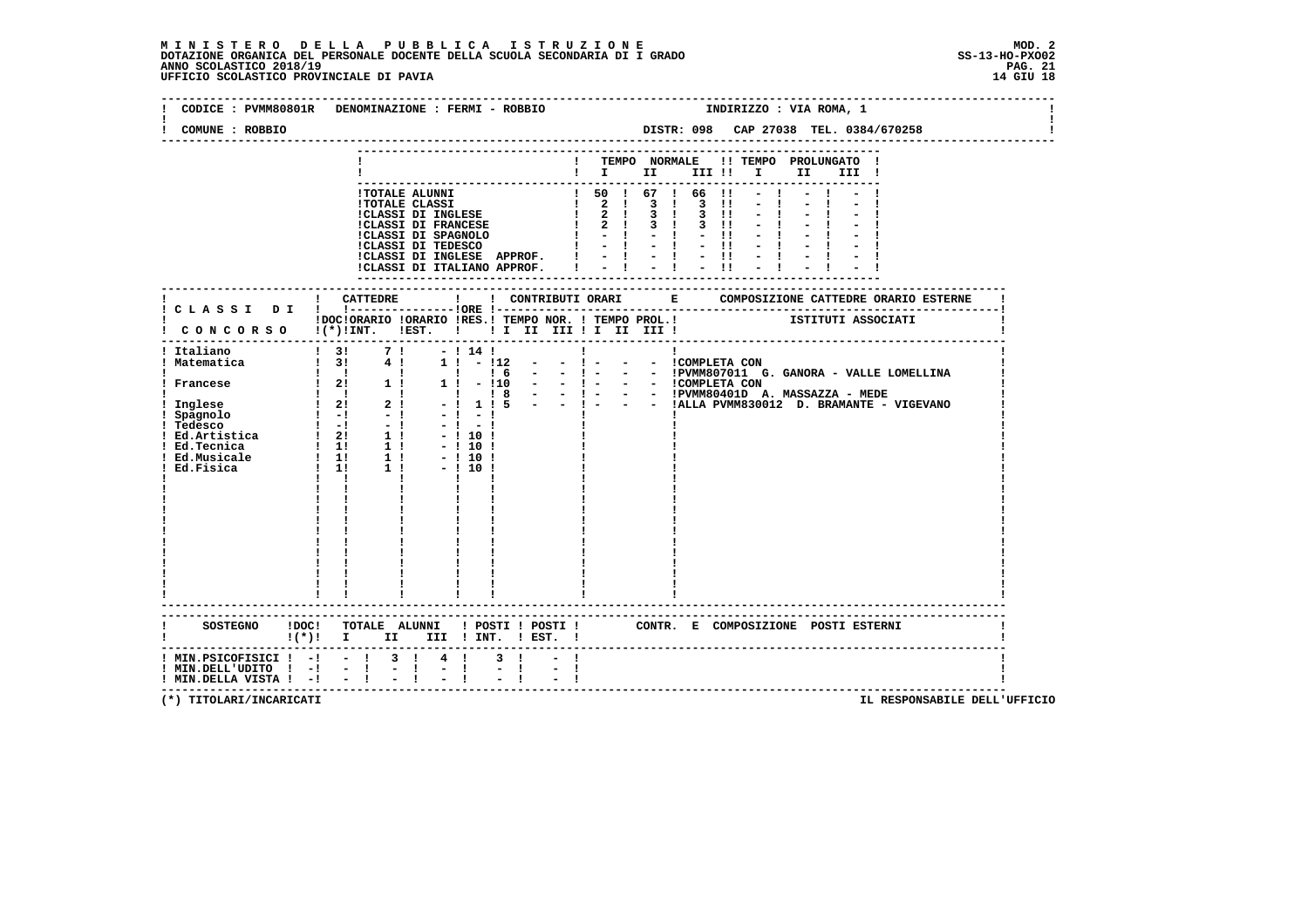## **M I N I S T E R O D E L L A P U B B L I C A I S T R U Z I O N E MOD. 2**DOTAZIONE ORGANICA DEL PERSONALE DOCENTE DELLA SCUOLA SECONDARIA DI I GRADO **SCOLASTICO SS-13-HO-PXOO2**<br>PAGO SCOLASTICO 2018/19<br>14 GIU 18 PERSONASTICO PROVINCIALE DI PAVIA

| CODICE : PVMM80801R DENOMINAZIONE : FERMI - ROBBIO<br>COMUNE : ROBBIO |                           |                                                                                                                                   |                                |                                                                                          |              |                   |   |  |  | INDIRIZZO : VIA ROMA, 1                        | DISTR: 098 CAP 27038 TEL. 0384/670258       |
|-----------------------------------------------------------------------|---------------------------|-----------------------------------------------------------------------------------------------------------------------------------|--------------------------------|------------------------------------------------------------------------------------------|--------------|-------------------|---|--|--|------------------------------------------------|---------------------------------------------|
|                                                                       |                           |                                                                                                                                   |                                |                                                                                          |              |                   |   |  |  |                                                |                                             |
|                                                                       |                           |                                                                                                                                   |                                |                                                                                          |              |                   |   |  |  | ! TEMPO NORMALE !! TEMPO PROLUNGATO !<br>III ! |                                             |
|                                                                       |                           |                                                                                                                                   |                                |                                                                                          |              |                   |   |  |  |                                                |                                             |
|                                                                       |                           |                                                                                                                                   |                                |                                                                                          |              |                   |   |  |  |                                                |                                             |
|                                                                       |                           |                                                                                                                                   |                                |                                                                                          |              |                   |   |  |  |                                                |                                             |
|                                                                       |                           | !CLASSI DI INGLESE APPROF. $  \cdot   \cdot   \cdot   \cdot  $<br>!CLASSI DI ITALIANO APPROF. $  \cdot   \cdot   \cdot   \cdot  $ |                                |                                                                                          |              |                   |   |  |  |                                                |                                             |
|                                                                       |                           |                                                                                                                                   |                                |                                                                                          |              |                   |   |  |  |                                                |                                             |
|                                                                       |                           | IDOCIORARIO IORARIO IRES.I TEMPO NOR. I TEMPO PROL.I SISTITUTI ASSOCIATI                                                          |                                |                                                                                          |              |                   |   |  |  |                                                |                                             |
| I CONCORSO I(*) INT. IEST. I I I II III II III III                    |                           |                                                                                                                                   |                                |                                                                                          |              |                   |   |  |  |                                                |                                             |
| ! Italiano<br>! Matematica                                            |                           | $\begin{array}{ccccccccc}\n & 1 & 3 & 7 & 1 & -1 & 14 & 1 \\  & 1 & 3 & 4 & 1 & 1 & -112\n\end{array}$                            |                                | $  1 -$<br>$1 \t16 - -1$                                                                 | $\mathbf{I}$ | - - ICOMPLETA CON | 1 |  |  |                                                | - - !PVMM807011 G. GANORA - VALLE LOMELLINA |
|                                                                       |                           | $1 \quad 1 \quad 1$<br>$\mathbf{I}$                                                                                               |                                | 1   - 110 - - 1 - - - ICOMPLETA CON<br>1   18 - - 1 - - - IPVMM80401D A, MASSAZZA - MEDE |              |                   |   |  |  |                                                |                                             |
|                                                                       |                           | 2 <sub>1</sub>                                                                                                                    | $-1 - 1$                       | $-1$ 1 1 5 $ -$ 1 $-$                                                                    | $\mathbf{I}$ |                   |   |  |  |                                                | - - !ALLA PVMM830012 D. BRAMANTE - VIGEVANO |
|                                                                       |                           |                                                                                                                                   | $-1 - 1$<br>$-!10!$<br>$-1101$ |                                                                                          |              |                   |   |  |  |                                                |                                             |
|                                                                       |                           |                                                                                                                                   | $-1101$<br>$-1101$             |                                                                                          |              |                   |   |  |  |                                                |                                             |
|                                                                       | $\mathbf{I}$ $\mathbf{I}$ |                                                                                                                                   |                                |                                                                                          |              |                   |   |  |  |                                                |                                             |
|                                                                       |                           |                                                                                                                                   |                                |                                                                                          |              |                   |   |  |  |                                                |                                             |
|                                                                       |                           |                                                                                                                                   |                                |                                                                                          |              |                   |   |  |  |                                                |                                             |
|                                                                       |                           |                                                                                                                                   |                                |                                                                                          |              |                   |   |  |  |                                                |                                             |
|                                                                       |                           |                                                                                                                                   |                                |                                                                                          |              |                   |   |  |  |                                                |                                             |
|                                                                       |                           |                                                                                                                                   |                                |                                                                                          |              |                   |   |  |  |                                                |                                             |
| SOSTEGNO !DOC! TOTALE ALUNNI ! POSTI ! POSTI !                        |                           | $!(*)!$ I II III ! INT. ! EST. !                                                                                                  |                                |                                                                                          |              |                   |   |  |  | CONTR. E COMPOSIZIONE POSTI_ESTERNI            |                                             |
| ! MIN.PSICOFISICI ! -!<br>! MIN.DELL'UDITO ! -!                       | $-1$                      | $-1$ 3 $1$ 4 $1$<br>$-1$                                                                                                          |                                |                                                                                          |              |                   |   |  |  |                                                |                                             |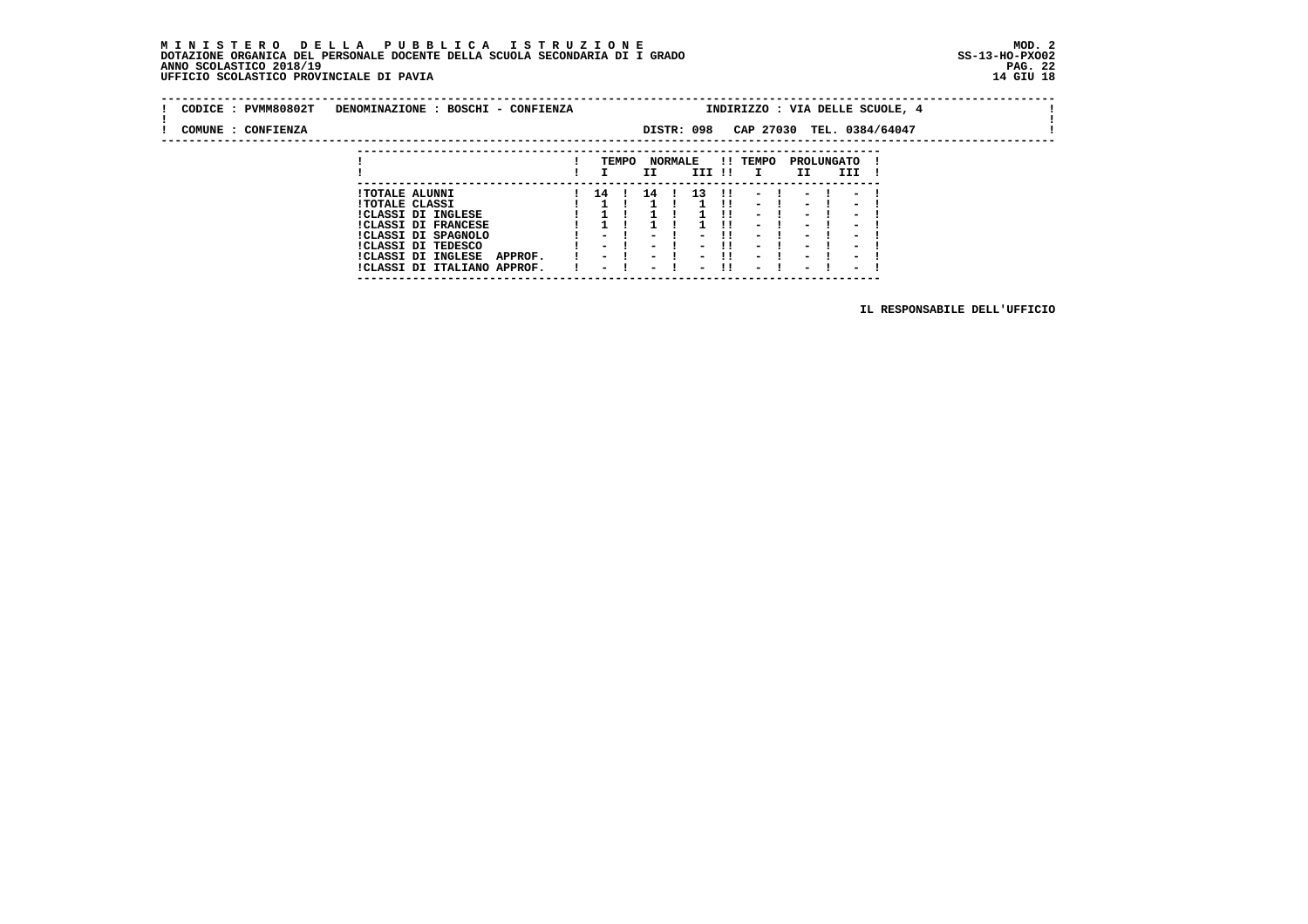### **M I N I S T E R O D E L L A P U B B L I C A I S T R U Z I O N E MOD. 2 DOTAZIONE ORGANICA DEL PERSONALE DOCENTE DELLA SCUOLA SECONDARIA DI I GRADO ANNO SCOLASTICO 2018/19 UFFICIO SCOLASTICO PROVINCIALE DI PAVIA 14 GIU 18**

 **---------------------------------------------------------------------------**

| CODICE: PVMM80802T | DENOMINAZIONE : BOSCHI - CONFIENZA                                  |                                    |       |                                                      |                |                          |     |                                                      |                                                      |                                                      | INDIRIZZO : VIA DELLE SCUOLE, 4 |  |
|--------------------|---------------------------------------------------------------------|------------------------------------|-------|------------------------------------------------------|----------------|--------------------------|-----|------------------------------------------------------|------------------------------------------------------|------------------------------------------------------|---------------------------------|--|
| COMUNE : CONFIENZA |                                                                     |                                    |       |                                                      |                | DISTR: 098               |     |                                                      |                                                      | CAP 27030 TEL. 0384/64047                            |                                 |  |
|                    |                                                                     |                                    | TEMPO |                                                      | <b>NORMALE</b> |                          |     | !! TEMPO                                             |                                                      | PROLUNGATO                                           |                                 |  |
|                    |                                                                     |                                    |       | II                                                   |                | III !!                   |     | $\mathbf{I}$                                         | II.                                                  | III                                                  |                                 |  |
|                    | <b>!TOTALE ALUNNI</b>                                               | 14                                 |       | 14                                                   |                | 13                       | -11 |                                                      |                                                      |                                                      |                                 |  |
|                    | <b>!TOTALE CLASSI</b><br>!CLASSI DI INGLESE                         |                                    |       |                                                      |                |                          |     | $\sim$<br>$\overline{\phantom{0}}$                   | $\overline{\phantom{0}}$<br>$\overline{\phantom{0}}$ | $\overline{\phantom{a}}$<br>-                        |                                 |  |
|                    | <b>!CLASSI DI FRANCESE</b>                                          |                                    |       |                                                      |                |                          |     | $\overline{\phantom{0}}$                             | $\overline{\phantom{0}}$                             | -                                                    |                                 |  |
|                    | !CLASSI DI SPAGNOLO<br>ICLASSI DI TEDESCO                           | $\overline{\phantom{0}}$           |       | $\overline{\phantom{0}}$                             |                | $\overline{\phantom{0}}$ | -11 | $\overline{\phantom{0}}$<br>$\overline{\phantom{0}}$ | $\overline{\phantom{0}}$<br>$\overline{\phantom{0}}$ | $\overline{\phantom{0}}$                             |                                 |  |
|                    | <b>!CLASSI DI INGLESE</b><br>APPROF.<br>!CLASSI DI ITALIANO APPROF. | $\sim$<br>$\overline{\phantom{0}}$ |       | $\overline{\phantom{0}}$<br>$\overline{\phantom{0}}$ |                | $\overline{\phantom{0}}$ | -11 | $\overline{\phantom{0}}$<br>$\sim$                   | $\overline{\phantom{0}}$<br>$\sim$                   | $\overline{\phantom{0}}$<br>$\overline{\phantom{0}}$ |                                 |  |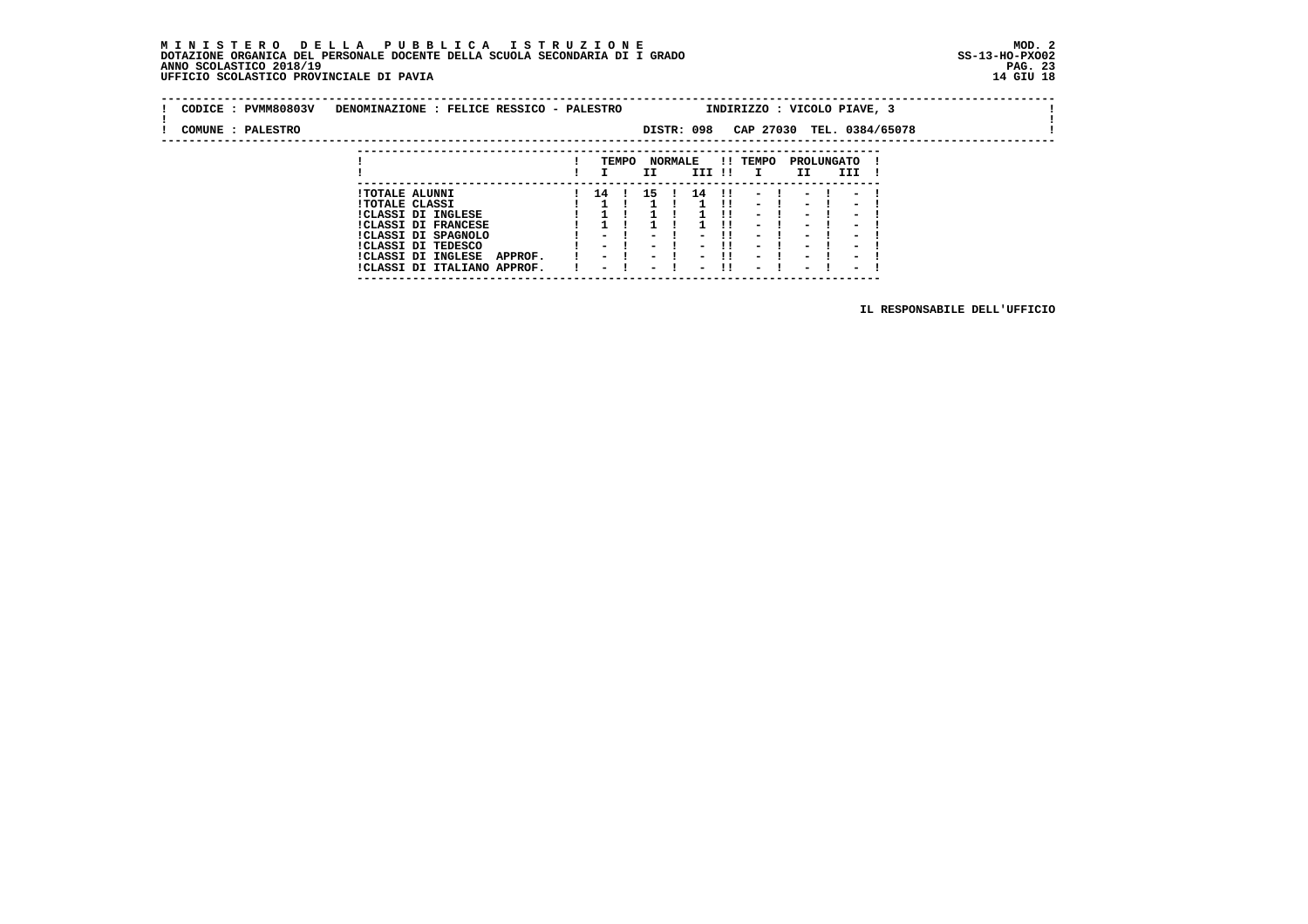### **M I N I S T E R O D E L L A P U B B L I C A I S T R U Z I O N E MOD. 2 DOTAZIONE ORGANICA DEL PERSONALE DOCENTE DELLA SCUOLA SECONDARIA DI I GRADO ANNO SCOLASTICO 2018/19 UFFICIO SCOLASTICO PROVINCIALE DI PAVIA**

 **---------------------------------------------------------------------------**

|  | CODICE : PVMM80803V | DENOMINAZIONE : FELICE RESSICO - PALESTRO |                          |       |                          |                |                          |               | INDIRIZZO : VICOLO PIAVE, 3 |                          |                          |                           |  |  |
|--|---------------------|-------------------------------------------|--------------------------|-------|--------------------------|----------------|--------------------------|---------------|-----------------------------|--------------------------|--------------------------|---------------------------|--|--|
|  | COMUNE : PALESTRO   |                                           |                          |       |                          |                | DISTR: 098               |               |                             |                          |                          | CAP 27030 TEL. 0384/65078 |  |  |
|  |                     |                                           |                          |       |                          |                |                          |               |                             |                          |                          |                           |  |  |
|  |                     |                                           |                          | TEMPO |                          | <b>NORMALE</b> |                          |               | !! TEMPO                    |                          | PROLUNGATO               |                           |  |  |
|  |                     |                                           |                          |       | II.                      |                | III !!                   |               | $\mathbf{I}$                | II.                      | III                      |                           |  |  |
|  |                     | <b>!TOTALE ALUNNI</b>                     | 14 !                     |       | 15 !                     |                | 14                       | $\mathbf{11}$ | $\sim$                      | -                        | -                        |                           |  |  |
|  |                     | <b>!TOTALE CLASSI</b>                     |                          |       |                          |                |                          | -11           | $\sim$                      | $\sim$                   | $\overline{\phantom{a}}$ |                           |  |  |
|  |                     | <b>!CLASSI DI INGLESE</b>                 |                          |       |                          |                |                          | .             | $\overline{\phantom{0}}$    | $\overline{\phantom{0}}$ | $\overline{\phantom{0}}$ |                           |  |  |
|  |                     | <b>!CLASSI DI FRANCESE</b>                |                          |       |                          |                |                          |               | Ξ.                          | Ξ.                       | $\overline{\phantom{0}}$ |                           |  |  |
|  |                     | !CLASSI DI SPAGNOLO                       | - 1                      |       | $\overline{\phantom{0}}$ |                | ۰.                       | . .           | $\overline{\phantom{0}}$    | -                        | -                        |                           |  |  |
|  |                     | ICLASSI DI TEDESCO                        | $\sim$ $\sim$            |       | $\sim$ $\sim$            |                | $\sim$                   | -11           | $\overline{\phantom{0}}$    | $\overline{\phantom{0}}$ | $\overline{\phantom{0}}$ |                           |  |  |
|  |                     | !CLASSI DI INGLESE<br>APPROF.             | $\overline{\phantom{0}}$ |       | $\sim$ $-$               |                | - 1                      |               | -                           | $\overline{\phantom{0}}$ | $\overline{\phantom{0}}$ |                           |  |  |
|  |                     | !CLASSI DI ITALIANO APPROF.               | $\overline{\phantom{0}}$ |       | $\overline{\phantom{a}}$ |                | $\overline{\phantom{0}}$ |               | $\overline{\phantom{0}}$    | $\overline{\phantom{0}}$ | $\overline{\phantom{0}}$ |                           |  |  |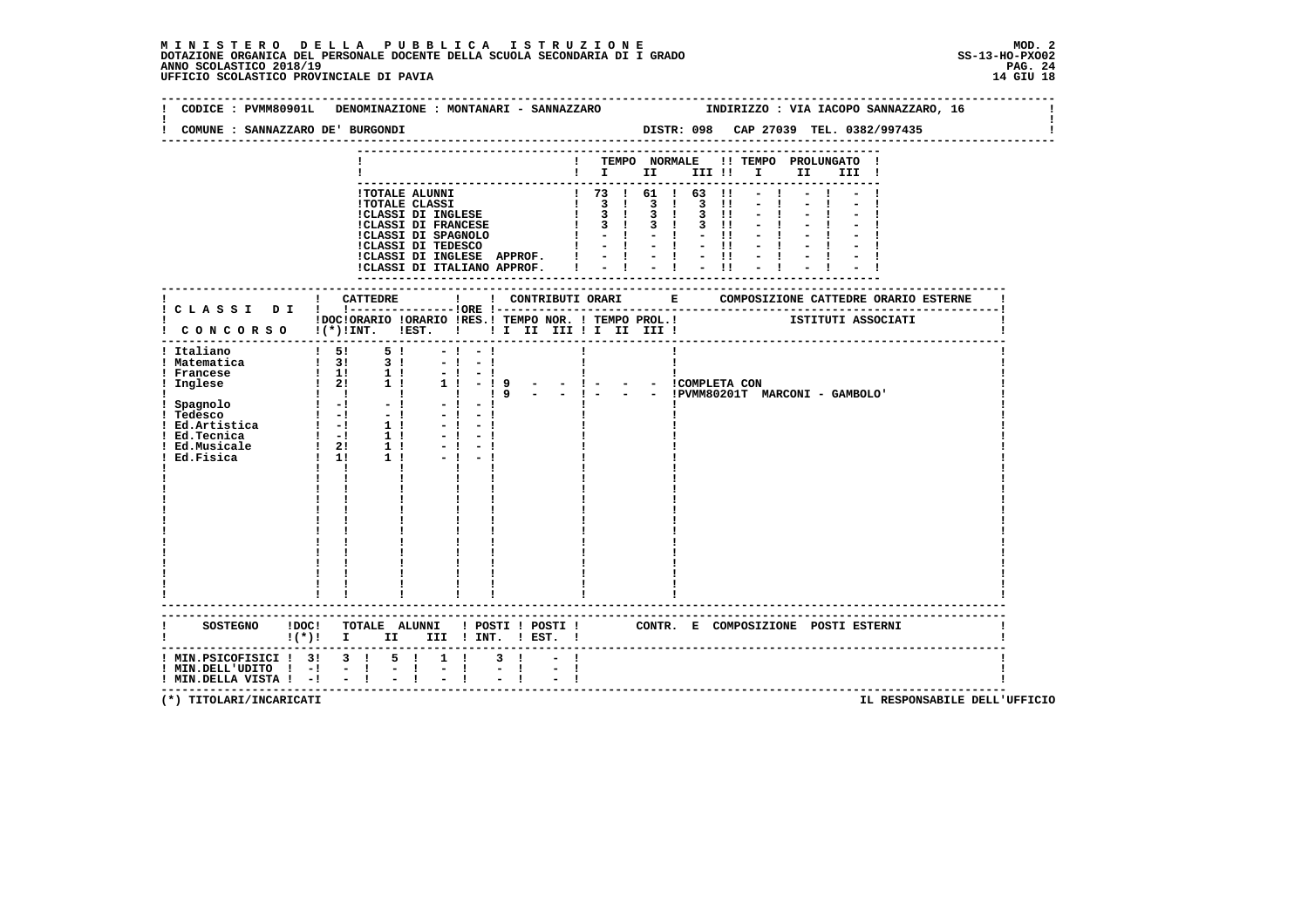# **M I N I S T E R O D E L L A P U B B L I C A I S T R U Z I O N E MOD. 2**DOTAZIONE ORGANICA DEL PERSONALE DOCENTE DELLA SCUOLA SECONDARIA DI I GRADO **SCOLASTICO SS-13-HO-PXOO2**<br>PAGO SCOLASTICO 2018/19<br>14 GIU 18 PERSONASTICO PROVINCIALE DI PAVIA

| CODICE : PVMM80901L<br>COMUNE : SANNAZZARO DE ' BURGONDI | DENOMINAZIONE : MONTANARI - SANNAZZARO                           |                                                                                    | DISTR: 098 CAP 27039 TEL. 0382/997435                                                              |                   |      |       | INDIRIZZO : VIA IACOPO SANNAZZARO, 16 |  |
|----------------------------------------------------------|------------------------------------------------------------------|------------------------------------------------------------------------------------|----------------------------------------------------------------------------------------------------|-------------------|------|-------|---------------------------------------|--|
|                                                          |                                                                  |                                                                                    |                                                                                                    |                   |      |       |                                       |  |
|                                                          |                                                                  |                                                                                    |                                                                                                    |                   |      |       |                                       |  |
|                                                          |                                                                  |                                                                                    | ! TEMPO NORMALE !! TEMPO PROLUNGATO                                                                |                   | II D | III ! |                                       |  |
|                                                          |                                                                  |                                                                                    |                                                                                                    |                   |      |       |                                       |  |
|                                                          | !TOTALE ALUNNI                                                   |                                                                                    | 1 73 1 61 1 63 11                                                                                  |                   |      |       |                                       |  |
|                                                          | <b>!TOTALE CLASSI</b>                                            |                                                                                    | $\begin{array}{cccccccccccc}\n1 & 3 & 1 & 3 & 1 & 3 & 1 \\ 1 & 3 & 1 & 3 & 1 & 3 & 1\n\end{array}$ |                   |      |       |                                       |  |
|                                                          | :CLASSI DI INGLESE<br>:CLASSI DI FRANCESE                        |                                                                                    |                                                                                                    |                   |      |       |                                       |  |
|                                                          |                                                                  |                                                                                    | $1 \t3 \t1 \t3 \t1$                                                                                | $3$ $11$<br>$-11$ |      |       |                                       |  |
|                                                          |                                                                  |                                                                                    | $1 - 1 - 1 - 11$                                                                                   |                   |      |       |                                       |  |
|                                                          | !CLASSI DI INGLESE APPROF.                                       |                                                                                    | $1 - 1 - 1 - 1$                                                                                    |                   |      |       |                                       |  |
|                                                          | !CLASSI DI ITALIANO APPROF.   -   -   -                          |                                                                                    |                                                                                                    |                   |      |       |                                       |  |
|                                                          |                                                                  |                                                                                    |                                                                                                    |                   |      |       |                                       |  |
|                                                          |                                                                  |                                                                                    |                                                                                                    |                   |      |       |                                       |  |
|                                                          |                                                                  |                                                                                    |                                                                                                    |                   |      |       |                                       |  |
|                                                          |                                                                  |                                                                                    |                                                                                                    |                   |      |       |                                       |  |
|                                                          | I CONCORSO I(*) INT. IEST. I II II III II III III I              |                                                                                    |                                                                                                    |                   |      |       |                                       |  |
|                                                          |                                                                  |                                                                                    |                                                                                                    |                   |      |       |                                       |  |
| ! Italiano                                               | $\begin{array}{cccc} 1 & 51 & 51 \\ 1 & 31 & 31 \end{array}$     | $-1 - 1$<br>$-1 - 1$                                                               |                                                                                                    |                   |      |       |                                       |  |
| ! Matematica                                             |                                                                  | $-1$                                                                               |                                                                                                    |                   |      |       |                                       |  |
|                                                          |                                                                  |                                                                                    |                                                                                                    |                   |      |       |                                       |  |
|                                                          |                                                                  | $-$ 1 9 - - 1 - - - ICOMPLETA CON<br>19 - - 1 - - - IPVMM80201T MARCONI - GAMBOLO' |                                                                                                    |                   |      |       |                                       |  |
|                                                          |                                                                  | $-1$                                                                               |                                                                                                    |                   |      |       |                                       |  |
|                                                          |                                                                  |                                                                                    |                                                                                                    |                   |      |       |                                       |  |
|                                                          | $-1 - 1$                                                         |                                                                                    |                                                                                                    |                   |      |       |                                       |  |
|                                                          | $-1 - 1$                                                         |                                                                                    |                                                                                                    |                   |      |       |                                       |  |
|                                                          |                                                                  |                                                                                    |                                                                                                    |                   |      |       |                                       |  |
|                                                          |                                                                  |                                                                                    |                                                                                                    |                   |      |       |                                       |  |
|                                                          |                                                                  |                                                                                    |                                                                                                    |                   |      |       |                                       |  |
|                                                          |                                                                  |                                                                                    |                                                                                                    |                   |      |       |                                       |  |
|                                                          |                                                                  |                                                                                    |                                                                                                    |                   |      |       |                                       |  |
|                                                          |                                                                  |                                                                                    |                                                                                                    |                   |      |       |                                       |  |
|                                                          |                                                                  |                                                                                    |                                                                                                    |                   |      |       |                                       |  |
|                                                          |                                                                  |                                                                                    |                                                                                                    |                   |      |       |                                       |  |
|                                                          |                                                                  |                                                                                    |                                                                                                    |                   |      |       |                                       |  |
|                                                          |                                                                  |                                                                                    |                                                                                                    |                   |      |       |                                       |  |
|                                                          |                                                                  |                                                                                    |                                                                                                    |                   |      |       |                                       |  |
|                                                          |                                                                  |                                                                                    |                                                                                                    |                   |      |       |                                       |  |
|                                                          |                                                                  |                                                                                    |                                                                                                    |                   |      |       |                                       |  |
|                                                          |                                                                  |                                                                                    |                                                                                                    |                   |      |       |                                       |  |
|                                                          |                                                                  |                                                                                    |                                                                                                    |                   |      |       |                                       |  |
|                                                          | $\mathbf{I}(\star)\mathbf{I}$ I<br>II D<br>--------------------- | III ! INT. ! EST. !                                                                |                                                                                                    |                   |      |       |                                       |  |
|                                                          | ! MIN.PSICOFISICI ! 3! 3 ! 5 ! 1 !                               | $3 \quad 1$                                                                        |                                                                                                    |                   |      |       |                                       |  |
| $!$ MIN.DELL'UDITO $!$ -! - !                            | $\mathbb{R}^{\mathbb{Z}}$<br>$\frac{1}{2}$ $\frac{1}{1}$         | $-1$<br>$-1$                                                                       |                                                                                                    |                   |      |       |                                       |  |
| ! MIN. DELLA VISTA ! -! - !                              |                                                                  |                                                                                    |                                                                                                    |                   |      |       |                                       |  |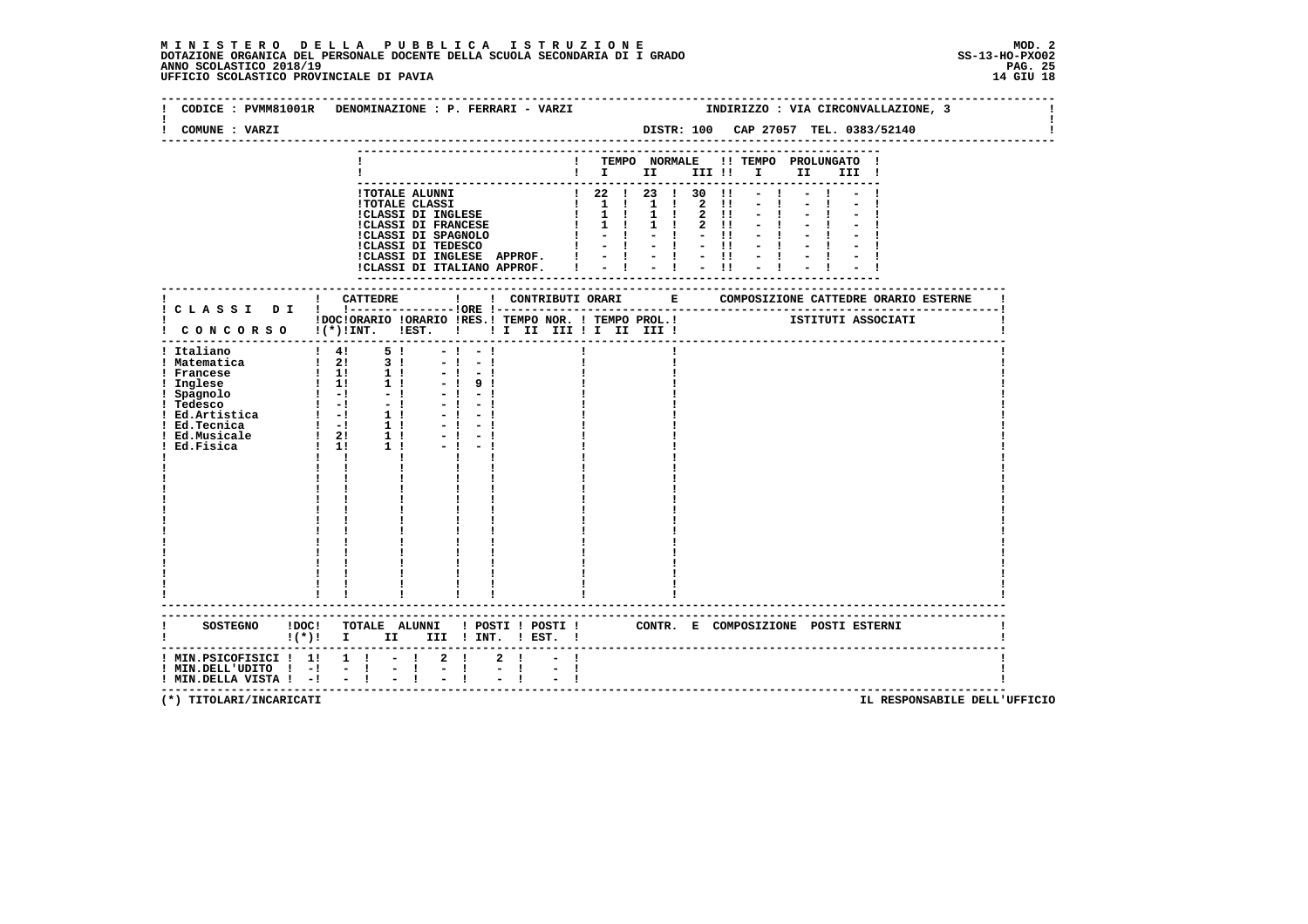## **M I N I S T E R O D E L L A P U B B L I C A I S T R U Z I O N E MOD. 2**DOTAZIONE ORGANICA DEL PERSONALE DOCENTE DELLA SCUOLA SECONDARIA DI I GRADO **SCOLASTICO SS-13-HO-PXO02**<br>PAGO SCOLASTICO 2018/19<br>14 GIU 18 PERSONASTICO PROVINCIALE DI PAVIA

|                                                                                           | CODICE : PVMM81001R DENOMINAZIONE : P. FERRARI - VARZI                                                                                                                                                                                  |                     |                                                                                                                            |                 |          |                                                           |                                       |                                      | INDIRIZZO : VIA CIRCONVALLAZIONE, 3 |  |
|-------------------------------------------------------------------------------------------|-----------------------------------------------------------------------------------------------------------------------------------------------------------------------------------------------------------------------------------------|---------------------|----------------------------------------------------------------------------------------------------------------------------|-----------------|----------|-----------------------------------------------------------|---------------------------------------|--------------------------------------|-------------------------------------|--|
| COMUNE : VARZI                                                                            |                                                                                                                                                                                                                                         |                     |                                                                                                                            |                 |          |                                                           |                                       | DISTR: 100 CAP 27057 TEL. 0383/52140 |                                     |  |
|                                                                                           |                                                                                                                                                                                                                                         |                     | $\mathbf{I}$ is the set of $\mathbf{I}$                                                                                    | ! TEMPO NORMALE |          | III !!                                                    | $\mathbf{I}$ and $\mathbf{I}$<br>II a | !! TEMPO PROLUNGATO !<br>III !       |                                     |  |
|                                                                                           | !TOTALE ALUNNI<br><b>!TOTALE CLASSI</b><br>!CLASSI DI INGLESE<br><b>!CLASSI DI FRANCESE</b><br>!CLASSI DI SPAGNOLO<br>!CLASSI DI TEDESCO<br>ICLASSI DI INGLESE APPROF. $1 - 1 - 1 - 11$<br>ICLASSI DI ITALIANO APPROF. $1 - 1 - 1 - 11$ |                     | ! 22 ! 23 ! 30<br>1 1 1 1 1 2<br>$1 \quad 1 \quad 1$<br>$1 \quad 1 \quad 1 \quad 1 \quad 1$<br>$1 - 1 - 1$<br>$\mathbf{I}$ | $-1 - 1 - 1$    | 1 ! 2 !! | $\blacksquare$<br>$\blacksquare$<br>$2 \quad 11$<br>$-11$ |                                       |                                      |                                     |  |
|                                                                                           |                                                                                                                                                                                                                                         |                     |                                                                                                                            |                 |          |                                                           |                                       |                                      |                                     |  |
|                                                                                           | !DOC!ORARIO !ORARIO !RES.! TEMPO NOR. ! TEMPO PROL.! [STITUTI ASSOCIATI<br>! CONCORSO !(*)!INT. !EST. ! ! I II III ! I III III !<br>------------------------------------                                                                |                     |                                                                                                                            |                 |          |                                                           |                                       |                                      |                                     |  |
| ! Italiano<br>! Matematica                                                                | $\begin{array}{cccc} 1 & 41 & 51 \\ 1 & 21 & 31 \end{array}$<br>$-1$<br>$-1$<br>$-1$<br>$-1$<br>$-1$<br>$-1$<br>$-1$<br>91<br>$-1$<br>- 1<br>$-1$<br>$\mathbf{I}$ $\mathbf{I}$                                                          |                     |                                                                                                                            |                 |          |                                                           |                                       |                                      |                                     |  |
|                                                                                           | SOSTEGNO ! DOC! TOTALE ALUNNI ! POSTI ! POSTI ! CONTR. E COMPOSIZIONE POSTI ESTERNI<br>$\mathbf{I}(\star)\mathbf{I}$ I<br>II D                                                                                                          | III ! INT. ! EST. ! |                                                                                                                            |                 |          |                                                           |                                       |                                      |                                     |  |
| ! MIN.PSICOFISICI ! 1! 1 ! - !<br>$!$ MIN.DELL'UDITO $!$ -! - !<br>! MIN.DELLA VISTA ! -! | -------------------------------------<br>$2 \quad 1$<br>$\mathbb{Z} \times \mathbb{R}$<br>$\frac{1}{2}$ $\frac{1}{1}$<br>$-1$                                                                                                           | $2 \cdot 1$<br>$-1$ | -1                                                                                                                         |                 |          |                                                           |                                       |                                      |                                     |  |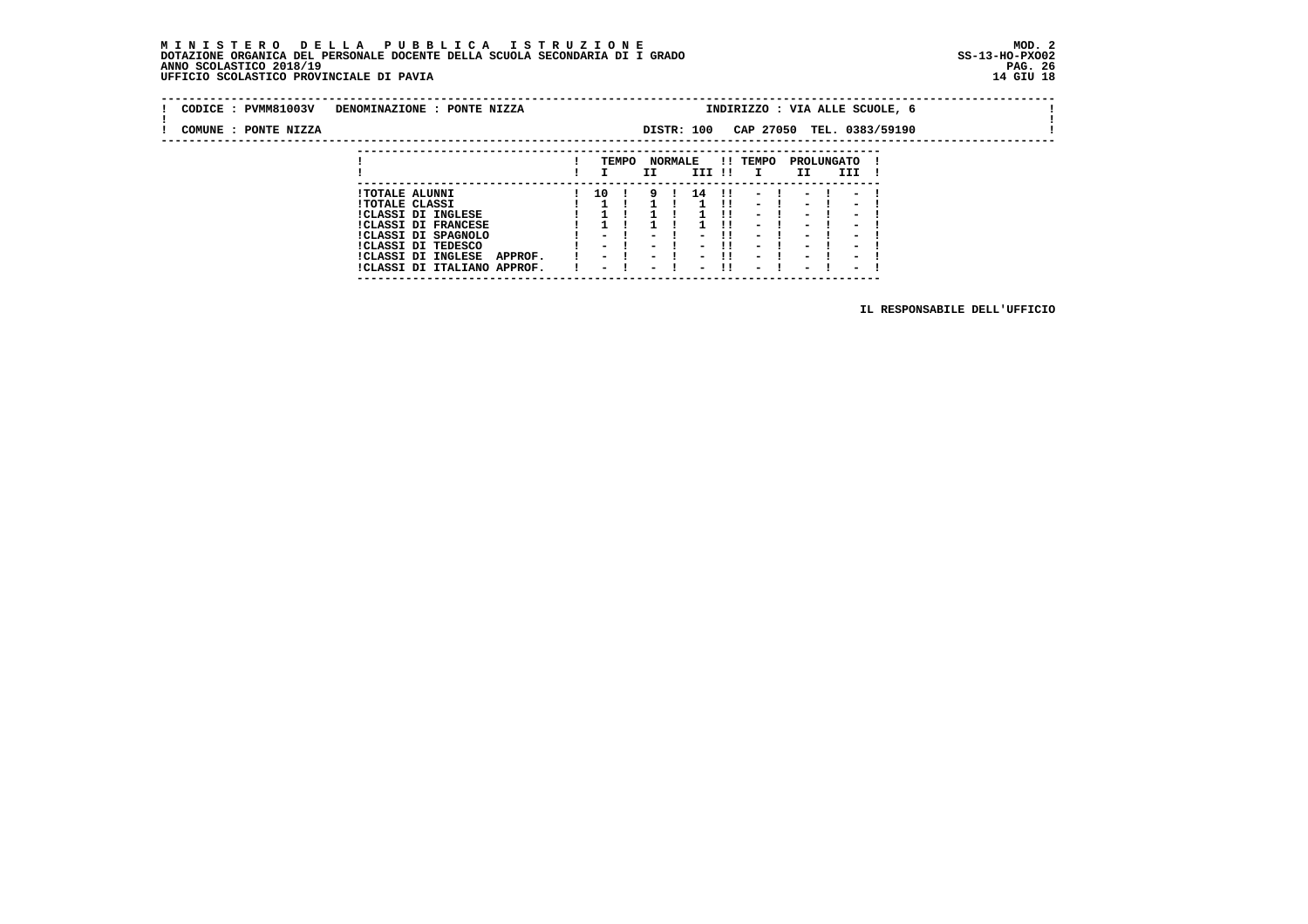#### **M I N I S T E R O D E L L A P U B B L I C A I S T R U Z I O N E MOD. 2 DOTAZIONE ORGANICA DEL PERSONALE DOCENTE DELLA SCUOLA SECONDARIA DI I GRADO ANNO SCOLASTICO 2018/19** UFFICIO SCOLASTICO PROVINCIALE DI PAVIA

| CODICE: PVMM81003V   | DENOMINAZIONE : PONTE NIZZA                                |                          |       |                                    |                |                          |     | INDIRIZZO : VIA ALLE SCUOLE, 6                       |                                                      |                                                      |  |  |  |
|----------------------|------------------------------------------------------------|--------------------------|-------|------------------------------------|----------------|--------------------------|-----|------------------------------------------------------|------------------------------------------------------|------------------------------------------------------|--|--|--|
| COMUNE : PONTE NIZZA |                                                            |                          |       |                                    |                | DISTR: 100               |     | CAP 27050 TEL. 0383/59190                            |                                                      |                                                      |  |  |  |
|                      |                                                            |                          | TEMPO | II                                 | <b>NORMALE</b> | III !!                   |     | !! TEMPO<br>$\mathbf{I}$                             | II                                                   | PROLUNGATO<br>III                                    |  |  |  |
|                      | <b>!TOTALE ALUNNI</b>                                      | 10                       |       | 9                                  |                | 14                       | -11 |                                                      |                                                      |                                                      |  |  |  |
|                      | <b>!TOTALE CLASSI</b><br>ICLASSI DI INGLESE                |                          |       |                                    |                |                          |     | $\sim$<br>$\overline{\phantom{0}}$                   | $\overline{\phantom{0}}$<br>$\overline{\phantom{0}}$ | $\overline{\phantom{0}}$<br>$\overline{\phantom{0}}$ |  |  |  |
|                      | <b>!CLASSI DI FRANCESE</b><br>!CLASSI DI SPAGNOLO          |                          |       |                                    |                | $\blacksquare$           |     | $\overline{\phantom{0}}$<br>-                        | -<br>$\blacksquare$                                  | $\overline{\phantom{0}}$<br>-                        |  |  |  |
|                      | ICLASSI DI TEDESCO<br><b>!CLASSI DI INGLESE</b><br>APPROF. | $\sim$ $\sim$            |       | $\sim$<br>$\overline{\phantom{0}}$ |                | $\overline{\phantom{0}}$ | -11 | $\overline{\phantom{0}}$<br>$\overline{\phantom{0}}$ | $\overline{\phantom{0}}$<br>$\overline{\phantom{0}}$ | $\overline{\phantom{a}}$<br>$\overline{\phantom{0}}$ |  |  |  |
|                      | !CLASSI DI ITALIANO APPROF.                                | $\overline{\phantom{0}}$ |       | $\overline{\phantom{a}}$           |                | $\overline{\phantom{0}}$ | -11 | $\overline{\phantom{0}}$                             | $\sim$                                               | $\overline{\phantom{0}}$                             |  |  |  |

 **---------------------------------------------------------------------------**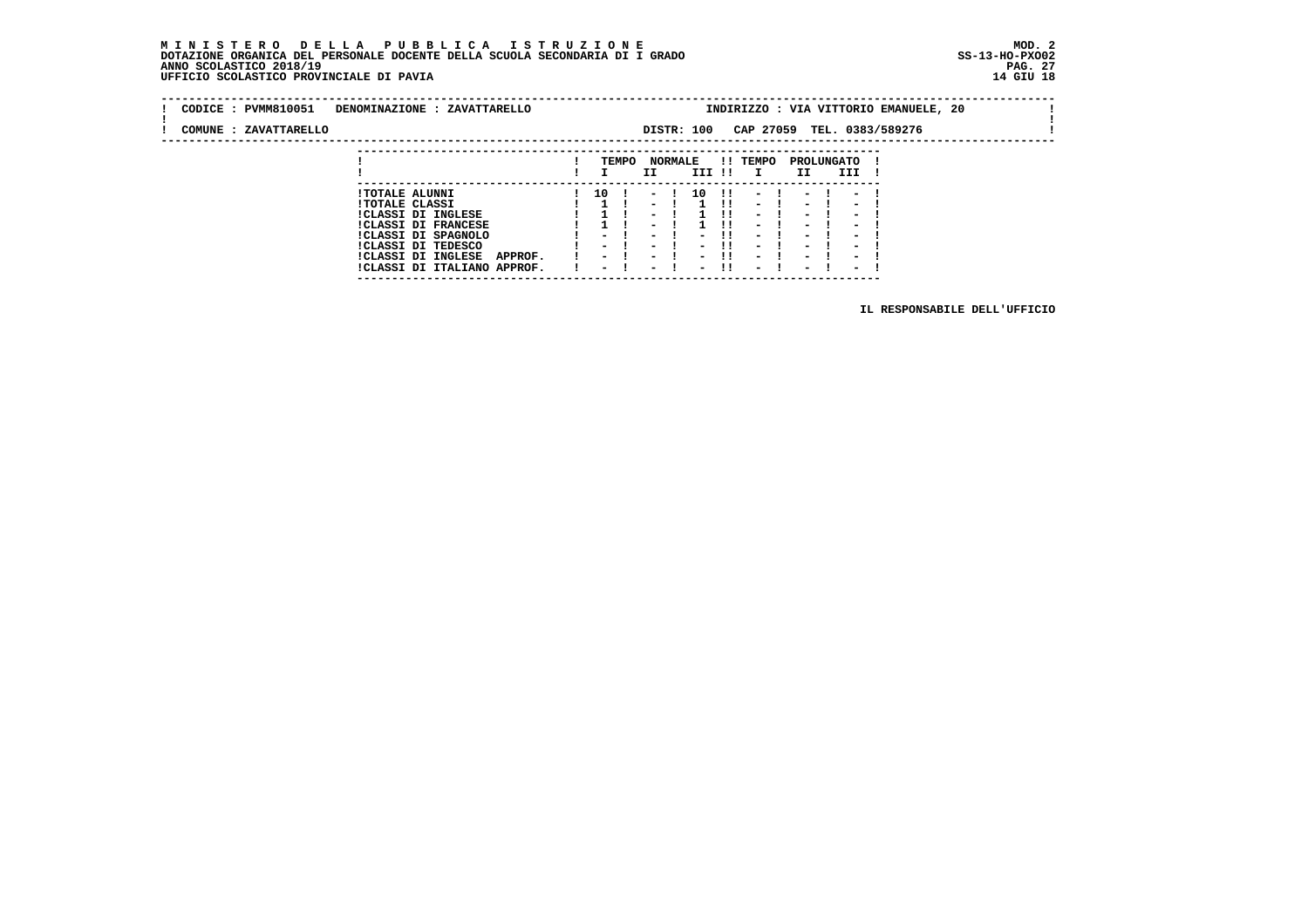**---------------------------------------------------------------------------**

| CODICE: PVMM810051<br>COMUNE : ZAVATTARELLO | DENOMINAZIONE : ZAVATTARELLO                                                                                                                                                                                          |                                          |       |                                                              |                | DISTR: 100   |      | CAP 27059                                                                                                                                                                              |                                                                                                                                                                    | TEL. 0383/589276                                                                           | INDIRIZZO : VIA VITTORIO EMANUELE, 20 |  |  |
|---------------------------------------------|-----------------------------------------------------------------------------------------------------------------------------------------------------------------------------------------------------------------------|------------------------------------------|-------|--------------------------------------------------------------|----------------|--------------|------|----------------------------------------------------------------------------------------------------------------------------------------------------------------------------------------|--------------------------------------------------------------------------------------------------------------------------------------------------------------------|--------------------------------------------------------------------------------------------|---------------------------------------|--|--|
|                                             |                                                                                                                                                                                                                       |                                          | TEMPO | II                                                           | <b>NORMALE</b> | III !!       |      | !! TEMPO<br>$\mathbf{I}$                                                                                                                                                               | II.                                                                                                                                                                | PROLUNGATO<br>III                                                                          |                                       |  |  |
|                                             | <b>!TOTALE ALUNNI</b><br><b>!TOTALE CLASSI</b><br><b>!CLASSI DI INGLESE</b><br><b>!CLASSI DI FRANCESE</b><br>!CLASSI DI SPAGNOLO<br>CLASSI DI TEDESCO<br>ICLASSI DI INGLESE<br>APPROF.<br>!CLASSI DI ITALIANO APPROF. | 10<br>$\overline{\phantom{0}}$<br>$\sim$ |       | $-1$<br>$\overline{\phantom{a}}$<br>$\overline{\phantom{0}}$ |                | 10<br>$\sim$ | - 11 | $\sim$<br>$\overline{\phantom{0}}$<br>$\blacksquare$<br>$\overline{\phantom{0}}$<br>$\overline{\phantom{0}}$<br>$\overline{\phantom{0}}$<br>$\overline{\phantom{0}}$<br>$\blacksquare$ | $\overline{\phantom{0}}$<br>$\blacksquare$<br>$\overline{\phantom{0}}$<br>$\blacksquare$<br>$\blacksquare$<br>$\overline{\phantom{0}}$<br>$\overline{\phantom{0}}$ | $\overline{\phantom{0}}$<br>$\overline{\phantom{0}}$<br>$\overline{\phantom{0}}$<br>-<br>- |                                       |  |  |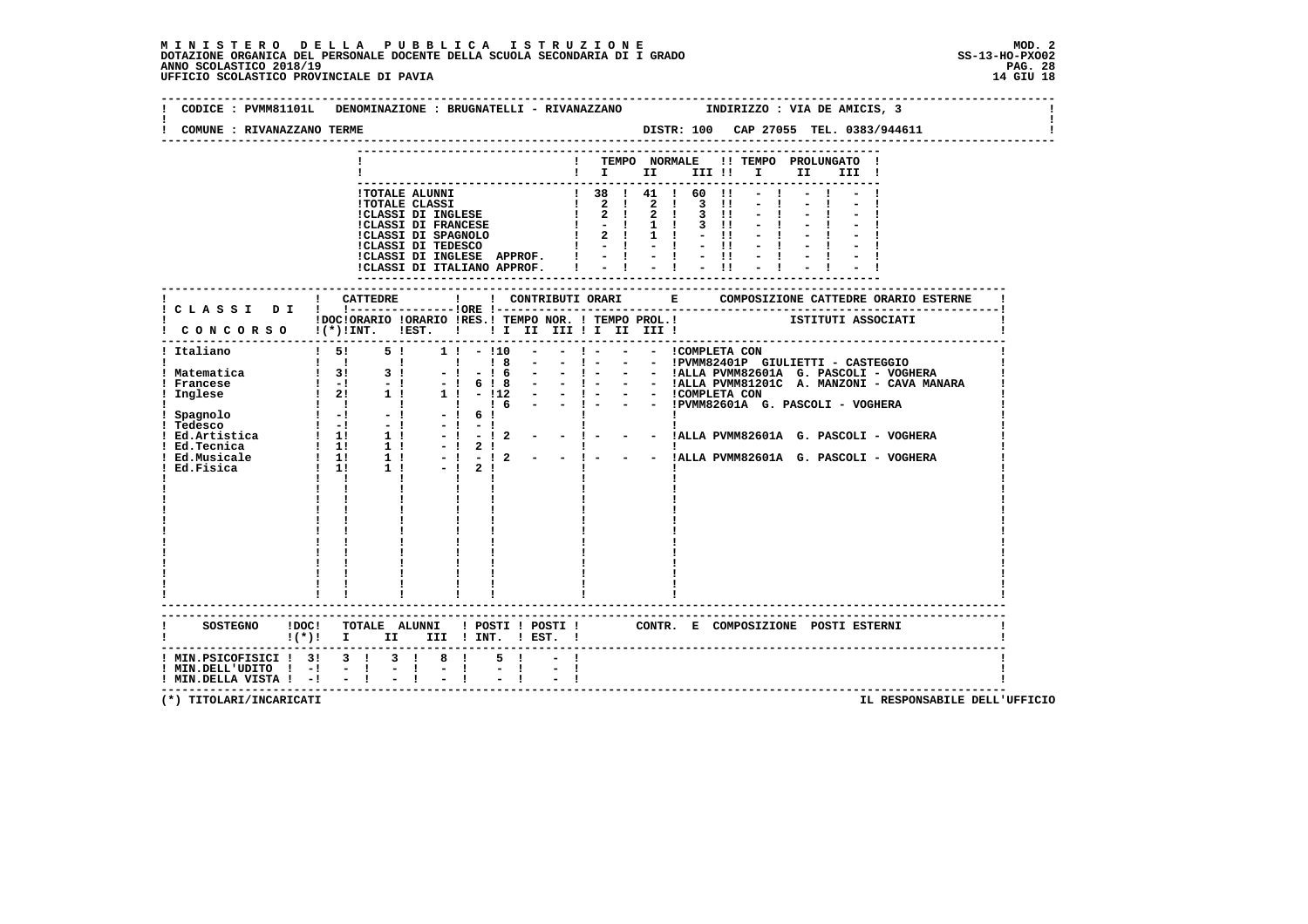| COMUNE : RIVANAZZANO TERME | CODICE: PVMM81101L DENOMINAZIONE: BRUGNATELLI - RIVANAZZANO          INDIRIZZO: VIA DE AMICIS, 3 |
|----------------------------|--------------------------------------------------------------------------------------------------|
|                            | DISTR: 100 CAP 27055 TEL. 0383/944611                                                            |
|                            | ! TEMPO NORMALE !! TEMPO PROLUNGATO !                                                            |
|                            | $\mathbf{I}$ is the set of $\mathbf{I}$<br>III !!!!!<br>II I<br>III !                            |
|                            |                                                                                                  |
|                            |                                                                                                  |
|                            |                                                                                                  |
|                            |                                                                                                  |
|                            |                                                                                                  |
|                            |                                                                                                  |
|                            |                                                                                                  |
|                            | ! CATTEDRE                                                                                       |
|                            | ! CLASSI DI ! !----------------!ORE !---                                                         |
|                            |                                                                                                  |
|                            | CONCORSO !(*)!INT. !EST. !! I II III !I III III !<br>--------------------------------------      |
| ! Italiano                 | ! 5! 5! 1! - !10 - - ! - - - ICOMPLETA CON                                                       |
|                            |                                                                                                  |
|                            |                                                                                                  |
|                            |                                                                                                  |
|                            |                                                                                                  |
|                            |                                                                                                  |
|                            |                                                                                                  |
|                            |                                                                                                  |
|                            |                                                                                                  |
|                            |                                                                                                  |
|                            | $\mathbf{I}$ $\mathbf{I}$                                                                        |
|                            |                                                                                                  |
|                            |                                                                                                  |
|                            |                                                                                                  |
|                            |                                                                                                  |
|                            |                                                                                                  |
|                            |                                                                                                  |
|                            |                                                                                                  |
|                            |                                                                                                  |
|                            |                                                                                                  |
|                            | SOSTEGNO !DOC! TOTALE ALUNNI ! POSTI ! POSTI ! CONTR. E COMPOSIZIONE POSTI ESTERNI               |
|                            | $!(*)!$ I II III ! INT. ! EST. !                                                                 |
|                            | ! MIN.PSICOFISICI ! 3! 3 ! 3 ! 8 !<br>5 <sub>1</sub>                                             |
| ! MIN.DELL'UDITO ! -!      | $-1$                                                                                             |
| ! MIN.DELLA VISTA ! -! - ! |                                                                                                  |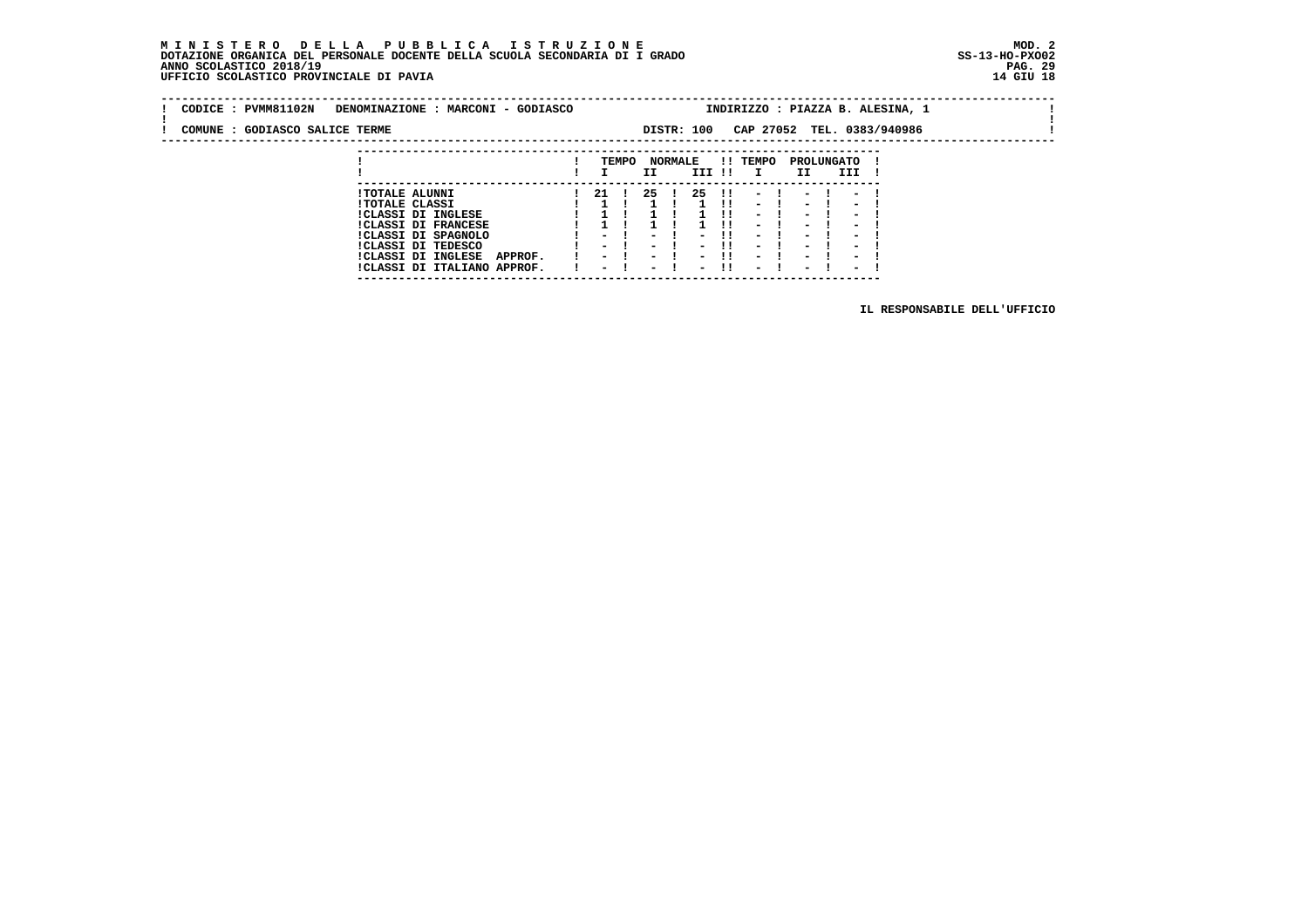# **M I N I S T E R O D E L L A P U B B L I C A I S T R U Z I O N E MOD. 2**DOTAZIONE ORGANICA DEL PERSONALE DOCENTE DELLA SCUOLA SECONDARIA DI I GRADO **SCOLASTICO SS-13-HO-PXO02**<br>PAGO SCOLASTICO 2018/19<br>14 GIU 18 PERSONASTICO PROVINCIALE DI PAVIA

|  |                                | CODICE : PVMM81102N DENOMINAZIONE : MARCONI - GODIASCO |     |       |    |                          |     |          |      |                                              | INDIRIZZO : PIAZZA B. ALESINA, 1 |  |
|--|--------------------------------|--------------------------------------------------------|-----|-------|----|--------------------------|-----|----------|------|----------------------------------------------|----------------------------------|--|
|  | COMUNE : GODIASCO SALICE TERME |                                                        |     |       |    | DISTR: 100               |     |          |      |                                              | CAP 27052 TEL. 0383/940986       |  |
|  |                                |                                                        |     | TEMPO | II | <b>NORMALE</b><br>III !! |     | !! TEMPO | II I | PROLUNGATO<br><b>III</b>                     |                                  |  |
|  |                                | <b>!TOTALE ALUNNI</b><br><b>!TOTALE CLASSI</b>         | -21 |       | 25 | 25                       | -11 | $-1$     |      | $11 - 1 - 1 - 1$<br>$\overline{\phantom{0}}$ |                                  |  |

 **---------------------------------------------------------------------------**

| ITOTALE CLASSI |                             |               |  |  |  | 1 1 1 1 1 1 1 1 - 1 - 1 - 1    |           |  |      |  |
|----------------|-----------------------------|---------------|--|--|--|--------------------------------|-----------|--|------|--|
|                | !CLASSI DI INGLESE          |               |  |  |  | $1 \t1 \t1 \t1 \t-1 \t-1 \t-1$ |           |  |      |  |
|                | <b>!CLASSI DI FRANCESE</b>  |               |  |  |  | 1 1 1 1 1 1 1 1 - 1 - 1 - 1    |           |  |      |  |
|                | !CLASSI DI SPAGNOLO         |               |  |  |  | $-1$ $-1$ $-11$ $-1$ $-1$ $-1$ |           |  |      |  |
|                | CLASSI DI TEDESCO           |               |  |  |  | $-1$ $-1$ $-11$ $-1$ $-1$ $-1$ |           |  |      |  |
|                | <b>!CLASSI DI INGLESE</b>   | <b>APPROF</b> |  |  |  | 1 - 1 - 1 - 11 - 1 - 1 - 1     |           |  |      |  |
|                | !CLASSI DI ITALIANO APPROF. |               |  |  |  | $-1$ $-1$ $-11$                | $-1$ $-1$ |  | $-1$ |  |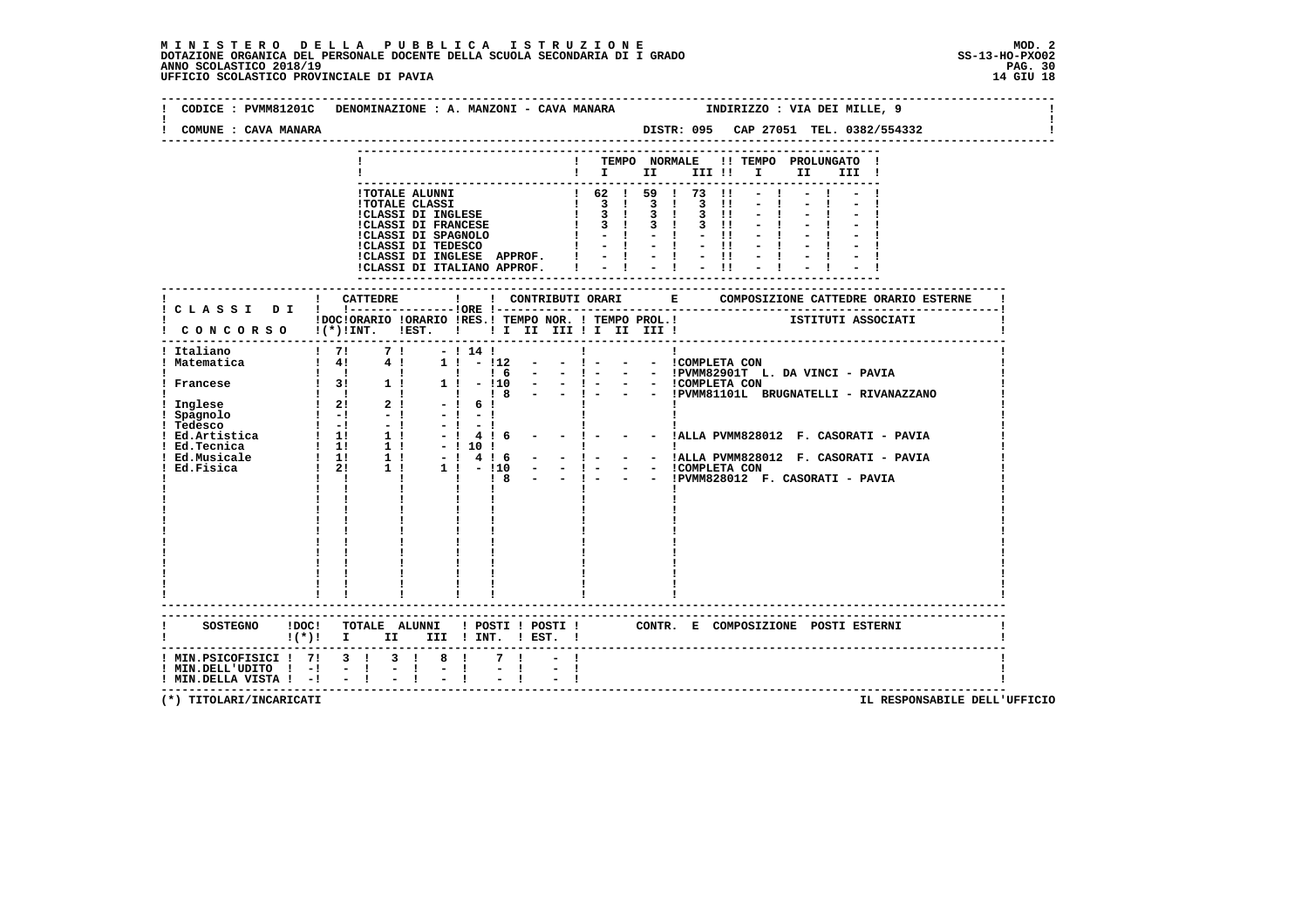### **M I N I S T E R O D E L L A P U B B L I C A I S T R U Z I O N E MOD. 2**DOTAZIONE ORGANICA DEL PERSONALE DOCENTE DELLA SCUOLA SECONDARIA DI I GRADO **SCOLASTICO SS-13-HO-PXO02**<br>PAGO SCOLASTICO 2018/19<br>14 GIU 18 PERSONASTICO PROVINCIALE DI PAVIA

| COMUNE : CAVA MANARA                                             | DISTR: 095 CAP 27051 TEL. 0382/554332                                                                                                             |
|------------------------------------------------------------------|---------------------------------------------------------------------------------------------------------------------------------------------------|
|                                                                  | ! TEMPO NORMALE !! TEMPO PROLUNGATO !<br>$\mathbf{I}$ is the set of $\mathbf{I}$<br>III !!!!!<br>II<br>III !                                      |
|                                                                  |                                                                                                                                                   |
|                                                                  | ! CONCORSO !(*)!INT. !EST. ! ! I II III ! I III !                                                                                                 |
|                                                                  |                                                                                                                                                   |
|                                                                  | -------------------------------------<br>SOSTEGNO !DOC! TOTALE ALUNNI ! POSTI ! POSTI ! CONTR. E COMPOSIZIONE POSTI ESTERNI                       |
| $!$ MIN.DELL'UDITO $!$ - $!$ - $!$<br>! MIN.DELLA VISTA ! -! - ! | $!(*)!$ I II III ! INT. ! EST. !<br>! MIN.PSICOFISICI ! 7! 3 ! 3 ! 8 !<br>7 !<br>$\sigma=1$ .<br>$\sigma = 1$ .<br>$\mathbb{Z} \times \mathbb{R}$ |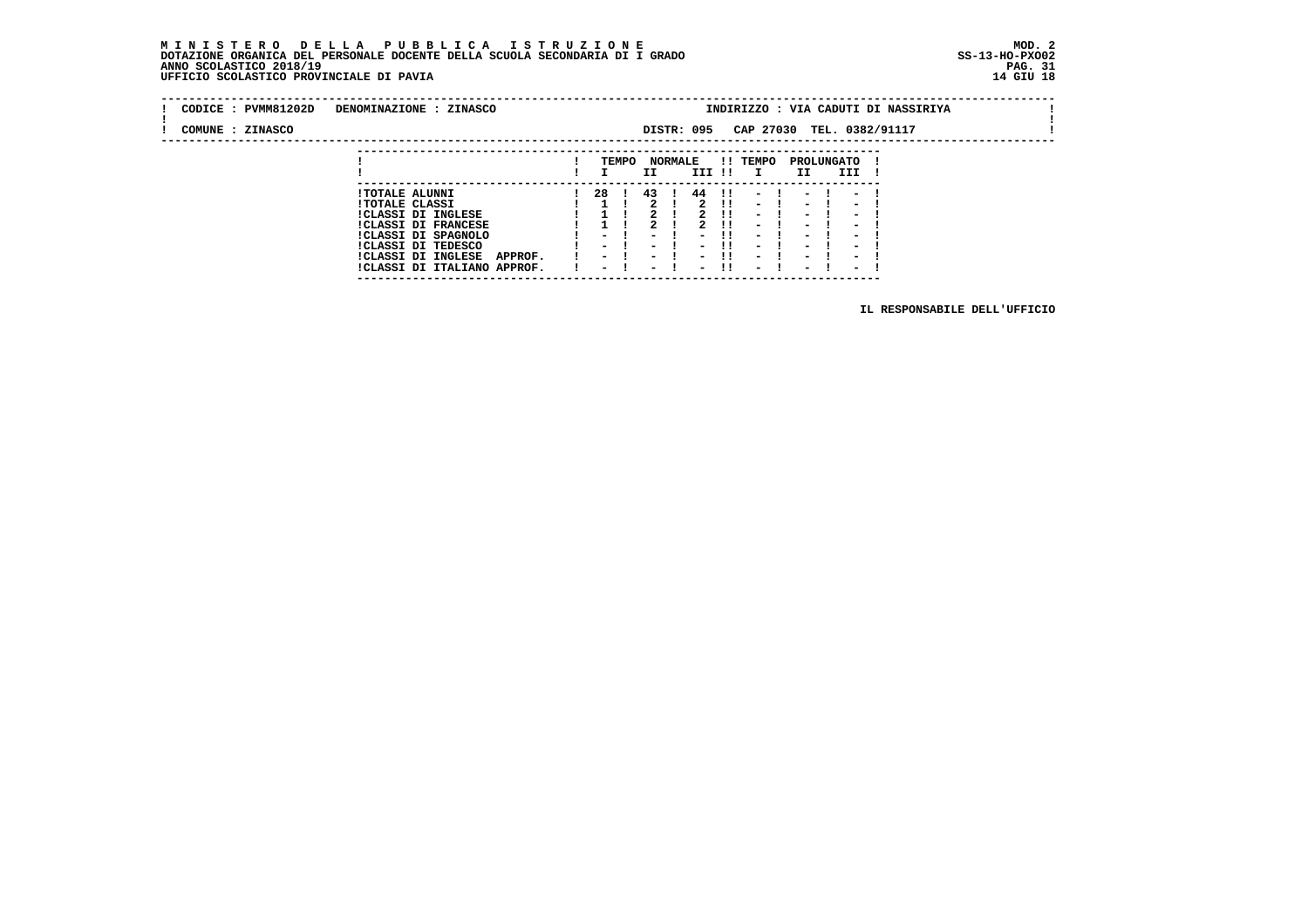#### **M I N I S T E R O D E L L A P U B B L I C A I S T R U Z I O N E MOD. 2 DOTAZIONE ORGANICA DEL PERSONALE DOCENTE DELLA SCUOLA SECONDARIA DI I GRADO ANNO SCOLASTICO 2018/19** UFFICIO SCOLASTICO PROVINCIALE DI PAVIA

| CODICE : PVMM81202D | DENOMINAZIONE : ZINASCO                                                                                   |    |       |    |                |            |                            |                                  |                  |              |                                                                | INDIRIZZO : VIA CADUTI DI NASSIRIYA |  |
|---------------------|-----------------------------------------------------------------------------------------------------------|----|-------|----|----------------|------------|----------------------------|----------------------------------|------------------|--------------|----------------------------------------------------------------|-------------------------------------|--|
| COMUNE : ZINASCO    |                                                                                                           |    |       |    |                | DISTR: 095 |                            |                                  |                  |              |                                                                | CAP 27030 TEL. 0382/91117           |  |
|                     |                                                                                                           |    | TEMPO | II | <b>NORMALE</b> | III !!     |                            | !! TEMPO<br>$\mathbf{I}$         | PROLUNGATO<br>II |              | III                                                            |                                     |  |
|                     | <b>!TOTALE ALUNNI</b><br><b>!TOTALE CLASSI</b><br><b>!CLASSI DI INGLESE</b><br><b>!CLASSI DI FRANCESE</b> | 28 |       | 43 |                | 44         | $\mathbf{H}$<br>-11<br>-11 | $-1$<br>$-1$<br>$\sim$<br>$\sim$ | $\sim$<br>$\sim$ | $-1$<br>$-1$ | $\overline{\phantom{0}}$<br>$\overline{\phantom{0}}$<br>$\sim$ | $-1$                                |  |

 **!CLASSI DI SPAGNOLO ! - ! - ! - !! - ! - ! - ! !CLASSI DI TEDESCO ! - ! - ! - !! - ! - ! - ! !CLASSI DI INGLESE APPROF. ! - ! - ! - !! - ! - ! - ! !CLASSI DI ITALIANO APPROF. ! - ! - ! - !! - ! - ! - ! ---------------------------------------------------------------------------**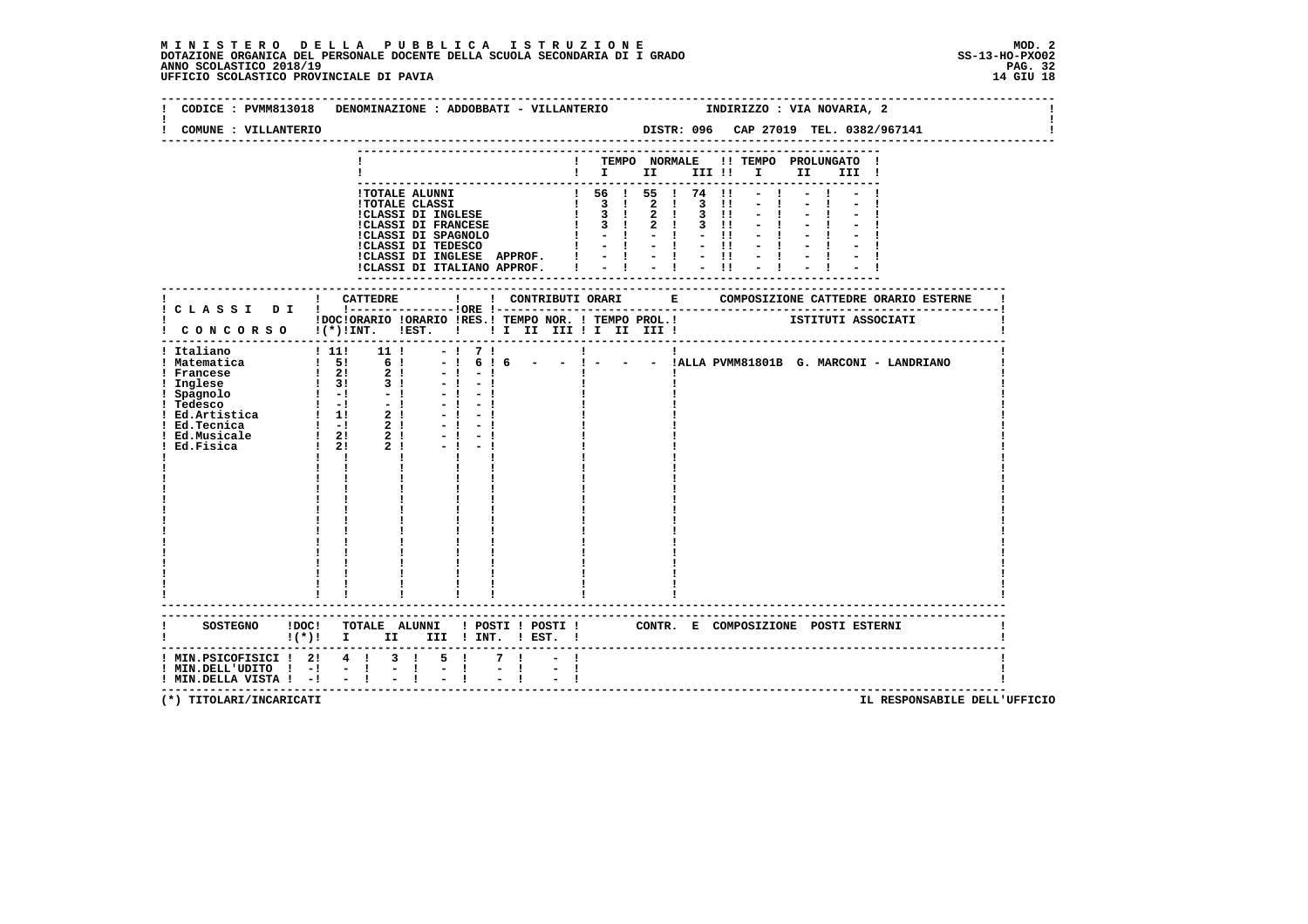### **M I N I S T E R O D E L L A P U B B L I C A I S T R U Z I O N E MOD. 2**DOTAZIONE ORGANICA DEL PERSONALE DOCENTE DELLA SCUOLA SECONDARIA DI I GRADO **SCOLASTICO SS-13-HO-PXO02**<br>PAGO SCOLASTICO 2018/19<br>14 GIU 18 PERSONASTICO PROVINCIALE DI PAVIA

|                                                                           | CODICE: PVMM813018 DENOMINAZIONE: ADDOBBATI - VILLANTERIO TRIDIRIZZO: VIA NOVARIA, 2                                                |
|---------------------------------------------------------------------------|-------------------------------------------------------------------------------------------------------------------------------------|
| COMUNE : VILLANTERIO                                                      | DISTR: 096 CAP 27019 TEL. 0382/967141<br>--------------------------------                                                           |
|                                                                           | ! TEMPO NORMALE !! TEMPO PROLUNGATO !<br>$\blacksquare$ $\blacksquare$ $\blacksquare$ $\blacksquare$<br>III !                       |
|                                                                           |                                                                                                                                     |
|                                                                           | IDOCIORARIO IORARIO IRES.I TEMPO NOR. I TEMPO PROL.I<br>I CONCORSO I(*)INT. IEST. I II II III II III III IIIII                      |
| ! Italiano                                                                | - $\cdot$  <br>- $\cdot$  <br>- $\cdot$  <br>ALLA PVMM81801B G. MARCONI - LANDRIANO<br>$\mathbf{I}$ $\mathbf{I}$                    |
|                                                                           | SOSTEGNO !DOC! TOTALE ALUNNI ! POSTI ! POSTI ! CONTR. E COMPOSIZIONE POSTI ESTERNI<br>!(*)! I II III !INT. ! EST. !                 |
| $!$ MIN.DELL'UDITO $!$ - $!$ - $!$<br>$!$ MIN.DELLA VISTA $!$ - $!$ - $!$ | ! MIN.PSICOFISICI ! 2! 4 ! 3 ! 5 !<br>7 <sub>1</sub><br>$\frac{1}{2}$ $\frac{1}{4}$<br>$\frac{1}{2}$ $\frac{1}{2}$<br>$\frac{1}{2}$ |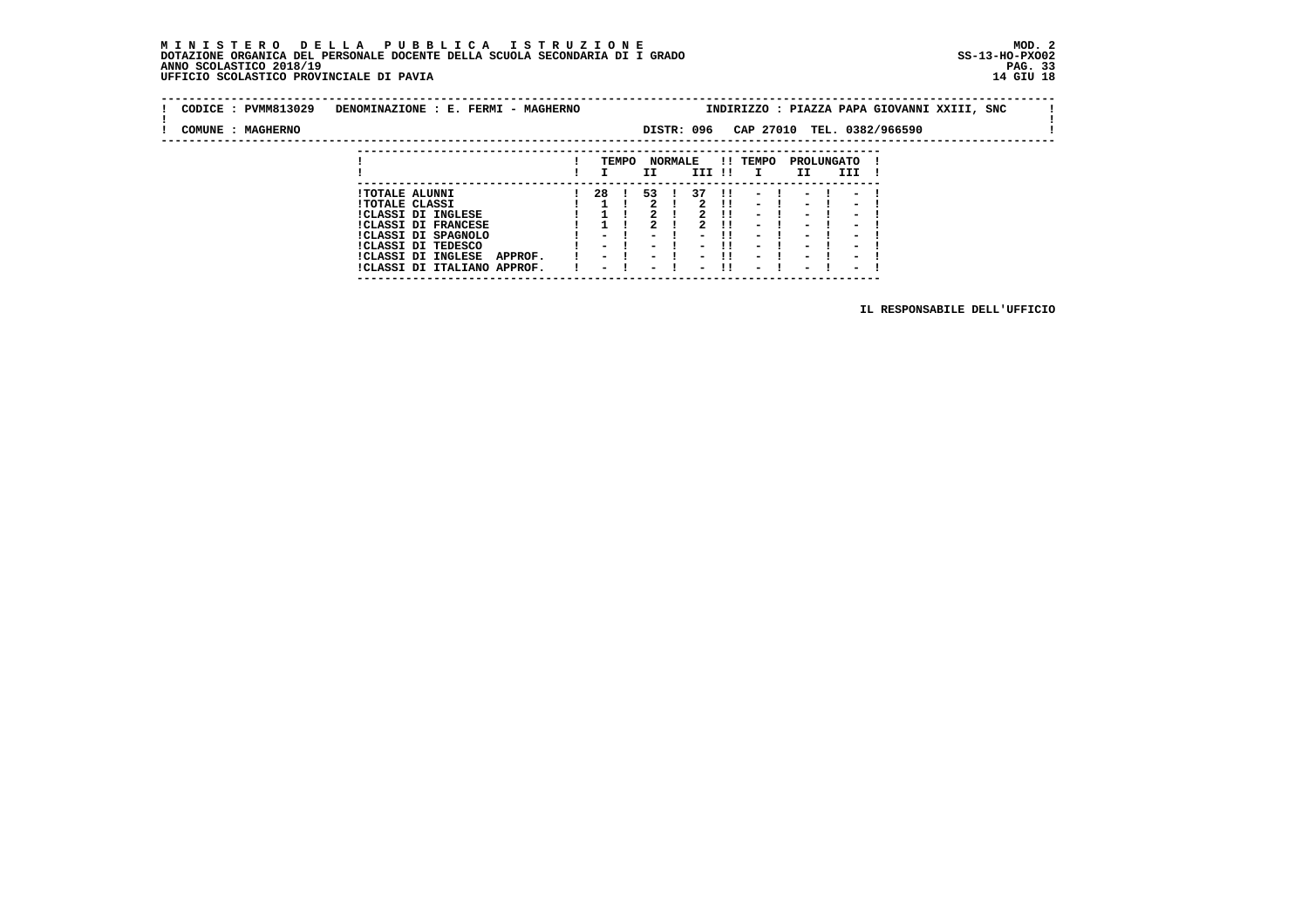### **M I N I S T E R O D E L L A P U B B L I C A I S T R U Z I O N E MOD. 2 DOTAZIONE ORGANICA DEL PERSONALE DOCENTE DELLA SCUOLA SECONDARIA DI I GRADO ANNO SCOLASTICO 2018/19 UFFICIO SCOLASTICO PROVINCIALE DI PAVIA 14 GIU 18**

 **---------------------------------------------------------------------------**

| CODICE : PVMM813029<br>DENOMINAZIONE : E. FERMI - MAGHERNO |                                      |  |                          |       |                          |                | INDIRIZZO : PIAZZA PAPA GIOVANNI XXIII, SNC |              |                          |  |                          |                          |  |                            |  |  |  |
|------------------------------------------------------------|--------------------------------------|--|--------------------------|-------|--------------------------|----------------|---------------------------------------------|--------------|--------------------------|--|--------------------------|--------------------------|--|----------------------------|--|--|--|
| COMUNE : MAGHERNO                                          |                                      |  |                          |       |                          |                | DISTR: 096                                  |              |                          |  |                          |                          |  | CAP 27010 TEL. 0382/966590 |  |  |  |
|                                                            |                                      |  |                          |       |                          |                |                                             |              |                          |  |                          |                          |  |                            |  |  |  |
|                                                            |                                      |  |                          | TEMPO |                          | <b>NORMALE</b> |                                             |              | !! TEMPO                 |  |                          | PROLUNGATO               |  |                            |  |  |  |
|                                                            |                                      |  |                          |       | II.                      |                | III !!                                      |              | $\mathbf{I}$             |  | II                       | III                      |  |                            |  |  |  |
|                                                            |                                      |  |                          |       |                          |                |                                             |              |                          |  |                          |                          |  |                            |  |  |  |
|                                                            | <b>!TOTALE ALUNNI</b>                |  | 28                       |       | 53                       |                | 37                                          | $\mathbf{H}$ | $\sim$ $-$               |  | $\sim$                   | $\sim$ 100 $\mu$         |  |                            |  |  |  |
|                                                            | <b>!TOTALE CLASSI</b>                |  |                          |       |                          |                |                                             | .            | $\sim$                   |  | $\sim$                   | $\overline{\phantom{0}}$ |  |                            |  |  |  |
|                                                            | !CLASSI DI INGLESE                   |  |                          |       | $\mathbf{r}$             |                | $\overline{2}$                              | -11          | $\sim$                   |  | $\overline{\phantom{0}}$ | $\overline{\phantom{0}}$ |  |                            |  |  |  |
|                                                            | <b>!CLASSI DI FRANCESE</b>           |  |                          |       |                          |                |                                             | -11          | $\overline{\phantom{0}}$ |  | ۰.                       | $\overline{\phantom{0}}$ |  |                            |  |  |  |
|                                                            | !CLASSI DI SPAGNOLO                  |  | $\overline{\phantom{0}}$ |       | $\overline{\phantom{0}}$ |                | $\overline{\phantom{0}}$                    |              | $\overline{\phantom{0}}$ |  | $\overline{\phantom{0}}$ | $\overline{\phantom{0}}$ |  |                            |  |  |  |
|                                                            | CLASSI DI TEDESCO                    |  | $\overline{\phantom{0}}$ |       | $\,$                     |                | $\overline{\phantom{0}}$                    |              | $\overline{\phantom{0}}$ |  | $\overline{\phantom{0}}$ | $\overline{\phantom{0}}$ |  |                            |  |  |  |
|                                                            | <b>!CLASSI DI INGLESE</b><br>APPROF. |  | $\sim$                   |       | $\overline{\phantom{0}}$ |                |                                             | -11          | $\overline{\phantom{0}}$ |  | $\overline{\phantom{0}}$ | $\overline{\phantom{0}}$ |  |                            |  |  |  |
|                                                            | !CLASSI DI ITALIANO APPROF.          |  | $\overline{\phantom{0}}$ |       | $\overline{\phantom{0}}$ |                | $\overline{\phantom{0}}$                    | -11          | $\sim$                   |  | $\overline{\phantom{0}}$ | $\overline{\phantom{0}}$ |  |                            |  |  |  |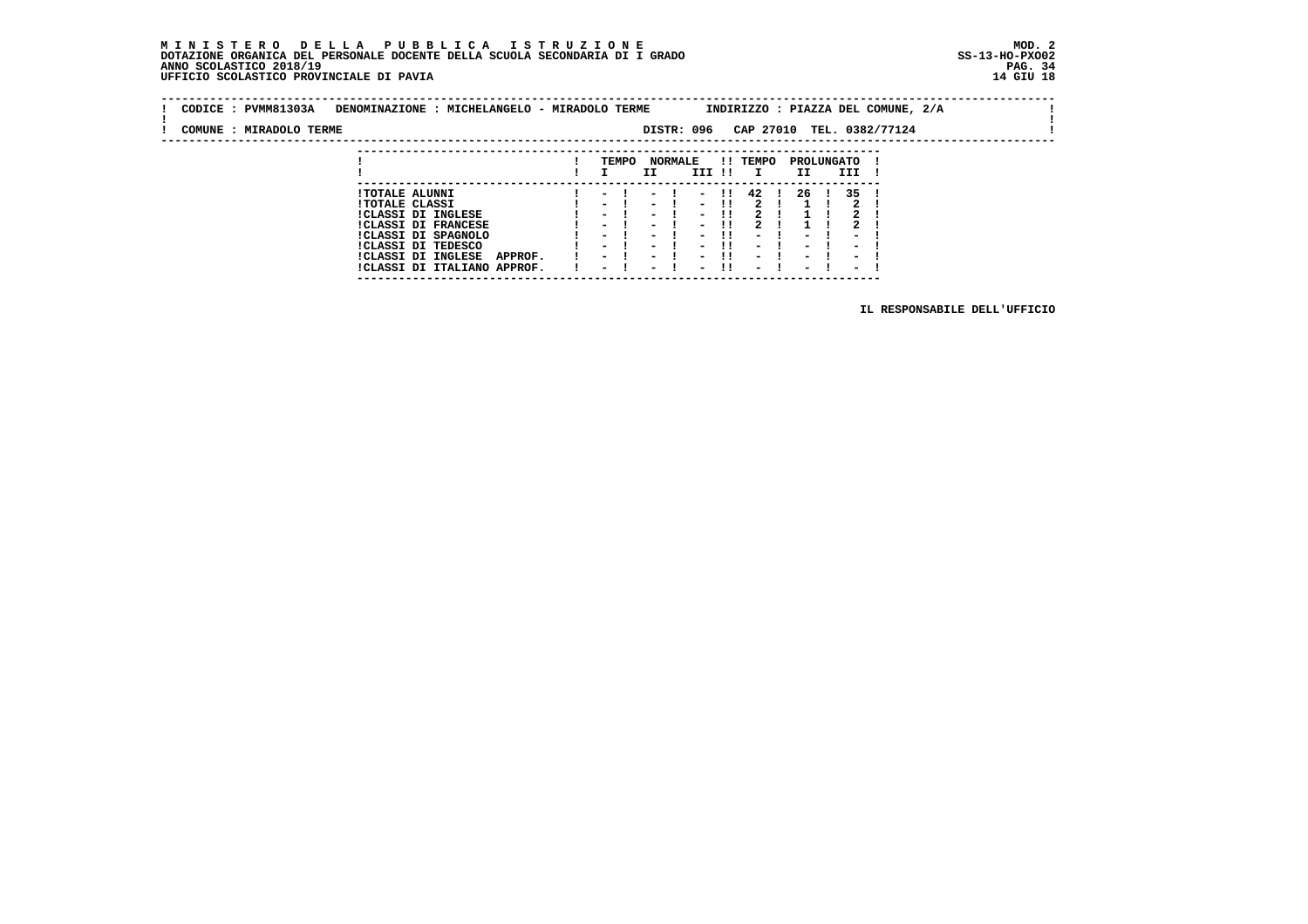### **M I N I S T E R O D E L L A P U B B L I C A I S T R U Z I O N E MOD. 2 DOTAZIONE ORGANICA DEL PERSONALE DOCENTE DELLA SCUOLA SECONDARIA DI I GRADO ANNO SCOLASTICO 2018/19** UFFICIO SCOLASTICO PROVINCIALE DI PAVIA

 **---------------------------------------------------------------------------**

| CODICE: PVMM81303A      | DENOMINAZIONE : MICHELANGELO - MIRADOLO TERME |                  |                |            |       |              |                |            |      | INDIRIZZO : PIAZZA DEL COMUNE, 2/A |  |
|-------------------------|-----------------------------------------------|------------------|----------------|------------|-------|--------------|----------------|------------|------|------------------------------------|--|
| COMUNE : MIRADOLO TERME |                                               |                  |                | DISTR: 096 |       |              |                |            |      | CAP 27010 TEL. 0382/77124          |  |
|                         |                                               |                  |                |            |       |              |                |            |      |                                    |  |
|                         |                                               | TEMPO            | <b>NORMALE</b> |            |       | !! TEMPO     |                | PROLUNGATO |      |                                    |  |
|                         |                                               |                  | ΙI             | III !!     |       | $\mathbf{I}$ | II             |            | III  |                                    |  |
|                         | <b>!TOTALE ALUNNI</b>                         | $-1$             | $-1$           |            |       |              | - !! 42 ! 26 ! |            | 35 ! |                                    |  |
|                         | <b>!TOTALE CLASSI</b>                         | $\sim$ 100 $\mu$ | $\sim$ $\sim$  | $\sim$     | -11   |              |                |            |      |                                    |  |
|                         | <b>!CLASSI DI INGLESE</b>                     | - 1              | - 1            |            | $-11$ |              |                |            |      |                                    |  |
|                         | ICLASSI DI FRANCESE                           | - !              | $\sim$ $\sim$  | $\sim$     |       |              |                |            |      |                                    |  |
|                         | 17737777777777777                             |                  |                |            |       |              |                |            |      |                                    |  |

 **!CLASSI DI SPAGNOLO ! - ! - ! - !! - ! - ! - ! !CLASSI DI TEDESCO ! - ! - ! - !! - ! - ! - ! !CLASSI DI INGLESE APPROF. ! - ! - ! - !! - ! - ! - ! !CLASSI DI ITALIANO APPROF. ! - ! - ! - !! - ! - ! - !**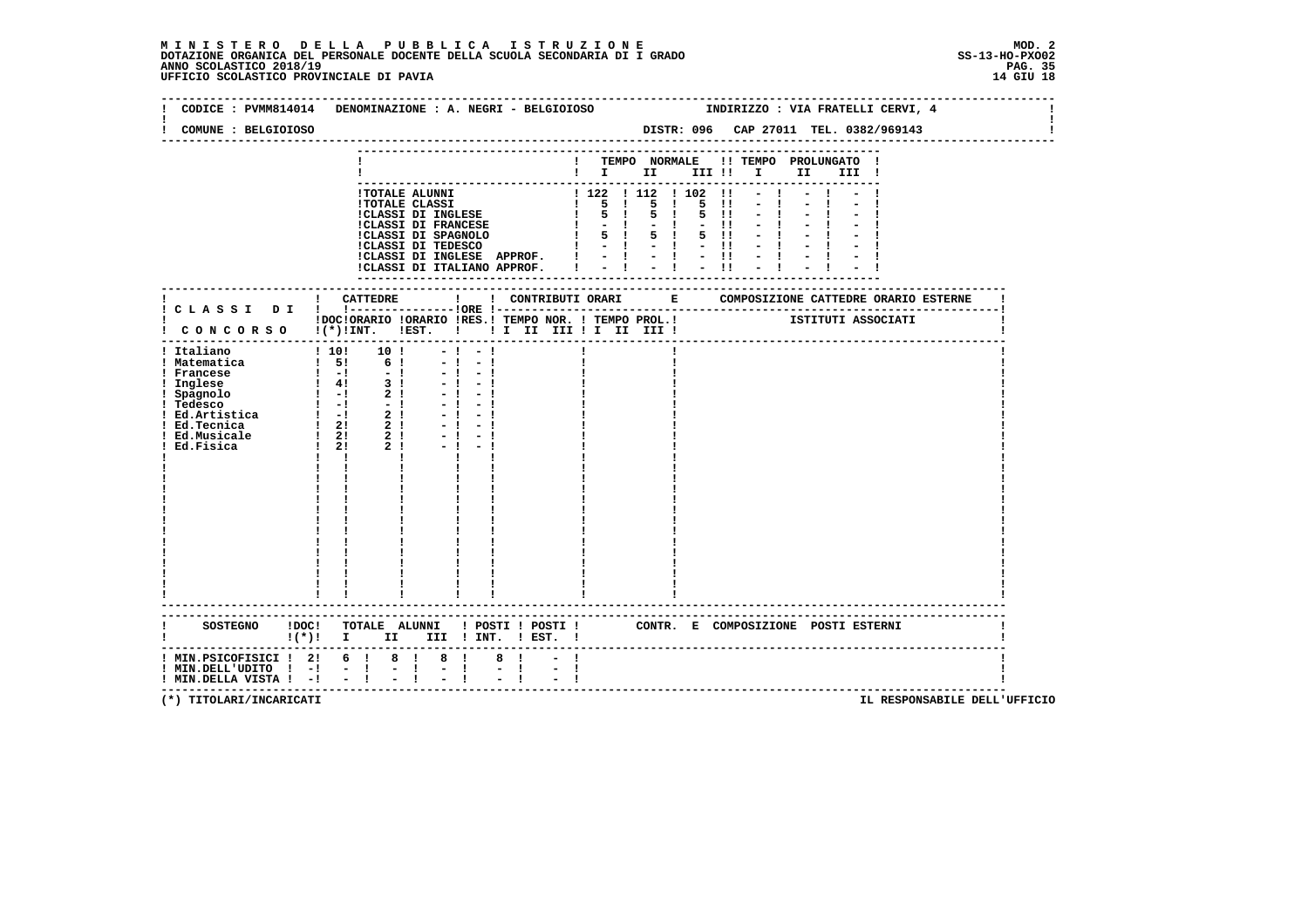# **M I N I S T E R O D E L L A P U B B L I C A I S T R U Z I O N E MOD. 2**DOTAZIONE ORGANICA DEL PERSONALE DOCENTE DELLA SCUOLA SECONDARIA DI I GRADO **SCOLASTICO SS-13-HO-PXOO2**<br>PAGO SCOLASTICO 2018/19<br>14 GIU 18 PERSONASTICO PROVINCIALE DI PAVIA

| CODICE : PVMM814014<br>COMUNE : BELGIOIOSO | DENOMINAZIONE : A. NEGRI - BELGIOIOSO                           |                                                                                                                                                                                                                                                |                                                                                                          |      | INDIRIZZO : VIA FRATELLI CERVI, 4<br>DISTR: 096 CAP 27011 TEL. 0382/969143 |  |
|--------------------------------------------|-----------------------------------------------------------------|------------------------------------------------------------------------------------------------------------------------------------------------------------------------------------------------------------------------------------------------|----------------------------------------------------------------------------------------------------------|------|----------------------------------------------------------------------------|--|
|                                            |                                                                 |                                                                                                                                                                                                                                                |                                                                                                          |      |                                                                            |  |
|                                            |                                                                 |                                                                                                                                                                                                                                                |                                                                                                          |      |                                                                            |  |
|                                            |                                                                 |                                                                                                                                                                                                                                                | ! TEMPO NORMALE !! TEMPO PROLUNGATO !                                                                    |      |                                                                            |  |
|                                            |                                                                 |                                                                                                                                                                                                                                                | $\blacksquare$ $\blacksquare$ $\blacksquare$ $\blacksquare$ $\blacksquare$ $\blacksquare$ $\blacksquare$ |      | II III !                                                                   |  |
|                                            |                                                                 |                                                                                                                                                                                                                                                |                                                                                                          |      |                                                                            |  |
|                                            |                                                                 | ! TOTALE ALUNNI<br>! TOTALE CLASSI<br>! 122   112   102   !<br>! 122   112   102   !<br>! 5 ! 5 ! 5 !!<br>! CLASSI DI FRANCESE<br>! 5 ! 5 ! 5 !!<br>! CLASSI DI SPAGNOLO   5 ! 5 !!<br>! CLASSI DI SPAGNOLO   5 ! 5 !!<br>! CLASSI DI SPAGNOLO |                                                                                                          |      |                                                                            |  |
|                                            |                                                                 |                                                                                                                                                                                                                                                |                                                                                                          | 5 11 |                                                                            |  |
|                                            |                                                                 |                                                                                                                                                                                                                                                |                                                                                                          |      |                                                                            |  |
|                                            |                                                                 |                                                                                                                                                                                                                                                |                                                                                                          |      |                                                                            |  |
|                                            |                                                                 |                                                                                                                                                                                                                                                |                                                                                                          |      |                                                                            |  |
|                                            |                                                                 |                                                                                                                                                                                                                                                |                                                                                                          |      |                                                                            |  |
|                                            |                                                                 |                                                                                                                                                                                                                                                |                                                                                                          |      |                                                                            |  |
|                                            |                                                                 |                                                                                                                                                                                                                                                |                                                                                                          |      |                                                                            |  |
|                                            |                                                                 |                                                                                                                                                                                                                                                | -----------------                                                                                        |      |                                                                            |  |
|                                            |                                                                 |                                                                                                                                                                                                                                                |                                                                                                          |      |                                                                            |  |
|                                            |                                                                 |                                                                                                                                                                                                                                                |                                                                                                          |      |                                                                            |  |
|                                            | ! CONCORSO !(*)!INT. !EST. !!! II III !I III III !              |                                                                                                                                                                                                                                                |                                                                                                          |      |                                                                            |  |
|                                            |                                                                 |                                                                                                                                                                                                                                                |                                                                                                          |      |                                                                            |  |
| ! Italiano                                 | 1 10! 10!                                                       | $-1$<br>$-1$                                                                                                                                                                                                                                   |                                                                                                          |      |                                                                            |  |
| ! Matematica                               | $1 \t5! \t6!$                                                   | $-1 - 1$                                                                                                                                                                                                                                       |                                                                                                          |      |                                                                            |  |
|                                            |                                                                 | $-1$<br>$-1$                                                                                                                                                                                                                                   |                                                                                                          |      |                                                                            |  |
|                                            | $-1$                                                            |                                                                                                                                                                                                                                                |                                                                                                          |      |                                                                            |  |
|                                            | $-1$                                                            |                                                                                                                                                                                                                                                |                                                                                                          |      |                                                                            |  |
|                                            | - !                                                             |                                                                                                                                                                                                                                                |                                                                                                          |      |                                                                            |  |
|                                            |                                                                 | $-1$                                                                                                                                                                                                                                           |                                                                                                          |      |                                                                            |  |
|                                            | $-1$                                                            |                                                                                                                                                                                                                                                |                                                                                                          |      |                                                                            |  |
|                                            |                                                                 |                                                                                                                                                                                                                                                |                                                                                                          |      |                                                                            |  |
|                                            | $1 \quad 1$                                                     |                                                                                                                                                                                                                                                |                                                                                                          |      |                                                                            |  |
|                                            |                                                                 |                                                                                                                                                                                                                                                |                                                                                                          |      |                                                                            |  |
|                                            |                                                                 |                                                                                                                                                                                                                                                |                                                                                                          |      |                                                                            |  |
|                                            |                                                                 |                                                                                                                                                                                                                                                |                                                                                                          |      |                                                                            |  |
|                                            |                                                                 |                                                                                                                                                                                                                                                |                                                                                                          |      |                                                                            |  |
|                                            |                                                                 |                                                                                                                                                                                                                                                |                                                                                                          |      |                                                                            |  |
|                                            |                                                                 |                                                                                                                                                                                                                                                |                                                                                                          |      |                                                                            |  |
|                                            |                                                                 |                                                                                                                                                                                                                                                |                                                                                                          |      |                                                                            |  |
|                                            |                                                                 |                                                                                                                                                                                                                                                |                                                                                                          |      |                                                                            |  |
|                                            |                                                                 |                                                                                                                                                                                                                                                |                                                                                                          |      |                                                                            |  |
|                                            |                                                                 |                                                                                                                                                                                                                                                |                                                                                                          |      |                                                                            |  |
|                                            |                                                                 |                                                                                                                                                                                                                                                |                                                                                                          |      |                                                                            |  |
|                                            |                                                                 |                                                                                                                                                                                                                                                |                                                                                                          |      |                                                                            |  |
|                                            |                                                                 |                                                                                                                                                                                                                                                |                                                                                                          |      |                                                                            |  |
|                                            |                                                                 |                                                                                                                                                                                                                                                |                                                                                                          |      |                                                                            |  |
|                                            |                                                                 |                                                                                                                                                                                                                                                |                                                                                                          |      |                                                                            |  |
|                                            | $!(*)!$ I II                                                    | III ! INT. ! EST. !                                                                                                                                                                                                                            |                                                                                                          |      |                                                                            |  |
|                                            | $!$ MIN.PSICOFISICI $!$ 2! 6 ! 8 !                              | $8 \quad 1$<br>$8 \quad 1$                                                                                                                                                                                                                     |                                                                                                          |      |                                                                            |  |
|                                            |                                                                 | $-1$ $-1$                                                                                                                                                                                                                                      | $-1$                                                                                                     |      |                                                                            |  |
| ! MIN.DELLA VISTA ! -! - !                 | ! MIN.DELL'UDITO ! -! - ! - !<br>! MIN.DELLA VISTA ! -! - ! - ! | $\frac{1}{2}$ $\frac{1}{1}$                                                                                                                                                                                                                    |                                                                                                          |      |                                                                            |  |
|                                            |                                                                 |                                                                                                                                                                                                                                                |                                                                                                          |      |                                                                            |  |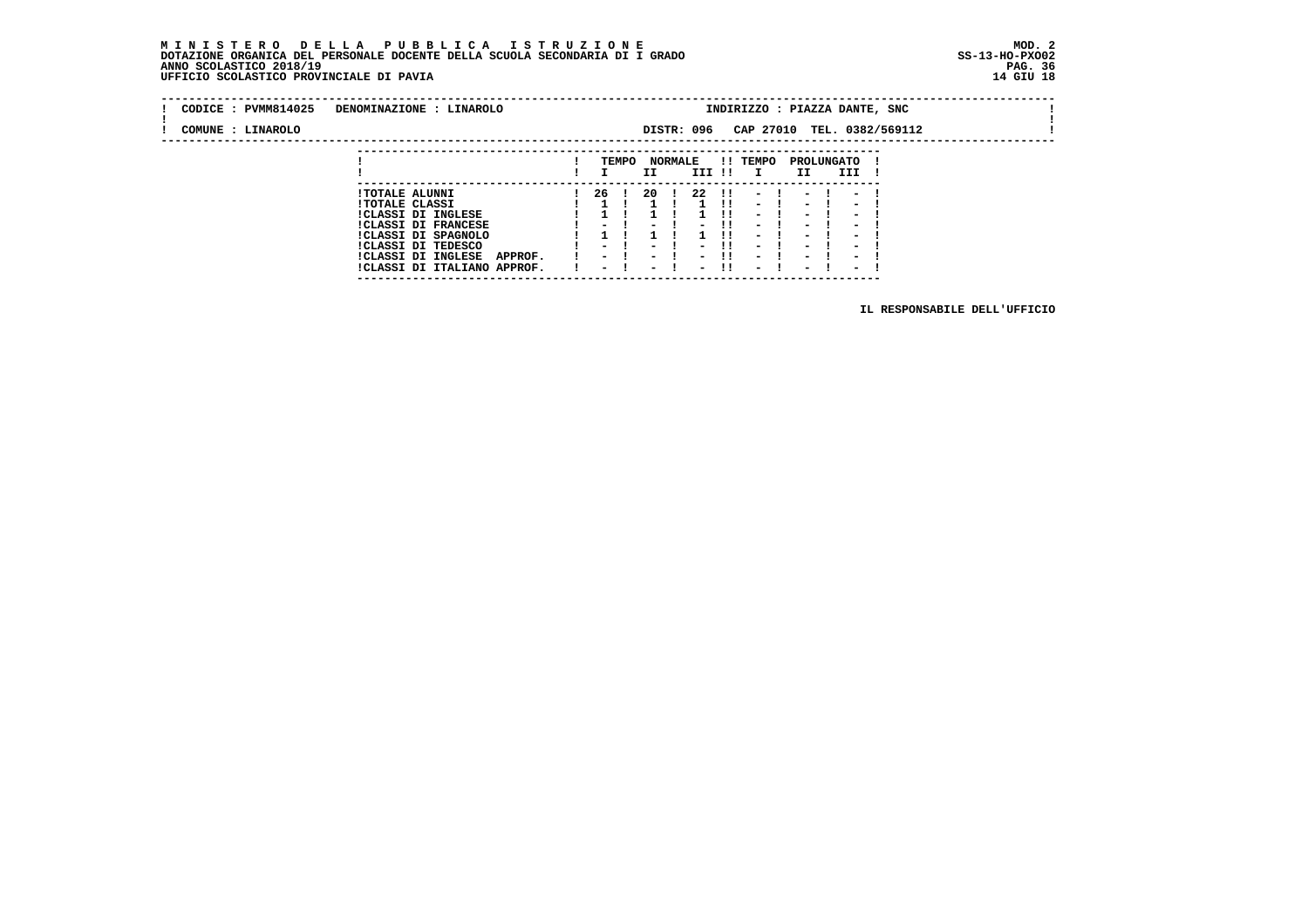### **M I N I S T E R O D E L L A P U B B L I C A I S T R U Z I O N E MOD. 2 DOTAZIONE ORGANICA DEL PERSONALE DOCENTE DELLA SCUOLA SECONDARIA DI I GRADO ANNO SCOLASTICO 2018/19** UFFICIO SCOLASTICO PROVINCIALE DI PAVIA

 **---------------------------------------------------------------------------**

| CODICE : PVMM814025 | DENOMINAZIONE : LINAROLO             | INDIRIZZO : PIAZZA DANTE, SNC<br>CAP 27010 TEL. 0382/569112<br>DISTR: 096 |                          |       |                          |                |                          |               |                          |  |                          |                          |  |  |  |  |
|---------------------|--------------------------------------|---------------------------------------------------------------------------|--------------------------|-------|--------------------------|----------------|--------------------------|---------------|--------------------------|--|--------------------------|--------------------------|--|--|--|--|
| COMUNE : LINAROLO   |                                      |                                                                           |                          |       |                          |                |                          |               |                          |  |                          |                          |  |  |  |  |
|                     |                                      |                                                                           |                          |       |                          |                |                          |               |                          |  |                          |                          |  |  |  |  |
|                     |                                      |                                                                           |                          | TEMPO |                          | <b>NORMALE</b> |                          |               | !! TEMPO                 |  |                          | PROLUNGATO               |  |  |  |  |
|                     |                                      |                                                                           |                          |       | II                       |                | III !!                   |               | $\mathbf{I}$             |  | II                       | III                      |  |  |  |  |
|                     | <b>!TOTALE ALUNNI</b>                |                                                                           | 26 !                     |       | -20                      |                | -22                      | $\mathbf{11}$ |                          |  |                          |                          |  |  |  |  |
|                     | <b>!TOTALE CLASSI</b>                |                                                                           |                          |       |                          |                |                          |               | $\sim$                   |  | $\overline{\phantom{0}}$ | $\overline{\phantom{0}}$ |  |  |  |  |
|                     | ICLASSI DI INGLESE                   |                                                                           |                          |       |                          |                |                          |               | $\overline{\phantom{0}}$ |  | $\overline{\phantom{0}}$ | $\overline{\phantom{0}}$ |  |  |  |  |
|                     | <b>!CLASSI DI FRANCESE</b>           |                                                                           |                          |       |                          |                |                          | -11           | $\sim$                   |  | -                        | $\overline{\phantom{0}}$ |  |  |  |  |
|                     | !CLASSI DI SPAGNOLO                  |                                                                           |                          |       |                          |                |                          |               | -                        |  | $\blacksquare$           |                          |  |  |  |  |
|                     | ICLASSI DI TEDESCO                   |                                                                           | $\sim$ $\sim$            |       | $\overline{\phantom{0}}$ |                | $\overline{\phantom{0}}$ | -11           | $\overline{\phantom{0}}$ |  | $\overline{\phantom{0}}$ | $\overline{\phantom{a}}$ |  |  |  |  |
|                     | <b>!CLASSI DI INGLESE</b><br>APPROF. |                                                                           | $\overline{\phantom{0}}$ |       | $\overline{\phantom{0}}$ |                |                          | -11           | $\overline{\phantom{0}}$ |  | $\overline{\phantom{0}}$ | $\overline{\phantom{0}}$ |  |  |  |  |
|                     | !CLASSI DI ITALIANO APPROF.          |                                                                           | $\overline{\phantom{0}}$ |       | $\overline{\phantom{a}}$ |                | $\overline{\phantom{0}}$ | -11           | $\overline{\phantom{0}}$ |  | $\overline{\phantom{0}}$ | $\overline{\phantom{0}}$ |  |  |  |  |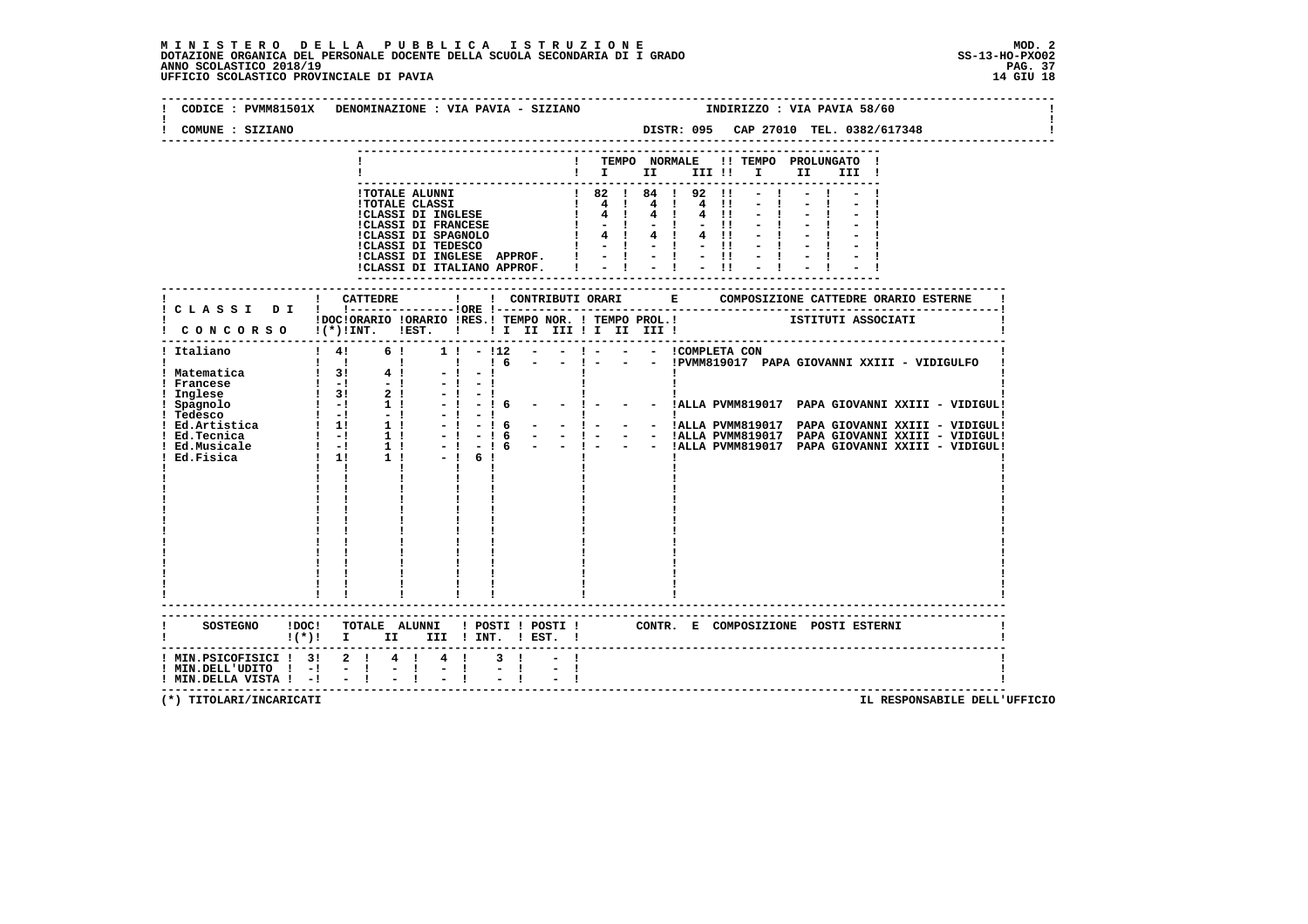| COMUNE : SIZIANO                                                                                   |                                                                 |             | DISTR: 095 CAP 27010 TEL. 0382/617348                                                                                                                                                    |
|----------------------------------------------------------------------------------------------------|-----------------------------------------------------------------|-------------|------------------------------------------------------------------------------------------------------------------------------------------------------------------------------------------|
|                                                                                                    |                                                                 |             | ! TEMPO NORMALE !! TEMPO PROLUNGATO !<br>$\blacksquare$ $\blacksquare$ $\blacksquare$ $\blacksquare$ $\blacksquare$ $\blacksquare$ $\blacksquare$ $\blacksquare$ $\blacksquare$<br>III ! |
|                                                                                                    |                                                                 |             |                                                                                                                                                                                          |
|                                                                                                    |                                                                 |             |                                                                                                                                                                                          |
| CONCORSO I(*)INT. IEST. ! ! I II III II III III                                                    |                                                                 |             | : .------------<br>!DOC!ORARIO !ORARIO !RES.! TEMPO NOR. ! TEMPO PROL.! ISTITUTI ASSOCIATI                                                                                               |
|                                                                                                    | $\mathbf{I}$ $\mathbf{I}$                                       |             | - ! - - - !PVMM819017 PAPA GIOVANNI XXIII - VIDIGULFO                                                                                                                                    |
|                                                                                                    | $!(*)!$ I II III ! INT. ! EST. !                                |             | SOSTEGNO !DOC! TOTALE ALUNNI ! POSTI ! POSTI ! CONTR. E COMPOSIZIONE POSTI ESTERNI                                                                                                       |
| ! MIN.PSICOFISICI ! 3! 2 ! 4 ! 4 !<br>! MIN.DELL'UDITO ! -!<br>$!$ MIN.DELLA VISTA $!$ - $!$ - $!$ | $-1$<br>$\frac{1}{2}$ $\frac{1}{2}$ $\frac{1}{2}$ $\frac{1}{2}$ | $3 \quad 1$ |                                                                                                                                                                                          |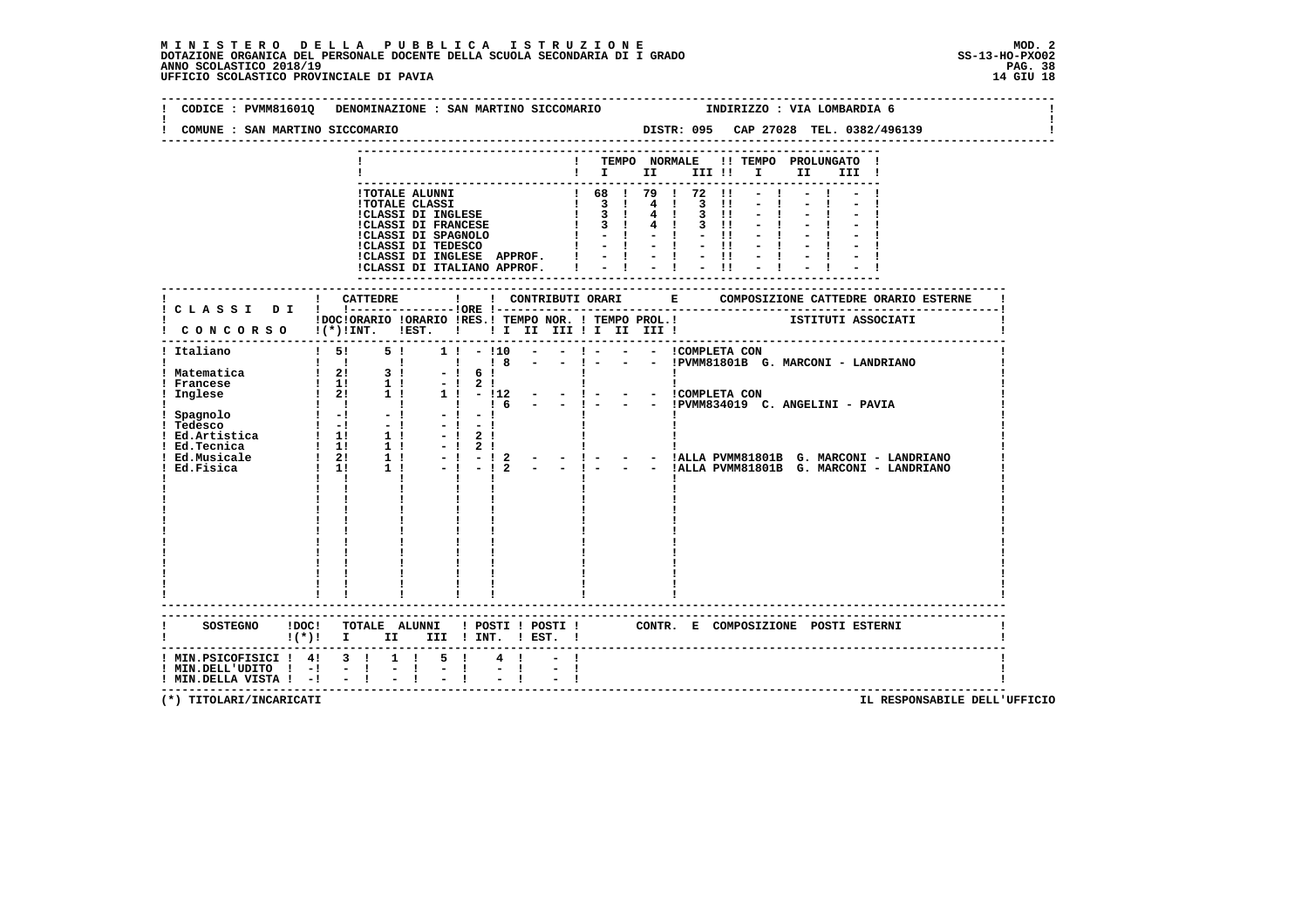|                                                                      | CODICE : PVMM81601Q DENOMINAZIONE : SAN MARTINO SICCOMARIO             INDIRIZZO : VIA LOMBARDIA 6                                                                                                      |
|----------------------------------------------------------------------|---------------------------------------------------------------------------------------------------------------------------------------------------------------------------------------------------------|
| COMUNE : SAN MARTINO SICCOMARIO                                      |                                                                                                                                                                                                         |
|                                                                      | ! TEMPO NORMALE !! TEMPO PROLUNGATO !<br>$\blacksquare$ $\blacksquare$ $\blacksquare$ $\blacksquare$ $\blacksquare$ $\blacksquare$ $\blacksquare$ $\blacksquare$ $\blacksquare$ $\blacksquare$<br>III ! |
|                                                                      |                                                                                                                                                                                                         |
|                                                                      |                                                                                                                                                                                                         |
|                                                                      | IDOCIORARIO IORARIO IRES.I TEMPO NOR. I TEMPO PROL.I TETITUTI ASSOCIATI<br>CONCORSO I(*)IINT. IEST. I II II III II III III I                                                                            |
|                                                                      |                                                                                                                                                                                                         |
|                                                                      |                                                                                                                                                                                                         |
|                                                                      | - - !ALLA PVMM81801B G. MARCONI - LANDRIANO<br>- - !ALLA PVMM81801B G. MARCONI - LANDRIANO<br>$\mathbf{1}$ $\mathbf{1}$                                                                                 |
|                                                                      |                                                                                                                                                                                                         |
|                                                                      |                                                                                                                                                                                                         |
|                                                                      |                                                                                                                                                                                                         |
|                                                                      | $!(*)!$ I II III ! INT. ! EST. !                                                                                                                                                                        |
| $!$ MIN.DELL'UDITO $!$ -! - !<br>$!$ MIN.DELLA VISTA $!$ - $!$ - $!$ | ! MIN. PSICOFISICI ! 4! 3 ! 1 ! 5 !<br>$4 \quad 1$<br>$\mathbb{Z} \times \mathbb{R}$<br>$\frac{1}{2}$                                                                                                   |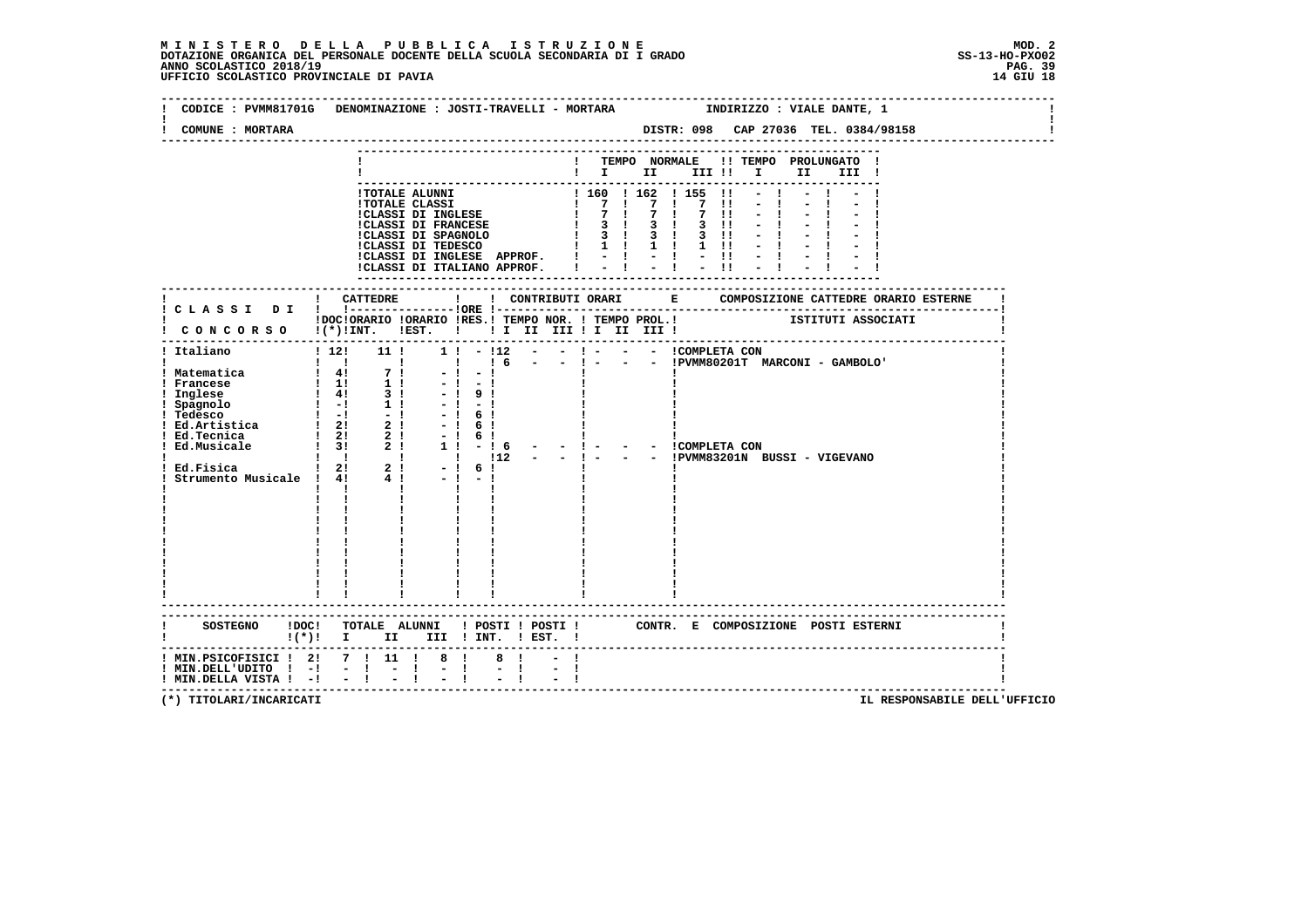| CODICE : PVMM81701G DENOMINAZIONE : JOSTI-TRAVELLI - MORTARA<br>COMUNE : MORTARA |     |                                                |                |  |  |  |                                                                                                                                                                                     | INDIRIZZO : VIALE DANTE, 1                     |  |
|----------------------------------------------------------------------------------|-----|------------------------------------------------|----------------|--|--|--|-------------------------------------------------------------------------------------------------------------------------------------------------------------------------------------|------------------------------------------------|--|
|                                                                                  |     |                                                |                |  |  |  | $\blacksquare$ $\blacksquare$ $\blacksquare$ $\blacksquare$ $\blacksquare$ $\blacksquare$ $\blacksquare$ $\blacksquare$ $\blacksquare$ $\blacksquare$ $\blacksquare$ $\blacksquare$ | ! TEMPO NORMALE !! TEMPO PROLUNGATO !<br>III ! |  |
|                                                                                  |     |                                                |                |  |  |  |                                                                                                                                                                                     |                                                |  |
|                                                                                  |     |                                                |                |  |  |  |                                                                                                                                                                                     |                                                |  |
|                                                                                  |     |                                                |                |  |  |  |                                                                                                                                                                                     |                                                |  |
|                                                                                  |     |                                                |                |  |  |  |                                                                                                                                                                                     |                                                |  |
|                                                                                  |     |                                                |                |  |  |  |                                                                                                                                                                                     |                                                |  |
|                                                                                  |     |                                                |                |  |  |  |                                                                                                                                                                                     |                                                |  |
|                                                                                  |     |                                                |                |  |  |  |                                                                                                                                                                                     |                                                |  |
|                                                                                  |     |                                                |                |  |  |  |                                                                                                                                                                                     |                                                |  |
|                                                                                  |     |                                                |                |  |  |  |                                                                                                                                                                                     |                                                |  |
|                                                                                  |     |                                                |                |  |  |  |                                                                                                                                                                                     |                                                |  |
|                                                                                  |     |                                                |                |  |  |  |                                                                                                                                                                                     |                                                |  |
|                                                                                  |     |                                                |                |  |  |  |                                                                                                                                                                                     |                                                |  |
|                                                                                  |     |                                                |                |  |  |  |                                                                                                                                                                                     |                                                |  |
|                                                                                  |     |                                                |                |  |  |  |                                                                                                                                                                                     |                                                |  |
|                                                                                  |     |                                                |                |  |  |  |                                                                                                                                                                                     |                                                |  |
|                                                                                  |     |                                                |                |  |  |  |                                                                                                                                                                                     |                                                |  |
|                                                                                  |     |                                                |                |  |  |  |                                                                                                                                                                                     |                                                |  |
|                                                                                  |     |                                                |                |  |  |  |                                                                                                                                                                                     |                                                |  |
|                                                                                  |     |                                                |                |  |  |  |                                                                                                                                                                                     |                                                |  |
|                                                                                  |     |                                                |                |  |  |  |                                                                                                                                                                                     |                                                |  |
|                                                                                  |     |                                                |                |  |  |  |                                                                                                                                                                                     |                                                |  |
|                                                                                  |     |                                                |                |  |  |  |                                                                                                                                                                                     |                                                |  |
|                                                                                  |     |                                                |                |  |  |  |                                                                                                                                                                                     |                                                |  |
|                                                                                  |     |                                                |                |  |  |  |                                                                                                                                                                                     |                                                |  |
|                                                                                  |     |                                                |                |  |  |  |                                                                                                                                                                                     |                                                |  |
|                                                                                  |     |                                                |                |  |  |  |                                                                                                                                                                                     |                                                |  |
|                                                                                  | . . | $\mathbf{1}$ and $\mathbf{1}$ and $\mathbf{1}$ |                |  |  |  |                                                                                                                                                                                     |                                                |  |
|                                                                                  |     |                                                |                |  |  |  |                                                                                                                                                                                     |                                                |  |
|                                                                                  |     |                                                |                |  |  |  |                                                                                                                                                                                     |                                                |  |
|                                                                                  |     |                                                |                |  |  |  |                                                                                                                                                                                     |                                                |  |
|                                                                                  |     |                                                |                |  |  |  |                                                                                                                                                                                     |                                                |  |
|                                                                                  |     |                                                |                |  |  |  |                                                                                                                                                                                     |                                                |  |
|                                                                                  |     |                                                |                |  |  |  |                                                                                                                                                                                     |                                                |  |
|                                                                                  |     |                                                |                |  |  |  |                                                                                                                                                                                     |                                                |  |
|                                                                                  |     |                                                |                |  |  |  |                                                                                                                                                                                     |                                                |  |
|                                                                                  |     |                                                |                |  |  |  |                                                                                                                                                                                     |                                                |  |
|                                                                                  |     |                                                |                |  |  |  |                                                                                                                                                                                     |                                                |  |
|                                                                                  |     |                                                |                |  |  |  |                                                                                                                                                                                     |                                                |  |
|                                                                                  |     |                                                |                |  |  |  |                                                                                                                                                                                     |                                                |  |
| $!(*)!$ I II III ! INT. ! EST. !                                                 |     |                                                |                |  |  |  |                                                                                                                                                                                     |                                                |  |
|                                                                                  |     |                                                |                |  |  |  |                                                                                                                                                                                     |                                                |  |
| ! MIN.PSICOFISICI ! 2! 7 ! 11 ! 8 !                                              |     |                                                | 8 <sub>1</sub> |  |  |  |                                                                                                                                                                                     |                                                |  |
| ! MIN.DELL'UDITO ! -! - ! - !                                                    |     |                                                | $\frac{1}{2}$  |  |  |  |                                                                                                                                                                                     |                                                |  |
| $!$ MIN.DELLA VISTA $!$ - $!$ - $!$                                              |     |                                                |                |  |  |  |                                                                                                                                                                                     |                                                |  |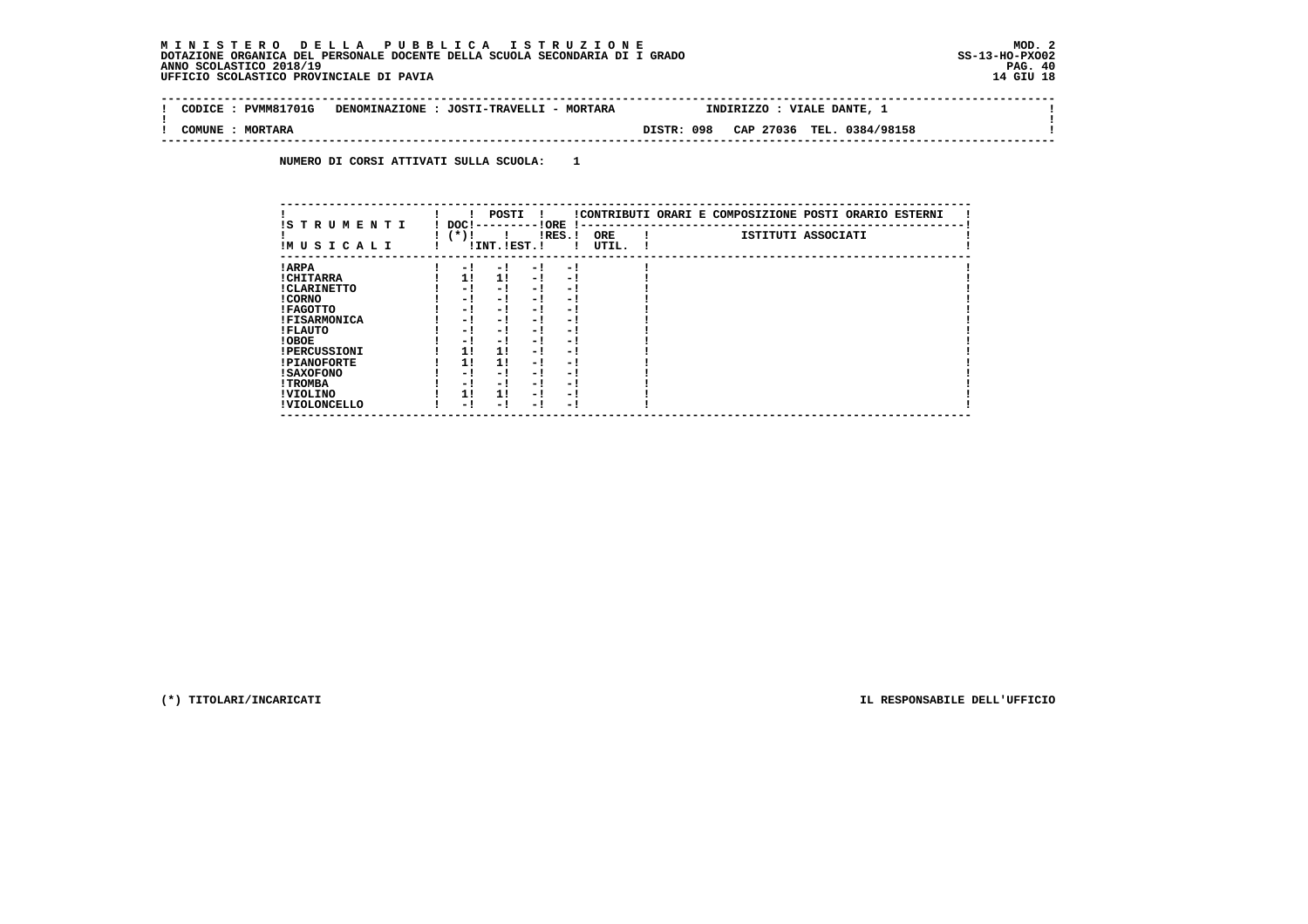#### **M I N I S T E R O D E L L A P U B B L I C A I S T R U Z I O N E MOD. 2 DOTAZIONE ORGANICA DEL PERSONALE DOCENTE DELLA SCUOLA SECONDARIA DI I GRADO ANNO SCOLASTICO 2018/19 PAG. 40**UFFICIO SCOLASTICO PROVINCIALE DI PAVIA

 $\mathbf{I}$ 

÷i

| PVMM81701G<br>CODTCE<br>DENOMINAZIONE : JOSTI-TRAVELLI - MORTARA<br>INDIRIZZO : VIALE DANTE, 1<br>DISTR: 098<br>TEL. 0384/98158<br>CAP 27036<br>COMUNE<br><b>MORTARA</b> |  |  |  |  |  |  |
|--------------------------------------------------------------------------------------------------------------------------------------------------------------------------|--|--|--|--|--|--|
|                                                                                                                                                                          |  |  |  |  |  |  |
|                                                                                                                                                                          |  |  |  |  |  |  |

 **NUMERO DI CORSI ATTIVATI SULLA SCUOLA: 1**

|                                 | POSTI                                                                                   | !CONTRIBUTI ORARI E COMPOSIZIONE POSTI ORARIO ESTERNI |
|---------------------------------|-----------------------------------------------------------------------------------------|-------------------------------------------------------|
| IS T R U M E N T I<br>IMUSICALI | ! ORE<br>DOC!<br>$\mathbf{I}$<br>( * ) !<br>$lRES.$ !<br>ORE<br>! INT. !EST. !<br>UTIL. | ISTITUTI ASSOCIATI                                    |
| ! ARPA                          | - 1<br>- 1<br>- 1<br>$-1$                                                               |                                                       |
| ! CHITARRA                      | 11<br>11<br>$-1$<br>- 1                                                                 |                                                       |
| ! CLARINETTO                    | - !<br>- 1<br>- 1<br>- 1                                                                |                                                       |
| ! CORNO                         | - !<br>- 1<br>- !<br>- 1                                                                |                                                       |
| ! FAGOTTO                       | - !<br>- 1<br>- 1<br>- 1                                                                |                                                       |
| <b>!FISARMONICA</b>             | - 1<br>- 1<br>- 1<br>- 1                                                                |                                                       |
| ! FLAUTO                        | - !<br>- 1<br>- 1<br>- 1                                                                |                                                       |
| ! OBOE                          | - 1<br>- 1<br>- 1<br>- 1                                                                |                                                       |
| <b>!PERCUSSIONI</b>             | 1!<br>11<br>- 1<br>- 1                                                                  |                                                       |
| <b>!PIANOFORTE</b>              | 1!<br>11<br>- 1<br>- 1                                                                  |                                                       |
| ! SAXOFONO                      | - !<br>- 1<br>- 1<br>- 1                                                                |                                                       |
| ! TROMBA                        | - !<br>- 1<br>- 1<br>- 1                                                                |                                                       |
| ! VIOLINO                       | 1!<br>11<br>- 1<br>- 1                                                                  |                                                       |
| ! VIOLONCELLO                   | - 1<br>- 1<br>- 1<br>- 1                                                                |                                                       |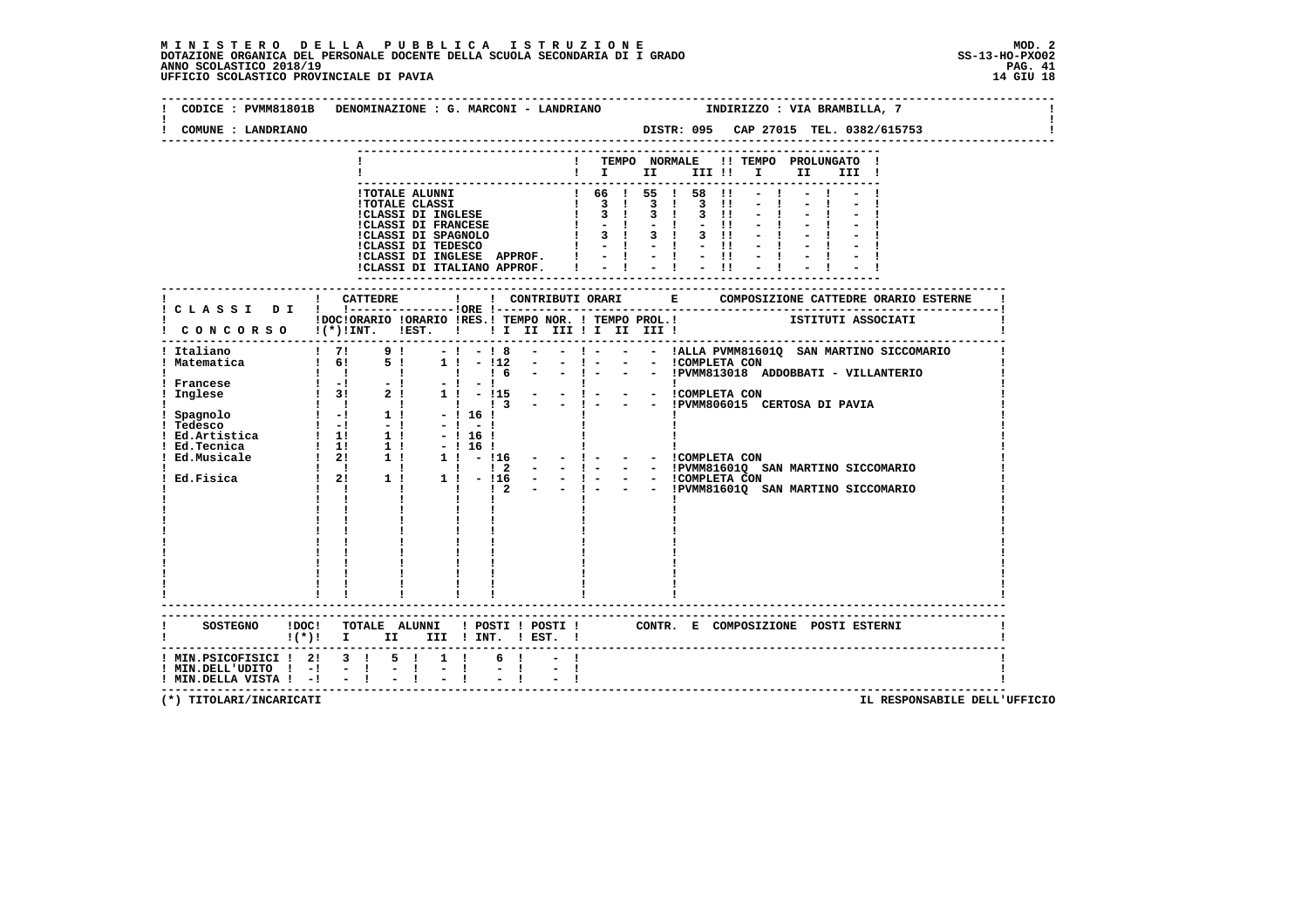| COMUNE : LANDRIANO                                                                                                                                                                                                           |                                                         |  |  |                                                             |  | DISTR: 095 CAP 27015 TEL. 0382/615753 |  |                   |  |       |  |  |
|------------------------------------------------------------------------------------------------------------------------------------------------------------------------------------------------------------------------------|---------------------------------------------------------|--|--|-------------------------------------------------------------|--|---------------------------------------|--|-------------------|--|-------|--|--|
|                                                                                                                                                                                                                              |                                                         |  |  | $\blacksquare$ $\blacksquare$ $\blacksquare$ $\blacksquare$ |  | ! TEMPO NORMALE !! TEMPO PROLUNGATO ! |  | III !! I II       |  | III ! |  |  |
|                                                                                                                                                                                                                              |                                                         |  |  |                                                             |  |                                       |  |                   |  |       |  |  |
|                                                                                                                                                                                                                              |                                                         |  |  |                                                             |  |                                       |  |                   |  |       |  |  |
|                                                                                                                                                                                                                              |                                                         |  |  |                                                             |  |                                       |  |                   |  |       |  |  |
|                                                                                                                                                                                                                              |                                                         |  |  |                                                             |  |                                       |  |                   |  |       |  |  |
|                                                                                                                                                                                                                              |                                                         |  |  |                                                             |  |                                       |  |                   |  |       |  |  |
|                                                                                                                                                                                                                              |                                                         |  |  |                                                             |  |                                       |  |                   |  |       |  |  |
|                                                                                                                                                                                                                              |                                                         |  |  |                                                             |  |                                       |  |                   |  |       |  |  |
|                                                                                                                                                                                                                              |                                                         |  |  |                                                             |  |                                       |  |                   |  |       |  |  |
|                                                                                                                                                                                                                              |                                                         |  |  |                                                             |  |                                       |  |                   |  |       |  |  |
| IDOCIORARIO IORARIO IRES.I TEMPO NOR. I TEMPO PROL.I<br>CONCORSO I(*)INT. IEST. I II II III II III III I                                                                                                                     |                                                         |  |  |                                                             |  |                                       |  |                   |  |       |  |  |
|                                                                                                                                                                                                                              |                                                         |  |  |                                                             |  |                                       |  | ----------------- |  |       |  |  |
|                                                                                                                                                                                                                              |                                                         |  |  |                                                             |  |                                       |  |                   |  |       |  |  |
|                                                                                                                                                                                                                              |                                                         |  |  |                                                             |  |                                       |  |                   |  |       |  |  |
| IMatematica   1  9  -1-18 - -1- - -  ALLA PVMM81601Q SAN MARTINO SICCOMA<br>  Matematica   6  5  1  -112 - -   - - -   - - -   - -   - -   - -   - -   - -   - -   - -   - -   - -   - -   - -   - -   - -   - -   - -   - - |                                                         |  |  |                                                             |  |                                       |  |                   |  |       |  |  |
|                                                                                                                                                                                                                              |                                                         |  |  |                                                             |  |                                       |  |                   |  |       |  |  |
|                                                                                                                                                                                                                              |                                                         |  |  |                                                             |  |                                       |  |                   |  |       |  |  |
|                                                                                                                                                                                                                              |                                                         |  |  |                                                             |  |                                       |  |                   |  |       |  |  |
|                                                                                                                                                                                                                              |                                                         |  |  |                                                             |  |                                       |  |                   |  |       |  |  |
|                                                                                                                                                                                                                              |                                                         |  |  |                                                             |  |                                       |  |                   |  |       |  |  |
|                                                                                                                                                                                                                              |                                                         |  |  |                                                             |  |                                       |  |                   |  |       |  |  |
|                                                                                                                                                                                                                              |                                                         |  |  |                                                             |  |                                       |  |                   |  |       |  |  |
|                                                                                                                                                                                                                              |                                                         |  |  |                                                             |  |                                       |  |                   |  |       |  |  |
|                                                                                                                                                                                                                              |                                                         |  |  |                                                             |  |                                       |  |                   |  |       |  |  |
|                                                                                                                                                                                                                              |                                                         |  |  |                                                             |  |                                       |  |                   |  |       |  |  |
|                                                                                                                                                                                                                              |                                                         |  |  |                                                             |  |                                       |  |                   |  |       |  |  |
|                                                                                                                                                                                                                              |                                                         |  |  |                                                             |  |                                       |  |                   |  |       |  |  |
|                                                                                                                                                                                                                              |                                                         |  |  |                                                             |  |                                       |  |                   |  |       |  |  |
|                                                                                                                                                                                                                              |                                                         |  |  |                                                             |  |                                       |  |                   |  |       |  |  |
|                                                                                                                                                                                                                              |                                                         |  |  |                                                             |  |                                       |  |                   |  |       |  |  |
|                                                                                                                                                                                                                              |                                                         |  |  |                                                             |  |                                       |  |                   |  |       |  |  |
|                                                                                                                                                                                                                              |                                                         |  |  |                                                             |  |                                       |  |                   |  |       |  |  |
| SOSTEGNO IDOC! TOTALE ALUNNI ! POSTI ! POSTI ! CONTR. E COMPOSIZIONE POSTI ESTERNI ! (*) ! [*) I III ! INT. ! EST. !                                                                                                         |                                                         |  |  |                                                             |  |                                       |  |                   |  |       |  |  |
| ! MIN.PSICOFISICI ! 2! 3 ! 5 ! 1 !                                                                                                                                                                                           |                                                         |  |  |                                                             |  |                                       |  |                   |  |       |  |  |
| ! MIN.DELL'UDITO ! -! - !<br>! MIN.DELLA VISTA ! -! - !                                                                                                                                                                      | $\frac{1}{2}$ $\frac{1}{2}$ $\frac{1}{2}$ $\frac{1}{2}$ |  |  |                                                             |  |                                       |  |                   |  |       |  |  |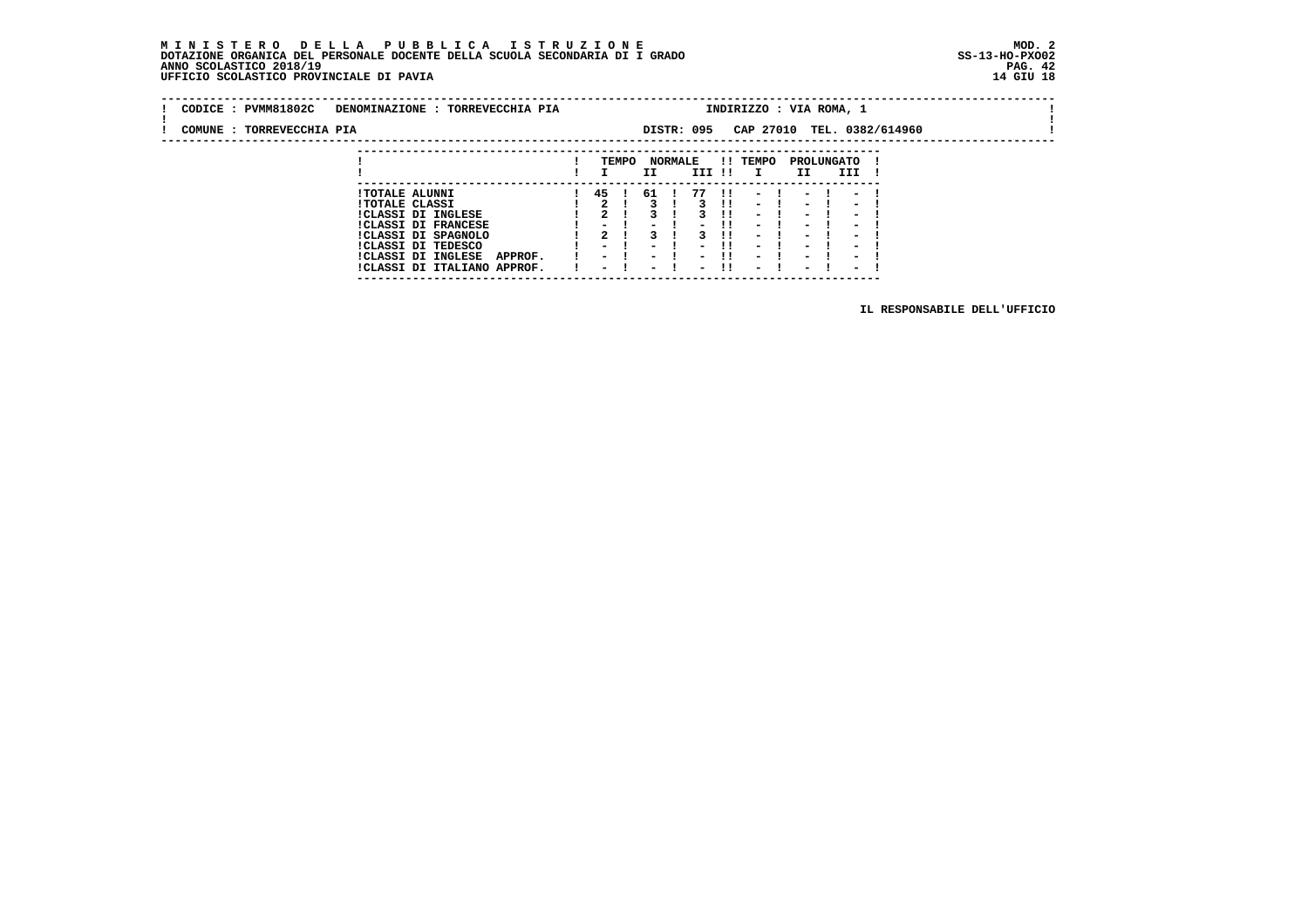#### **M I N I S T E R O D E L L A P U B B L I C A I S T R U Z I O N E MOD. 2 DOTAZIONE ORGANICA DEL PERSONALE DOCENTE DELLA SCUOLA SECONDARIA DI I GRADO ANNO SCOLASTICO 2018/19** UFFICIO SCOLASTICO PROVINCIALE DI PAVIA

 **---------------------------------------------------------------------------**

| CODICE : PVMM81802C       | DENOMINAZIONE : TORREVECCHIA PIA |      |       |               |                |              | INDIRIZZO : VIA ROMA, 1  |                          |      |                          |                            |  |
|---------------------------|----------------------------------|------|-------|---------------|----------------|--------------|--------------------------|--------------------------|------|--------------------------|----------------------------|--|
| COMUNE : TORREVECCHIA PIA |                                  |      |       |               | DISTR: 095     |              |                          |                          |      |                          | CAP 27010 TEL. 0382/614960 |  |
|                           |                                  |      |       |               |                |              |                          |                          |      |                          |                            |  |
|                           |                                  |      | TEMPO |               | <b>NORMALE</b> |              | !! TEMPO                 | PROLUNGATO               |      |                          |                            |  |
|                           |                                  |      |       | ΙI            | III !!         |              |                          | II.                      |      | III                      |                            |  |
|                           | <b>!TOTALE ALUNNI</b>            | 45 ! |       | 61 !          | 77             | $\mathbf{H}$ | $-1$                     |                          | $-1$ | $\overline{\phantom{a}}$ |                            |  |
|                           | <b>!TOTALE CLASSI</b>            |      |       |               |                | - 11         | $\overline{\phantom{0}}$ | $\overline{\phantom{0}}$ |      | $\overline{\phantom{a}}$ |                            |  |
|                           | <b>!CLASSI DI INGLESE</b>        |      |       |               |                |              | $\overline{\phantom{a}}$ | $\overline{\phantom{a}}$ |      | $\overline{\phantom{a}}$ |                            |  |
|                           | ICLASST DT FRANCESE              | -    |       | $\sim$ $\sim$ | $\sim$ $\sim$  |              | $\overline{\phantom{a}}$ | -                        |      | $\overline{\phantom{a}}$ |                            |  |

 **!CLASSI DI FRANCESE ! - ! - ! - !! - ! - ! - ! !CLASSI DI SPAGNOLO ! 2 ! 3 ! 3 !! - ! - ! - ! !CLASSI DI TEDESCO ! - ! - ! - !! - ! - ! - ! !CLASSI DI INGLESE APPROF. ! - ! - ! - !! - ! - ! - ! !CLASSI DI ITALIANO APPROF. ! - ! - ! - !! - ! - ! - !**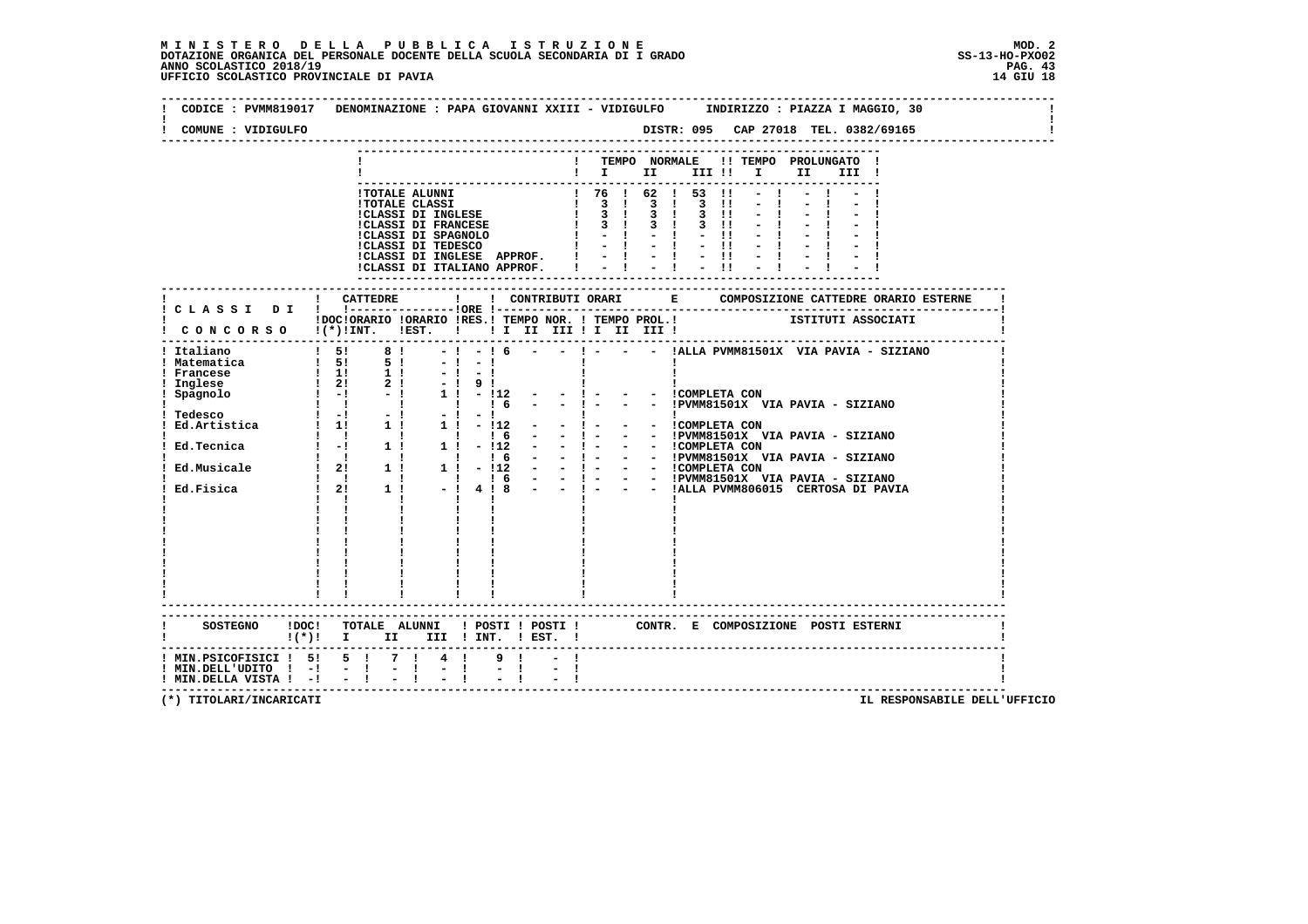| COMUNE : VIDIGULFO                                                                                                             |                                                                                                                                                                                                                   |                                                |                           |                    |                                      |                                                                                  |  |  |                                     |      |       |  |  |  |
|--------------------------------------------------------------------------------------------------------------------------------|-------------------------------------------------------------------------------------------------------------------------------------------------------------------------------------------------------------------|------------------------------------------------|---------------------------|--------------------|--------------------------------------|----------------------------------------------------------------------------------|--|--|-------------------------------------|------|-------|--|--|--|
|                                                                                                                                |                                                                                                                                                                                                                   |                                                |                           |                    |                                      | ! TEMPO NORMALE !! TEMPO PROLUNGATO !<br>$\mathbf{I}$ is the set of $\mathbf{I}$ |  |  | III !!!!!                           | II — | III ! |  |  |  |
|                                                                                                                                |                                                                                                                                                                                                                   |                                                |                           |                    |                                      |                                                                                  |  |  |                                     |      |       |  |  |  |
|                                                                                                                                | ! CATTEDRE                                                                                                                                                                                                        |                                                | $\mathbf{I}$              |                    |                                      |                                                                                  |  |  |                                     |      |       |  |  |  |
| IDOCIORARIO IORARIO IRES.I TEMPO NOR. I TEMPO PROL.I ISTITUTI ASSOCIATI I CONCORSO I(*)IINT. IEST. I II II III II III III IIII |                                                                                                                                                                                                                   |                                                |                           |                    |                                      |                                                                                  |  |  |                                     |      |       |  |  |  |
| ! Italiano<br>! Tedesco                                                                                                        | $1\quad 5! \quad 8! \quad -1 \quad -1 \quad 6 \quad - \quad - \quad 1 \quad - \quad - \quad 1$ ALLA PVMM81501X VIA PAVIA - SIZIANO<br>$\mathbf{I}$ $\mathbf{I}$<br>$\mathbf{I}$ and $\mathbf{I}$ and $\mathbf{I}$ | $\mathbf{I}$<br>$\blacksquare$<br>$\mathbf{I}$ |                           | 16<br>$\mathbf{I}$ | $1! - 12 - - 1 - - - 1$ COMPLETA CON |                                                                                  |  |  | - - !PVMM81501X VIA PAVIA - SIZIANO |      |       |  |  |  |
|                                                                                                                                |                                                                                                                                                                                                                   |                                                |                           |                    |                                      |                                                                                  |  |  |                                     |      |       |  |  |  |
| SOSTEGNO !DOC! TOTALE ALUNNI ! POSTI ! POSTI ! CONTR. E COMPOSIZIONE POSTI ESTERNI<br>$!(*)!$ I II III ! INT. ! EST. !         |                                                                                                                                                                                                                   |                                                |                           |                    |                                      |                                                                                  |  |  |                                     |      |       |  |  |  |
| ! MIN.PSICOFISICI ! 5! 5 ! 7 ! 4 !<br>! MIN.DELL'UDITO ! -!<br>! MIN.DELLA VISTA ! -! - !                                      | $-1$                                                                                                                                                                                                              | $=$ $\frac{1}{1}$                              | $\mathbf{E} = \mathbf{I}$ | 9 <sub>1</sub>     |                                      |                                                                                  |  |  |                                     |      |       |  |  |  |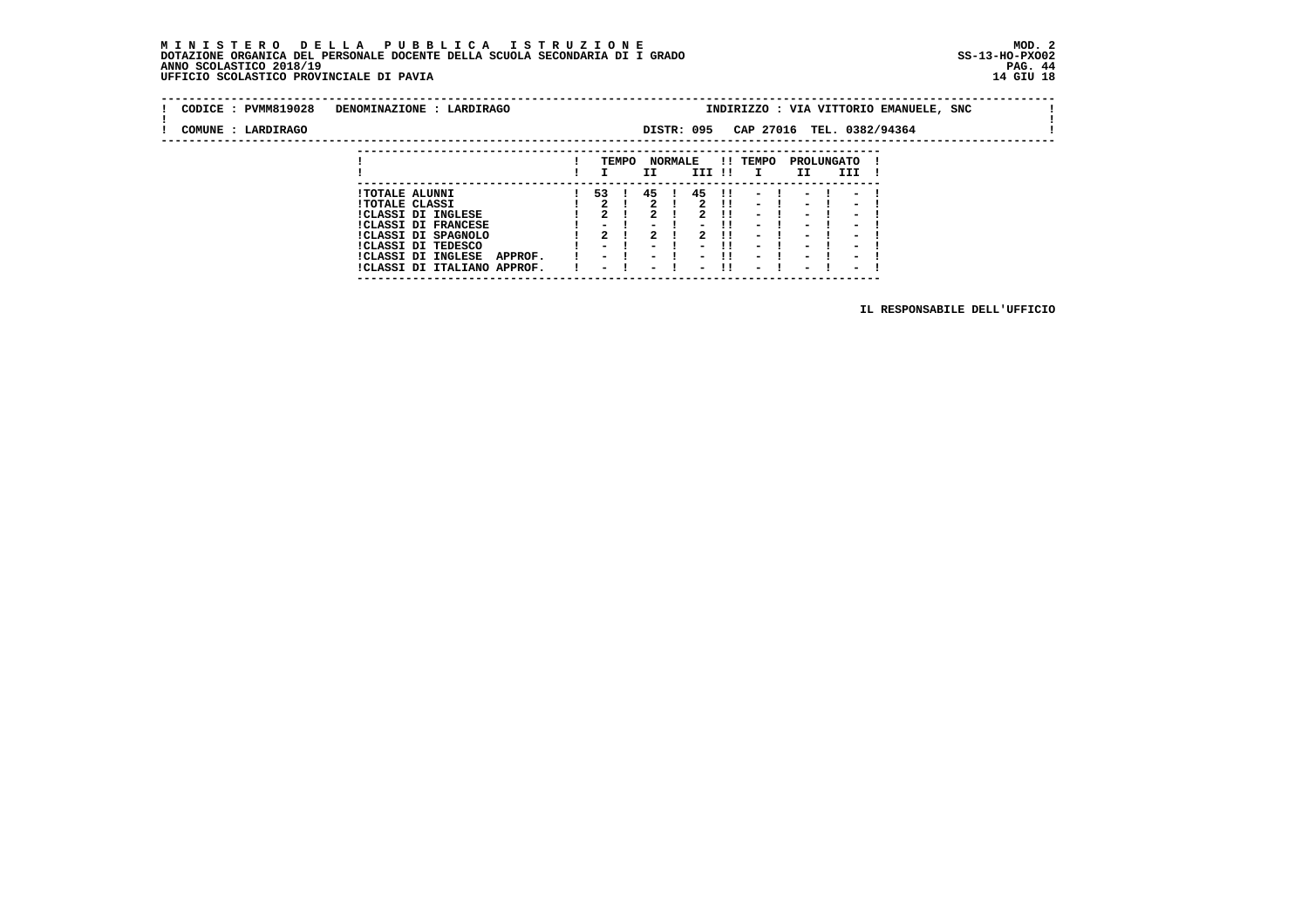**---------------------------------------------------------------------------**

| CODICE : PVMM819028 | DENOMINAZIONE : LARDIRAGO                                  |                                    |       |                                                      |                |                          |                        |                                                      |                                                      |                                                      | INDIRIZZO : VIA VITTORIO EMANUELE, SNC |  |  |
|---------------------|------------------------------------------------------------|------------------------------------|-------|------------------------------------------------------|----------------|--------------------------|------------------------|------------------------------------------------------|------------------------------------------------------|------------------------------------------------------|----------------------------------------|--|--|
| COMUNE : LARDIRAGO  |                                                            |                                    |       |                                                      |                | DISTR: 095               |                        | CAP 27016 TEL. 0382/94364                            |                                                      |                                                      |                                        |  |  |
|                     |                                                            |                                    | TEMPO |                                                      | <b>NORMALE</b> |                          |                        | !! TEMPO                                             |                                                      | PROLUNGATO                                           |                                        |  |  |
|                     |                                                            |                                    |       | II                                                   |                | III !!                   |                        | $\mathbf{I}$                                         | II                                                   | III                                                  |                                        |  |  |
|                     | <b>!TOTALE ALUNNI</b>                                      | 53                                 |       | 45                                                   |                | 45                       | $\mathbf{1}\mathbf{1}$ |                                                      |                                                      |                                                      |                                        |  |  |
|                     | <b>!TOTALE CLASSI</b><br>!CLASSI DI INGLESE                |                                    |       |                                                      |                |                          | -11                    | $\sim$<br>$\overline{\phantom{0}}$                   | $\overline{\phantom{0}}$<br>$\overline{\phantom{0}}$ | $\overline{\phantom{0}}$<br>$\overline{\phantom{0}}$ |                                        |  |  |
|                     | <b>!CLASSI DI FRANCESE</b><br>!CLASSI DI SPAGNOLO          | $\overline{\phantom{0}}$           |       |                                                      |                |                          | -11<br>.               | $\sim$<br>$\overline{\phantom{0}}$                   | -<br>$\blacksquare$                                  | $\overline{\phantom{0}}$<br>$\overline{\phantom{0}}$ |                                        |  |  |
|                     | ICLASSI DI TEDESCO<br><b>!CLASSI DI INGLESE</b><br>APPROF. | $\sim$<br>$\overline{\phantom{0}}$ |       | $\overline{\phantom{0}}$<br>$\overline{\phantom{0}}$ |                | $\overline{\phantom{0}}$ | -11                    | $\overline{\phantom{0}}$<br>$\overline{\phantom{0}}$ | $\overline{\phantom{0}}$<br>$\overline{\phantom{0}}$ | $\overline{\phantom{a}}$<br>$\overline{\phantom{0}}$ |                                        |  |  |
|                     | !CLASSI DI ITALIANO APPROF.                                | $\overline{\phantom{0}}$           |       | $\overline{\phantom{0}}$                             |                | $\overline{\phantom{0}}$ | -11                    | $\overline{\phantom{0}}$                             | $\sim$                                               | $\overline{\phantom{0}}$                             |                                        |  |  |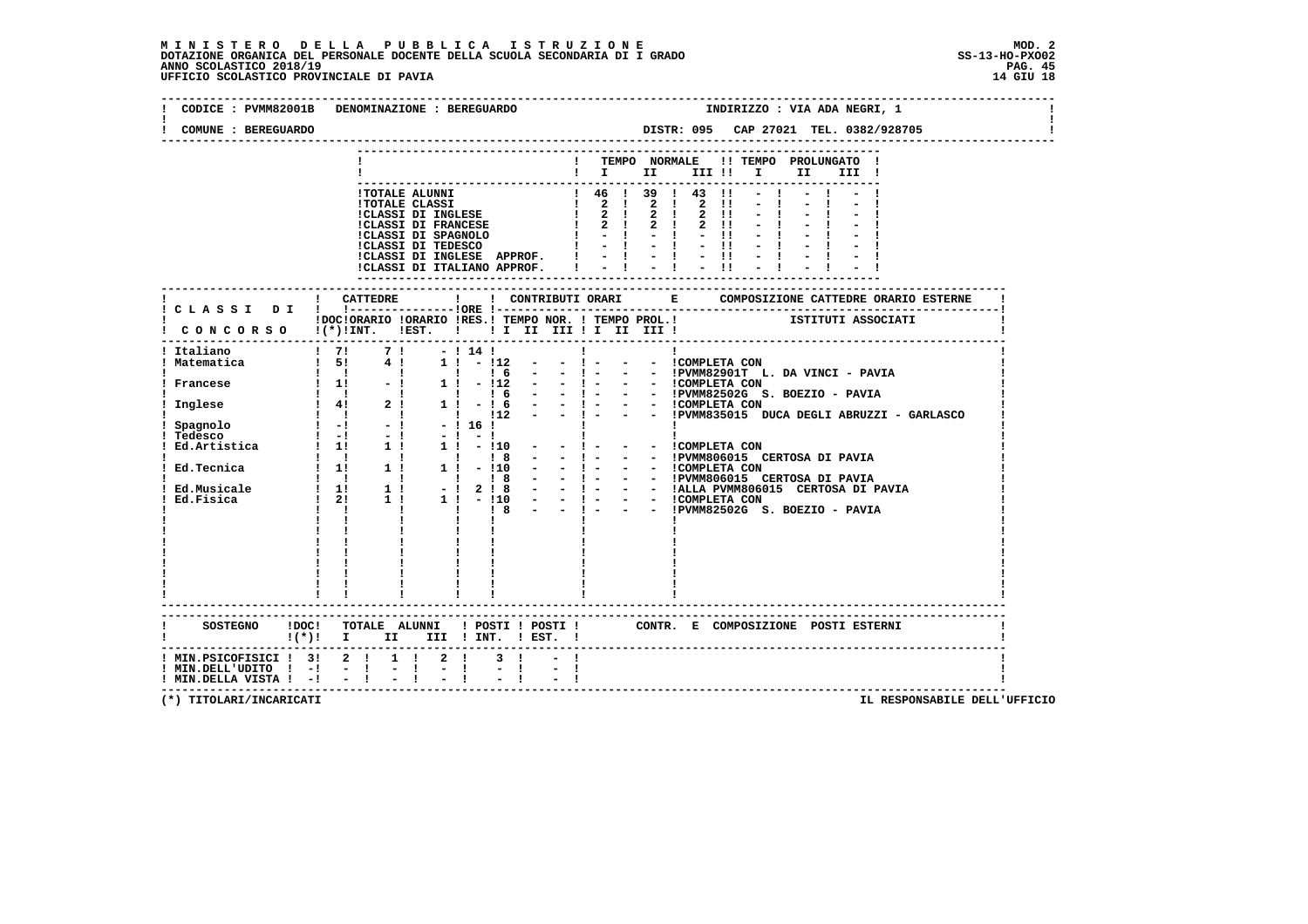$\mathbf{I}$ 

 $\blacksquare$ 

 $\mathbf{I}$ 

| CODICE : PVMM82001B DENOMINAZIONE : BEREGUARDO                                                             |                                                                       |      | INDIRIZZO : VIA ADA NEGRI, 1                                                                                      |
|------------------------------------------------------------------------------------------------------------|-----------------------------------------------------------------------|------|-------------------------------------------------------------------------------------------------------------------|
| COMUNE : BEREGUARDO                                                                                        |                                                                       |      |                                                                                                                   |
|                                                                                                            |                                                                       |      | TEMPO NORMALE !! TEMPO PROLUNGATO !<br>$\mathbf{I}$<br>$\mathbf{i} \quad \mathbf{r}$<br>III !!!!<br>II D<br>III ! |
|                                                                                                            |                                                                       |      |                                                                                                                   |
|                                                                                                            |                                                                       |      | IDOCIORARIO IORARIO IRES.I TEMPO NOR. I TEMPO PROL.I<br>CONCORSO I(*)INT. IEST. I II II III II III III I          |
|                                                                                                            |                                                                       |      |                                                                                                                   |
|                                                                                                            |                                                                       |      |                                                                                                                   |
|                                                                                                            |                                                                       |      |                                                                                                                   |
|                                                                                                            |                                                                       |      |                                                                                                                   |
|                                                                                                            |                                                                       |      |                                                                                                                   |
|                                                                                                            |                                                                       |      |                                                                                                                   |
|                                                                                                            | $!(*)!$ I II III ! INT. ! EST. !                                      |      | CONTR. E COMPOSIZIONE POSTI_ESTERNI                                                                               |
| ! MIN.PSICOFISICI ! 3! 2 ! 1 ! 2 !<br>$!$ MIN.DELL'UDITO $!$ -! - !<br>$!$ MIN.DELLA VISTA $!$ - $!$ - $!$ | $\frac{1}{2}$ $\frac{1}{2}$ $\frac{2}{3}$ $\frac{1}{4}$ $\frac{1}{2}$ | $-1$ |                                                                                                                   |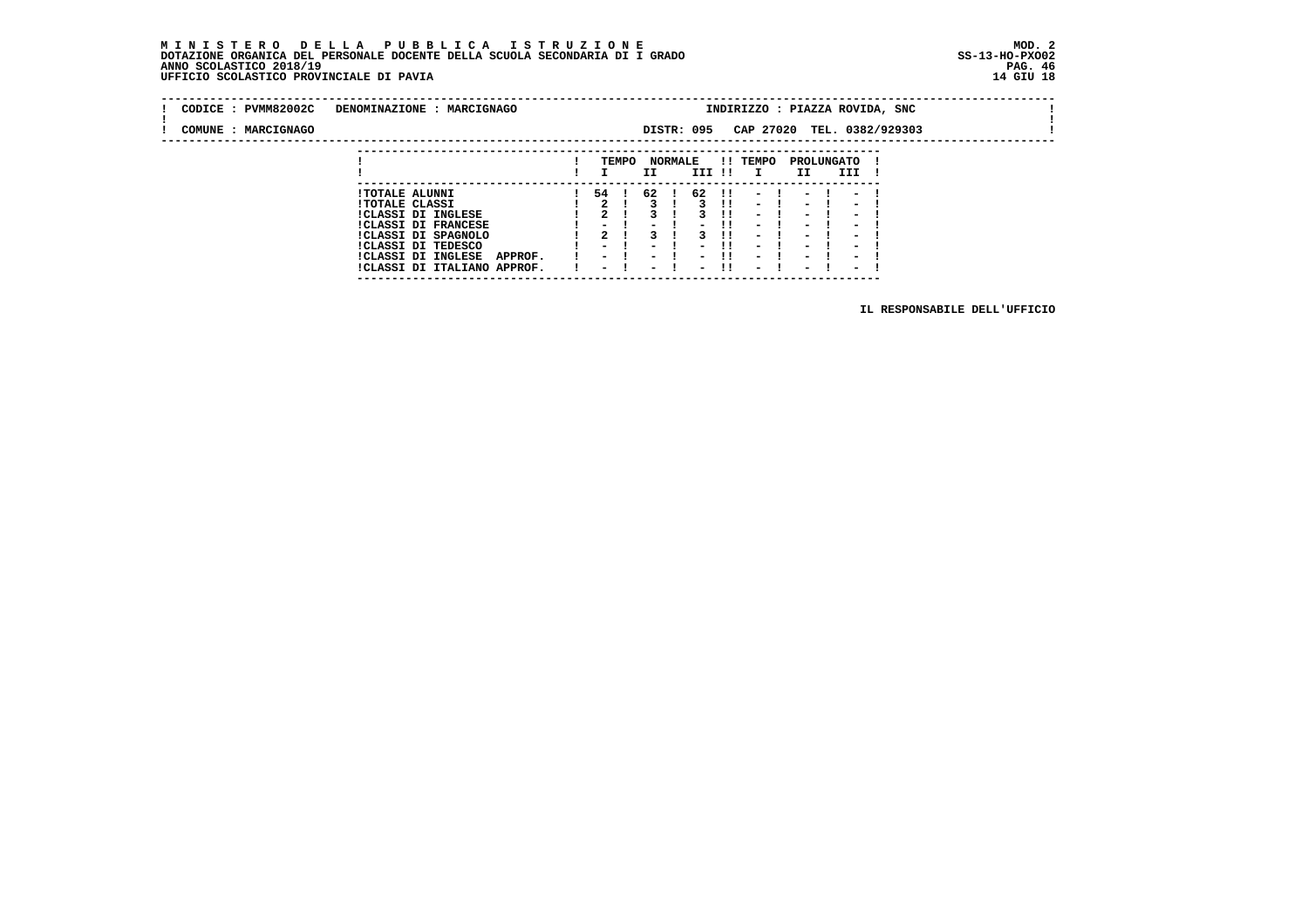#### **M I N I S T E R O D E L L A P U B B L I C A I S T R U Z I O N E MOD. 2 DOTAZIONE ORGANICA DEL PERSONALE DOCENTE DELLA SCUOLA SECONDARIA DI I GRADO ANNO SCOLASTICO 2018/19** UFFICIO SCOLASTICO PROVINCIALE DI PAVIA

 **---------------------------------------------------------------------------**

|  | CODICE: PVMM82002C  | DENOMINAZIONE : MARCIGNAGO           |                          |       |                          |                |                          |               | INDIRIZZO : PIAZZA ROVIDA, SNC |                          |                          |  |  |
|--|---------------------|--------------------------------------|--------------------------|-------|--------------------------|----------------|--------------------------|---------------|--------------------------------|--------------------------|--------------------------|--|--|
|  | COMUNE : MARCIGNAGO |                                      |                          |       |                          |                | DISTR: 095               |               | CAP 27020 TEL. 0382/929303     |                          |                          |  |  |
|  |                     |                                      |                          |       |                          |                |                          |               |                                |                          |                          |  |  |
|  |                     |                                      |                          | TEMPO |                          | <b>NORMALE</b> |                          |               | !! TEMPO                       |                          | PROLUNGATO               |  |  |
|  |                     |                                      |                          |       | II                       |                | III !!                   |               | $\mathbf{I}$                   | II                       | III                      |  |  |
|  |                     | <b>!TOTALE ALUNNI</b>                | 54 !                     |       | 62                       |                | 62                       | $\mathbf{11}$ |                                |                          |                          |  |  |
|  |                     | <b>!TOTALE CLASSI</b>                |                          |       |                          |                |                          | -11           | $\sim$                         | $\overline{\phantom{0}}$ | $\overline{\phantom{0}}$ |  |  |
|  |                     | ICLASSI DI INGLESE                   |                          |       |                          |                |                          |               | $\overline{\phantom{0}}$       | $\overline{\phantom{0}}$ | $\overline{\phantom{0}}$ |  |  |
|  |                     | <b>!CLASSI DI FRANCESE</b>           |                          |       |                          |                |                          | -11           | $\sim$                         | -                        | $\overline{\phantom{0}}$ |  |  |
|  |                     | !CLASSI DI SPAGNOLO                  |                          |       |                          |                |                          |               | $\overline{\phantom{0}}$       | $\blacksquare$           | $\overline{\phantom{0}}$ |  |  |
|  |                     | ICLASSI DI TEDESCO                   | $ -$                     |       | $\overline{\phantom{0}}$ |                | $\overline{\phantom{0}}$ |               | $\overline{\phantom{0}}$       | $\overline{\phantom{0}}$ | $\overline{\phantom{a}}$ |  |  |
|  |                     | <b>!CLASSI DI INGLESE</b><br>APPROF. | $\overline{\phantom{0}}$ |       | $\overline{\phantom{0}}$ |                |                          |               | $\overline{\phantom{0}}$       | $\overline{\phantom{0}}$ | $\overline{\phantom{0}}$ |  |  |
|  |                     | !CLASSI DI ITALIANO APPROF.          | $\overline{\phantom{0}}$ |       | $\overline{\phantom{0}}$ |                | $\overline{\phantom{0}}$ | -11           | $\overline{\phantom{0}}$       | $\overline{\phantom{0}}$ | $\overline{\phantom{0}}$ |  |  |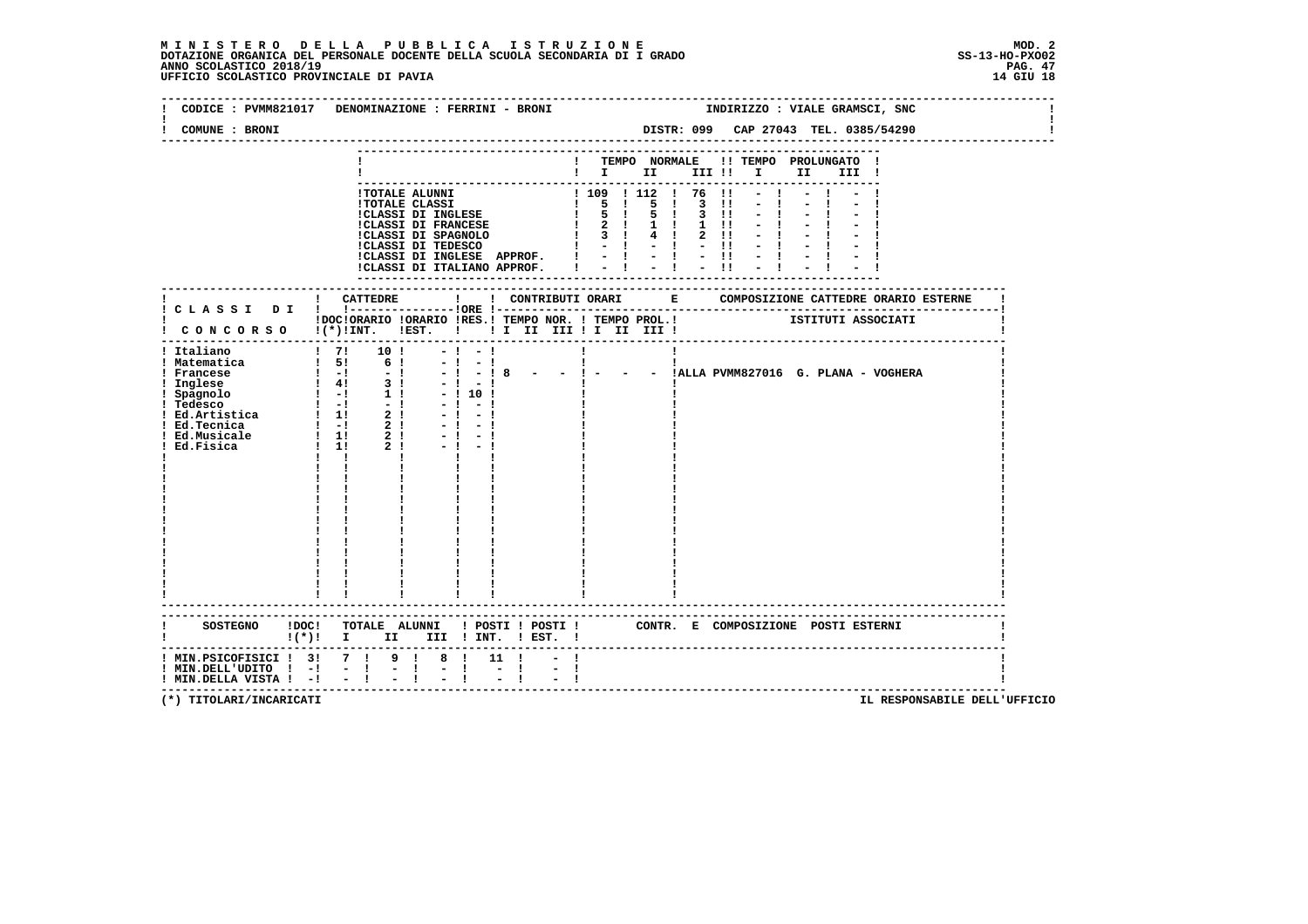|                                                     | CODICE : PVMM821017 DENOMINAZIONE : FERRINI - BRONI                                                                           |                                                                       |                                                                                                                                                       | INDIRIZZO : VIALE GRAMSCI, SNC                          |  |
|-----------------------------------------------------|-------------------------------------------------------------------------------------------------------------------------------|-----------------------------------------------------------------------|-------------------------------------------------------------------------------------------------------------------------------------------------------|---------------------------------------------------------|--|
| COMUNE : BRONI                                      |                                                                                                                               |                                                                       |                                                                                                                                                       | DISTR: 099 CAP 27043 TEL. 0385/54290                    |  |
|                                                     |                                                                                                                               |                                                                       | $\blacksquare$ $\blacksquare$ $\blacksquare$ $\blacksquare$ $\blacksquare$ $\blacksquare$ $\blacksquare$ $\blacksquare$ $\blacksquare$ $\blacksquare$ | ! TEMPO NORMALE !! TEMPO PROLUNGATO !<br>III !          |  |
|                                                     |                                                                                                                               |                                                                       |                                                                                                                                                       |                                                         |  |
|                                                     |                                                                                                                               |                                                                       |                                                                                                                                                       |                                                         |  |
|                                                     | IDOCIORARIO IORARIO IRES.I TEMPO NOR. I TEMPO PROL.I CONTENTI ASSOCIATI<br>I CONCORSO I(*)INT. IEST. I I I III III II III III |                                                                       |                                                                                                                                                       |                                                         |  |
| ! Italiano                                          | $1 \t71 \t101$<br>$-1 - 1$<br>$-1 - 1$<br>$-!$ $-!$ 8<br>$-1 - 1$<br>$-1101$<br>$-1$<br>$-1$<br>$-1$<br>$-1$<br>$\mathbf{I}$  | <b>Contract Contract</b><br>$\sim$ $\sim$ $\frac{1}{1}$ $\sim$ $\sim$ | п.                                                                                                                                                    | - - $\frac{1}{1}$ . IALLA PVMM827016 G. PLANA - VOGHERA |  |
|                                                     | SOSTEGNO !DOC! TOTALE ALUNNI ! POSTI ! POSTI ! CONTR. E COMPOSIZIONE POSTI ESTERNI<br>$!(*)!$ I II III ! INT. ! EST. !        |                                                                       |                                                                                                                                                       |                                                         |  |
| ! MIN.DELL'UDITO ! -!<br>! MIN.DELLA VISTA ! -! - ! | ! MIN.PSICOFISICI ! 3! 7 ! 9 ! 8 ! 11 !<br>$-1 - 1 - 1$<br>$-1$                                                               |                                                                       |                                                                                                                                                       | -----------------------------                           |  |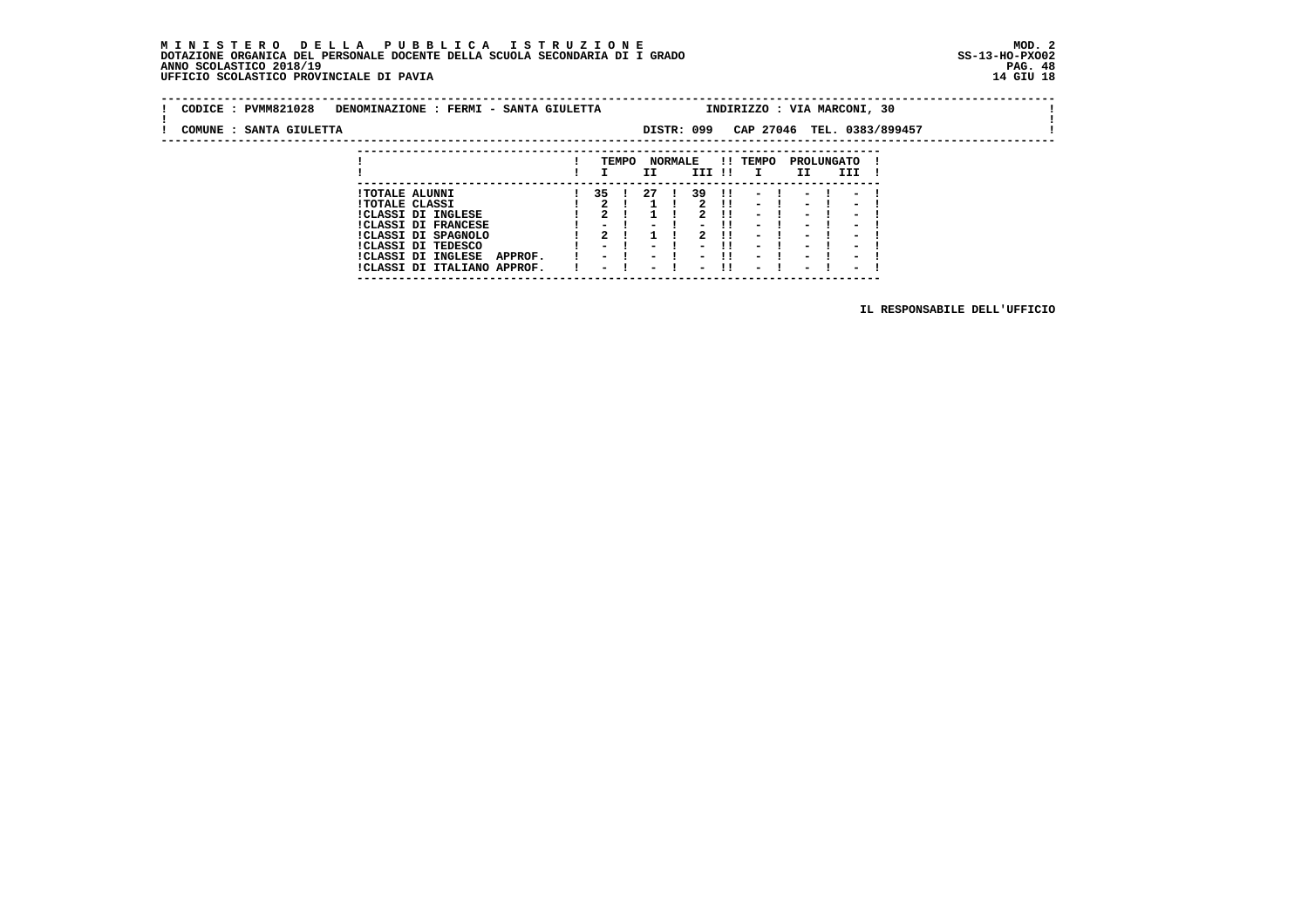#### **M I N I S T E R O D E L L A P U B B L I C A I S T R U Z I O N E MOD. 2DOTAZIONE ORGANICA DEL PERSONALE DOCENTE DELLA SCUOLA SECONDARIA DI I GRADO ANNO SCOLASTICO 2018/19** UFFICIO SCOLASTICO PROVINCIALE DI PAVIA

 **---------------------------------------------------------------------------**

| CODICE: PVMM821028      | DENOMINAZIONE : FERMI - SANTA GIULETTA         |       | INDIRIZZO : VIA MARCONI, 30                                                 |  |
|-------------------------|------------------------------------------------|-------|-----------------------------------------------------------------------------|--|
| COMUNE : SANTA GIULETTA |                                                |       | CAP 27046 TEL. 0383/899457<br>DISTR: 099                                    |  |
|                         |                                                |       |                                                                             |  |
|                         |                                                | TEMPO | <b>NORMALE</b><br>!! TEMPO<br>PROLUNGATO                                    |  |
|                         |                                                |       | III !!<br>III<br>ΙI<br>$\mathbf{I}$<br>II                                   |  |
|                         |                                                |       | 39<br>27                                                                    |  |
|                         | <b>!TOTALE ALUNNI</b><br><b>!TOTALE CLASSI</b> | -35   | $\mathbf{11}$<br>$-1$<br>$-1$ $-1$<br>$-1$<br>$\blacksquare$<br>2<br>$\sim$ |  |
|                         |                                                |       | $-1$                                                                        |  |
|                         | !CLASSI DI INGLESE                             |       | $\sim$<br>$\sim$<br>$\sim$                                                  |  |
|                         | ICLASST DI FRANCESE                            |       | - 11<br>$\sim$<br>$\sim$<br>$\sim$<br>$\sim$                                |  |

 **!CLASSI DI FRANCESE ! - ! - ! - !! - ! - ! - ! !CLASSI DI SPAGNOLO ! 2 ! 1 ! 2 !! - ! - ! - ! !CLASSI DI TEDESCO ! - ! - ! - !! - ! - ! - ! !CLASSI DI INGLESE APPROF. ! - ! - ! - !! - ! - ! - ! !CLASSI DI ITALIANO APPROF. ! - ! - ! - !! - ! - ! - !**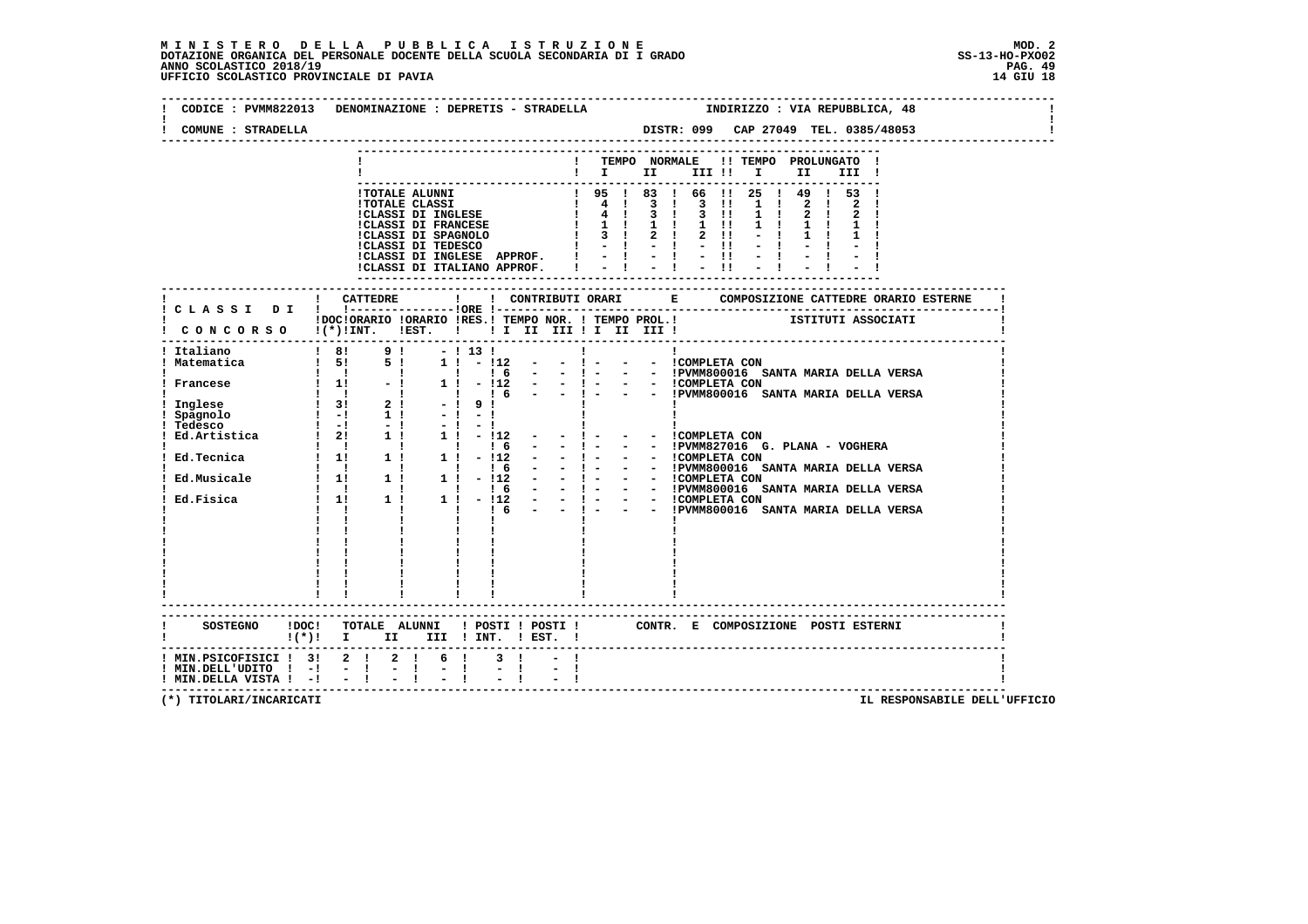| CODICE : PVMM822013 DENOMINAZIONE : DEPRETIS - STRADELLA                                                                                                                                                                                                           |                   |            |                                                         |              |  |           |                                         |                                         |          |  |     |  |       | INDIRIZZO : VIA REPUBBLICA, 48 |  |  |
|--------------------------------------------------------------------------------------------------------------------------------------------------------------------------------------------------------------------------------------------------------------------|-------------------|------------|---------------------------------------------------------|--------------|--|-----------|-----------------------------------------|-----------------------------------------|----------|--|-----|--|-------|--------------------------------|--|--|
| COMUNE : STRADELLA                                                                                                                                                                                                                                                 |                   |            |                                                         |              |  |           |                                         |                                         |          |  |     |  |       |                                |  |  |
|                                                                                                                                                                                                                                                                    |                   |            |                                                         |              |  |           | ! TEMPO NORMALE !! TEMPO PROLUNGATO !   |                                         |          |  |     |  |       |                                |  |  |
|                                                                                                                                                                                                                                                                    |                   |            |                                                         |              |  |           | $\mathbf{I}$ is the set of $\mathbf{I}$ |                                         | III !! I |  | II. |  | III ! |                                |  |  |
|                                                                                                                                                                                                                                                                    |                   |            |                                                         |              |  |           |                                         |                                         |          |  |     |  |       |                                |  |  |
|                                                                                                                                                                                                                                                                    |                   |            |                                                         |              |  |           |                                         |                                         |          |  |     |  |       |                                |  |  |
|                                                                                                                                                                                                                                                                    |                   |            |                                                         |              |  |           |                                         |                                         |          |  |     |  |       |                                |  |  |
|                                                                                                                                                                                                                                                                    |                   |            |                                                         |              |  |           |                                         |                                         |          |  |     |  |       |                                |  |  |
|                                                                                                                                                                                                                                                                    |                   |            |                                                         |              |  |           |                                         |                                         |          |  |     |  |       |                                |  |  |
|                                                                                                                                                                                                                                                                    |                   |            |                                                         |              |  |           |                                         |                                         |          |  |     |  |       |                                |  |  |
|                                                                                                                                                                                                                                                                    |                   | ! CATTEDRE |                                                         | $\mathbf{I}$ |  |           |                                         |                                         |          |  |     |  |       |                                |  |  |
| ! CLASSI DI ! !---------------!ORE !--                                                                                                                                                                                                                             |                   |            |                                                         |              |  |           |                                         |                                         |          |  |     |  |       |                                |  |  |
| ! DOCIORARIO IORARIO IRES.I TEMPO NOR. ! TEMPO PROL.! ISTITUTI ASSOCIATI<br>! CONCORSO !(*)!INT. !EST. ! ! I II III ! II III !!                                                                                                                                    |                   |            |                                                         |              |  |           |                                         |                                         |          |  |     |  |       |                                |  |  |
| Italiano<br>  Italiano<br>  Italiano<br>  Italiano<br>  Italiano<br>  Italiano<br>  Italiano<br>  Italiano<br>  Italiano<br>  Italiano<br>  Italiano<br>  Italiano<br>  Italiano<br>  Italiano<br>  Italiano<br>  Italiano<br>  Italiano<br>  Italiano<br>  Italia |                   |            |                                                         |              |  |           |                                         |                                         |          |  |     |  |       |                                |  |  |
|                                                                                                                                                                                                                                                                    |                   |            |                                                         |              |  |           |                                         |                                         |          |  |     |  |       |                                |  |  |
|                                                                                                                                                                                                                                                                    |                   |            |                                                         |              |  |           |                                         |                                         |          |  |     |  |       |                                |  |  |
|                                                                                                                                                                                                                                                                    |                   |            |                                                         |              |  |           |                                         |                                         |          |  |     |  |       |                                |  |  |
|                                                                                                                                                                                                                                                                    |                   |            |                                                         |              |  |           |                                         |                                         |          |  |     |  |       |                                |  |  |
|                                                                                                                                                                                                                                                                    |                   |            |                                                         |              |  |           |                                         |                                         |          |  |     |  |       |                                |  |  |
|                                                                                                                                                                                                                                                                    |                   |            |                                                         |              |  |           |                                         |                                         |          |  |     |  |       |                                |  |  |
|                                                                                                                                                                                                                                                                    |                   |            |                                                         |              |  |           |                                         |                                         |          |  |     |  |       |                                |  |  |
|                                                                                                                                                                                                                                                                    |                   |            |                                                         |              |  |           |                                         |                                         |          |  |     |  |       |                                |  |  |
|                                                                                                                                                                                                                                                                    |                   |            |                                                         |              |  |           |                                         |                                         |          |  |     |  |       |                                |  |  |
|                                                                                                                                                                                                                                                                    |                   |            |                                                         |              |  |           |                                         |                                         |          |  |     |  |       |                                |  |  |
|                                                                                                                                                                                                                                                                    | $1 \quad 1 \quad$ |            | $\frac{1}{1}$ $\frac{1}{1}$ $\frac{1}{1}$ $\frac{1}{6}$ |              |  | $  1$ $-$ |                                         | - - !PVMM800016 SANTA MARIA DELLA VERSA |          |  |     |  |       |                                |  |  |
|                                                                                                                                                                                                                                                                    |                   |            |                                                         |              |  |           |                                         |                                         |          |  |     |  |       |                                |  |  |
|                                                                                                                                                                                                                                                                    |                   |            |                                                         |              |  |           |                                         |                                         |          |  |     |  |       |                                |  |  |
|                                                                                                                                                                                                                                                                    |                   |            |                                                         |              |  |           |                                         |                                         |          |  |     |  |       |                                |  |  |
|                                                                                                                                                                                                                                                                    |                   |            |                                                         |              |  |           |                                         |                                         |          |  |     |  |       |                                |  |  |
|                                                                                                                                                                                                                                                                    |                   |            |                                                         |              |  |           |                                         |                                         |          |  |     |  |       |                                |  |  |
|                                                                                                                                                                                                                                                                    |                   |            |                                                         |              |  |           |                                         |                                         |          |  |     |  |       |                                |  |  |
| SOSTEGNO !DOC! TOTALE ALUNNI ! POSTI ! POSTI ! CONTR. E COMPOSIZIONE POSTI ESTERNI                                                                                                                                                                                 |                   |            |                                                         |              |  |           |                                         |                                         |          |  |     |  |       |                                |  |  |
| $!(*)!$ I II III ! INT. ! EST. !                                                                                                                                                                                                                                   |                   |            |                                                         |              |  |           |                                         |                                         |          |  |     |  |       |                                |  |  |
| ! MIN.PSICOFISICI ! 3! 2 ! 2 ! 6 !                                                                                                                                                                                                                                 |                   |            |                                                         |              |  |           |                                         |                                         |          |  |     |  |       |                                |  |  |
| $!$ MIN.DELL'UDITO $!$ - $!$ - $!$<br>$!$ MIN.DELLA VISTA $!$ - $!$ - $!$                                                                                                                                                                                          |                   |            | $= 1 - 1$                                               |              |  |           |                                         |                                         |          |  |     |  |       |                                |  |  |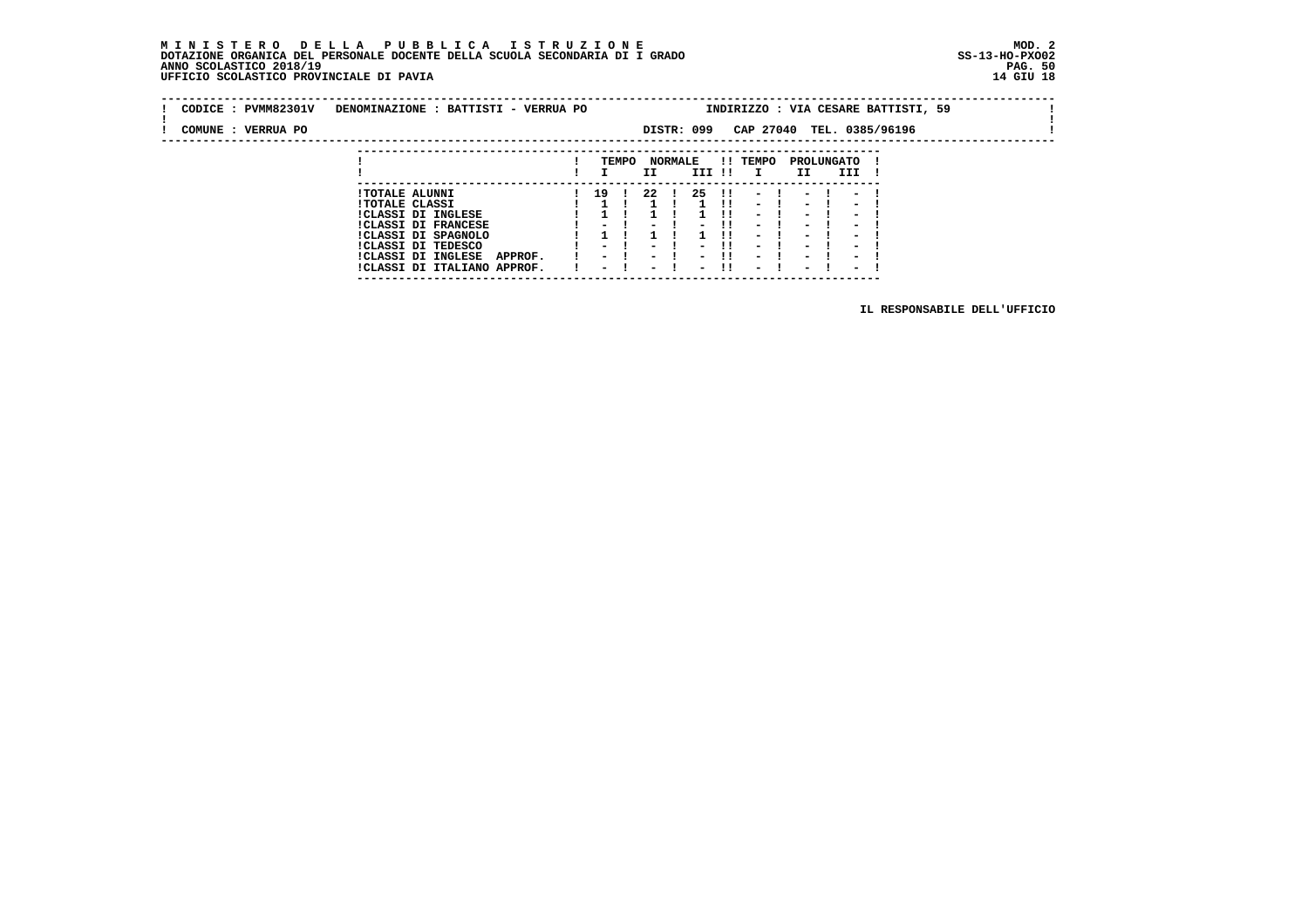#### **M I N I S T E R O D E L L A P U B B L I C A I S T R U Z I O N E MOD. 2 DOTAZIONE ORGANICA DEL PERSONALE DOCENTE DELLA SCUOLA SECONDARIA DI I GRADO ANNO SCOLASTICO 2018/19 PAG. 50 UFFICIO SCOLASTICO PROVINCIALE DI PAVIA 14 GIU 18**

 **---------------------------------------------------------------------------**

| CODICE: PVMM82301V | DENOMINAZIONE : BATTISTI - VERRUA PO |                          |       |                          |                                 |              |                          |                          |            |                          | INDIRIZZO : VIA CESARE BATTISTI, 59 |  |
|--------------------|--------------------------------------|--------------------------|-------|--------------------------|---------------------------------|--------------|--------------------------|--------------------------|------------|--------------------------|-------------------------------------|--|
| COMUNE : VERRUA PO |                                      |                          |       | DISTR: 099               |                                 | CAP 27040    |                          |                          |            |                          | TEL. 0385/96196                     |  |
|                    |                                      |                          |       |                          |                                 |              |                          |                          |            |                          |                                     |  |
|                    |                                      |                          | TEMPO | <b>NORMALE</b>           |                                 | !! TEMPO     |                          |                          | PROLUNGATO |                          |                                     |  |
|                    |                                      |                          |       | II.                      | III !!                          | $\mathbf{I}$ |                          | II.                      | III        |                          |                                     |  |
|                    | <b>!TOTALE ALUNNI</b>                | $1 \quad 19 \quad 1$     |       | 22 !                     | 25 !!                           |              | $\blacksquare$           | $\overline{\phantom{a}}$ |            | $\overline{\phantom{a}}$ |                                     |  |
|                    | <b>!TOTALE CLASSI</b>                |                          |       |                          |                                 |              | $\sim$ 100 $\mu$         | $\overline{\phantom{a}}$ |            | $\overline{\phantom{a}}$ |                                     |  |
|                    | !CLASSI DI INGLESE                   |                          |       |                          |                                 |              | $\sim$                   | -                        |            | $\blacksquare$           |                                     |  |
|                    | <b>!CLASSI DI FRANCESE</b>           | $\sim$ $\sim$            |       | $\overline{\phantom{0}}$ | -11<br>-                        |              | $\overline{\phantom{a}}$ | $\overline{\phantom{a}}$ |            | -                        |                                     |  |
|                    | !CLASSI DI SPAGNOLO                  |                          |       |                          |                                 |              | $\overline{\phantom{a}}$ | $\overline{\phantom{a}}$ |            | $\overline{\phantom{a}}$ |                                     |  |
|                    | CLASSI DI TEDESCO                    | $\sim$ $\sim$            |       | $\overline{\phantom{0}}$ | -11<br>-                        |              | $\overline{\phantom{a}}$ | $\overline{\phantom{a}}$ |            | $\blacksquare$           |                                     |  |
|                    | !CLASSI DI INGLESE<br>APPROF.        | $ -$                     |       | $ -$                     | -11<br>$ -$                     |              | $\blacksquare$           | $\overline{\phantom{0}}$ |            | $\overline{\phantom{0}}$ |                                     |  |
|                    | !CLASSI DI ITALIANO APPROF.          | $\overline{\phantom{0}}$ |       | $ -$                     | -11<br>$\overline{\phantom{0}}$ |              | $\overline{\phantom{0}}$ | $\overline{\phantom{0}}$ |            | $\overline{\phantom{0}}$ |                                     |  |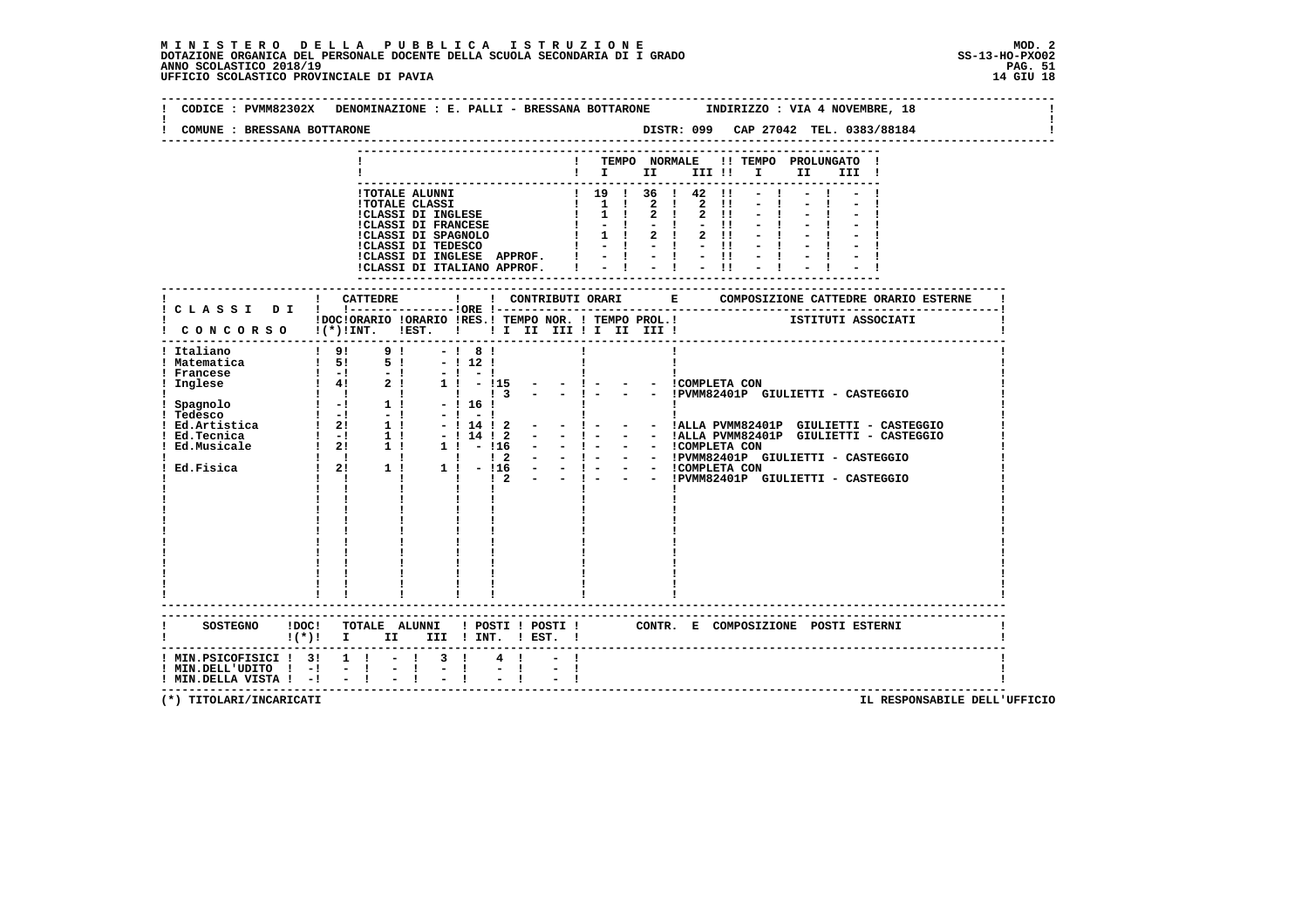| COMUNE : BRESSANA BOTTARONE                                                                |                                                                                                                                                                                                                                                  |                                            |                                                         |                                        |       |  |                                                                                                                                                                                  |
|--------------------------------------------------------------------------------------------|--------------------------------------------------------------------------------------------------------------------------------------------------------------------------------------------------------------------------------------------------|--------------------------------------------|---------------------------------------------------------|----------------------------------------|-------|--|----------------------------------------------------------------------------------------------------------------------------------------------------------------------------------|
|                                                                                            |                                                                                                                                                                                                                                                  |                                            | ! TEMPO NORMALE !! TEMPO PROLUNGATO !<br>$\blacksquare$ |                                        |       |  |                                                                                                                                                                                  |
|                                                                                            | ! TOTALE ALUNNI<br>! TOTALE CLASSI<br>! 1 0 1 36 1 42 1!<br>! CLASSI DI INGLESE<br>! 1 1 2 ! 2 !!<br>! CLASSI DI FRANCESE<br>! 1 1 2 ! 2 !!<br>! CLASSI DI SPAGNOLO   1   2 ! 2 !!<br>! CLASSI DI SPAGNOLO   1   2 ! 2 !!<br>! CLASSI DI TEDESCO |                                            |                                                         |                                        |       |  |                                                                                                                                                                                  |
|                                                                                            | !CLASSI DI INGLESE APPROF. ! - ! - ! - !!<br>!CLASSI DI ITALIANO APPROF.   - !                                                                                                                                                                   |                                            | ------------------------                                |                                        | $-11$ |  |                                                                                                                                                                                  |
|                                                                                            |                                                                                                                                                                                                                                                  |                                            |                                                         |                                        |       |  |                                                                                                                                                                                  |
|                                                                                            | !DOC!ORARIO !ORARIO !RES.! TEMPO NOR. ! TEMPO PROL.! ISTITUTI ASSOCIATI<br>! CONCORSO !(*)!INT. !EST. !!! II III !I III III !                                                                                                                    |                                            |                                                         |                                        |       |  |                                                                                                                                                                                  |
| ! Italiano<br>! Matematica                                                                 | $\begin{array}{cccccccc} 1 & 91 & & 91 & & -1 & 81 \\ 1 & 51 & & 51 & & -1121 \end{array}$<br><b>Contract Contract</b><br>$\mathbf{I}$                                                                                                           | $\begin{array}{ccc} 1 & 2 & - \end{array}$ | $-1$ $-$                                                | - - ICOMPLETA CON<br>- - ICOMPLETA CON |       |  | - - !PVMM82401P GIULIETTI - CASTEGGIO<br>- ! - - - !ALLA PVMM82401P GIULIETTI - CASTEGGIO<br>- - !ALLA PVMM82401P GIULIETTI - CASTEGGIO<br>- - !PVMM82401P GIULIETTI - CASTEGGIO |
|                                                                                            | SOSTEGNO !DOC! TOTALE ALUNNI ! POSTI ! POSTI ! CONTR. E COMPOSIZIONE POSTI ESTERNI<br>$!(*)!$ I II III ! INT. ! EST. !                                                                                                                           |                                            |                                                         |                                        |       |  |                                                                                                                                                                                  |
| ! MIN.PSICOFISICI ! 3! 1 !<br>! MIN.DELL'UDITO ! -!<br>$!$ MIN.DELLA VISTA $!$ - $!$ - $!$ | $-1$ 3 1<br>$-1$<br>$\blacksquare$                                                                                                                                                                                                               | $4 \quad 1$                                |                                                         |                                        |       |  |                                                                                                                                                                                  |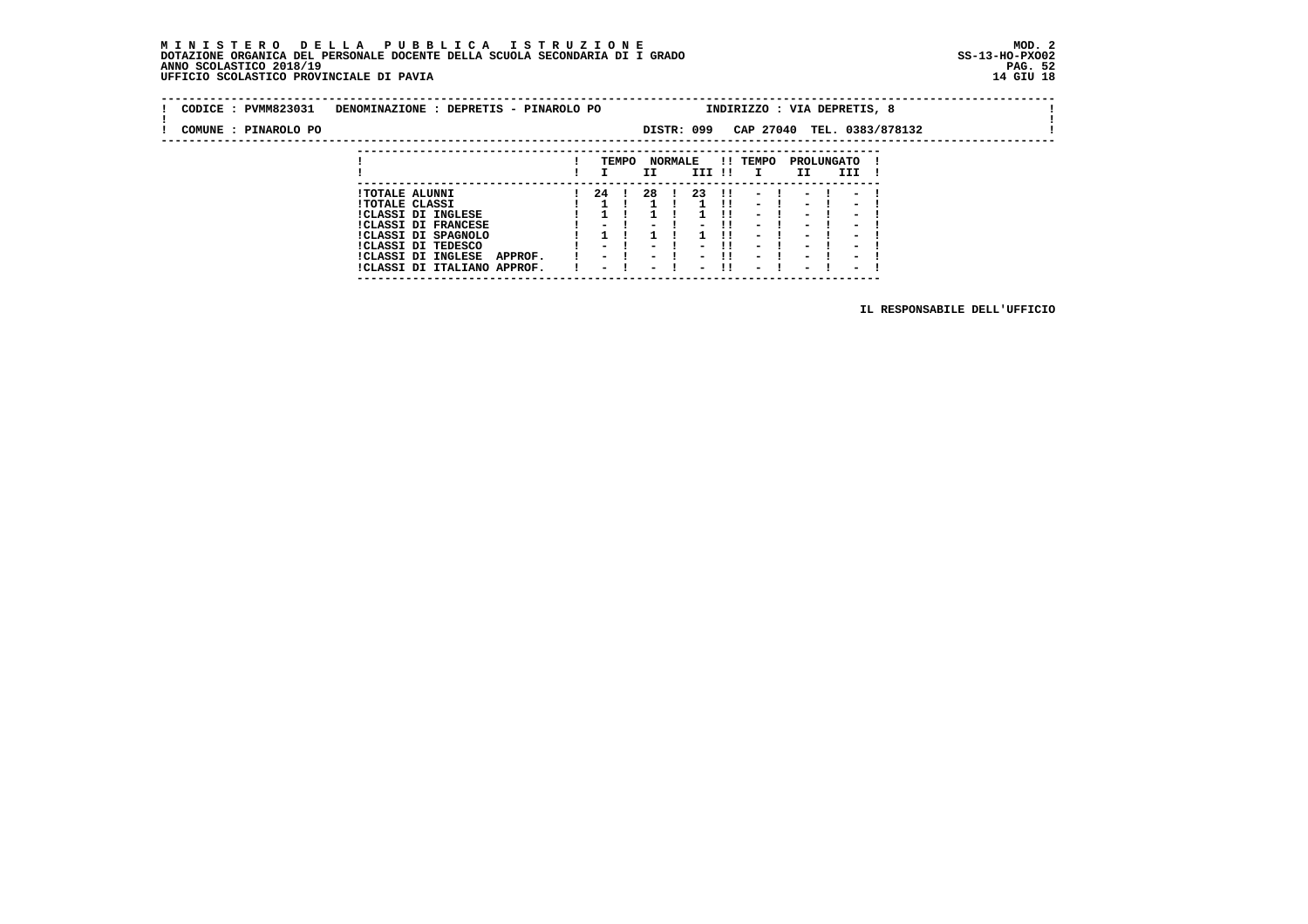#### **M I N I S T E R O D E L L A P U B B L I C A I S T R U Z I O N E MOD. 2 DOTAZIONE ORGANICA DEL PERSONALE DOCENTE DELLA SCUOLA SECONDARIA DI I GRADO ANNO SCOLASTICO 2018/19 UFFICIO SCOLASTICO PROVINCIALE DI PAVIA 14 GIU 18**

 **---------------------------------------------------------------------------**

| CODICE : PVMM823031  | DENOMINAZIONE : DEPRETIS - PINAROLO PO                       |                                  |       |                  |                |                                                      |      |                                                      | INDIRIZZO : VIA DEPRETIS, 8                          |                                                      |                            |  |  |
|----------------------|--------------------------------------------------------------|----------------------------------|-------|------------------|----------------|------------------------------------------------------|------|------------------------------------------------------|------------------------------------------------------|------------------------------------------------------|----------------------------|--|--|
| COMUNE : PINAROLO PO |                                                              |                                  |       |                  |                | DISTR: 099                                           |      |                                                      |                                                      |                                                      | CAP 27040 TEL. 0383/878132 |  |  |
|                      |                                                              |                                  |       |                  |                |                                                      |      |                                                      |                                                      |                                                      |                            |  |  |
|                      |                                                              |                                  | TEMPO | II               | <b>NORMALE</b> | III !!                                               |      | !! TEMPO<br>$\mathbf{I}$                             | II                                                   | PROLUNGATO<br>III                                    |                            |  |  |
|                      | <b>!TOTALE ALUNNI</b>                                        | 24 !                             |       | -28              |                | -23                                                  | - 11 | $\sim$                                               | $\blacksquare$                                       | $\overline{\phantom{a}}$                             |                            |  |  |
|                      | <b>!TOTALE CLASSI</b><br><b>!CLASSI DI INGLESE</b>           |                                  |       |                  |                |                                                      |      | $\sim$ $\sim$<br>$\overline{\phantom{0}}$            | $\sim$<br>$\overline{\phantom{0}}$                   | $\overline{\phantom{0}}$<br>$\overline{\phantom{0}}$ |                            |  |  |
|                      | <b>!CLASSI DI FRANCESE</b>                                   | - '                              |       |                  |                | - 1                                                  |      | $\sim$<br>$\overline{\phantom{0}}$                   | $\overline{\phantom{0}}$                             | $\overline{\phantom{0}}$                             |                            |  |  |
|                      | !CLASSI DI SPAGNOLO<br>ICLASSI DI TEDESCO                    | $ -$                             |       | $\sim$           |                | -                                                    |      | $\overline{\phantom{a}}$                             | $\overline{\phantom{a}}$<br>$\overline{\phantom{a}}$ | $\overline{\phantom{0}}$<br>$\overline{\phantom{0}}$ |                            |  |  |
|                      | !CLASSI DI INGLESE<br>APPROF.<br>!CLASSI DI ITALIANO APPROF. | $ -$<br>$\overline{\phantom{0}}$ |       | $\sim$<br>$\sim$ |                | $\overline{\phantom{0}}$<br>$\overline{\phantom{0}}$ |      | $\overline{\phantom{0}}$<br>$\overline{\phantom{0}}$ | $\overline{\phantom{0}}$<br>$\overline{\phantom{0}}$ | $\overline{\phantom{0}}$<br>$\overline{\phantom{0}}$ |                            |  |  |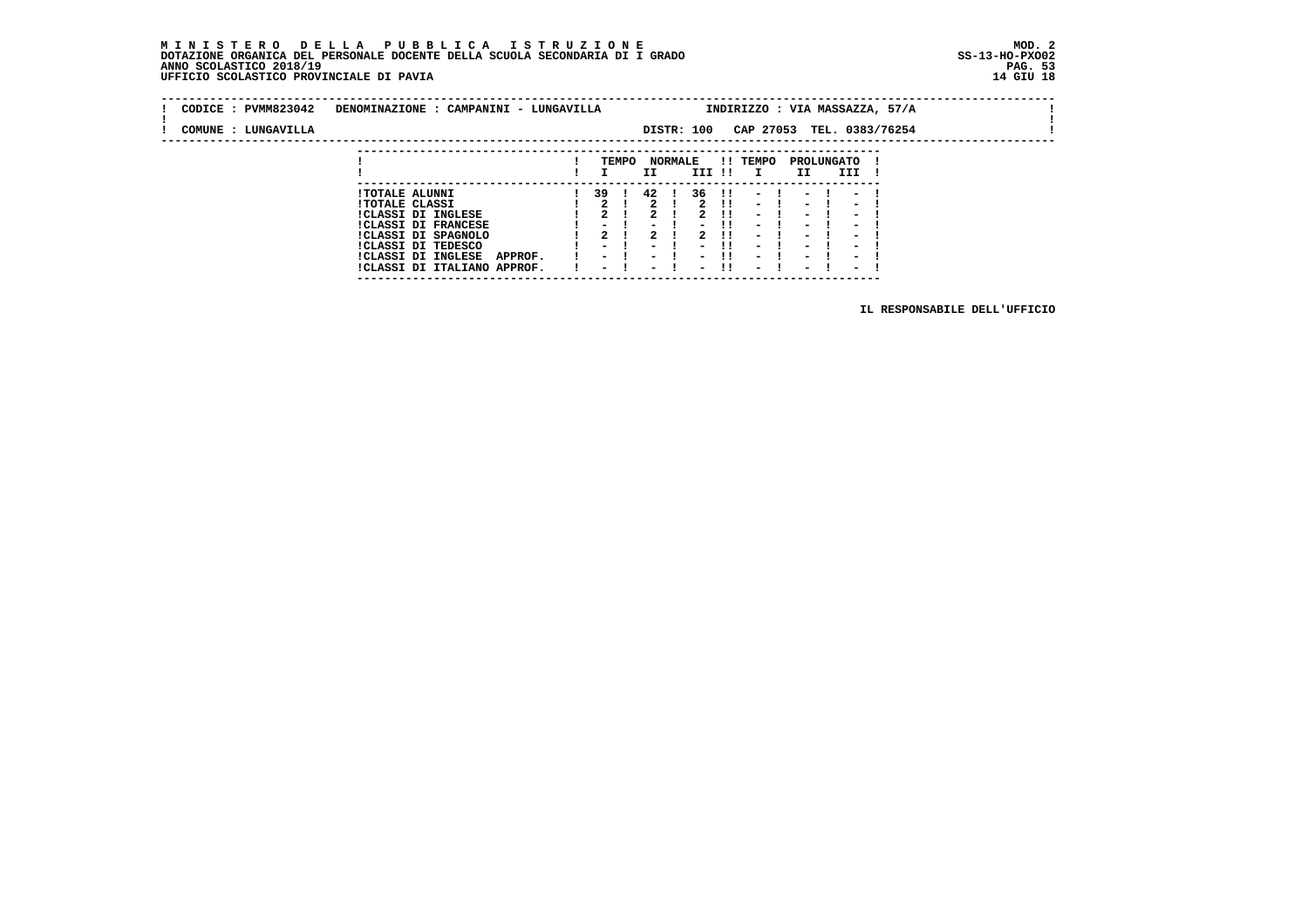#### **M I N I S T E R O D E L L A P U B B L I C A I S T R U Z I O N E MOD. 2 DOTAZIONE ORGANICA DEL PERSONALE DOCENTE DELLA SCUOLA SECONDARIA DI I GRADO ANNO SCOLASTICO 2018/19 UFFICIO SCOLASTICO PROVINCIALE DI PAVIA**

 **---------------------------------------------------------------------------**

| CODICE: PVMM823042  | DENOMINAZIONE : CAMPANINI - LUNGAVILLA                       |                                  |                                    |                                                      |      |                                                      |                                                      |                                                      | INDIRIZZO : VIA MASSAZZA, 57/A |  |
|---------------------|--------------------------------------------------------------|----------------------------------|------------------------------------|------------------------------------------------------|------|------------------------------------------------------|------------------------------------------------------|------------------------------------------------------|--------------------------------|--|
| COMUNE : LUNGAVILLA |                                                              |                                  | DISTR: 100                         |                                                      |      | CAP 27053                                            |                                                      |                                                      | TEL. 0383/76254                |  |
|                     |                                                              |                                  |                                    |                                                      |      |                                                      |                                                      |                                                      |                                |  |
|                     |                                                              | TEMPO                            | <b>NORMALE</b><br>II.              | III !!                                               |      | !! TEMPO<br>$\mathbf{I}$                             | II.                                                  | PROLUNGATO<br>III                                    |                                |  |
|                     | <b>!TOTALE ALUNNI</b>                                        | 39 I                             | 42 !                               | 36                                                   | - 11 | $\overline{\phantom{a}}$                             | $\overline{\phantom{0}}$                             | $\overline{\phantom{0}}$                             |                                |  |
|                     | <b>!TOTALE CLASSI</b><br><b>!CLASSI DI INGLESE</b>           |                                  |                                    |                                                      | - 11 | $-1$<br>$\overline{\phantom{a}}$                     | $\sim$ $-$<br>$\overline{\phantom{a}}$               | $\overline{\phantom{a}}$<br>$\blacksquare$           |                                |  |
|                     | <b>!CLASSI DI FRANCESE</b><br>!CLASSI DI SPAGNOLO            | - 1<br>$2 \frac{1}{2}$           | $\overline{\phantom{0}}$           | $\overline{\phantom{0}}$                             |      | $\overline{\phantom{a}}$<br>$\overline{\phantom{a}}$ | $\overline{\phantom{a}}$<br>$\overline{\phantom{a}}$ | $\overline{\phantom{0}}$<br>$\blacksquare$           |                                |  |
|                     | ICLASSI DI TEDESCO                                           | - '                              | $ -$                               | $\overline{\phantom{0}}$                             |      | $\overline{\phantom{a}}$                             | $\overline{\phantom{a}}$                             | $\overline{\phantom{0}}$                             |                                |  |
|                     | !CLASSI DI INGLESE<br>APPROF.<br>!CLASSI DI ITALIANO APPROF. | $ -$<br>$\overline{\phantom{0}}$ | $\sim$<br>$\overline{\phantom{0}}$ | $\overline{\phantom{0}}$<br>$\overline{\phantom{0}}$ |      | $\overline{\phantom{0}}$<br>$\overline{\phantom{0}}$ | $\overline{\phantom{0}}$<br>$\overline{\phantom{0}}$ | $\overline{\phantom{0}}$<br>$\overline{\phantom{0}}$ |                                |  |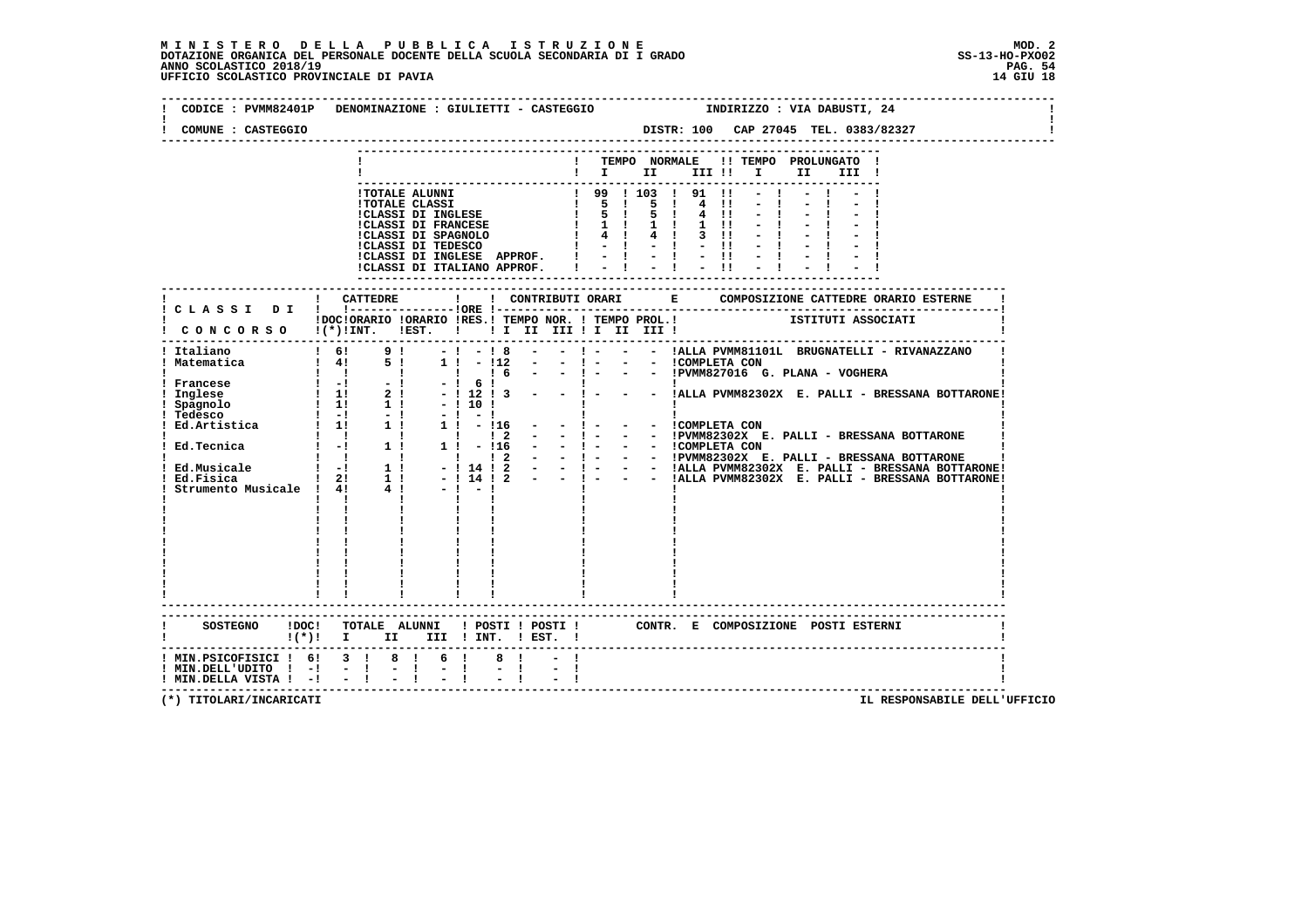| COMUNE : CASTEGGIO                                                       |                           |           |                | CODICE : PVMM82401P DENOMINAZIONE : GIULIETTI - CASTEGGIO           INDIRIZZO : VIA DABUSTI, 24                                |       |
|--------------------------------------------------------------------------|---------------------------|-----------|----------------|--------------------------------------------------------------------------------------------------------------------------------|-------|
|                                                                          |                           |           |                | ! TEMPO NORMALE !! TEMPO PROLUNGATO !<br>II —                                                                                  | III ! |
|                                                                          |                           |           |                |                                                                                                                                |       |
|                                                                          |                           |           |                |                                                                                                                                |       |
|                                                                          |                           |           |                |                                                                                                                                |       |
|                                                                          |                           |           |                |                                                                                                                                |       |
|                                                                          |                           |           |                |                                                                                                                                |       |
|                                                                          |                           |           |                |                                                                                                                                |       |
|                                                                          |                           |           |                |                                                                                                                                |       |
|                                                                          |                           |           |                |                                                                                                                                |       |
|                                                                          |                           |           |                |                                                                                                                                |       |
|                                                                          |                           |           |                |                                                                                                                                |       |
|                                                                          |                           |           |                |                                                                                                                                |       |
|                                                                          |                           |           |                | IDOCIORARIO IORARIO IRES.I TEMPO NOR. I TEMPO PROL.I ISTITUTI ASSOCIATI<br>I CONCORSO I(*)IINT. IEST. I II II III II III III I |       |
|                                                                          |                           |           |                |                                                                                                                                |       |
|                                                                          |                           |           |                |                                                                                                                                |       |
|                                                                          |                           |           |                |                                                                                                                                |       |
|                                                                          |                           |           |                |                                                                                                                                |       |
|                                                                          |                           |           |                |                                                                                                                                |       |
|                                                                          |                           |           |                |                                                                                                                                |       |
|                                                                          |                           |           |                |                                                                                                                                |       |
|                                                                          |                           |           |                |                                                                                                                                |       |
|                                                                          |                           |           |                |                                                                                                                                |       |
|                                                                          |                           |           |                |                                                                                                                                |       |
|                                                                          |                           |           |                |                                                                                                                                |       |
|                                                                          |                           |           |                |                                                                                                                                |       |
|                                                                          | $\mathbf{I}$ $\mathbf{I}$ |           |                |                                                                                                                                |       |
|                                                                          |                           |           |                |                                                                                                                                |       |
|                                                                          |                           |           |                |                                                                                                                                |       |
|                                                                          |                           |           |                |                                                                                                                                |       |
|                                                                          |                           |           |                |                                                                                                                                |       |
|                                                                          |                           |           |                |                                                                                                                                |       |
|                                                                          |                           |           |                |                                                                                                                                |       |
|                                                                          |                           |           |                |                                                                                                                                |       |
|                                                                          |                           |           |                |                                                                                                                                |       |
| $!(*)!$ I II III ! INT. ! EST. !                                         |                           |           |                | SOSTEGNO !DOC! TOTALE ALUNNI ! POSTI ! POSTI ! CONTR. E COMPOSIZIONE POSTI ESTERNI                                             |       |
|                                                                          |                           |           |                |                                                                                                                                |       |
| ! MIN.PSICOFISICI ! 6! 3 ! 8 ! 6 !<br>$!$ MIN.DELL'UDITO $!$ - $!$ - $!$ |                           |           | 8 <sub>1</sub> |                                                                                                                                |       |
|                                                                          |                           | $-1 - -1$ |                |                                                                                                                                |       |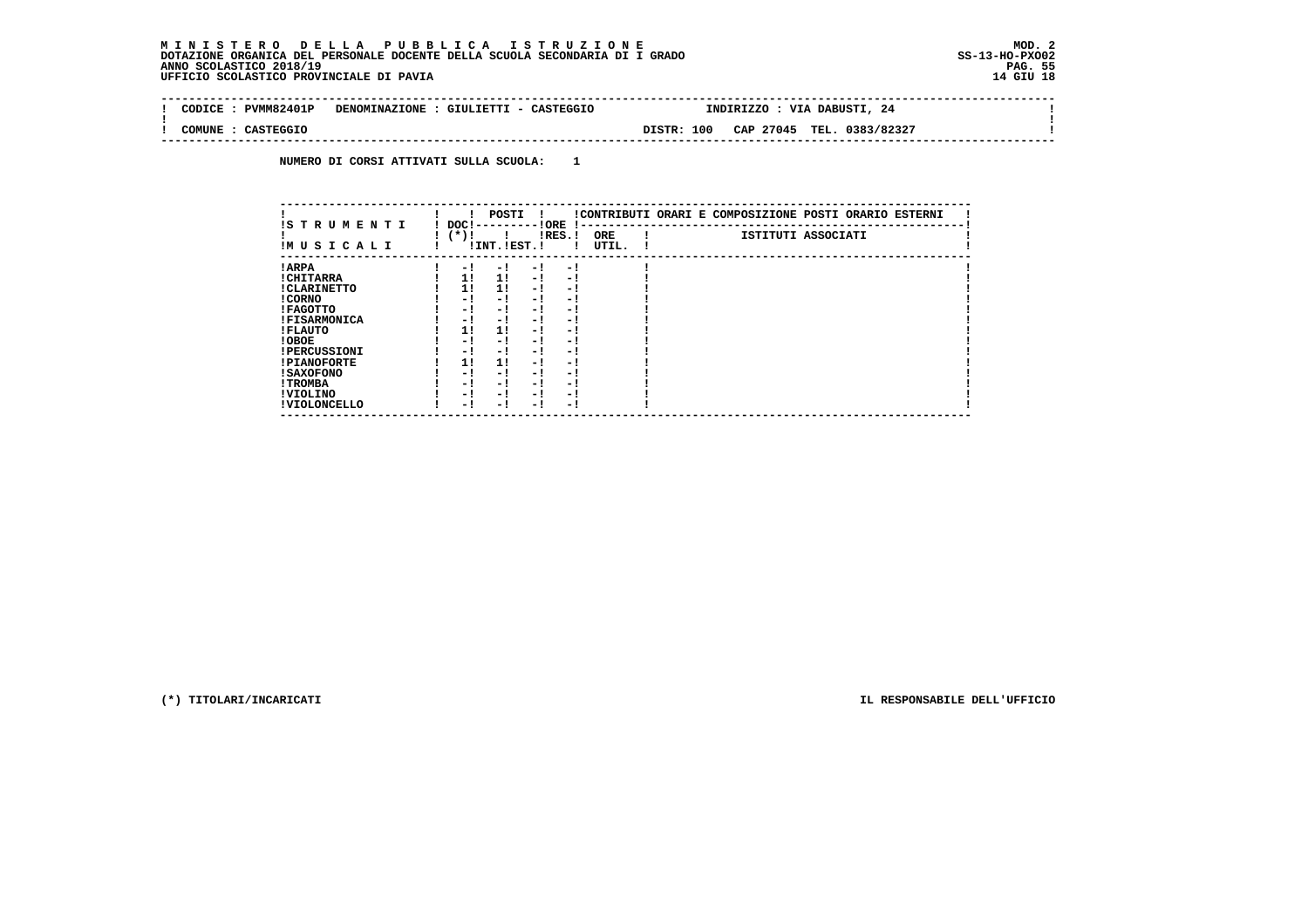| <b>PVMM82401P</b><br><b>CODTCE</b> | DENOMINAZIONE : GIULIETTI - CASTEGGIO | INDIRIZZO : VIA DABUSTI, 24                       |  |
|------------------------------------|---------------------------------------|---------------------------------------------------|--|
| COMUNE<br>CASTEGGIO                |                                       | CAP 27045<br><b>DISTR: 100</b><br>TEL. 0383/82327 |  |
|                                    |                                       |                                                   |  |

 **NUMERO DI CORSI ATTIVATI SULLA SCUOLA: 1**

| IS T R U M E N T I  | DOC !  | POSTI         |                          | ! ORE     | $\mathbf{I}$ – – | !CONTRIBUTI ORARI E COMPOSIZIONE POSTI ORARIO ESTERNI |                    |  |
|---------------------|--------|---------------|--------------------------|-----------|------------------|-------------------------------------------------------|--------------------|--|
| IM U S I C A L I    | $(*)!$ | !INT. !EST. ! |                          | $lRES.$ ! | ORE<br>UTIL.     |                                                       | ISTITUTI ASSOCIATI |  |
| ! ARPA              | - 1    | - 1           | - !                      | - 1       |                  |                                                       |                    |  |
| ! CHITARRA          | 11     | 11            | - 1                      | - 1       |                  |                                                       |                    |  |
| ! CLARINETTO        | 1!     | 11            | - !                      | - 1       |                  |                                                       |                    |  |
| ! CORNO             | - 1    | - !           | - 1                      | $-1$      |                  |                                                       |                    |  |
| ! FAGOTTO           | - 1    | $-1$          | - 1                      | $-1$      |                  |                                                       |                    |  |
| <b>!FISARMONICA</b> | - !    | - 1           | - 1                      | - 1       |                  |                                                       |                    |  |
| ! FLAUTO            | 1!     | 11            | - 1                      | - 1       |                  |                                                       |                    |  |
| ! OBOE              | - 1    | - !           | - 1                      | $-1$      |                  |                                                       |                    |  |
| <b>!PERCUSSIONI</b> | - 1    | - 1           | - 1                      | - 1       |                  |                                                       |                    |  |
| <b>!PIANOFORTE</b>  | 1!     | 11            | - !                      | - !       |                  |                                                       |                    |  |
| <b>! SAXOFONO</b>   | - !    | - 1           | - 1                      | - !       |                  |                                                       |                    |  |
| ! TROMBA            | - 1    | - 1           | $\overline{\phantom{0}}$ | - !       |                  |                                                       |                    |  |
| ! VIOLINO           | - 1    | $-1$          | - 1                      | - 1       |                  |                                                       |                    |  |
| ! VIOLONCELLO       | - 1    | - 1           | $\overline{\phantom{0}}$ | - 1       |                  |                                                       |                    |  |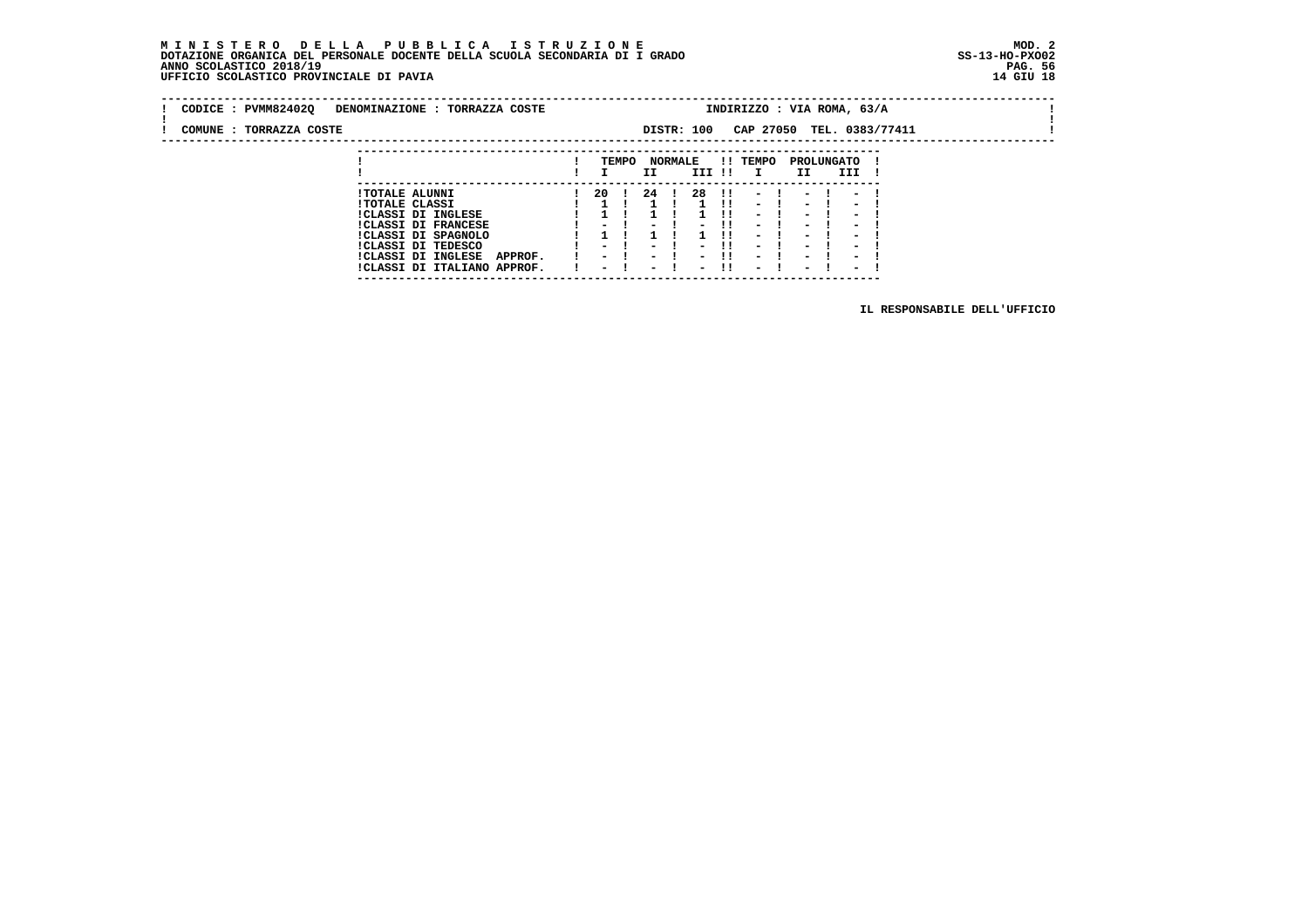**---------------------------------------------------------------------------**

| CODICE : PVMM82402Q<br>DENOMINAZIONE : TORRAZZA COSTE |      |              |      |                          | INDIRIZZO : VIA ROMA, 63/A |    |      |                          |                           |  |  |
|-------------------------------------------------------|------|--------------|------|--------------------------|----------------------------|----|------|--------------------------|---------------------------|--|--|
| COMUNE : TORRAZZA COSTE                               |      |              |      | DISTR: 100               |                            |    |      |                          | CAP 27050 TEL. 0383/77411 |  |  |
|                                                       |      | TEMPO        | II   | <b>NORMALE</b><br>III !! | !! TEMPO<br>$\mathbf{I}$   | II |      | PROLUNGATO<br>III        |                           |  |  |
| <b>!TOTALE ALUNNI</b><br><b>!TOTALE CLASSI</b>        | - 20 | $\mathbf{r}$ | 24 ! | $1 \quad 11$             | 28 !! - ! - ! - !<br>$-1$  |    | $-1$ | $\sim$                   |                           |  |  |
| <b>!CLASSI DI INGLESE</b><br>$1/17.007$ DT EDAMARCE   |      |              |      |                          | $-1$                       |    | $-1$ | $\overline{\phantom{0}}$ |                           |  |  |

 **!CLASSI DI FRANCESE ! - ! - ! - !! - ! - ! - ! !CLASSI DI SPAGNOLO ! 1 ! 1 ! 1 !! - ! - ! - ! !CLASSI DI TEDESCO ! - ! - ! - !! - ! - ! - ! !CLASSI DI INGLESE APPROF. ! - ! - ! - !! - ! - ! - ! !CLASSI DI ITALIANO APPROF. ! - ! - ! - !! - ! - ! - !**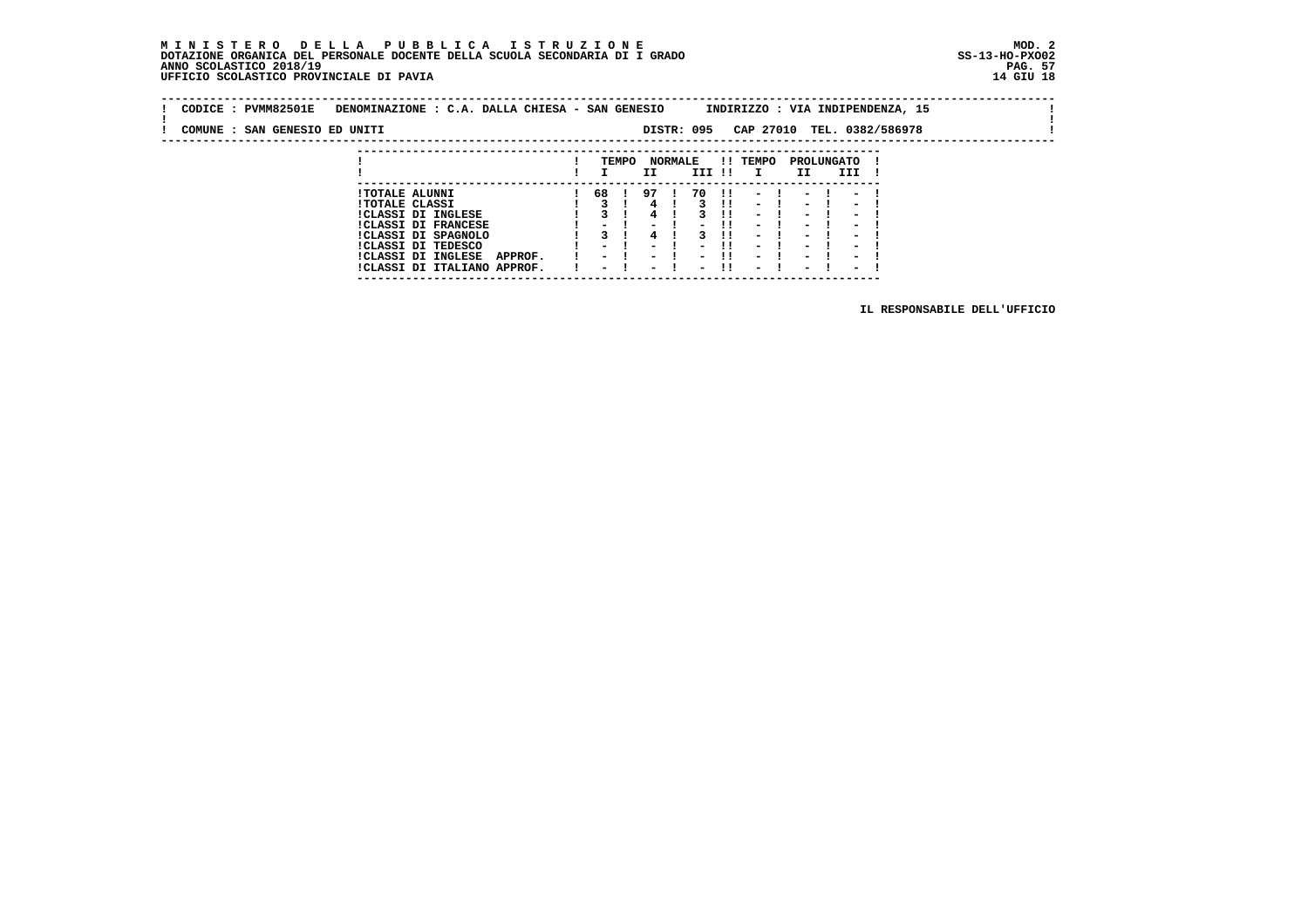# MINISTERO DELLA PUBBLICA ISTRUZIONE<br>DOTAZIONE ORGANICA DEL PERSONALE DOCENTE DELLA SCUOLA SECONDARIA DI IGRADO<br>ANNO SCOLASTICO 2018/19<br>UFFICIO SCOLASTICO PROVINCIALE DI PAVIA

| CODICE: PVMM82501E            | DENOMINAZIONE : C.A. DALLA CHIESA - SAN GENESIO |         |       |            |                |        |              |                |                   |      |                                    | INDIRIZZO : VIA INDIPENDENZA, 15 |  |
|-------------------------------|-------------------------------------------------|---------|-------|------------|----------------|--------|--------------|----------------|-------------------|------|------------------------------------|----------------------------------|--|
| COMUNE : SAN GENESIO ED UNITI |                                                 |         |       | DISTR: 095 |                |        |              |                |                   |      |                                    | CAP 27010 TEL. 0382/586978       |  |
|                               |                                                 |         |       |            |                |        |              |                |                   |      |                                    |                                  |  |
|                               |                                                 |         | TEMPO | ΙI         | <b>NORMALE</b> | III !! |              | !! TEMPO       | PROLUNGATO<br>II. | III  |                                    |                                  |  |
|                               | <b>!TOTALE ALUNNI</b><br><b>!TOTALE CLASSI</b>  | 68 ! 97 |       |            |                | 70     | $\mathbf{H}$ | $-1$<br>$\sim$ | $-1$              | $-1$ | $\sim$<br>$\overline{\phantom{a}}$ |                                  |  |

 **---------------------------------------------------------------------------**

| . TATTE ATTACT             |                             |  |  |  | .                               |  |  |  |
|----------------------------|-----------------------------|--|--|--|---------------------------------|--|--|--|
| !CLASSI DI INGLESE         |                             |  |  |  | 1 3 1 4 1 3 11 - 1 - 1 - 1      |  |  |  |
| <b>!CLASSI DI FRANCESE</b> |                             |  |  |  | 1 - 1 - 1 - 11 - 1 - 1 - 1      |  |  |  |
| !CLASSI DI SPAGNOLO        |                             |  |  |  | 1 3 1 4 1 3 11 - 1 - 1 - 1      |  |  |  |
| ICLASSI DI TEDESCO         |                             |  |  |  | $1 - 1 - 1 - 1 - 1 - 1 - 1 - 1$ |  |  |  |
| !CLASSI DI INGLESE         | APPROF.                     |  |  |  | 1 - 1 - 1 - 11 - 1 - 1 - 1      |  |  |  |
|                            | !CLASSI DI ITALIANO APPROF. |  |  |  | 1 – 1 – 1 – 11 – 1 – 1 – 1      |  |  |  |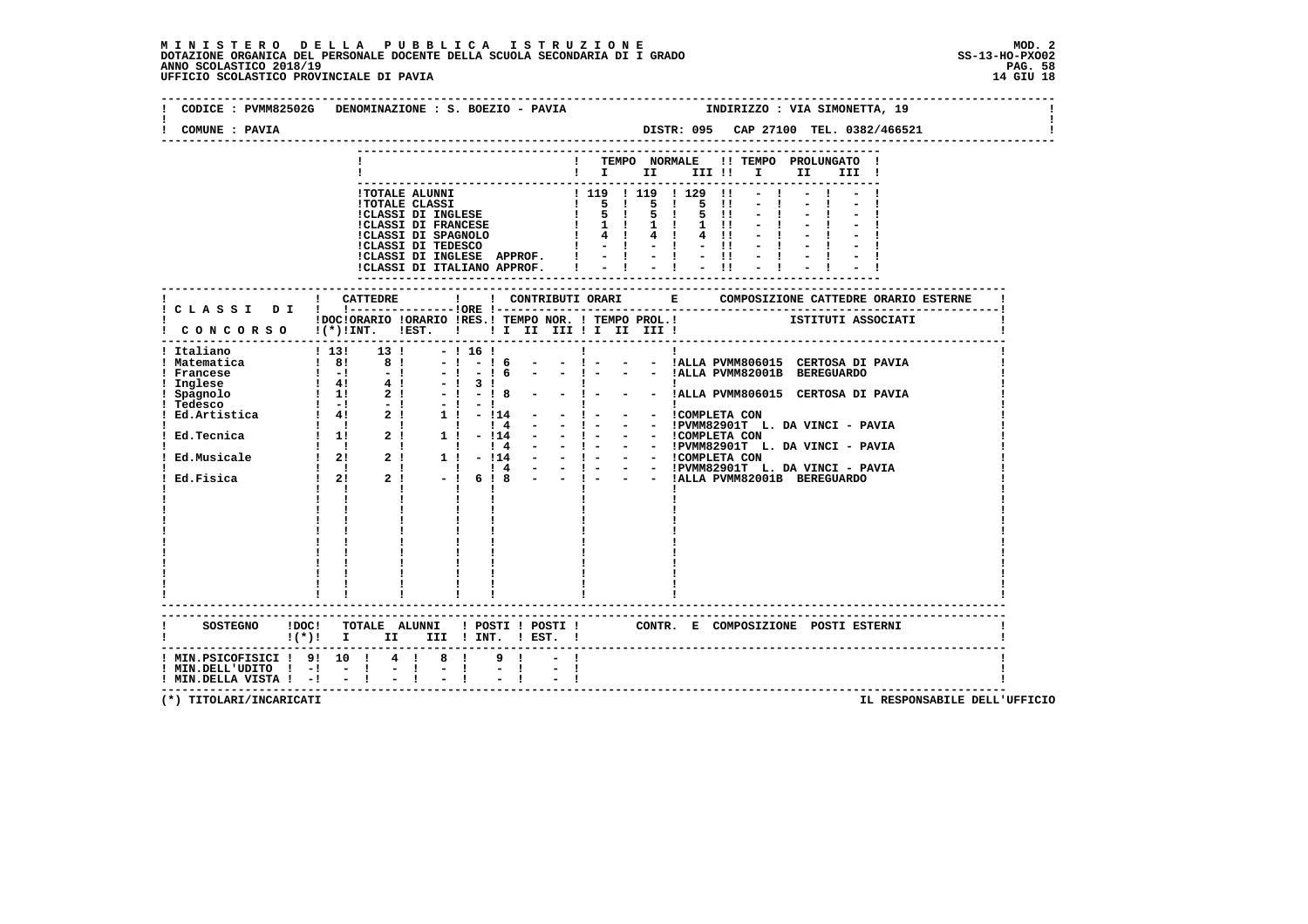| COMUNE : PAVIA                      |                                                                                                                                |
|-------------------------------------|--------------------------------------------------------------------------------------------------------------------------------|
|                                     |                                                                                                                                |
|                                     | ! TEMPO NORMALE !! TEMPO PROLUNGATO !                                                                                          |
|                                     | $\mathbf{I}$ is the set of $\mathbf{I}$<br>III !! I<br>II <b>I</b><br>III !                                                    |
|                                     |                                                                                                                                |
|                                     |                                                                                                                                |
|                                     |                                                                                                                                |
|                                     |                                                                                                                                |
|                                     |                                                                                                                                |
|                                     |                                                                                                                                |
|                                     |                                                                                                                                |
|                                     |                                                                                                                                |
|                                     | ! CATTEDRE<br>$\mathbf{I}$                                                                                                     |
|                                     | ! C L A S S I D I ! !----------------!ORE !--                                                                                  |
|                                     | ! DOCIORARIO IORARIO IRES.I TEMPO NOR. ! TEMPO PROL.! ISTITUTI ASSOCIATI<br>! CONCORSO !(*)!INT. !EST. ! ! I II III ! II III ! |
|                                     |                                                                                                                                |
|                                     | ! Italiano 1999   13! 13! - 1999   16!<br>the contract of the contract of the<br>$\mathbf{I}$                                  |
|                                     | - - ! - - - !ALLA PVMM806015 CERTOSA DI PAVIA                                                                                  |
|                                     |                                                                                                                                |
|                                     | 3 !  <br>- ! 8 - - ! - - - !ALLA PVMM806015 CERTOSA DI PAVIA                                                                   |
|                                     |                                                                                                                                |
|                                     |                                                                                                                                |
|                                     |                                                                                                                                |
|                                     |                                                                                                                                |
|                                     |                                                                                                                                |
|                                     |                                                                                                                                |
|                                     |                                                                                                                                |
|                                     | $\mathbf{I}$ and $\mathbf{I}$ and $\mathbf{I}$                                                                                 |
|                                     |                                                                                                                                |
|                                     |                                                                                                                                |
|                                     |                                                                                                                                |
|                                     |                                                                                                                                |
|                                     |                                                                                                                                |
|                                     |                                                                                                                                |
|                                     |                                                                                                                                |
|                                     |                                                                                                                                |
|                                     |                                                                                                                                |
|                                     |                                                                                                                                |
|                                     | SOSTEGNO !DOC! TOTALE ALUNNI ! POSTI ! POSTI ! CONTR. E COMPOSIZIONE POSTI ESTERNI                                             |
|                                     | $!(*)!$ I II III ! INT. ! EST. !                                                                                               |
|                                     | ! MIN.PSICOFISICI ! 9! 10 ! 4 ! 8 !<br>9 <sub>1</sub>                                                                          |
| $!$ MIN.DELL'UDITO $!$ - $!$ - $!$  | $\frac{1}{2}$ and $\frac{1}{2}$ . In the $\frac{1}{2}$<br>$\frac{1}{2}$ $\frac{1}{1}$<br>$-1$                                  |
| $!$ MIN.DELLA VISTA $!$ - $!$ - $!$ |                                                                                                                                |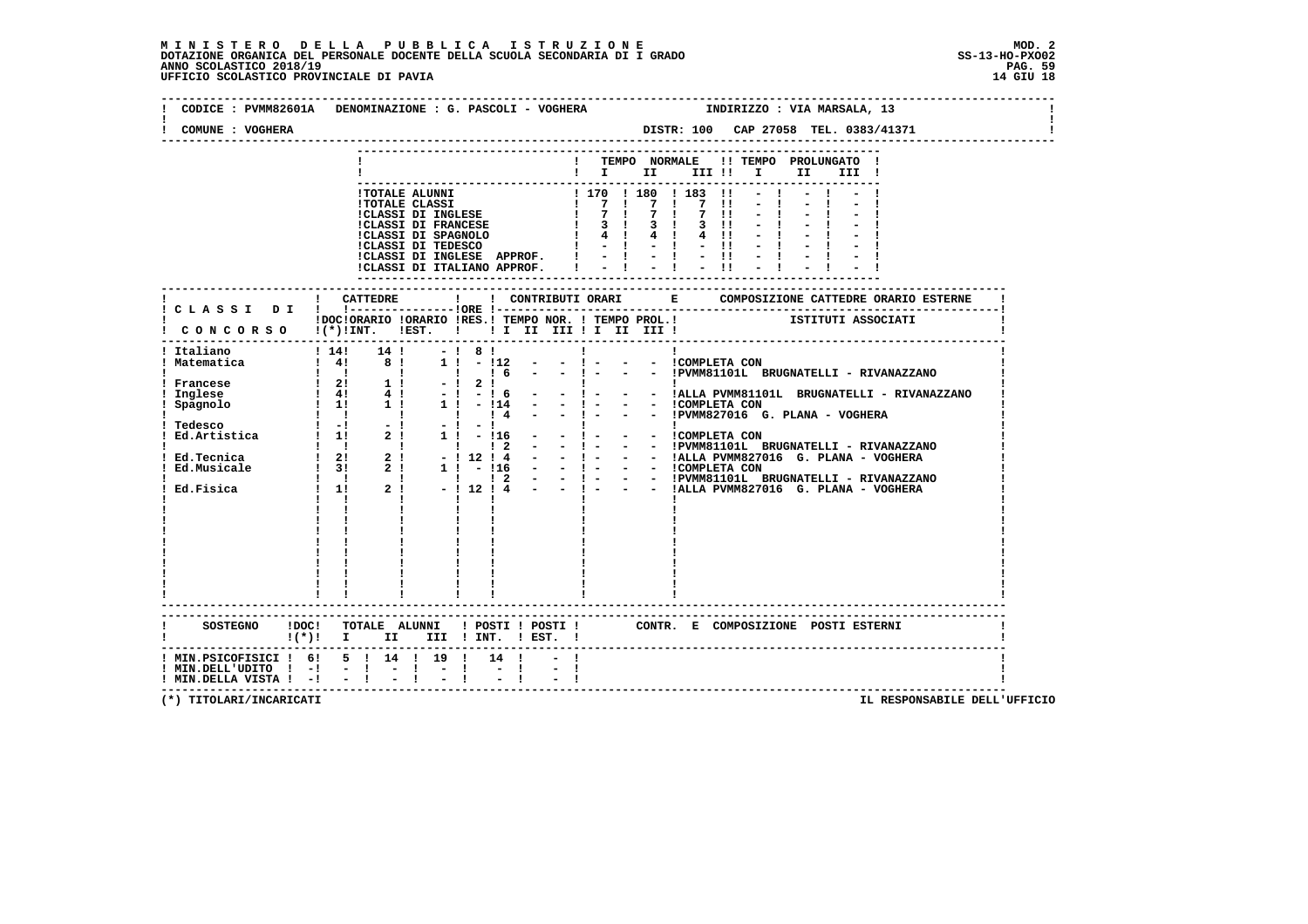| COMUNE : VOGHERA | DISTR: 100 CAP 27058 TEL. 0383/41371                                                                                                                                                                                                                                                 |
|------------------|--------------------------------------------------------------------------------------------------------------------------------------------------------------------------------------------------------------------------------------------------------------------------------------|
|                  | ! TEMPO NORMALE !! TEMPO PROLUNGATO !<br>$\mathbf{I}$ is the set of $\mathbf{I}$<br>III !                                                                                                                                                                                            |
|                  | ---------------------------------<br>$ICLASI DI ITALIANO APPROF.$ $! - 1 - 1 - 1!$                                                                                                                                                                                                   |
|                  | ! CONCORSO !(*)!INT. !EST. ! ! I II III II III III !                                                                                                                                                                                                                                 |
|                  | Italiano (1990)<br>1990)<br>Matematica (1990)<br>Prancese (2000)<br>1990)<br>1990)<br>1990)<br>1990)<br>1990)<br>1990)<br>1990)<br>1990)<br>1990)<br>1990)<br>1990)<br>1990)<br>1990)<br>1990)<br>1990)<br>1990)<br>1990)<br>1990)<br>1990)<br>1990)<br>1990)<br>1990)<br>1990)<br>1 |
|                  |                                                                                                                                                                                                                                                                                      |
|                  |                                                                                                                                                                                                                                                                                      |
|                  | SOSTEGNO !DOC! TOTALE ALUNNI ! POSTI ! POSTI ! CONTR. E COMPOSIZIONE POSTI ESTERNI<br>1(*)! I II III ! INT. ! EST. !                                                                                                                                                                 |
|                  | ! MIN.PSICOFISICI ! 6! 5 ! 14 ! 19 ! 14 !<br>! MIN.DELL'UDITO ! -! - ! - ! - !<br>! MIN.DELLA VISTA ! -! - ! - ! - !                                                                                                                                                                 |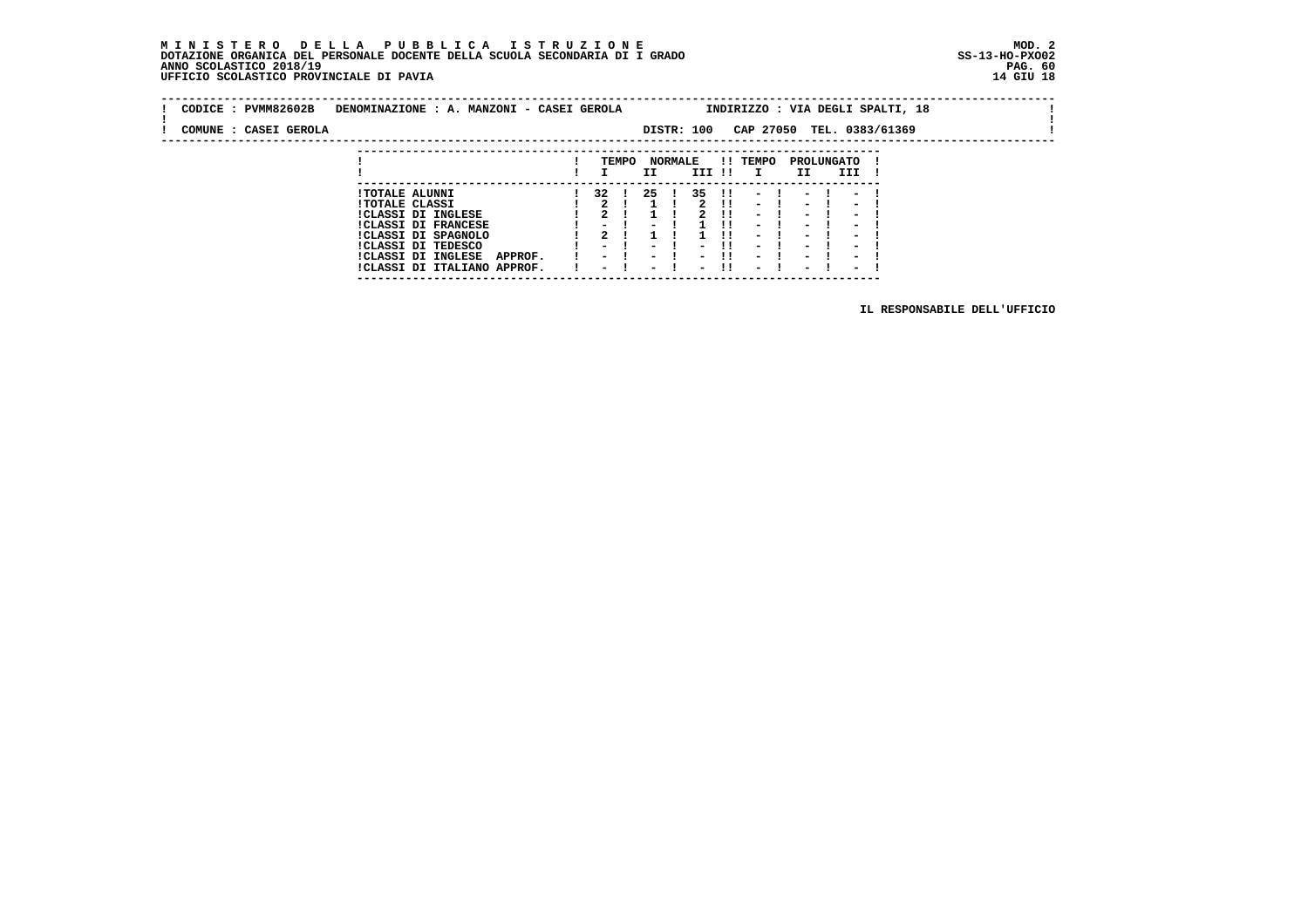#### **M I N I S T E R O D E L L A P U B B L I C A I S T R U Z I O N E MOD. 2 DOTAZIONE ORGANICA DEL PERSONALE DOCENTE DELLA SCUOLA SECONDARIA DI I GRADO ANNO SCOLASTICO 2018/19 PAG. 60 UFFICIO SCOLASTICO PROVINCIALE DI PAVIA 14 GIU 18**

 **---------------------------------------------------------------------------**

|  | CODICE: PVMM82602B    | DENOMINAZIONE : A. MANZONI - CASEI GEROLA |         |               |       |        |                |                          |              | INDIRIZZO : VIA DEGLI SPALTI, 18 |                          |                          |  |  |  |
|--|-----------------------|-------------------------------------------|---------|---------------|-------|--------|----------------|--------------------------|--------------|----------------------------------|--------------------------|--------------------------|--|--|--|
|  | COMUNE : CASEI GEROLA |                                           |         |               |       |        |                | DISTR: 100               |              | CAP 27050 TEL. 0383/61369        |                          |                          |  |  |  |
|  |                       |                                           |         |               |       |        |                |                          |              |                                  |                          |                          |  |  |  |
|  |                       |                                           |         |               | TEMPO | II     | <b>NORMALE</b> | III !!                   |              | <b>!! TEMPO</b><br>$\mathbf{I}$  | II                       | PROLUNGATO<br>III        |  |  |  |
|  |                       |                                           |         |               |       |        |                |                          |              |                                  |                          |                          |  |  |  |
|  |                       | <b>!TOTALE ALUNNI</b>                     |         | 32 I          |       | -25    |                | 35                       | $\mathbf{H}$ | $\overline{\phantom{0}}$         |                          |                          |  |  |  |
|  |                       | <b>!TOTALE CLASSI</b>                     |         | $\mathbf{2}$  |       |        |                |                          | - 11         | $\sim$                           | $\overline{\phantom{0}}$ | $\overline{\phantom{0}}$ |  |  |  |
|  |                       | <b>!CLASSI DI INGLESE</b>                 |         | 2             |       |        |                |                          |              | $\overline{\phantom{0}}$         | $\overline{\phantom{0}}$ |                          |  |  |  |
|  |                       | <b>!CLASSI DI FRANCESE</b>                |         |               |       |        |                |                          |              | $\overline{\phantom{0}}$         | $\overline{\phantom{0}}$ |                          |  |  |  |
|  |                       | !CLASSI DI SPAGNOLO                       |         | 2             |       |        |                |                          |              | $\overline{\phantom{0}}$         | $\blacksquare$           |                          |  |  |  |
|  |                       | ICLASSI DI TEDESCO                        |         | $\sim$ $\sim$ |       |        |                |                          |              | $\overline{\phantom{0}}$         | $\overline{\phantom{0}}$ | $\overline{\phantom{0}}$ |  |  |  |
|  |                       | <b>!CLASSI DI INGLESE</b>                 | APPROF. | $\sim$        |       | $ -$   |                |                          |              | $\overline{\phantom{0}}$         | $\overline{\phantom{0}}$ | $\overline{\phantom{0}}$ |  |  |  |
|  |                       | !CLASSI DI ITALIANO APPROF.               |         |               |       | $\sim$ |                | $\overline{\phantom{0}}$ |              | $\overline{\phantom{0}}$         | $\overline{\phantom{0}}$ | $\overline{\phantom{0}}$ |  |  |  |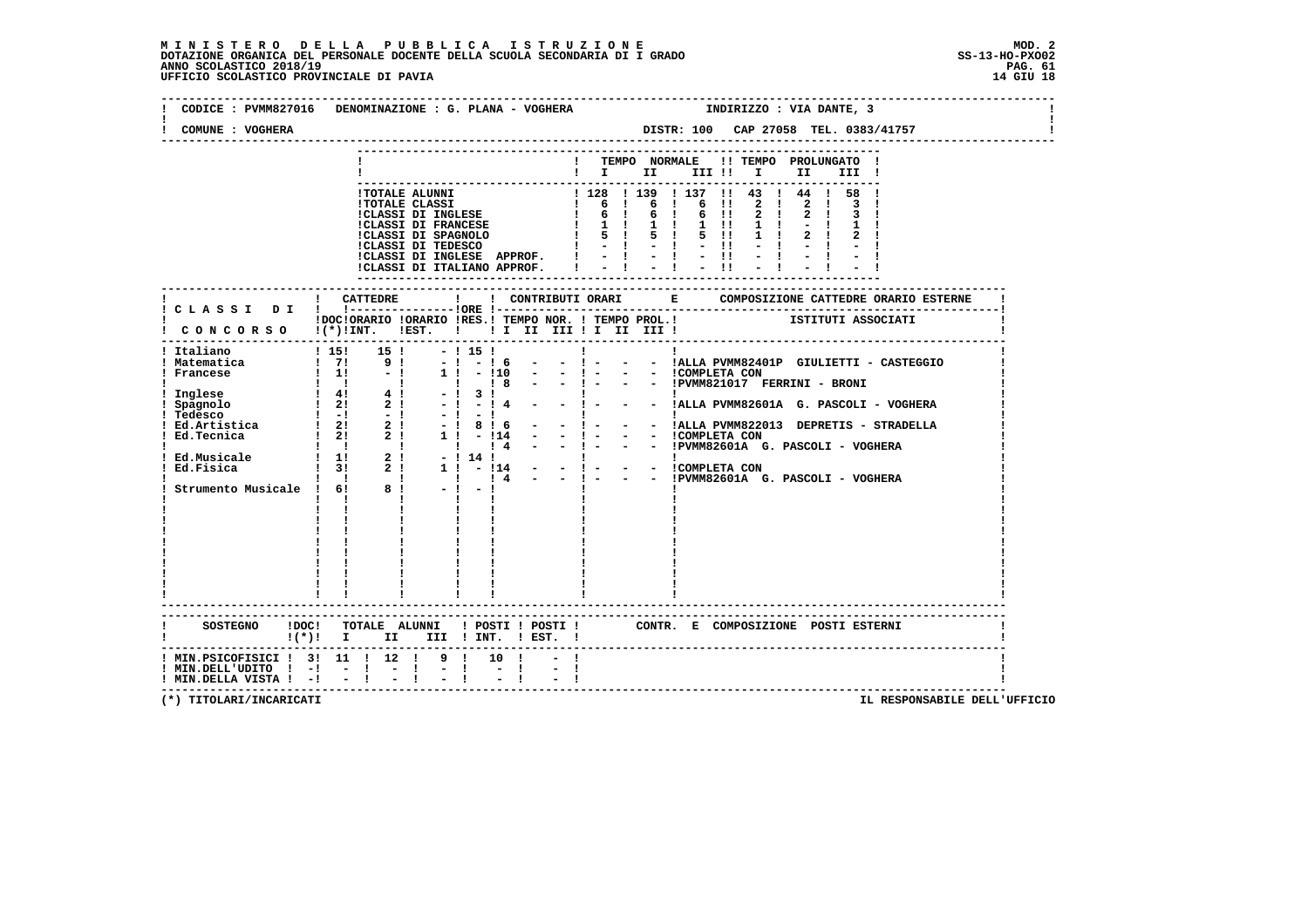| COMUNE : VOGHERA                                                                                                      | CODICE : PVMM827016 DENOMINAZIONE : G. PLANA - VOGHERA |      | INDIRIZZO : VIA DANTE, 3                                                                                                                                           |
|-----------------------------------------------------------------------------------------------------------------------|--------------------------------------------------------|------|--------------------------------------------------------------------------------------------------------------------------------------------------------------------|
|                                                                                                                       |                                                        |      | ! TEMPO NORMALE !! TEMPO PROLUNGATO !<br>$\blacksquare$ $\blacksquare$ $\blacksquare$ $\blacksquare$ $\blacksquare$ $\blacksquare$ $\blacksquare$<br>II a<br>III ! |
|                                                                                                                       | I CONCORSO I (*) INT. IEST. I II II III II III III II  |      | IDOCIORARIO IORARIO IRES.I TEMPO NOR. I TEMPO PROL.I SITITUTI ASSOCIATI                                                                                            |
|                                                                                                                       |                                                        |      |                                                                                                                                                                    |
|                                                                                                                       |                                                        |      |                                                                                                                                                                    |
|                                                                                                                       | !! ! ! ! Strumento Musicale ! 6! 8 ! - ! - !           |      |                                                                                                                                                                    |
|                                                                                                                       |                                                        |      |                                                                                                                                                                    |
|                                                                                                                       |                                                        |      |                                                                                                                                                                    |
|                                                                                                                       | $!(*)!$ I II III ! INT. ! EST. !                       |      | SOSTEGNO !DOC! TOTALE ALUNNI ! POSTI ! POSTI ! CONTR. E COMPOSIZIONE POSTI ESTERNI                                                                                 |
| ! MIN.PSICOFISICI ! 3! 11 ! 12 ! 9 ! 10 !<br>$!$ MIN.DELL'UDITO $!$ -! - ! - !<br>$!$ MIN.DELLA VISTA $!$ - $!$ - $!$ |                                                        | $-1$ |                                                                                                                                                                    |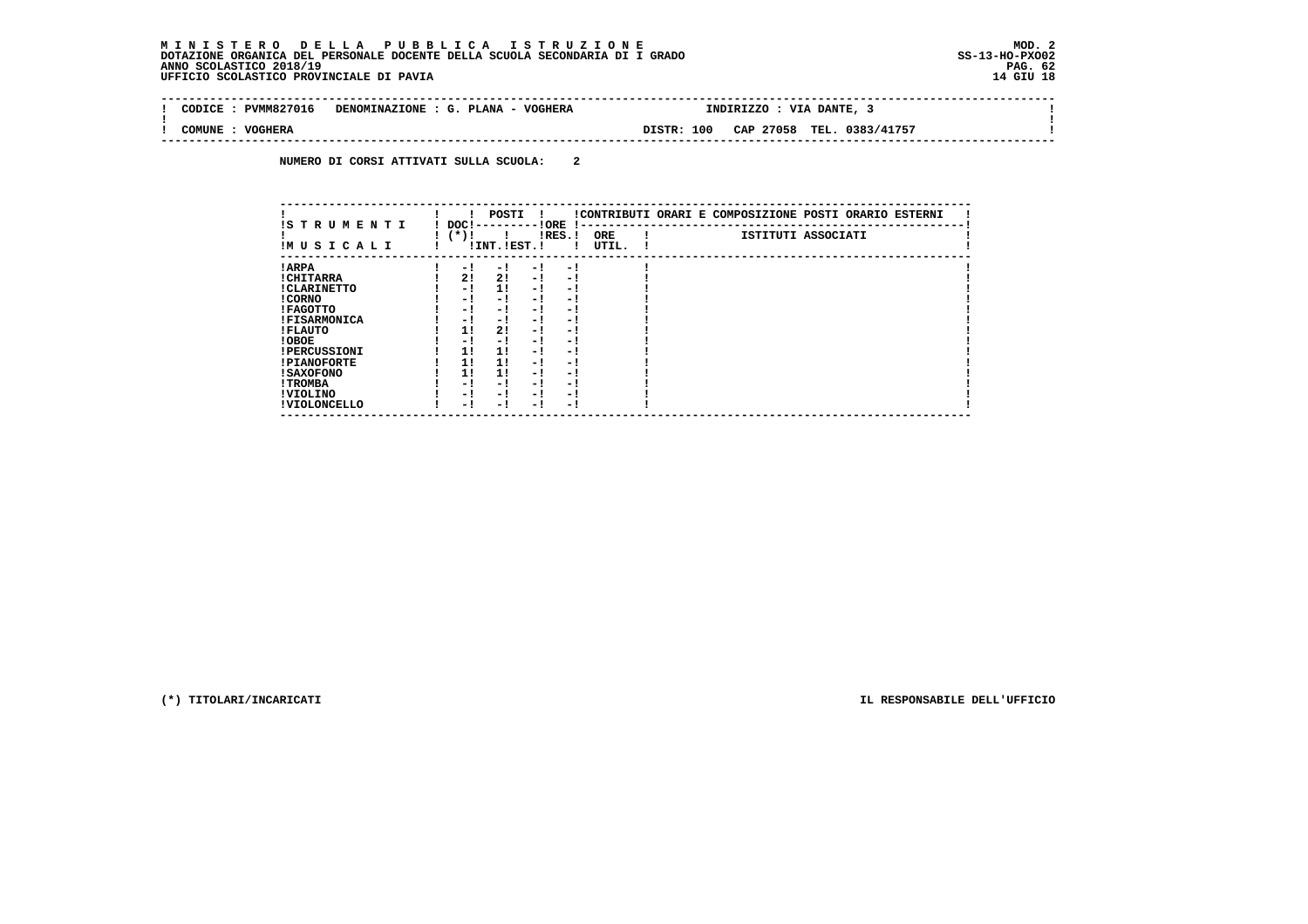| -------------------------------------<br>PVMM827016<br>CODTCE | VOGHERA<br>DENOMINAZIONE<br><b>PLANA</b><br>$\sim$ | <b>VIA</b><br>DANTE,<br><b>INDIRIZZO</b>         |  |
|---------------------------------------------------------------|----------------------------------------------------|--------------------------------------------------|--|
| COMUNE<br><b>VOGHERA</b><br>----                              |                                                    | 100<br>CAP 27058<br>TEL.<br>0383/41757<br>DISTR: |  |

 **NUMERO DI CORSI ATTIVATI SULLA SCUOLA: 2**

| IS T R U M E N T I  | DOC!   | POSTI          | ! ORE                    |           |                     | !CONTRIBUTI ORARI E COMPOSIZIONE POSTI ORARIO ESTERNI |  |  |
|---------------------|--------|----------------|--------------------------|-----------|---------------------|-------------------------------------------------------|--|--|
| IMUSICALI           | $(*)!$ | ! INT. !EST. ! |                          | $lRES.$ ! | <b>ORE</b><br>UTIL. | ISTITUTI ASSOCIATI                                    |  |  |
| ! ARPA              | $-1$   | - 1            | - 1                      | $-1$      |                     |                                                       |  |  |
| ! CHITARRA          | 2!     | 2!             | $-1$                     | - 1       |                     |                                                       |  |  |
| ! CLARINETTO        | - 1    | 11             | $-1$                     | - 1       |                     |                                                       |  |  |
| ! CORNO             | - !    | - !            | - 1                      | - 1       |                     |                                                       |  |  |
| ! FAGOTTO           | - 1    | - !            | - 1                      | - 1       |                     |                                                       |  |  |
| <b>!FISARMONICA</b> | - 1    | - 1            | - 1                      | $-1$      |                     |                                                       |  |  |
| ! FLAUTO            | 11     | 2!             | - 1                      | - 1       |                     |                                                       |  |  |
| ! OBOE              | - 1    | - 1            | - 1                      | - 1       |                     |                                                       |  |  |
| <b>!PERCUSSIONI</b> | 11     | 11             | - 1                      | - 1       |                     |                                                       |  |  |
| <b>!PIANOFORTE</b>  | 11     | 11             | - 1                      | - 1       |                     |                                                       |  |  |
| <b>! SAXOFONO</b>   | 11     | 11             | - 1                      | - 1       |                     |                                                       |  |  |
| ! TROMBA            | - !    | - !            | - 1                      | - 1       |                     |                                                       |  |  |
| ! VIOLINO           | - 1    | - !            | - 1                      | - 1       |                     |                                                       |  |  |
| ! VIOLONCELLO       | - 1    | - 1            | $\overline{\phantom{0}}$ | - 1       |                     |                                                       |  |  |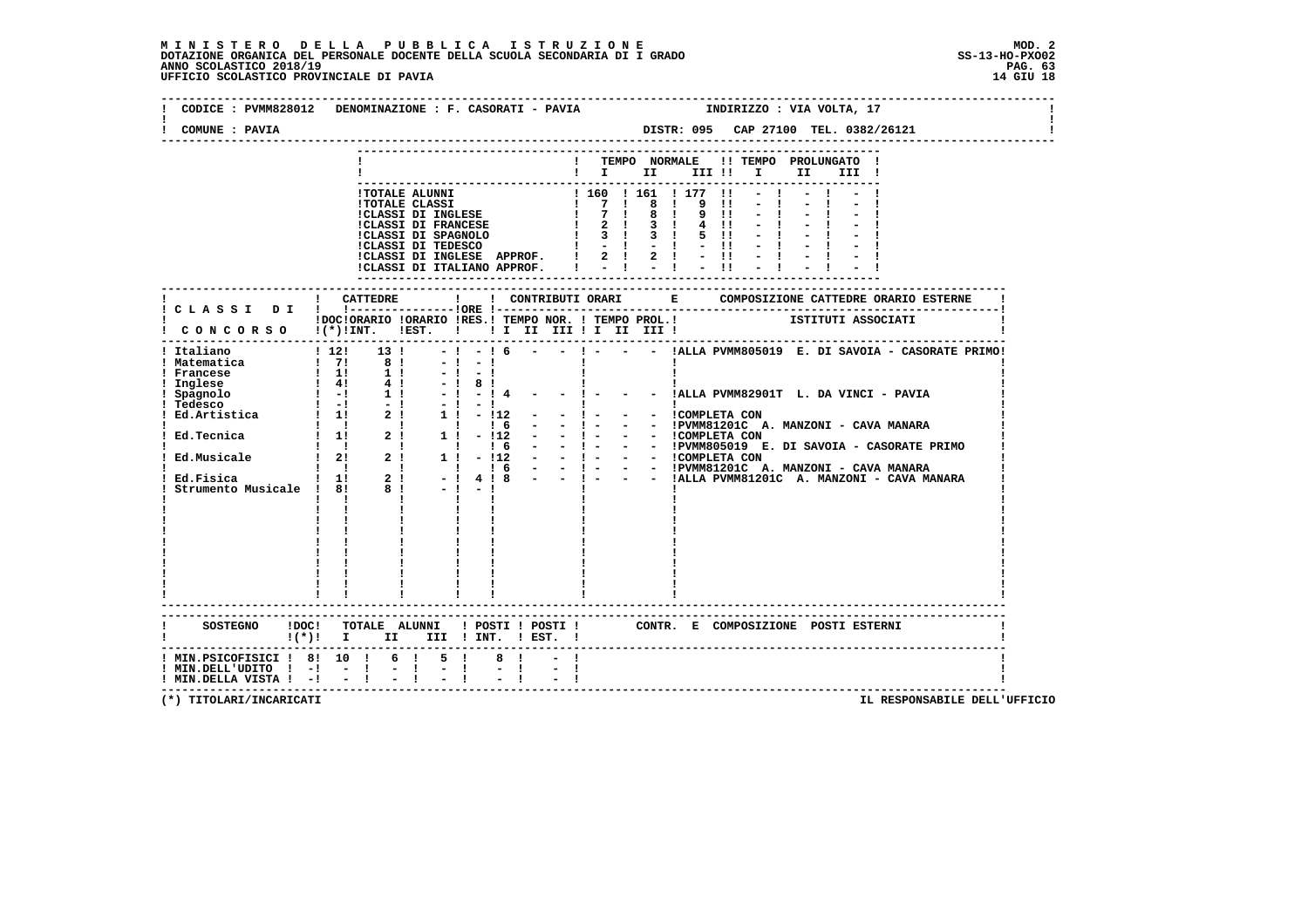| ! TEMPO NORMALE !! TEMPO PROLUNGATO !<br>$\blacksquare$ $\blacksquare$ $\blacksquare$ $\blacksquare$ $\blacksquare$ $\blacksquare$ $\blacksquare$ $\blacksquare$ $\blacksquare$<br>III !<br>----------------------------<br>$-!$ - $16$ - - $!$ - - IALLA PVMM805019 E. DI SAVOIA - CASORATE PRIMO!<br>$12!$ 13 !<br>$\begin{bmatrix} 1 & 2 & 1 & 1 & 3 & 1 \\ 1 & 7 & 1 & 8 & 1 \\ 1 & 1 & 1 & 1 & 1 \\ 1 & 4 & 1 & 1 & 1 \\ 1 & -1 & 1 & 1 & 1 \\ 1 & -1 & 1 & 1 & 1 \\ 1 & 1 & 1 & 1 & 1 \\ 1 & 1 & 1 & 1 & 1 \\ 1 & 1 & 1 & 1 & 1 \\ 1 & 1 & 1 & 1 & 1 \\ 1 & 1 & 1 & 1 & 1 \\ 1 & 1 & 1 & 1 & 1 \\ 1 & 1 & 1 & 1 & 1 \\ 1 & 1 & 1 & 1 & 1 \\ $<br>$-1 - 1$<br>--------------------------------<br>SOSTEGNO !DOC! TOTALE ALUNNI ! POSTI ! POSTI ! CONTR. E COMPOSIZIONE POSTI ESTERNI | COMUNE : PAVIA                                                                                              |      |      |             |  |  |  |  |  |  |  |  |
|-------------------------------------------------------------------------------------------------------------------------------------------------------------------------------------------------------------------------------------------------------------------------------------------------------------------------------------------------------------------------------------------------------------------------------------------------------------------------------------------------------------------------------------------------------------------------------------------------------------------------------------------------------------------------------------------------------------------------------------------------------------------------------------------|-------------------------------------------------------------------------------------------------------------|------|------|-------------|--|--|--|--|--|--|--|--|
|                                                                                                                                                                                                                                                                                                                                                                                                                                                                                                                                                                                                                                                                                                                                                                                           |                                                                                                             |      |      |             |  |  |  |  |  |  |  |  |
| ! DOCIORARIO IORARIO IRES.I TEMPO NOR. ! TEMPO PROL.! ISTITUTI ASSOCIATI<br>! CONCORSO !(*)!INT. !EST. ! ! I II III ! II III !!                                                                                                                                                                                                                                                                                                                                                                                                                                                                                                                                                                                                                                                           |                                                                                                             |      |      |             |  |  |  |  |  |  |  |  |
|                                                                                                                                                                                                                                                                                                                                                                                                                                                                                                                                                                                                                                                                                                                                                                                           |                                                                                                             |      |      |             |  |  |  |  |  |  |  |  |
| ! Italiano<br>! Matematica                                                                                                                                                                                                                                                                                                                                                                                                                                                                                                                                                                                                                                                                                                                                                                |                                                                                                             |      |      |             |  |  |  |  |  |  |  |  |
|                                                                                                                                                                                                                                                                                                                                                                                                                                                                                                                                                                                                                                                                                                                                                                                           |                                                                                                             |      |      |             |  |  |  |  |  |  |  |  |
|                                                                                                                                                                                                                                                                                                                                                                                                                                                                                                                                                                                                                                                                                                                                                                                           |                                                                                                             |      |      |             |  |  |  |  |  |  |  |  |
|                                                                                                                                                                                                                                                                                                                                                                                                                                                                                                                                                                                                                                                                                                                                                                                           | ! MIN.PSICOFISICI ! 8! 10 ! 6 ! 5 !<br>$!$ MIN.DELL'UDITO $!$ -! - !<br>$!$ MIN.DELLA VISTA $!$ - $!$ - $!$ | $-1$ | $-1$ | $8 \quad 1$ |  |  |  |  |  |  |  |  |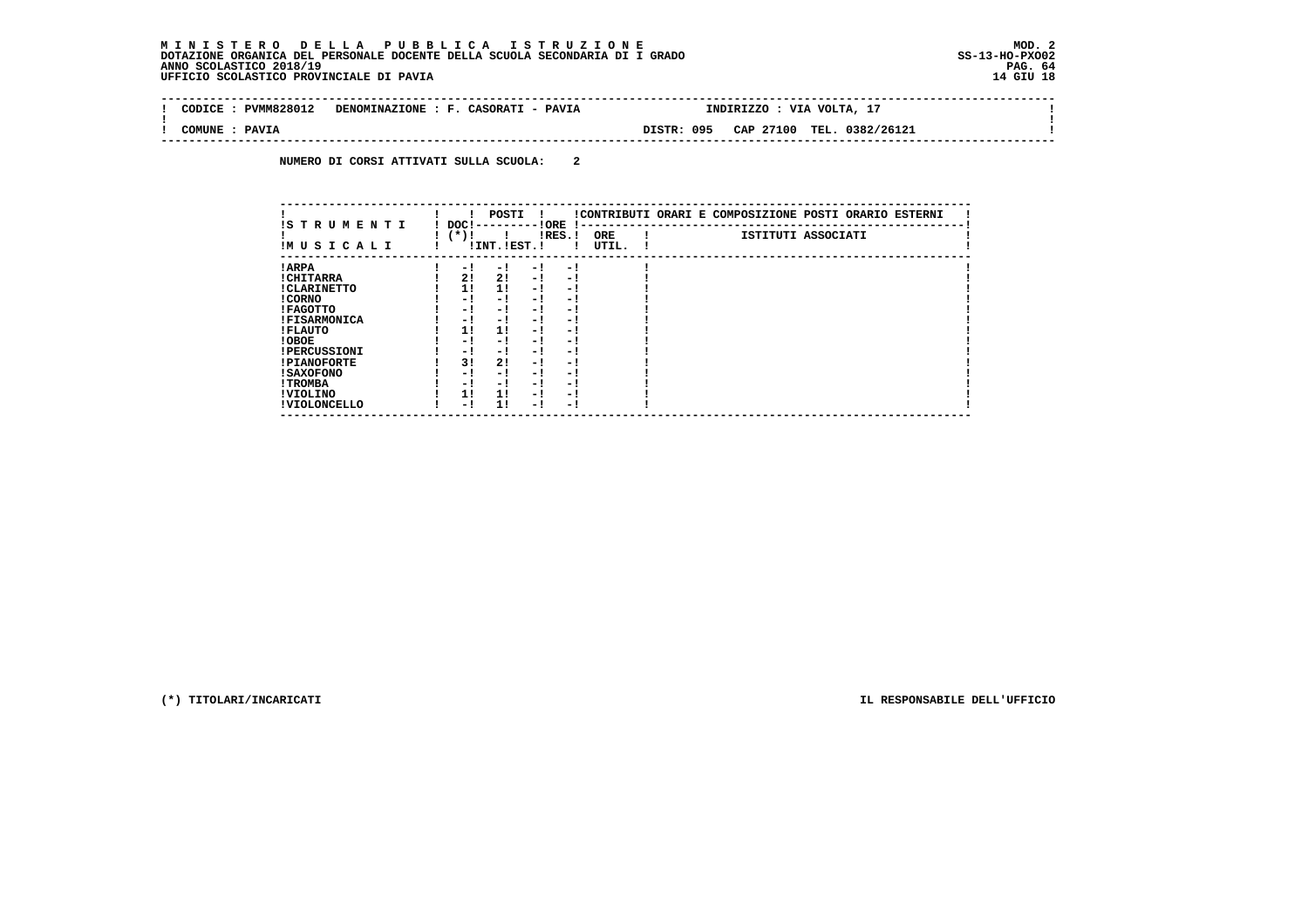| : PVMM828012<br>CODICE | DENOMINAZIONE : F. CASORATI - PAVIA |            | INDIRIZZO : VIA VOLTA, 17 |  |
|------------------------|-------------------------------------|------------|---------------------------|--|
| COMUNE : PAVIA         |                                     | DISTR: 095 | CAP 27100 TEL. 0382/26121 |  |

 **NUMERO DI CORSI ATTIVATI SULLA SCUOLA: 2**

| IS T R U M E N T I  | DOC !  | POSTI         |     | ! ORE     | $\mathbf{I}$ – – | !CONTRIBUTI ORARI E COMPOSIZIONE POSTI ORARIO ESTERNI |                    |  |
|---------------------|--------|---------------|-----|-----------|------------------|-------------------------------------------------------|--------------------|--|
| IM U S I C A L I    | $(*)!$ | !INT. !EST. ! |     | $lRES.$ ! | ORE<br>UTIL.     |                                                       | ISTITUTI ASSOCIATI |  |
| ! ARPA              | $-1$   | - 1           | - ! | - 1       |                  |                                                       |                    |  |
| ! CHITARRA          | 2!     | 2!            | - 1 | - 1       |                  |                                                       |                    |  |
| ! CLARINETTO        | 1!     | 11            | - 1 | - 1       |                  |                                                       |                    |  |
| ! CORNO             | - 1    | - !           | - 1 | $-1$      |                  |                                                       |                    |  |
| ! FAGOTTO           | - 1    | $-1$          | - 1 | $-1$      |                  |                                                       |                    |  |
| <b>!FISARMONICA</b> | - !    | - 1           | - 1 | - 1       |                  |                                                       |                    |  |
| ! FLAUTO            | 1!     | 11            | - 1 | - 1       |                  |                                                       |                    |  |
| ! OBOE              | - !    | - !           | - 1 | $-1$      |                  |                                                       |                    |  |
| <b>!PERCUSSIONI</b> | - 1    | - !           | - 1 | - 1       |                  |                                                       |                    |  |
| <b>!PIANOFORTE</b>  | 3!     | 2!            | - 1 | - !       |                  |                                                       |                    |  |
| <b>! SAXOFONO</b>   | - 1    | - !           | - 1 | - !       |                  |                                                       |                    |  |
| ! TROMBA            | - 1    | - !           | - 1 | - !       |                  |                                                       |                    |  |
| ! VIOLINO           | 11     | 11            | - 1 | - 1       |                  |                                                       |                    |  |
| ! VIOLONCELLO       | - 1    | 11            | - 1 | - 1       |                  |                                                       |                    |  |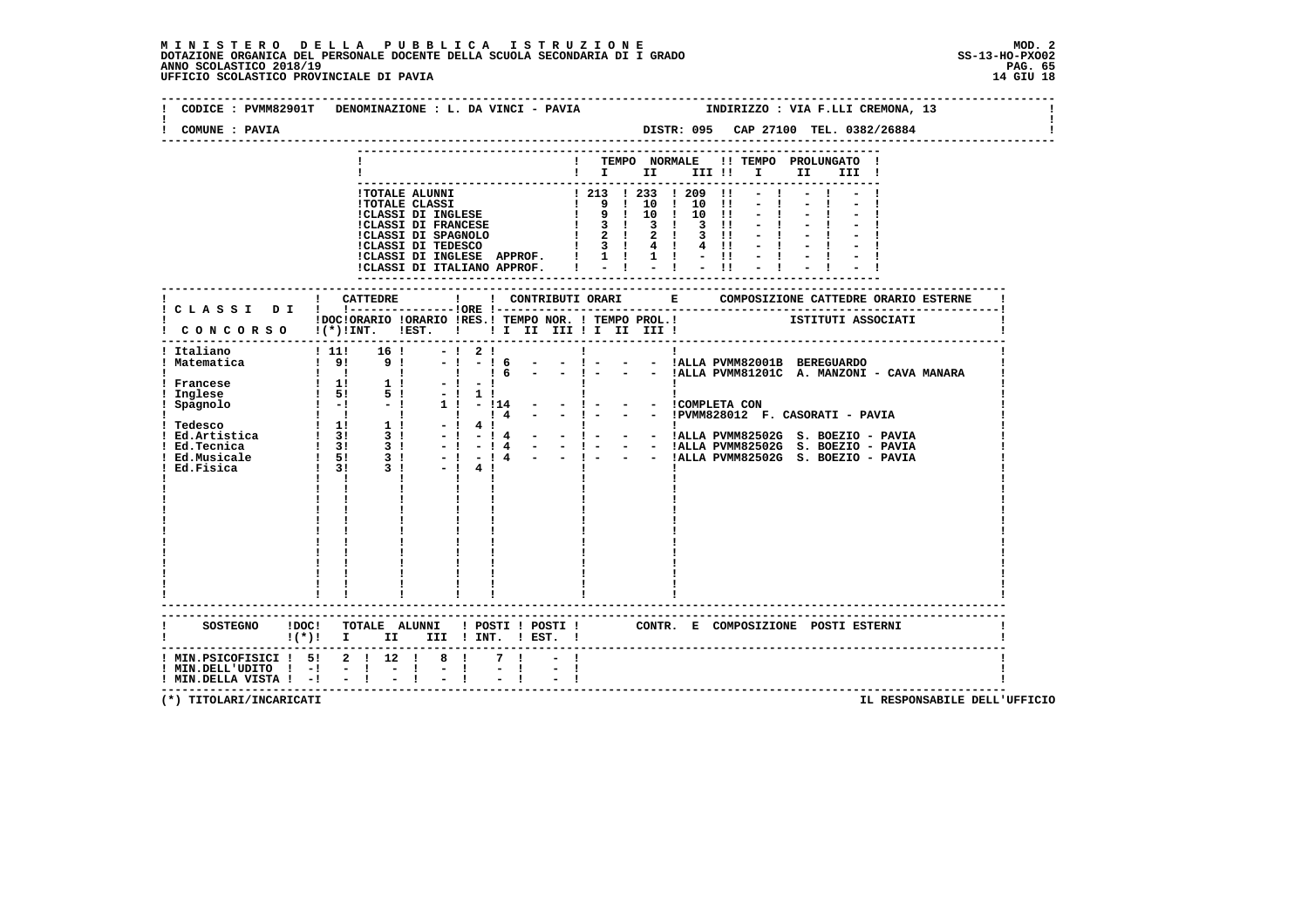| COMUNE : PAVIA                                                  |                                                                                                                                   |
|-----------------------------------------------------------------|-----------------------------------------------------------------------------------------------------------------------------------|
|                                                                 | ! TEMPO NORMALE !! TEMPO PROLUNGATO !<br>$\blacksquare$ $\blacksquare$ $\blacksquare$ $\blacksquare$<br>III !! I<br>II a<br>III ! |
|                                                                 |                                                                                                                                   |
|                                                                 | ! CATTEDRE<br>! CLASSI DI ! !--------------------ORE !---                                                                         |
|                                                                 | IDOCIORARIO IORARIO IRES.I TEMPO NOR. I TEMPO PROL.I SITITUTI ASSOCIATI<br>! CONCORSO !(*)!INT. !EST. !!! II III !I III III!      |
|                                                                 | $      1$ ALLA PVMM81201C A. MANZONI - CAVA MANARA<br>$\mathbf{I}$ $\mathbf{I}$                                                   |
|                                                                 |                                                                                                                                   |
|                                                                 | SOSTEGNO !DOC! TOTALE ALUNNI ! POSTI ! POSTI ! CONTR. E COMPOSIZIONE POSTI ESTERNI<br>$!(*)!$ I II III ! INT. ! EST. !            |
| ! MIN.DELL'UDITO ! -! - ! - !<br>! MIN.DELLA VISTA ! -! - ! - ! | ! MIN.PSICOFISICI ! 5! 2 ! 12 ! 8 !<br>7 <sub>1</sub>                                                                             |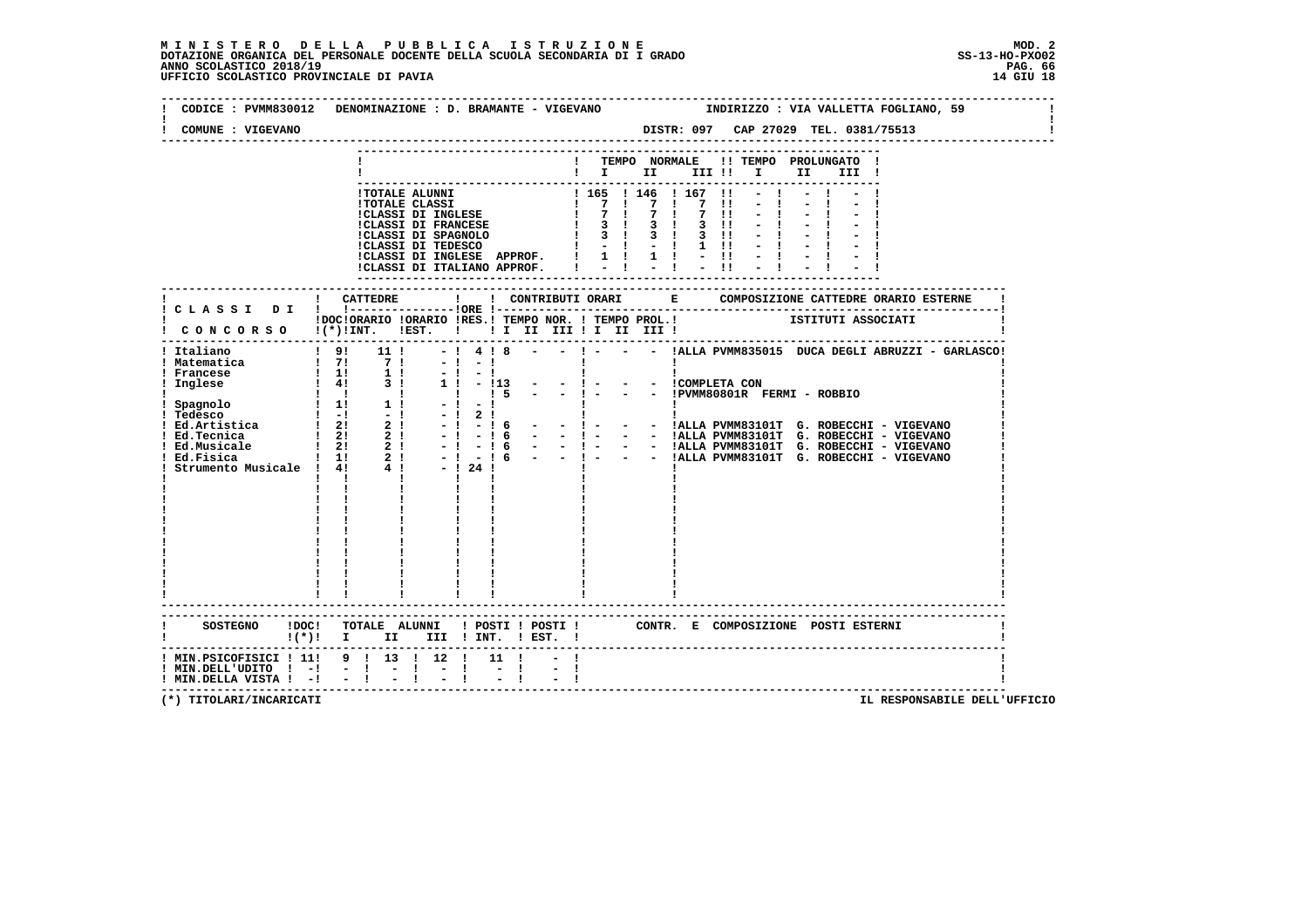| COMUNE : VIGEVANO                                                                                              |                                  |                                   | ------------------------------ | DISTR: 097 CAP 27029 TEL. 0381/75513                                                                                          |  |
|----------------------------------------------------------------------------------------------------------------|----------------------------------|-----------------------------------|--------------------------------|-------------------------------------------------------------------------------------------------------------------------------|--|
|                                                                                                                |                                  |                                   |                                | ! TEMPO NORMALE !! TEMPO PROLUNGATO !<br>$\blacksquare$                                                                       |  |
|                                                                                                                |                                  | !CLASSI DI ITALIANO APPROF.   - ! |                                | $-1 - 1 - 1$<br>!CLASSI DI INGLESE APPROF. $\vert 1 \vert 1 \vert 1 \vert - \vert 1 \vert - \vert 1$<br>$-11$<br>$-1$         |  |
|                                                                                                                |                                  |                                   |                                |                                                                                                                               |  |
|                                                                                                                |                                  |                                   |                                | IDOCIORARIO IORARIO IRES.I TEMPO NOR. I TEMPO PROL.I ISTITUTI ASSOCIATI I CONCORSO I(*)INT. IEST. I II II III II III III IIII |  |
|                                                                                                                |                                  | $\mathbf{I}$                      |                                | 4 ! 8 - - ! - - - !ALLA PVMM835015 DUCA DEGLI ABRUZZI - GARLASCO!                                                             |  |
|                                                                                                                |                                  |                                   |                                |                                                                                                                               |  |
|                                                                                                                | $!(*)!$ I II III ! INT. ! EST. ! |                                   |                                | SOSTEGNO !DOC! TOTALE ALUNNI ! POSTI ! POSTI ! CONTR. E COMPOSIZIONE POSTI ESTERNI                                            |  |
| ! MIN.PSICOFISICI ! 11! 9 ! 13 ! 12 ! 11 !<br>! MIN.DELL'UDITO ! -! - !<br>$!$ MIN.DELLA VISTA $!$ - $!$ - $!$ |                                  | $\sim$ $-$                        |                                |                                                                                                                               |  |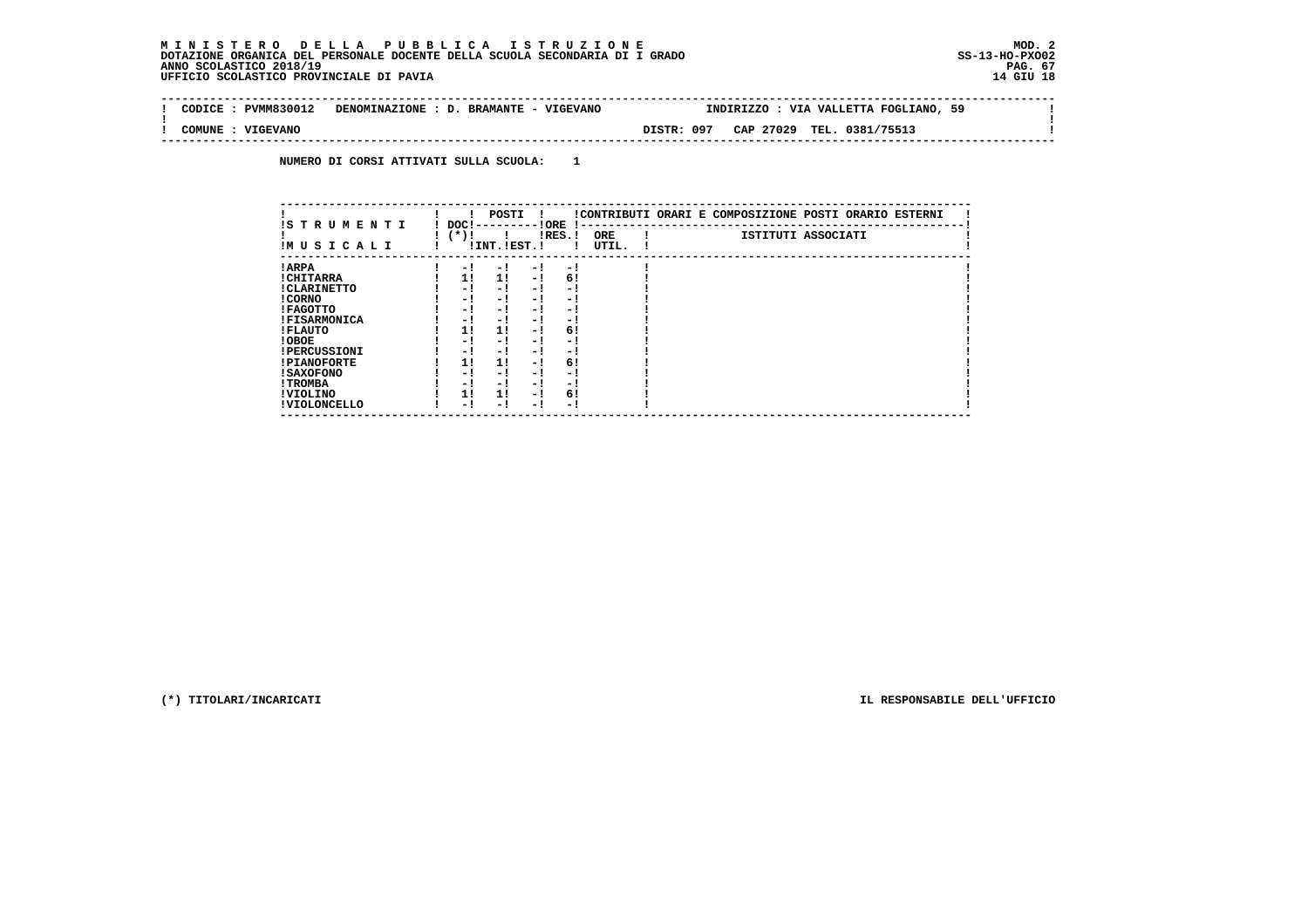| CODICE: PVMM830012                                             | DENOMINAZIONE : D. BRAMANTE - VIGEVANO | INDIRIZZO : VIA VALLETTA FOGLIANO, 59   |  |
|----------------------------------------------------------------|----------------------------------------|-----------------------------------------|--|
| : VIGEVANO<br>COMUNE<br>-------------------------------------- |                                        | DISTR: 097<br>CAP 27029 TEL. 0381/75513 |  |

 **NUMERO DI CORSI ATTIVATI SULLA SCUOLA: 1**

| IS T R U M E N T I  | DOC!   | POSTI          | ! ORE |           |                     | !CONTRIBUTI ORARI E COMPOSIZIONE POSTI ORARIO ESTERNI |  |  |
|---------------------|--------|----------------|-------|-----------|---------------------|-------------------------------------------------------|--|--|
| IMUSICALI           | $(*)!$ | ! INT. !EST. ! |       | $lRES.$ ! | <b>ORE</b><br>UTIL. | ISTITUTI ASSOCIATI                                    |  |  |
| ! ARPA              | $-1$   | - 1            | $-1$  | $-1$      |                     |                                                       |  |  |
| ! CHITARRA          | 11     | 11             | $-1$  | 6!        |                     |                                                       |  |  |
| ! CLARINETTO        | - 1    | - !            | - 1   | $-1$      |                     |                                                       |  |  |
| ! CORNO             | - !    | - !            | - 1   | - 1       |                     |                                                       |  |  |
| ! FAGOTTO           | - 1    | - !            | - 1   | - 1       |                     |                                                       |  |  |
| <b>!FISARMONICA</b> | - 1    | - 1            | - 1   | - 1       |                     |                                                       |  |  |
| ! FLAUTO            | 11     | 11             | $-1$  | 6!        |                     |                                                       |  |  |
| ! OBOE              | - 1    | - !            | - 1   | - 1       |                     |                                                       |  |  |
| <b>!PERCUSSIONI</b> | - 1    | - 1            | - 1   | - 1       |                     |                                                       |  |  |
| <b>!PIANOFORTE</b>  | 11     | 11             | $-1$  | 6!        |                     |                                                       |  |  |
| <b>! SAXOFONO</b>   | - 1    | - 1            | - 1   | - 1       |                     |                                                       |  |  |
| ! TROMBA            | - 1    | - !            | - 1   | - 1       |                     |                                                       |  |  |
| ! VIOLINO           | 1!     | 11             | - 1   | 6!        |                     |                                                       |  |  |
| ! VIOLONCELLO       | - 1    | - 1            | - 1   | - 1       |                     |                                                       |  |  |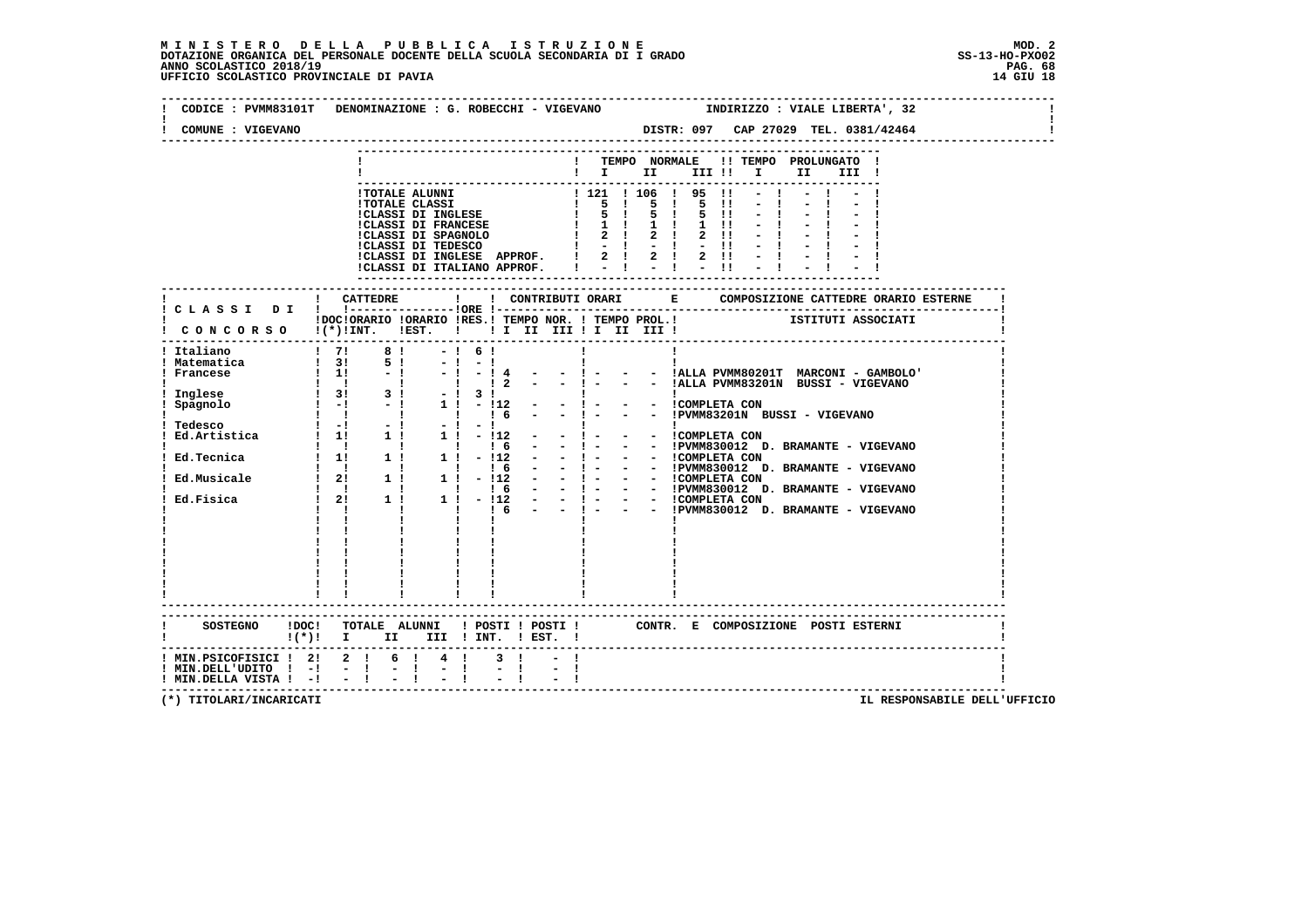| COMUNE : VIGEVANO                                                                                                      |                                                   |                                                |                                                                                  |  |          |  |     | DISTR: 097 CAP 27029 TEL. 0381/42464 |  |  |
|------------------------------------------------------------------------------------------------------------------------|---------------------------------------------------|------------------------------------------------|----------------------------------------------------------------------------------|--|----------|--|-----|--------------------------------------|--|--|
|                                                                                                                        |                                                   |                                                | ! TEMPO NORMALE !! TEMPO PROLUNGATO !<br>$\mathbf{I}$ is the set of $\mathbf{I}$ |  | III !! I |  | II. | III !                                |  |  |
|                                                                                                                        |                                                   | ----------------------------------             |                                                                                  |  |          |  |     |                                      |  |  |
| ! CONCORSO !(*)!INT. !EST. !!! II III II III III                                                                       |                                                   |                                                |                                                                                  |  |          |  |     |                                      |  |  |
|                                                                                                                        |                                                   |                                                |                                                                                  |  |          |  |     |                                      |  |  |
|                                                                                                                        |                                                   |                                                |                                                                                  |  |          |  |     |                                      |  |  |
|                                                                                                                        |                                                   |                                                |                                                                                  |  |          |  |     |                                      |  |  |
|                                                                                                                        |                                                   |                                                |                                                                                  |  |          |  |     |                                      |  |  |
|                                                                                                                        |                                                   |                                                |                                                                                  |  |          |  |     |                                      |  |  |
| SOSTEGNO !DOC! TOTALE ALUNNI ! POSTI ! POSTI ! CONTR. E COMPOSIZIONE POSTI ESTERNI<br>$!(*)!$ I II III ! INT. ! EST. ! |                                                   |                                                |                                                                                  |  |          |  |     |                                      |  |  |
| ! MIN.PSICOFISICI ! 2! 2 ! 6 ! 4 !<br>$!$ MIN.DELL'UDITO $!$ -! - !<br>$!$ MIN. DELLA VISTA $!$ - $!$ - $!$            | $\mathbb{E}[\mathbf{1}] = \mathbb{E}[\mathbf{1}]$ | $3 \quad 1$<br>$\frac{1}{\pi}$ $\frac{1}{\pi}$ |                                                                                  |  |          |  |     |                                      |  |  |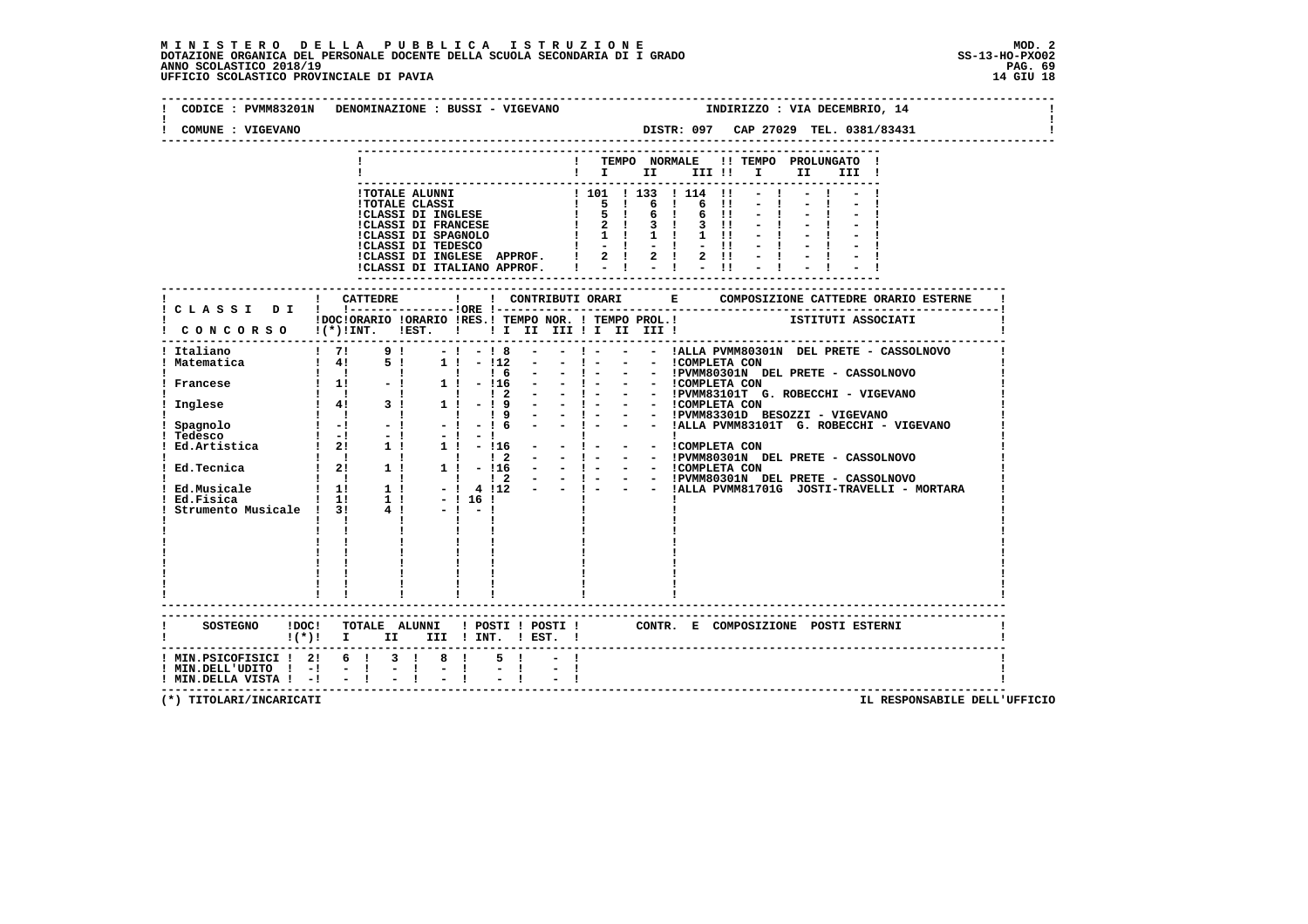| COMUNE : VIGEVANO                                                                                           | CODICE : PVMM83201N DENOMINAZIONE : BUSSI - VIGEVANO |              | INDIRIZZO : VIA DECEMBRIO, 14                                                                                                                                                                                                         |
|-------------------------------------------------------------------------------------------------------------|------------------------------------------------------|--------------|---------------------------------------------------------------------------------------------------------------------------------------------------------------------------------------------------------------------------------------|
|                                                                                                             |                                                      |              |                                                                                                                                                                                                                                       |
|                                                                                                             |                                                      |              | ! TEMPO NORMALE !! TEMPO PROLUNGATO !<br>$\mathbf{I}$ $\mathbf{I}$ $\mathbf{I}$<br>III !! I<br>II <b>I</b><br>III !                                                                                                                   |
|                                                                                                             |                                                      |              | - HOTALE ALUNNI<br>- ITOTALE ALUNNI<br>- ITOTALE CLASSI DI REMCESE   5   6   6   1   -   -   -  <br>- ICLASSI DI REMCESE   5   6   6   -   -   -   -  <br>- ICLASSI DI REMCESE   2   3   3   1   -   -   -   -  <br>-   -   -   -   - |
|                                                                                                             | ! CATTEDRE                                           | $\mathbf{I}$ |                                                                                                                                                                                                                                       |
|                                                                                                             |                                                      |              | IDOCIORARIO IORARIO IRES.I TEMPO NOR. I TEMPO PROL.I [1] ISTITUTI ASSOCIATI<br>CONCORSO 1(*)INT. IEST. I II II III II III III I                                                                                                       |
|                                                                                                             |                                                      |              |                                                                                                                                                                                                                                       |
|                                                                                                             |                                                      |              |                                                                                                                                                                                                                                       |
|                                                                                                             |                                                      |              |                                                                                                                                                                                                                                       |
|                                                                                                             |                                                      |              |                                                                                                                                                                                                                                       |
|                                                                                                             |                                                      |              |                                                                                                                                                                                                                                       |
|                                                                                                             |                                                      |              |                                                                                                                                                                                                                                       |
|                                                                                                             |                                                      |              |                                                                                                                                                                                                                                       |
|                                                                                                             |                                                      |              |                                                                                                                                                                                                                                       |
|                                                                                                             | $!(*)!$ I II III ! INT. ! EST. !                     |              |                                                                                                                                                                                                                                       |
| ! MIN.PSICOFISICI ! 2! 6 ! 3 ! 8 !<br>$!$ MIN.DELL'UDITO $!$ -! - !<br>$!$ MIN. DELLA VISTA $!$ - $!$ - $!$ | $= 1 - 1$                                            | $5 \quad 1$  |                                                                                                                                                                                                                                       |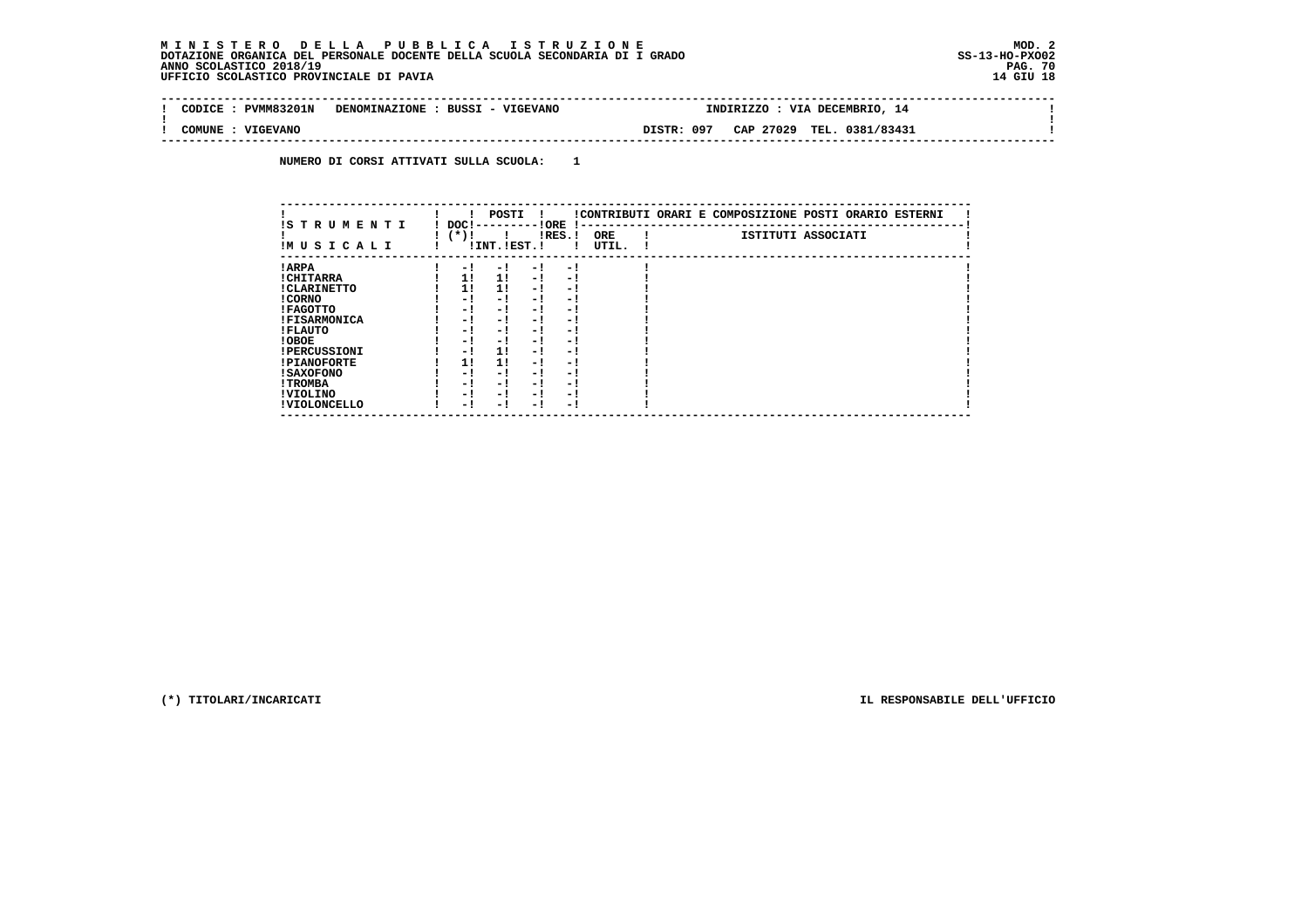| <b>PVMM83201N</b><br>CODICE. | DENOMINAZIONE : BUSSI - VIGEVANO |            | INDIRIZZO | : VIA DECEMBRIO, 14       |  |
|------------------------------|----------------------------------|------------|-----------|---------------------------|--|
| : VIGEVANO<br>COMUNE         |                                  | DISTR: 097 |           | CAP 27029 TEL. 0381/83431 |  |

 **NUMERO DI CORSI ATTIVATI SULLA SCUOLA: 1**

| IS T R U M E N T I  | DOC!   | POSTI          | ! ORE                    |           |                     | !CONTRIBUTI ORARI E COMPOSIZIONE POSTI ORARIO ESTERNI |
|---------------------|--------|----------------|--------------------------|-----------|---------------------|-------------------------------------------------------|
| IMUSICALI           | $(*)!$ | ! INT. !EST. ! |                          | $lRES.$ ! | <b>ORE</b><br>UTIL. | ISTITUTI ASSOCIATI                                    |
| ! ARPA              | $-1$   | - 1            | - 1                      | $-1$      |                     |                                                       |
| ! CHITARRA          | 11     | 11             | $-1$                     | - 1       |                     |                                                       |
| ! CLARINETTO        | 11     | 11             | $-1$                     | - 1       |                     |                                                       |
| ! CORNO             | - !    | - !            | - 1                      | - 1       |                     |                                                       |
| ! FAGOTTO           | - 1    | - !            | - 1                      | - 1       |                     |                                                       |
| <b>!FISARMONICA</b> | - 1    | - 1            | - 1                      | - 1       |                     |                                                       |
| ! FLAUTO            | - !    | - !            | - 1                      | - 1       |                     |                                                       |
| ! OBOE              | - 1    | - 1            | - !                      | - 1       |                     |                                                       |
| <b>!PERCUSSIONI</b> | - 1    | 11             | - 1                      | - 1       |                     |                                                       |
| <b>!PIANOFORTE</b>  | 11     | 11             | - 1                      | - 1       |                     |                                                       |
| <b>! SAXOFONO</b>   | - 1    | - 1            | - 1                      | - 1       |                     |                                                       |
| ! TROMBA            | - !    | - 1            | - 1                      | - 1       |                     |                                                       |
| ! VIOLINO           | - 1    | - !            | - 1                      | - 1       |                     |                                                       |
| ! VIOLONCELLO       | - 1    | - 1            | $\overline{\phantom{0}}$ | - 1       |                     |                                                       |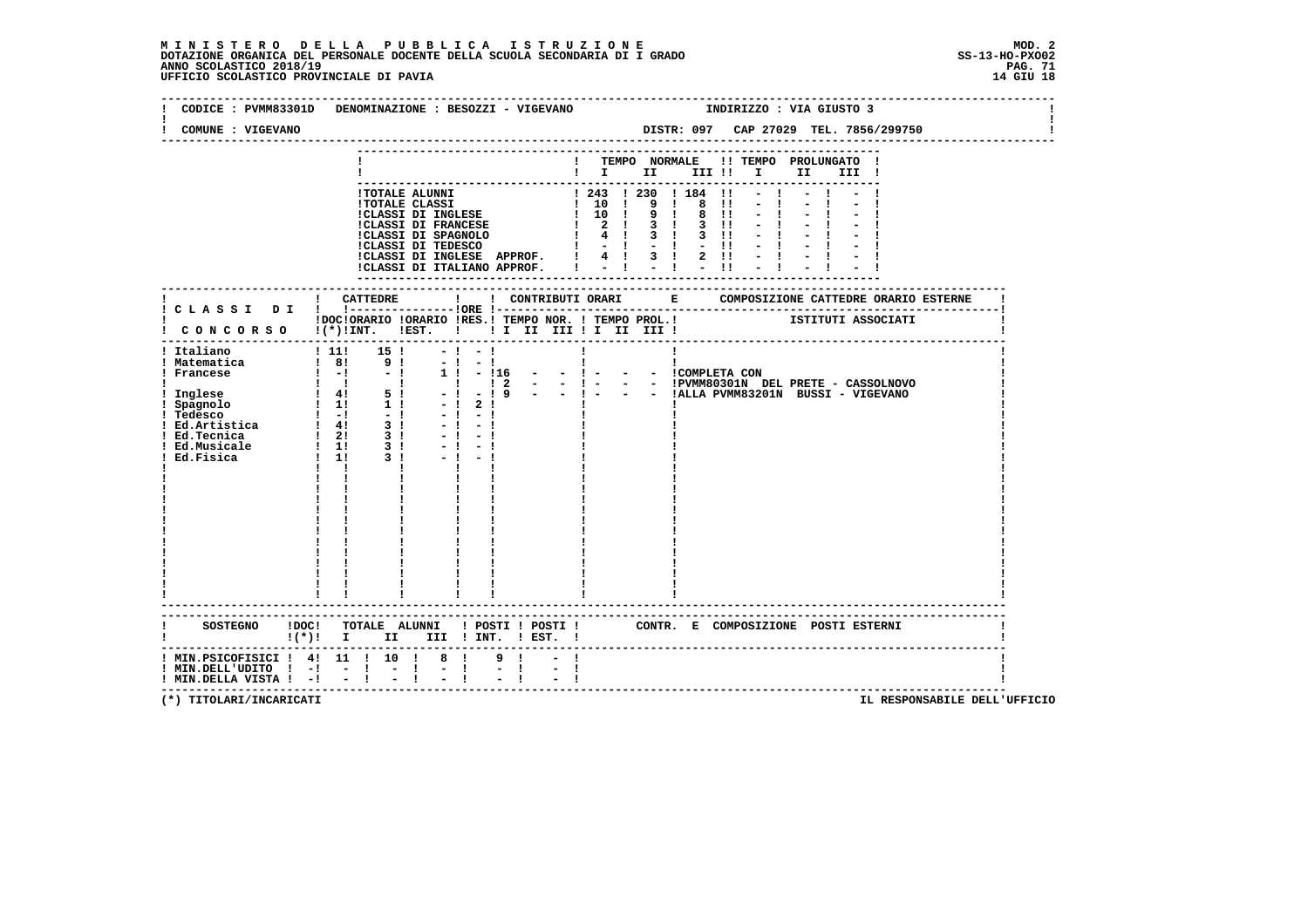| CODICE : PVMM83301D DENOMINAZIONE : BESOZZI - VIGEVANO<br>COMUNE : VIGEVANO                                                                                                                                                                                                                       |                                                                         |                                                                                                                                                                                                                                                      |                                       |                           |  |              | INDIRIZZO : VIA GIUSTO 3<br>DISTR: 097 CAP 27029 TEL. 7856/299750 |  |  |
|---------------------------------------------------------------------------------------------------------------------------------------------------------------------------------------------------------------------------------------------------------------------------------------------------|-------------------------------------------------------------------------|------------------------------------------------------------------------------------------------------------------------------------------------------------------------------------------------------------------------------------------------------|---------------------------------------|---------------------------|--|--------------|-------------------------------------------------------------------|--|--|
|                                                                                                                                                                                                                                                                                                   |                                                                         |                                                                                                                                                                                                                                                      |                                       |                           |  |              | ! TEMPO NORMALE !! TEMPO PROLUNGATO !<br>$\blacksquare$           |  |  |
|                                                                                                                                                                                                                                                                                                   |                                                                         | - ITOTALE ALUNNI<br>ITOTALE ALUNNI<br>ITOTALE CLASSI<br>ITOTALE CLASSI<br>ITOTALE CLASSI<br>ITOTALE CLASSI<br>ITOTALE CLASSI<br>ITOTALE CLASSI<br>ITOTALE IS RESERNOIS (199181)<br>ITOLASSI<br>ITOLASSI DI FRANCESE<br>ITOLASSI DI SPAGNOLO (199181) |                                       | ------------------------- |  | $-1$<br>$-1$ |                                                                   |  |  |
|                                                                                                                                                                                                                                                                                                   | IDOCIORARIO IORARIO IRES.I TEMPO NOR. I TEMPO PROL.I SITITUTI ASSOCIATI |                                                                                                                                                                                                                                                      |                                       |                           |  |              |                                                                   |  |  |
| I CONCORSO I(*) !INT. !EST. ! ! I II III ! I III III !<br>! Italiano<br>  Italiano   111   15  <br>  Matematica   8   9   1<br>  Francese   -   -   -  <br>  Inglese       5   1<br>  Spagnolo   11   1   1<br>  Ed.Artistica   4   3    <br>  Ed.Tecnica   2   3     1   3     Ed.Fisica   1   3 | $111!$ 15 !<br>$\mathbf{I}$ $\mathbf{I}$                                | $-1 - 1$<br>$-1 - 1$<br>$\mathbf{I}$<br>$-1$ 2 1<br>$-1 - 1$<br>$-1 - 1$<br>$-1 - 1$<br>$-1 - 1$                                                                                                                                                     | $1! - 116 - - 1 - - - 1$ COMPLETA CON | $\mathbf{I}$              |  |              |                                                                   |  |  |
| SOSTEGNO !DOC! TOTALE ALUNNI ! POSTI ! POSTI ! CONTR. E COMPOSIZIONE POSTI ESTERNI<br>!(*)! I II III !INT. !EST. !                                                                                                                                                                                |                                                                         |                                                                                                                                                                                                                                                      |                                       |                           |  |              |                                                                   |  |  |
| ! MIN.PSICOFISICI ! 4! 11 ! 10 ! 8 !<br>! MIN.DELL'UDITO ! -!<br>! MIN.DELLA VISTA ! -!                                                                                                                                                                                                           | $-1$<br>$-1$                                                            | $-1$<br>-1                                                                                                                                                                                                                                           | 91                                    |                           |  |              |                                                                   |  |  |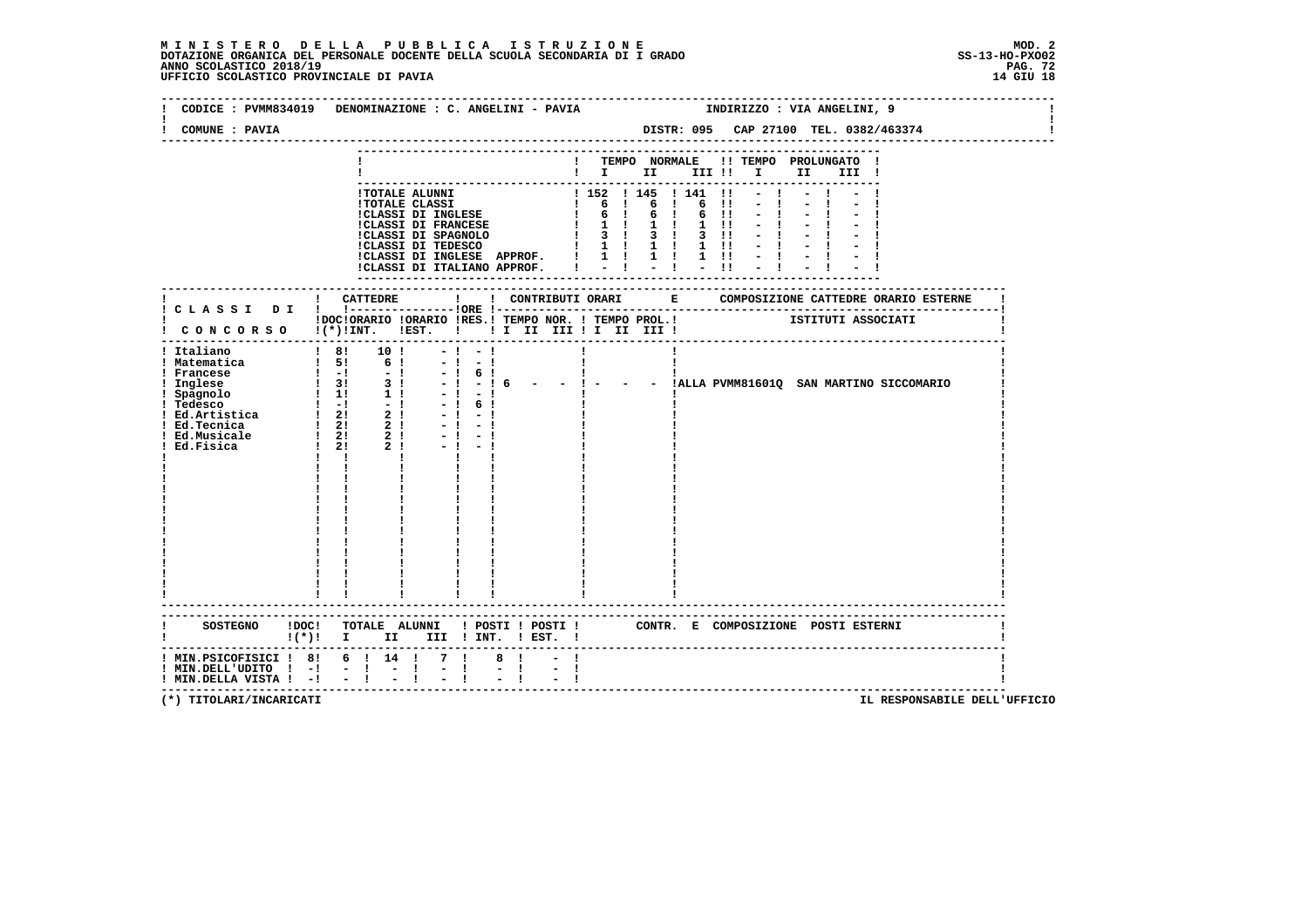| COMUNE : PAVIA                                               | CODICE : PVMM834019 DENOMINAZIONE : C. ANGELINI - PAVIA                             |                                                                                                   |                                                                                                                                                                  | DISTR: 095 CAP 27100 TEL. 0382/463374 | INDIRIZZO : VIA ANGELINI, 9 |      |       |                                                   |
|--------------------------------------------------------------|-------------------------------------------------------------------------------------|---------------------------------------------------------------------------------------------------|------------------------------------------------------------------------------------------------------------------------------------------------------------------|---------------------------------------|-----------------------------|------|-------|---------------------------------------------------|
|                                                              |                                                                                     |                                                                                                   | ! TEMPO NORMALE !! TEMPO PROLUNGATO !<br>$\blacksquare$ $\blacksquare$ $\blacksquare$ $\blacksquare$ $\blacksquare$ $\blacksquare$ $\blacksquare$ $\blacksquare$ |                                       |                             | II D | III ! |                                                   |
|                                                              |                                                                                     |                                                                                                   |                                                                                                                                                                  |                                       |                             |      |       |                                                   |
|                                                              |                                                                                     |                                                                                                   |                                                                                                                                                                  |                                       |                             |      |       |                                                   |
|                                                              | ! CONCORSO !(*)!INT. !EST. ! ! I II III ! I III III !                               |                                                                                                   |                                                                                                                                                                  |                                       |                             |      |       |                                                   |
| ! Italiano                                                   | 1 8! 10!<br>$-1$<br>$-1$<br>$\mathbf{I}$                                            | $-1 - 1$<br>$-1 - 1$<br>$-! 6!$<br>$-!$ $-!$ 6<br>$-1$<br>61<br>$-1 = -1$<br>$-1 - 1$<br>$-1 - 1$ |                                                                                                                                                                  |                                       |                             |      |       | - ! - - - !ALLA PVMM81601Q SAN MARTINO SICCOMARIO |
|                                                              | SOSTEGNO ! DOC! TOTALE ALUNNI ! POSTI ! POSTI ! CONTR. E COMPOSIZIONE POSTI ESTERNI |                                                                                                   |                                                                                                                                                                  |                                       |                             |      |       |                                                   |
| ! MIN.DELL'UDITO ! -!<br>$!$ MIN.DELLA VISTA $!$ - $!$ - $!$ | $!(*)!$ I II III ! INT. ! EST. !<br>! MIN.PSICOFISICI ! 8! 6 ! 14 ! 7 !<br>$-1$     | 8!                                                                                                |                                                                                                                                                                  |                                       |                             |      |       |                                                   |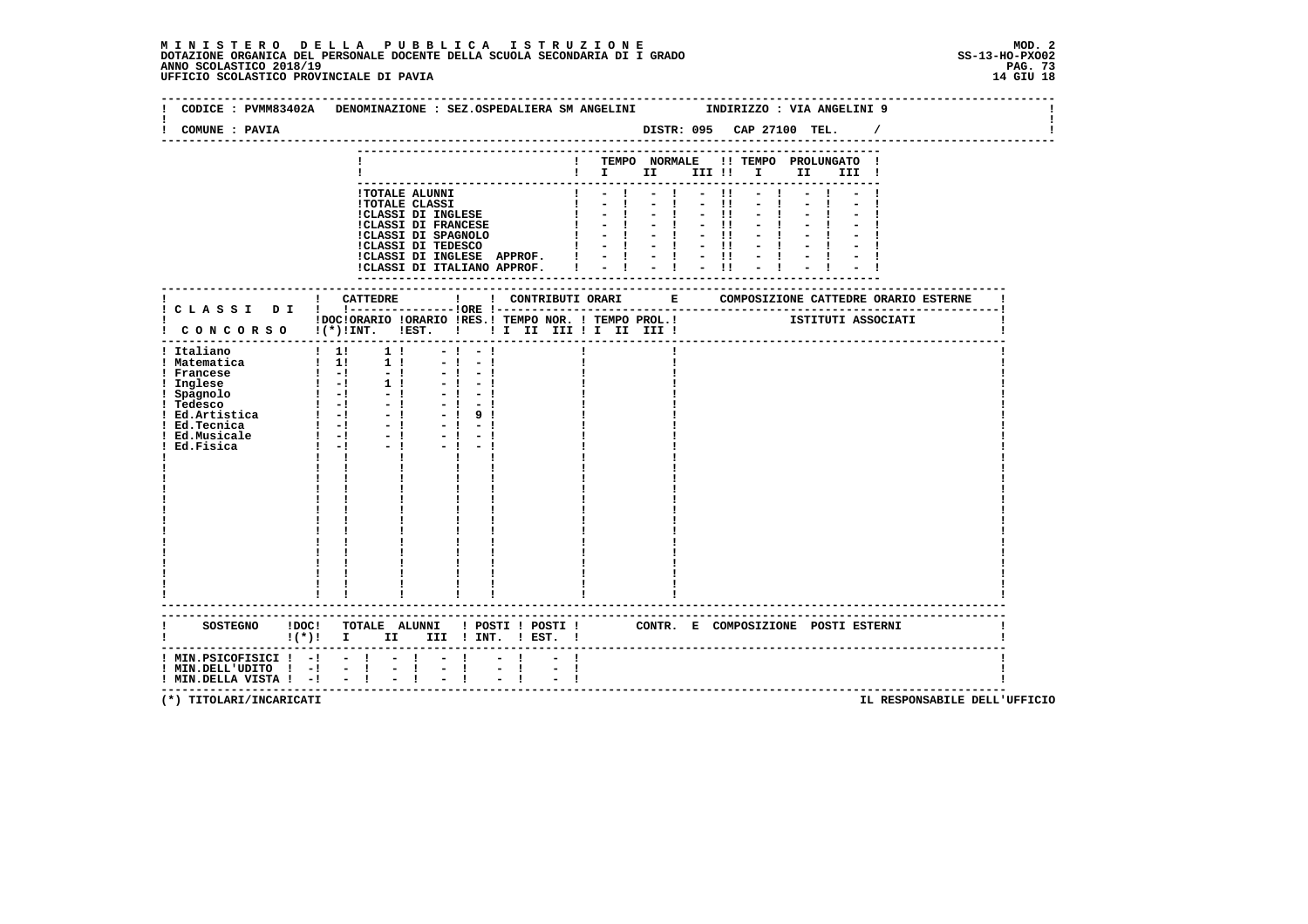| CODICE: PVMM83402A DENOMINAZIONE: SEZ.OSPEDALIERA SM ANGELINI                                                                                                                                                                                                                                                                 |                                                                                                                                                                                                                                                                        |                                                                                                  |                     |                                                                                                                                                                                                |              |                                                    | INDIRIZZO : VIA ANGELINI 9 |      |       |          |  |
|-------------------------------------------------------------------------------------------------------------------------------------------------------------------------------------------------------------------------------------------------------------------------------------------------------------------------------|------------------------------------------------------------------------------------------------------------------------------------------------------------------------------------------------------------------------------------------------------------------------|--------------------------------------------------------------------------------------------------|---------------------|------------------------------------------------------------------------------------------------------------------------------------------------------------------------------------------------|--------------|----------------------------------------------------|----------------------------|------|-------|----------|--|
| COMUNE : PAVIA                                                                                                                                                                                                                                                                                                                |                                                                                                                                                                                                                                                                        |                                                                                                  |                     |                                                                                                                                                                                                |              |                                                    |                            |      |       | $\prime$ |  |
|                                                                                                                                                                                                                                                                                                                               |                                                                                                                                                                                                                                                                        |                                                                                                  |                     | ! TEMPO NORMALE !! TEMPO PROLUNGATO !<br>$\blacksquare$ $\blacksquare$ $\blacksquare$ $\blacksquare$ $\blacksquare$ $\blacksquare$ $\blacksquare$ $\blacksquare$ $\blacksquare$ $\blacksquare$ |              |                                                    |                            | II a | III ! |          |  |
|                                                                                                                                                                                                                                                                                                                               | !TOTALE ALUNNI<br><b>!TOTALE CLASSI</b><br>!CLASSI DI INGLESE<br><b>!CLASSI DI FRANCESE</b><br>!CLASSI DI SPAGNOLO<br>!CLASSI DI TEDESCO<br>!CLASSI DI INGLESE APPROF. $! \t - \t - \t - \t !\t - \t !\t$<br>!CLASSI DI ITALIANO APPROF. $! \t - \t - \t !\t - \t !\t$ |                                                                                                  |                     | $\frac{1}{2}$ $\frac{1}{2}$ $\frac{1}{2}$<br>$\mathbf{1}$ $\mathbf{-1}$<br>$\mathbf{I}$ $\mathbf{I}$ $\mathbf{I}$<br>$1 - 1 - 1$<br>$1 - 1 - 1$<br>$1 - -1$                                    | $-1$<br>$-1$ | $-11$<br>$-11$<br>$-11$<br>$-11$<br>$-11$<br>$-11$ | $-1$<br>$-1$               |      |       |          |  |
|                                                                                                                                                                                                                                                                                                                               |                                                                                                                                                                                                                                                                        |                                                                                                  |                     |                                                                                                                                                                                                |              |                                                    |                            |      |       |          |  |
| I CONCORSO I(*) INT. IEST. ! ! I II III II III III !<br>! Italiano<br>! Matematica<br>: matematica<br>! Francese<br>! Inglese<br>! Inglese<br>! Spagnolo<br>! Tedesco<br>! -! -! -!<br>! Ed.Artistica ! -! -!<br>! Ed.Tecnica ! -! -! -!<br>! Ed.Tecnica ! -! -! -!<br>! Ed.Tecnica ! -! -! -!<br>! Ed.Fisica ! -! -! -!<br>! | $\begin{array}{ccccccccc} & 1 & 1 & & & 1 & & & \\ & & 1 & 1 & & & 1 & & \\ & & 1 & 1 & & & 1 & & \end{array}$                                                                                                                                                         | $-1 - 1$<br>$-1$<br>$-1$<br>$-1 - 1$<br>$-1 - 1$<br>$-1 - 1$<br>$-1$<br>$-1$ 9 1<br>$-1$<br>$-1$ |                     |                                                                                                                                                                                                |              |                                                    |                            |      |       |          |  |
|                                                                                                                                                                                                                                                                                                                               | п.<br>SOSTEGNO !DOC! TOTALE ALUNNI ! POSTI ! POSTI ! CONTR. E COMPOSIZIONE POSTI ESTERNI<br>!(*)! I II III !INT. !EST. !                                                                                                                                               |                                                                                                  |                     |                                                                                                                                                                                                |              |                                                    |                            |      |       |          |  |
| $!$ MIN.PSICOFISICI $!$ - $!$ - $!$<br>! MIN.DELL'UDITO ! -!<br>! MIN.DELLA VISTA ! -!                                                                                                                                                                                                                                        | $-1$<br>$\mathbb{Z}^+$<br>$-1$<br>$\mathbf{I}$<br>$-1$                                                                                                                                                                                                                 | $\mathbf{I}$<br>$\mathbb{Z}^{\mathbb{Z}}$<br>$\mathbf{I}$                                        | $\frac{1}{2}$<br>Ι. |                                                                                                                                                                                                |              |                                                    |                            |      |       |          |  |

 **(\*) TITOLARI/INCARICATI IL RESPONSABILE DELL'UFFICIO**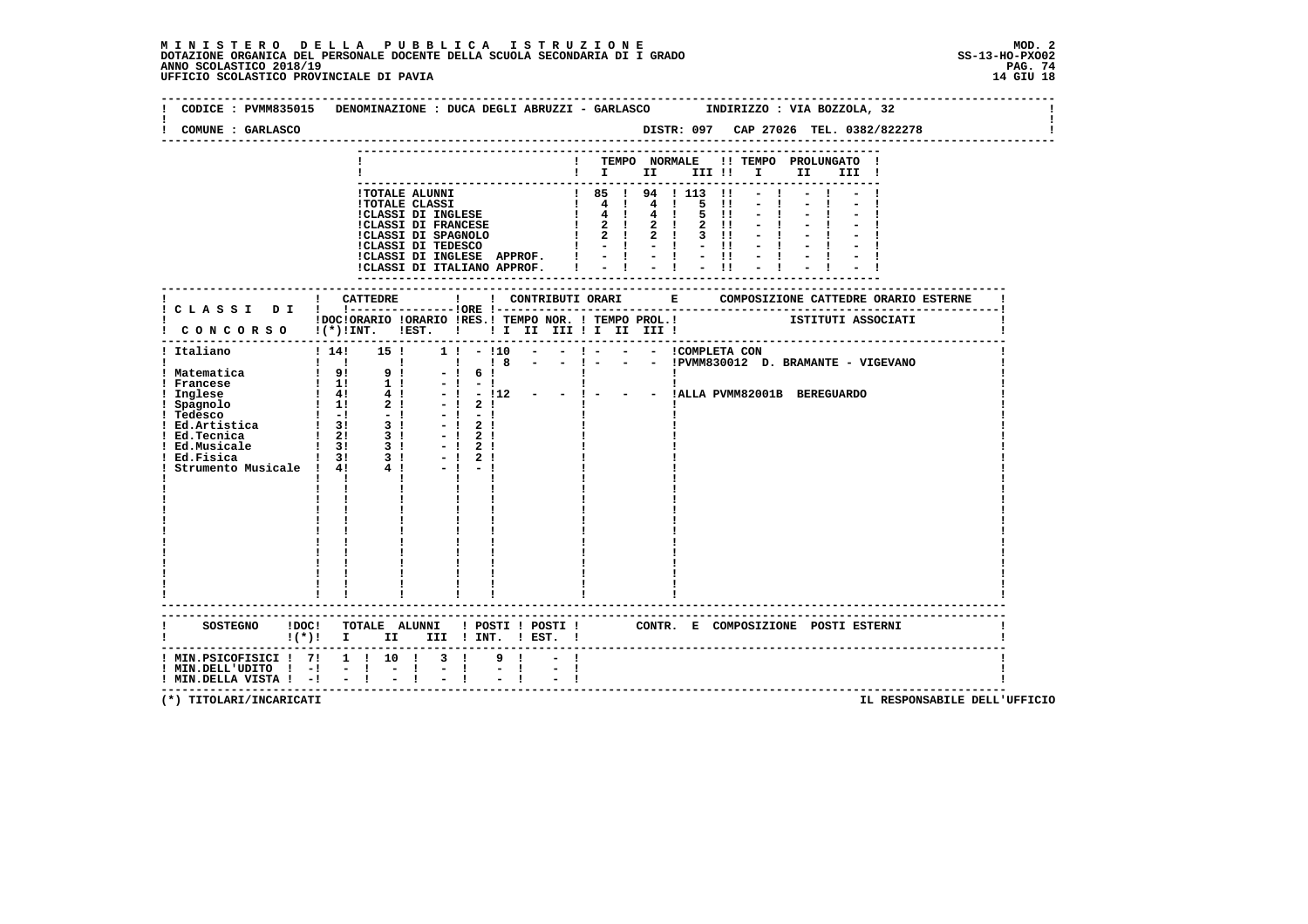## **M I N I S T E R O D E L L A P U B B L I C A I S T R U Z I O N E MOD. 2**DOTAZIONE ORGANICA DEL PERSONALE DOCENTE DELLA SCUOLA SECONDARIA DI I GRADO **SCOLASTICO SS-13-HO-PXOO2**<br>PAGO SCOLASTICO 2018/19<br>14 GIU 18 PERSONASTICO PROVINCIALE DI PAVIA

| CODICE : PVMM835015 DENOMINAZIONE : DUCA DEGLI ABRUZZI - GARLASCO INDIRIZZO : VIA BOZZOLA, 32<br>COMUNE : GARLASCO             |                                     |  |                                                                                                                   |                             |                             |  |  |  |  |                                                                                                                                                       |  |           |  |  |
|--------------------------------------------------------------------------------------------------------------------------------|-------------------------------------|--|-------------------------------------------------------------------------------------------------------------------|-----------------------------|-----------------------------|--|--|--|--|-------------------------------------------------------------------------------------------------------------------------------------------------------|--|-----------|--|--|
|                                                                                                                                |                                     |  |                                                                                                                   |                             |                             |  |  |  |  | ! TEMPO NORMALE !! TEMPO PROLUNGATO !                                                                                                                 |  |           |  |  |
|                                                                                                                                |                                     |  |                                                                                                                   |                             |                             |  |  |  |  | $\blacksquare$ $\blacksquare$ $\blacksquare$ $\blacksquare$ $\blacksquare$ $\blacksquare$ $\blacksquare$ $\blacksquare$ $\blacksquare$ $\blacksquare$ |  | III !     |  |  |
|                                                                                                                                |                                     |  |                                                                                                                   |                             |                             |  |  |  |  |                                                                                                                                                       |  |           |  |  |
|                                                                                                                                |                                     |  |                                                                                                                   |                             |                             |  |  |  |  |                                                                                                                                                       |  | $-1$ $-1$ |  |  |
|                                                                                                                                |                                     |  |                                                                                                                   |                             |                             |  |  |  |  |                                                                                                                                                       |  |           |  |  |
|                                                                                                                                |                                     |  |                                                                                                                   |                             |                             |  |  |  |  |                                                                                                                                                       |  |           |  |  |
|                                                                                                                                |                                     |  |                                                                                                                   |                             |                             |  |  |  |  |                                                                                                                                                       |  |           |  |  |
|                                                                                                                                |                                     |  |                                                                                                                   |                             |                             |  |  |  |  |                                                                                                                                                       |  |           |  |  |
|                                                                                                                                |                                     |  |                                                                                                                   |                             |                             |  |  |  |  |                                                                                                                                                       |  |           |  |  |
|                                                                                                                                |                                     |  |                                                                                                                   |                             |                             |  |  |  |  |                                                                                                                                                       |  |           |  |  |
|                                                                                                                                |                                     |  |                                                                                                                   |                             |                             |  |  |  |  |                                                                                                                                                       |  |           |  |  |
|                                                                                                                                |                                     |  |                                                                                                                   |                             |                             |  |  |  |  |                                                                                                                                                       |  |           |  |  |
|                                                                                                                                |                                     |  |                                                                                                                   |                             |                             |  |  |  |  |                                                                                                                                                       |  |           |  |  |
|                                                                                                                                |                                     |  |                                                                                                                   |                             |                             |  |  |  |  |                                                                                                                                                       |  |           |  |  |
| IDOCIORARIO IORARIO IRES.I TEMPO NOR. I TEMPO PROL.I ISTITUTI ASSOCIATI<br>I CONCORSO I(*)IINT. IEST. I II II III II III III I |                                     |  |                                                                                                                   |                             |                             |  |  |  |  |                                                                                                                                                       |  |           |  |  |
|                                                                                                                                |                                     |  |                                                                                                                   |                             |                             |  |  |  |  |                                                                                                                                                       |  |           |  |  |
| ! Italiano                                                                                                                     |                                     |  | ! 14! 15 ! 1 ! - ! 10 - - ! - - - - ICOMPLETA CON<br>! ! ! ! ! ! 8 - - ! - - - IPVMM830012 D. BRAMANTE - VIGEVANO |                             |                             |  |  |  |  |                                                                                                                                                       |  |           |  |  |
|                                                                                                                                |                                     |  |                                                                                                                   |                             |                             |  |  |  |  |                                                                                                                                                       |  |           |  |  |
|                                                                                                                                |                                     |  |                                                                                                                   | $-! 6!$                     |                             |  |  |  |  |                                                                                                                                                       |  |           |  |  |
|                                                                                                                                |                                     |  |                                                                                                                   |                             |                             |  |  |  |  | - ! 6 !<br>- ! - !<br>- ! - !12 - - ! - - - !ALLA PVMM82001B BEREGUARDO                                                                               |  |           |  |  |
|                                                                                                                                |                                     |  |                                                                                                                   |                             |                             |  |  |  |  |                                                                                                                                                       |  |           |  |  |
|                                                                                                                                |                                     |  |                                                                                                                   | $-1$ 2 1                    |                             |  |  |  |  |                                                                                                                                                       |  |           |  |  |
|                                                                                                                                |                                     |  |                                                                                                                   |                             |                             |  |  |  |  |                                                                                                                                                       |  |           |  |  |
|                                                                                                                                |                                     |  |                                                                                                                   |                             |                             |  |  |  |  |                                                                                                                                                       |  |           |  |  |
| ! Ed.Musicale                                                                                                                  |                                     |  |                                                                                                                   | $-1$ 2 1                    |                             |  |  |  |  |                                                                                                                                                       |  |           |  |  |
| ! Ed.Fisica                                                                                                                    |                                     |  |                                                                                                                   | $-1$ 2 1                    |                             |  |  |  |  |                                                                                                                                                       |  |           |  |  |
| Ed.Musicale 1 31 31<br>Ed.Fisica 1 31 31<br>Strumento Musicale 1 41 4 1                                                        |                                     |  |                                                                                                                   |                             |                             |  |  |  |  |                                                                                                                                                       |  |           |  |  |
|                                                                                                                                |                                     |  |                                                                                                                   |                             |                             |  |  |  |  |                                                                                                                                                       |  |           |  |  |
|                                                                                                                                |                                     |  |                                                                                                                   |                             |                             |  |  |  |  |                                                                                                                                                       |  |           |  |  |
|                                                                                                                                |                                     |  |                                                                                                                   |                             |                             |  |  |  |  |                                                                                                                                                       |  |           |  |  |
|                                                                                                                                |                                     |  |                                                                                                                   |                             |                             |  |  |  |  |                                                                                                                                                       |  |           |  |  |
|                                                                                                                                |                                     |  |                                                                                                                   |                             |                             |  |  |  |  |                                                                                                                                                       |  |           |  |  |
|                                                                                                                                |                                     |  |                                                                                                                   |                             |                             |  |  |  |  |                                                                                                                                                       |  |           |  |  |
|                                                                                                                                |                                     |  |                                                                                                                   |                             |                             |  |  |  |  |                                                                                                                                                       |  |           |  |  |
|                                                                                                                                |                                     |  |                                                                                                                   |                             |                             |  |  |  |  |                                                                                                                                                       |  |           |  |  |
|                                                                                                                                |                                     |  |                                                                                                                   |                             |                             |  |  |  |  |                                                                                                                                                       |  |           |  |  |
|                                                                                                                                |                                     |  |                                                                                                                   |                             |                             |  |  |  |  |                                                                                                                                                       |  |           |  |  |
|                                                                                                                                |                                     |  |                                                                                                                   |                             |                             |  |  |  |  |                                                                                                                                                       |  |           |  |  |
|                                                                                                                                |                                     |  |                                                                                                                   |                             |                             |  |  |  |  |                                                                                                                                                       |  |           |  |  |
|                                                                                                                                |                                     |  |                                                                                                                   |                             |                             |  |  |  |  |                                                                                                                                                       |  |           |  |  |
| SOSTEGNO !DOC! TOTALE ALUNNI ! POSTI ! POSTI ! CONTR. E COMPOSIZIONE POSTI ESTERNI                                             |                                     |  |                                                                                                                   |                             |                             |  |  |  |  |                                                                                                                                                       |  |           |  |  |
| !(*)! I II III !INT. !EST. !                                                                                                   |                                     |  |                                                                                                                   |                             |                             |  |  |  |  |                                                                                                                                                       |  |           |  |  |
| ! MIN.PSICOFISICI ! 7! 1 ! 10 ! 3 !                                                                                            |                                     |  |                                                                                                                   |                             | 9!                          |  |  |  |  |                                                                                                                                                       |  |           |  |  |
| : NINTEDELLUDITO : -! - ! -<br>! MIN.DELLUDITO ! -! - ! -<br>! MIN DELLA UTSTA ! -! - ! -                                      |                                     |  | $\mathbf{I}$                                                                                                      | $\frac{1}{2}$ $\frac{1}{1}$ | $\frac{1}{2}$ $\frac{1}{1}$ |  |  |  |  |                                                                                                                                                       |  |           |  |  |
|                                                                                                                                | $!$ MIN.DELLA VISTA $!$ - $!$ - $!$ |  |                                                                                                                   |                             |                             |  |  |  |  |                                                                                                                                                       |  |           |  |  |

 **(\*) TITOLARI/INCARICATI IL RESPONSABILE DELL'UFFICIO**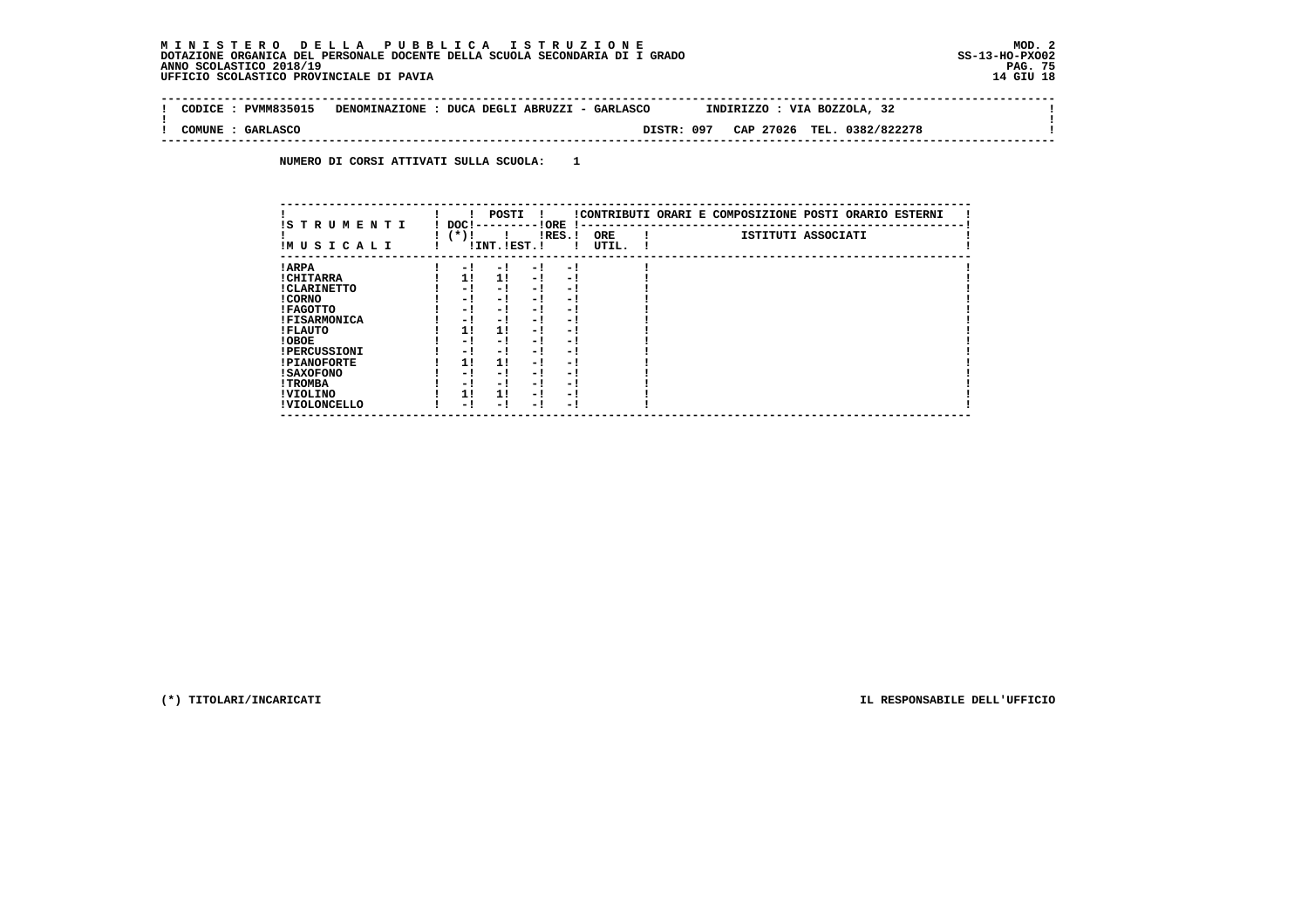## **M I N I S T E R O D E L L A P U B B L I C A I S T R U Z I O N E MOD. 2DOTAZIONE ORGANICA DEL PERSONALE DOCENTE DELLA SCUOLA SECONDARIA DI I GRADO ANNO SCOLASTICO 2018/19** UFFICIO SCOLASTICO PROVINCIALE DI PAVIA

 $\sim$  1

 $\mathbf{I}$ 

 $\mathbf{I}$ 

 **-------------------------------------------------------------------------------------------------------------------------------- ! CODICE : PVMM835015 DENOMINAZIONE : DUCA DEGLI ABRUZZI - GARLASCO INDIRIZZO : VIA BOZZOLA, 32 ! ! ! ! COMUNE : GARLASCO DISTR: 097 CAP 27026 TEL. 0382/822278 ! --------------------------------------------------------------------------------------------------------------------------------**

 **NUMERO DI CORSI ATTIVATI SULLA SCUOLA: 1**

| IS TRUMENTI         | DOC !       | POSTI          |     | ! ORE     | $\mathbf{I}$        |  | !CONTRIBUTI ORARI E COMPOSIZIONE POSTI ORARIO ESTERNI |
|---------------------|-------------|----------------|-----|-----------|---------------------|--|-------------------------------------------------------|
| IMUSICALI           | $(\star)$ ! | ! INT. !EST. ! |     | $lRES.$ ! | <b>ORE</b><br>UTIL. |  | ISTITUTI ASSOCIATI                                    |
| ! ARPA              | - 1         | - 1            | - ! | - 1       |                     |  |                                                       |
| ! CHITARRA          | 11          | 11             | - 1 | - 1       |                     |  |                                                       |
| ! CLARINETTO        | - 1         | - !            | - 1 | $-1$      |                     |  |                                                       |
| ! CORNO             | - 1         | $-1$           | - 1 | - !       |                     |  |                                                       |
| ! FAGOTTO           | - 1         | - 1            | - 1 | - 1       |                     |  |                                                       |
| <b>!FISARMONICA</b> | - 1         | - !            | - 1 | - 1       |                     |  |                                                       |
| ! FLAUTO            | 11          | 11             | - 1 | - 1       |                     |  |                                                       |
| ! OBOE              | - 1         | - !            | - 1 | - 1       |                     |  |                                                       |
| <b>!PERCUSSIONI</b> | - 1         | - 1            | - 1 | - 1       |                     |  |                                                       |
| <b>!PIANOFORTE</b>  | 11          | 11             | - 1 | - 1       |                     |  |                                                       |
| <b>! SAXOFONO</b>   | - 1         | - !            | - 1 | - 1       |                     |  |                                                       |
| ! TROMBA            | - 1         | - !            | - 1 | - 1       |                     |  |                                                       |
| ! VIOLINO           | 11          | 11             | - 1 | - 1       |                     |  |                                                       |
| ! VIOLONCELLO       | - 1         | - 1            | - 1 | - 1       |                     |  |                                                       |

 **(\*) TITOLARI/INCARICATI IL RESPONSABILE DELL'UFFICIO**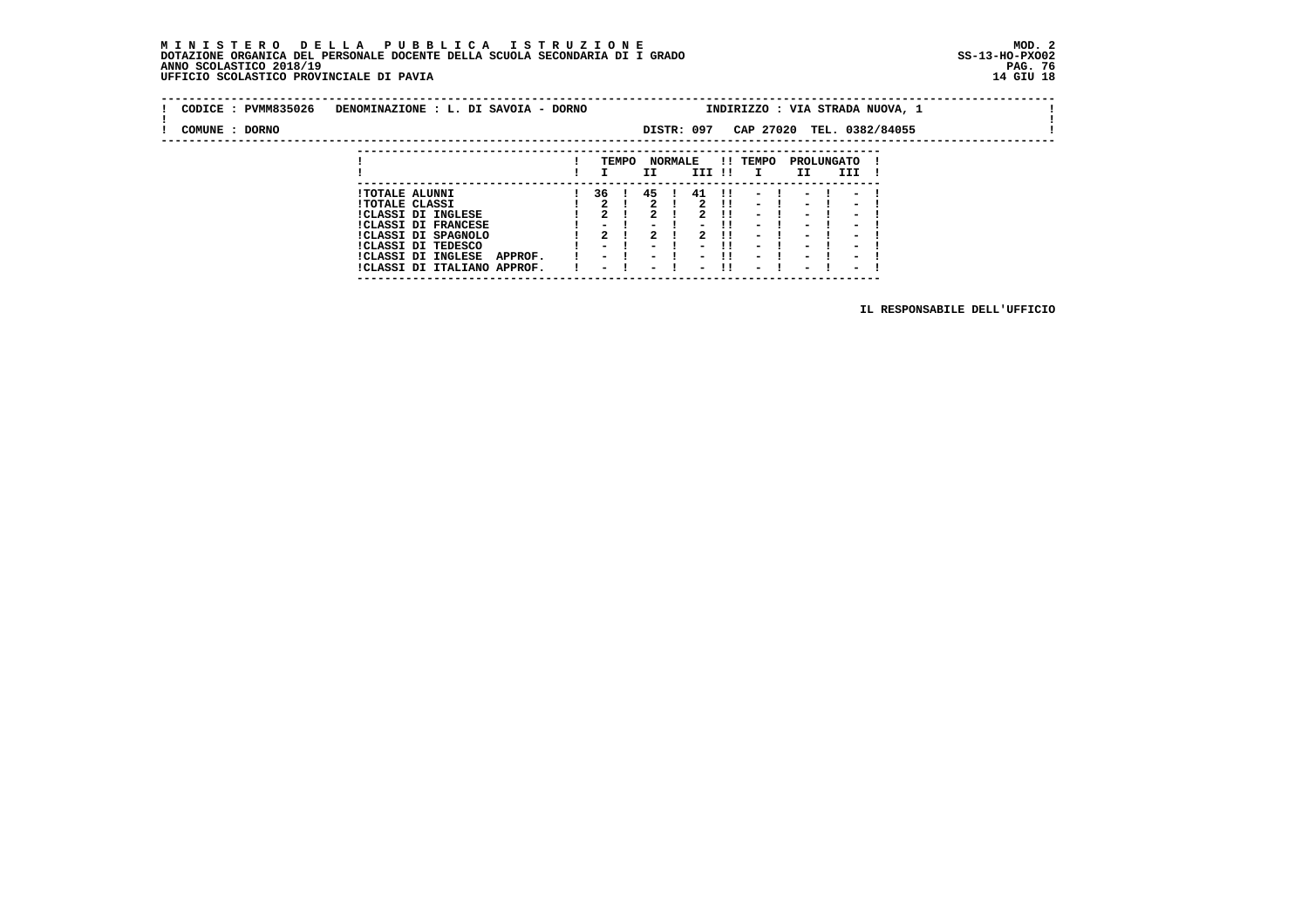## **M I N I S T E R O D E L L A P U B B L I C A I S T R U Z I O N E MOD. 2 DOTAZIONE ORGANICA DEL PERSONALE DOCENTE DELLA SCUOLA SECONDARIA DI I GRADO ANNO SCOLASTICO 2018/19 UFFICIO SCOLASTICO PROVINCIALE DI PAVIA**

 **---------------------------------------------------------------------------**

| CODICE: PVMM835026 | DENOMINAZIONE : L. DI SAVOIA - DORNO                                | INDIRIZZO : VIA STRADA NUOVA, 1                      |       |                                                      |                |                                                      |                                  |                                    |  |                                                      |                               |  |  |  |
|--------------------|---------------------------------------------------------------------|------------------------------------------------------|-------|------------------------------------------------------|----------------|------------------------------------------------------|----------------------------------|------------------------------------|--|------------------------------------------------------|-------------------------------|--|--|--|
| COMUNE : DORNO     |                                                                     |                                                      |       |                                                      |                | DISTR: 097                                           |                                  |                                    |  |                                                      | CAP 27020 TEL. 0382/84055     |  |  |  |
|                    |                                                                     |                                                      | TEMPO | II                                                   | <b>NORMALE</b> | III !!                                               |                                  | !! TEMPO                           |  | II                                                   | <b>PROLUNGATO</b><br>III      |  |  |  |
|                    | <b>!TOTALE ALUNNI</b><br><b>!TOTALE CLASSI</b>                      | 36 I<br>2 <sub>1</sub>                               |       | 45<br>2                                              |                | 41<br>2                                              | $\blacksquare$<br>$\blacksquare$ | $\sim$<br>- 1                      |  | $\sim$                                               | $\overline{\phantom{0}}$      |  |  |  |
|                    | !CLASSI DI INGLESE<br><b>!CLASSI DI FRANCESE</b>                    | $\mathbf{r}$<br>-                                    |       | 2<br>$\overline{\phantom{a}}$                        |                | 2<br>$\blacksquare$                                  | - 11<br>-11                      | $\overline{\phantom{0}}$<br>$\sim$ |  | $\overline{\phantom{0}}$<br>$\overline{\phantom{0}}$ | -<br>-                        |  |  |  |
|                    | !CLASSI DI SPAGNOLO<br>ICLASSI DI TEDESCO                           | 2<br>$\,$                                            |       | 2<br>$\overline{\phantom{a}}$                        |                | 2<br>$\overline{\phantom{0}}$                        | - 11<br>. .                      | $\overline{\phantom{0}}$<br>-      |  | $\blacksquare$<br>$\blacksquare$                     | -<br>$\overline{\phantom{0}}$ |  |  |  |
|                    | <b>!CLASSI DI INGLESE</b><br>APPROF.<br>!CLASSI DI ITALIANO APPROF. | $\overline{\phantom{0}}$<br>$\overline{\phantom{0}}$ |       | $\overline{\phantom{0}}$<br>$\overline{\phantom{0}}$ |                | $\overline{\phantom{0}}$<br>$\overline{\phantom{0}}$ | . .<br>-11                       | $\sim$<br>$\overline{\phantom{0}}$ |  | $\overline{\phantom{0}}$<br>$\overline{\phantom{0}}$ | -<br>-                        |  |  |  |

 **IL RESPONSABILE DELL'UFFICIO**